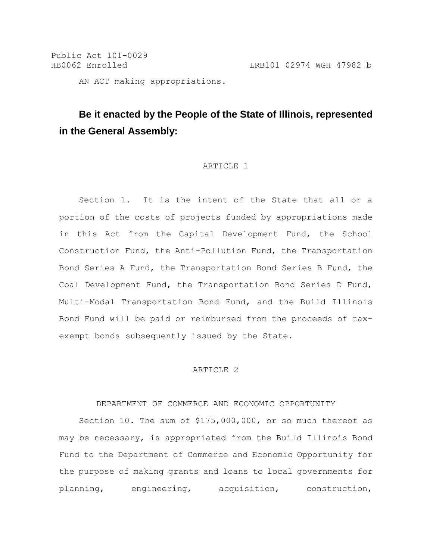Public Act 101-0029 HB0062 Enrolled LRB101 02974 WGH 47982 b AN ACT making appropriations.

**Be it enacted by the People of the State of Illinois, represented in the General Assembly:**

#### ARTICLE 1

Section 1. It is the intent of the State that all or a portion of the costs of projects funded by appropriations made in this Act from the Capital Development Fund, the School Construction Fund, the Anti-Pollution Fund, the Transportation Bond Series A Fund, the Transportation Bond Series B Fund, the Coal Development Fund, the Transportation Bond Series D Fund, Multi-Modal Transportation Bond Fund, and the Build Illinois Bond Fund will be paid or reimbursed from the proceeds of taxexempt bonds subsequently issued by the State.

## ARTICLE 2

### DEPARTMENT OF COMMERCE AND ECONOMIC OPPORTUNITY

Section 10. The sum of \$175,000,000, or so much thereof as may be necessary, is appropriated from the Build Illinois Bond Fund to the Department of Commerce and Economic Opportunity for the purpose of making grants and loans to local governments for planning, engineering, acquisition, construction,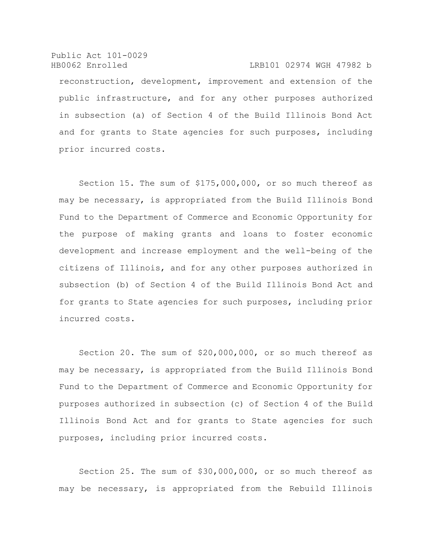Public Act 101-0029 HB0062 Enrolled LRB101 02974 WGH 47982 b reconstruction, development, improvement and extension of the public infrastructure, and for any other purposes authorized in subsection (a) of Section 4 of the Build Illinois Bond Act and for grants to State agencies for such purposes, including prior incurred costs.

Section 15. The sum of \$175,000,000, or so much thereof as may be necessary, is appropriated from the Build Illinois Bond Fund to the Department of Commerce and Economic Opportunity for the purpose of making grants and loans to foster economic development and increase employment and the well-being of the citizens of Illinois, and for any other purposes authorized in subsection (b) of Section 4 of the Build Illinois Bond Act and for grants to State agencies for such purposes, including prior incurred costs.

Section 20. The sum of \$20,000,000, or so much thereof as may be necessary, is appropriated from the Build Illinois Bond Fund to the Department of Commerce and Economic Opportunity for purposes authorized in subsection (c) of Section 4 of the Build Illinois Bond Act and for grants to State agencies for such purposes, including prior incurred costs.

Section 25. The sum of \$30,000,000, or so much thereof as may be necessary, is appropriated from the Rebuild Illinois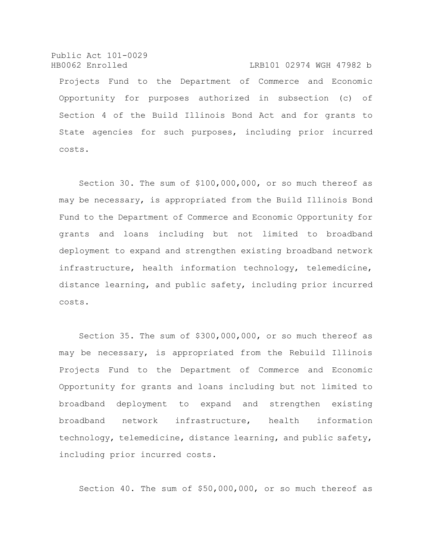Public Act 101-0029 HB0062 Enrolled LRB101 02974 WGH 47982 b Projects Fund to the Department of Commerce and Economic Opportunity for purposes authorized in subsection (c) of Section 4 of the Build Illinois Bond Act and for grants to State agencies for such purposes, including prior incurred costs.

Section 30. The sum of \$100,000,000, or so much thereof as may be necessary, is appropriated from the Build Illinois Bond Fund to the Department of Commerce and Economic Opportunity for grants and loans including but not limited to broadband deployment to expand and strengthen existing broadband network infrastructure, health information technology, telemedicine, distance learning, and public safety, including prior incurred costs.

Section 35. The sum of \$300,000,000, or so much thereof as may be necessary, is appropriated from the Rebuild Illinois Projects Fund to the Department of Commerce and Economic Opportunity for grants and loans including but not limited to broadband deployment to expand and strengthen existing broadband network infrastructure, health information technology, telemedicine, distance learning, and public safety, including prior incurred costs.

Section 40. The sum of \$50,000,000, or so much thereof as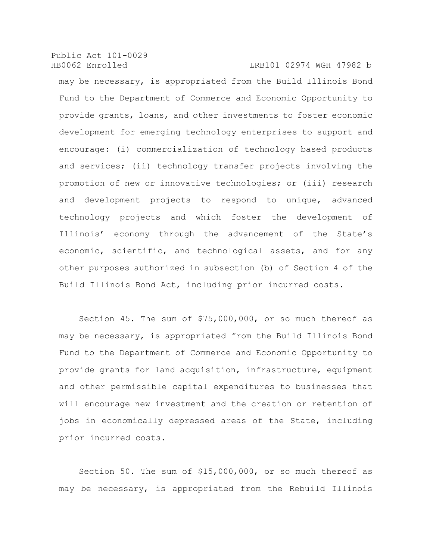may be necessary, is appropriated from the Build Illinois Bond Fund to the Department of Commerce and Economic Opportunity to provide grants, loans, and other investments to foster economic development for emerging technology enterprises to support and encourage: (i) commercialization of technology based products and services; (ii) technology transfer projects involving the promotion of new or innovative technologies; or (iii) research and development projects to respond to unique, advanced technology projects and which foster the development of Illinois' economy through the advancement of the State's economic, scientific, and technological assets, and for any other purposes authorized in subsection (b) of Section 4 of the Build Illinois Bond Act, including prior incurred costs.

Section 45. The sum of \$75,000,000, or so much thereof as may be necessary, is appropriated from the Build Illinois Bond Fund to the Department of Commerce and Economic Opportunity to provide grants for land acquisition, infrastructure, equipment and other permissible capital expenditures to businesses that will encourage new investment and the creation or retention of jobs in economically depressed areas of the State, including prior incurred costs.

Section 50. The sum of \$15,000,000, or so much thereof as may be necessary, is appropriated from the Rebuild Illinois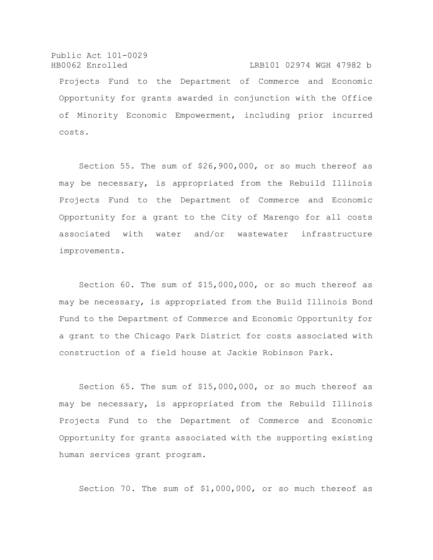Public Act 101-0029 HB0062 Enrolled LRB101 02974 WGH 47982 b Projects Fund to the Department of Commerce and Economic Opportunity for grants awarded in conjunction with the Office of Minority Economic Empowerment, including prior incurred costs.

Section 55. The sum of \$26,900,000, or so much thereof as may be necessary, is appropriated from the Rebuild Illinois Projects Fund to the Department of Commerce and Economic Opportunity for a grant to the City of Marengo for all costs associated with water and/or wastewater infrastructure improvements.

Section 60. The sum of \$15,000,000, or so much thereof as may be necessary, is appropriated from the Build Illinois Bond Fund to the Department of Commerce and Economic Opportunity for a grant to the Chicago Park District for costs associated with construction of a field house at Jackie Robinson Park.

Section 65. The sum of \$15,000,000, or so much thereof as may be necessary, is appropriated from the Rebuild Illinois Projects Fund to the Department of Commerce and Economic Opportunity for grants associated with the supporting existing human services grant program.

Section 70. The sum of \$1,000,000, or so much thereof as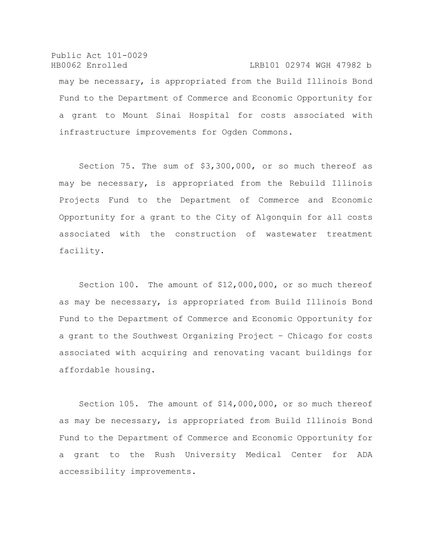Public Act 101-0029 HB0062 Enrolled LRB101 02974 WGH 47982 b may be necessary, is appropriated from the Build Illinois Bond Fund to the Department of Commerce and Economic Opportunity for a grant to Mount Sinai Hospital for costs associated with infrastructure improvements for Ogden Commons.

Section 75. The sum of \$3,300,000, or so much thereof as may be necessary, is appropriated from the Rebuild Illinois Projects Fund to the Department of Commerce and Economic Opportunity for a grant to the City of Algonquin for all costs associated with the construction of wastewater treatment facility.

Section 100. The amount of \$12,000,000, or so much thereof as may be necessary, is appropriated from Build Illinois Bond Fund to the Department of Commerce and Economic Opportunity for a grant to the Southwest Organizing Project – Chicago for costs associated with acquiring and renovating vacant buildings for affordable housing.

Section 105. The amount of \$14,000,000, or so much thereof as may be necessary, is appropriated from Build Illinois Bond Fund to the Department of Commerce and Economic Opportunity for a grant to the Rush University Medical Center for ADA accessibility improvements.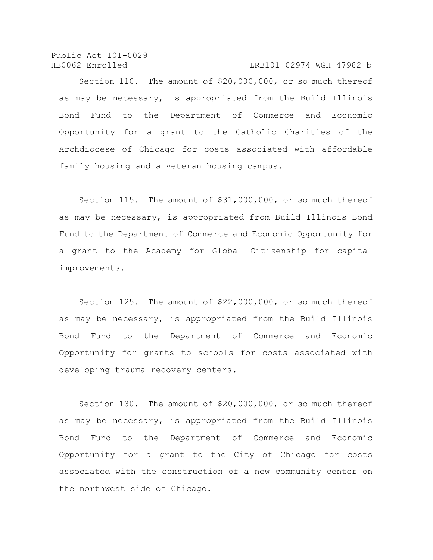Section 110. The amount of \$20,000,000, or so much thereof as may be necessary, is appropriated from the Build Illinois Bond Fund to the Department of Commerce and Economic Opportunity for a grant to the Catholic Charities of the Archdiocese of Chicago for costs associated with affordable family housing and a veteran housing campus.

Section 115. The amount of \$31,000,000, or so much thereof as may be necessary, is appropriated from Build Illinois Bond Fund to the Department of Commerce and Economic Opportunity for a grant to the Academy for Global Citizenship for capital improvements.

Section 125. The amount of \$22,000,000, or so much thereof as may be necessary, is appropriated from the Build Illinois Bond Fund to the Department of Commerce and Economic Opportunity for grants to schools for costs associated with developing trauma recovery centers.

Section 130. The amount of \$20,000,000, or so much thereof as may be necessary, is appropriated from the Build Illinois Bond Fund to the Department of Commerce and Economic Opportunity for a grant to the City of Chicago for costs associated with the construction of a new community center on the northwest side of Chicago.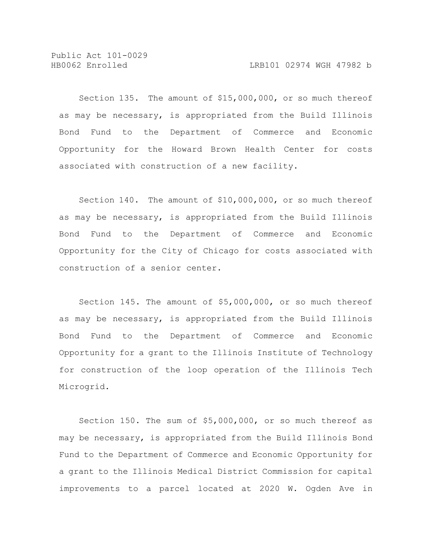Public Act 101-0029

Section 135. The amount of \$15,000,000, or so much thereof as may be necessary, is appropriated from the Build Illinois Bond Fund to the Department of Commerce and Economic Opportunity for the Howard Brown Health Center for costs associated with construction of a new facility.

Section 140. The amount of \$10,000,000, or so much thereof as may be necessary, is appropriated from the Build Illinois Bond Fund to the Department of Commerce and Economic Opportunity for the City of Chicago for costs associated with construction of a senior center.

Section 145. The amount of \$5,000,000, or so much thereof as may be necessary, is appropriated from the Build Illinois Bond Fund to the Department of Commerce and Economic Opportunity for a grant to the Illinois Institute of Technology for construction of the loop operation of the Illinois Tech Microgrid.

Section 150. The sum of \$5,000,000, or so much thereof as may be necessary, is appropriated from the Build Illinois Bond Fund to the Department of Commerce and Economic Opportunity for a grant to the Illinois Medical District Commission for capital improvements to a parcel located at 2020 W. Ogden Ave in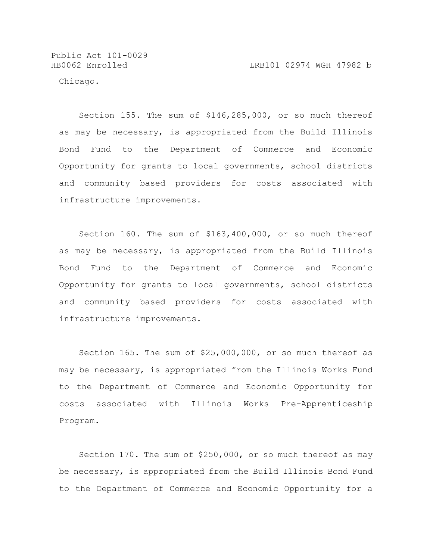Public Act 101-0029

Chicago.

Section 155. The sum of \$146,285,000, or so much thereof as may be necessary, is appropriated from the Build Illinois Bond Fund to the Department of Commerce and Economic Opportunity for grants to local governments, school districts and community based providers for costs associated with infrastructure improvements.

Section 160. The sum of \$163,400,000, or so much thereof as may be necessary, is appropriated from the Build Illinois Bond Fund to the Department of Commerce and Economic Opportunity for grants to local governments, school districts and community based providers for costs associated with infrastructure improvements.

Section 165. The sum of \$25,000,000, or so much thereof as may be necessary, is appropriated from the Illinois Works Fund to the Department of Commerce and Economic Opportunity for costs associated with Illinois Works Pre-Apprenticeship Program.

Section 170. The sum of \$250,000, or so much thereof as may be necessary, is appropriated from the Build Illinois Bond Fund to the Department of Commerce and Economic Opportunity for a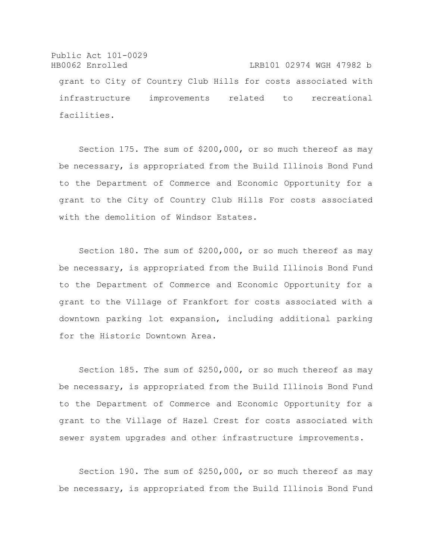Public Act 101-0029 HB0062 Enrolled LRB101 02974 WGH 47982 b grant to City of Country Club Hills for costs associated with infrastructure improvements related to recreational facilities.

Section 175. The sum of \$200,000, or so much thereof as may be necessary, is appropriated from the Build Illinois Bond Fund to the Department of Commerce and Economic Opportunity for a grant to the City of Country Club Hills For costs associated with the demolition of Windsor Estates.

Section 180. The sum of \$200,000, or so much thereof as may be necessary, is appropriated from the Build Illinois Bond Fund to the Department of Commerce and Economic Opportunity for a grant to the Village of Frankfort for costs associated with a downtown parking lot expansion, including additional parking for the Historic Downtown Area.

Section 185. The sum of \$250,000, or so much thereof as may be necessary, is appropriated from the Build Illinois Bond Fund to the Department of Commerce and Economic Opportunity for a grant to the Village of Hazel Crest for costs associated with sewer system upgrades and other infrastructure improvements.

Section 190. The sum of \$250,000, or so much thereof as may be necessary, is appropriated from the Build Illinois Bond Fund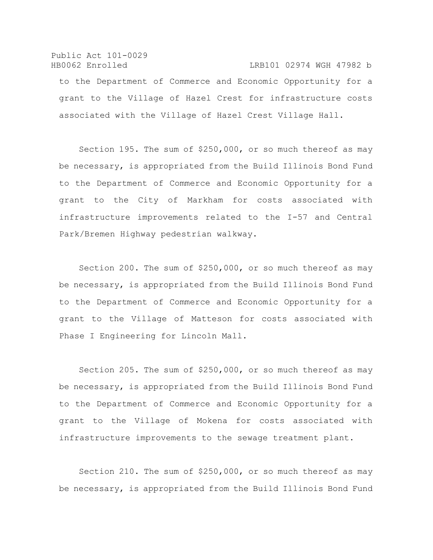Public Act 101-0029 HB0062 Enrolled LRB101 02974 WGH 47982 b to the Department of Commerce and Economic Opportunity for a grant to the Village of Hazel Crest for infrastructure costs associated with the Village of Hazel Crest Village Hall.

Section 195. The sum of \$250,000, or so much thereof as may be necessary, is appropriated from the Build Illinois Bond Fund to the Department of Commerce and Economic Opportunity for a grant to the City of Markham for costs associated with infrastructure improvements related to the I-57 and Central Park/Bremen Highway pedestrian walkway.

Section 200. The sum of \$250,000, or so much thereof as may be necessary, is appropriated from the Build Illinois Bond Fund to the Department of Commerce and Economic Opportunity for a grant to the Village of Matteson for costs associated with Phase I Engineering for Lincoln Mall.

Section 205. The sum of \$250,000, or so much thereof as may be necessary, is appropriated from the Build Illinois Bond Fund to the Department of Commerce and Economic Opportunity for a grant to the Village of Mokena for costs associated with infrastructure improvements to the sewage treatment plant.

Section 210. The sum of \$250,000, or so much thereof as may be necessary, is appropriated from the Build Illinois Bond Fund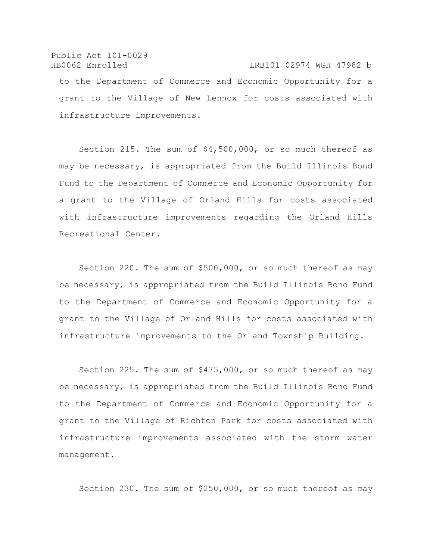# Public Act 101-0029 HB0062 Enrolled LRB101 02974 WGH 47982 b to the Department of Commerce and Economic Opportunity for a grant to the Village of New Lennox for costs associated with infrastructure improvements.

Section 215. The sum of \$4,500,000, or so much thereof as may be necessary, is appropriated from the Build Illinois Bond Fund to the Department of Commerce and Economic Opportunity for a grant to the Village of Orland Hills for costs associated with infrastructure improvements regarding the Orland Hills Recreational Center.

Section 220. The sum of \$500,000, or so much thereof as may be necessary, is appropriated from the Build Illinois Bond Fund to the Department of Commerce and Economic Opportunity for a grant to the Village of Orland Hills for costs associated with infrastructure improvements to the Orland Township Building.

Section 225. The sum of \$475,000, or so much thereof as may be necessary, is appropriated from the Build Illinois Bond Fund to the Department of Commerce and Economic Opportunity for a grant to the Village of Richton Park for costs associated with infrastructure improvements associated with the storm water management.

Section 230. The sum of \$250,000, or so much thereof as may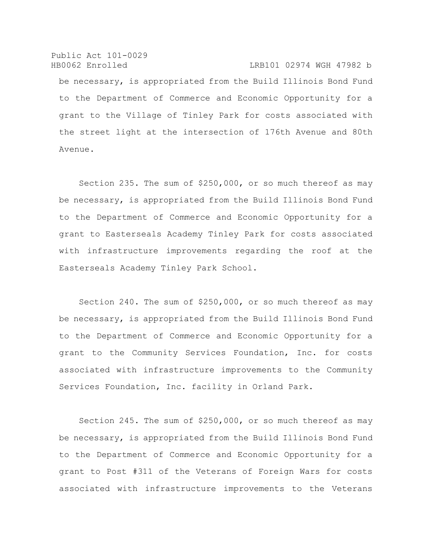Public Act 101-0029 HB0062 Enrolled LRB101 02974 WGH 47982 b be necessary, is appropriated from the Build Illinois Bond Fund to the Department of Commerce and Economic Opportunity for a grant to the Village of Tinley Park for costs associated with the street light at the intersection of 176th Avenue and 80th Avenue.

Section 235. The sum of \$250,000, or so much thereof as may be necessary, is appropriated from the Build Illinois Bond Fund to the Department of Commerce and Economic Opportunity for a grant to Easterseals Academy Tinley Park for costs associated with infrastructure improvements regarding the roof at the Easterseals Academy Tinley Park School.

Section 240. The sum of \$250,000, or so much thereof as may be necessary, is appropriated from the Build Illinois Bond Fund to the Department of Commerce and Economic Opportunity for a grant to the Community Services Foundation, Inc. for costs associated with infrastructure improvements to the Community Services Foundation, Inc. facility in Orland Park.

Section 245. The sum of \$250,000, or so much thereof as may be necessary, is appropriated from the Build Illinois Bond Fund to the Department of Commerce and Economic Opportunity for a grant to Post #311 of the Veterans of Foreign Wars for costs associated with infrastructure improvements to the Veterans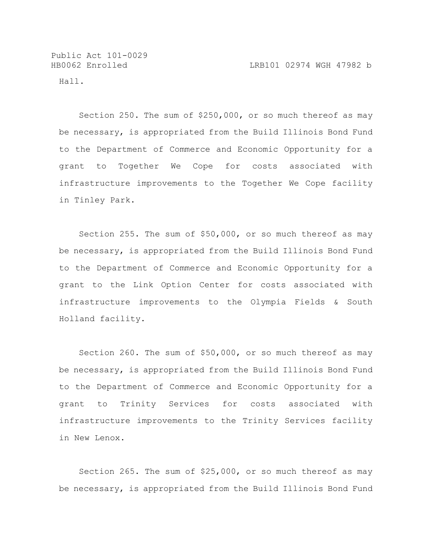Public Act 101-0029

Hall.

Section 250. The sum of \$250,000, or so much thereof as may be necessary, is appropriated from the Build Illinois Bond Fund to the Department of Commerce and Economic Opportunity for a grant to Together We Cope for costs associated with infrastructure improvements to the Together We Cope facility in Tinley Park.

Section 255. The sum of \$50,000, or so much thereof as may be necessary, is appropriated from the Build Illinois Bond Fund to the Department of Commerce and Economic Opportunity for a grant to the Link Option Center for costs associated with infrastructure improvements to the Olympia Fields & South Holland facility.

Section 260. The sum of \$50,000, or so much thereof as may be necessary, is appropriated from the Build Illinois Bond Fund to the Department of Commerce and Economic Opportunity for a grant to Trinity Services for costs associated with infrastructure improvements to the Trinity Services facility in New Lenox.

Section 265. The sum of \$25,000, or so much thereof as may be necessary, is appropriated from the Build Illinois Bond Fund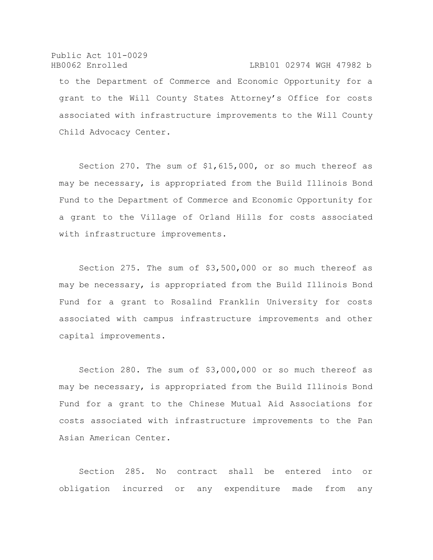Public Act 101-0029 HB0062 Enrolled LRB101 02974 WGH 47982 b to the Department of Commerce and Economic Opportunity for a grant to the Will County States Attorney's Office for costs associated with infrastructure improvements to the Will County Child Advocacy Center.

Section 270. The sum of \$1,615,000, or so much thereof as may be necessary, is appropriated from the Build Illinois Bond Fund to the Department of Commerce and Economic Opportunity for a grant to the Village of Orland Hills for costs associated with infrastructure improvements.

Section 275. The sum of \$3,500,000 or so much thereof as may be necessary, is appropriated from the Build Illinois Bond Fund for a grant to Rosalind Franklin University for costs associated with campus infrastructure improvements and other capital improvements.

Section 280. The sum of \$3,000,000 or so much thereof as may be necessary, is appropriated from the Build Illinois Bond Fund for a grant to the Chinese Mutual Aid Associations for costs associated with infrastructure improvements to the Pan Asian American Center.

Section 285. No contract shall be entered into or obligation incurred or any expenditure made from any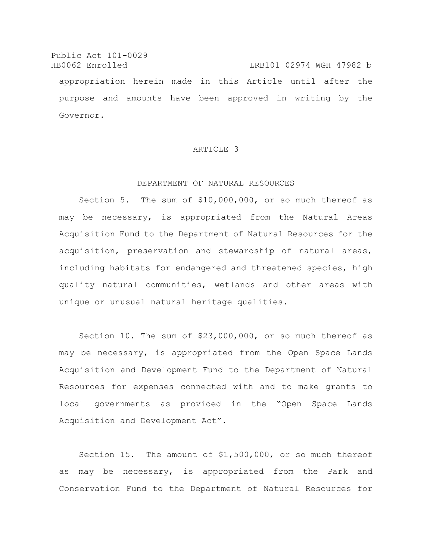Public Act 101-0029 HB0062 Enrolled LRB101 02974 WGH 47982 b appropriation herein made in this Article until after the purpose and amounts have been approved in writing by the Governor.

## ARTICLE 3

## DEPARTMENT OF NATURAL RESOURCES

Section 5. The sum of \$10,000,000, or so much thereof as may be necessary, is appropriated from the Natural Areas Acquisition Fund to the Department of Natural Resources for the acquisition, preservation and stewardship of natural areas, including habitats for endangered and threatened species, high quality natural communities, wetlands and other areas with unique or unusual natural heritage qualities.

Section 10. The sum of \$23,000,000, or so much thereof as may be necessary, is appropriated from the Open Space Lands Acquisition and Development Fund to the Department of Natural Resources for expenses connected with and to make grants to local governments as provided in the "Open Space Lands Acquisition and Development Act".

Section 15. The amount of \$1,500,000, or so much thereof as may be necessary, is appropriated from the Park and Conservation Fund to the Department of Natural Resources for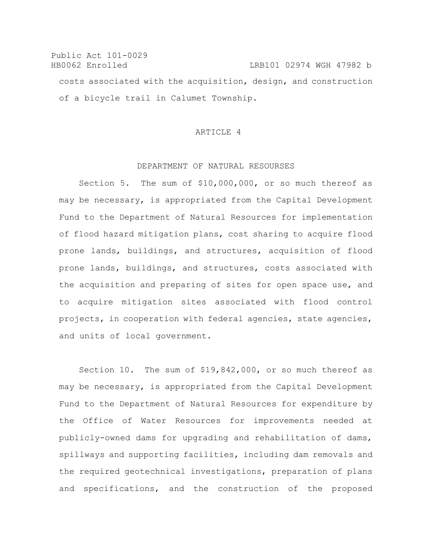Public Act 101-0029 HB0062 Enrolled LRB101 02974 WGH 47982 b costs associated with the acquisition, design, and construction of a bicycle trail in Calumet Township.

## ARTICLE 4

#### DEPARTMENT OF NATURAL RESOURSES

Section 5. The sum of \$10,000,000, or so much thereof as may be necessary, is appropriated from the Capital Development Fund to the Department of Natural Resources for implementation of flood hazard mitigation plans, cost sharing to acquire flood prone lands, buildings, and structures, acquisition of flood prone lands, buildings, and structures, costs associated with the acquisition and preparing of sites for open space use, and to acquire mitigation sites associated with flood control projects, in cooperation with federal agencies, state agencies, and units of local government.

Section 10. The sum of \$19,842,000, or so much thereof as may be necessary, is appropriated from the Capital Development Fund to the Department of Natural Resources for expenditure by the Office of Water Resources for improvements needed at publicly-owned dams for upgrading and rehabilitation of dams, spillways and supporting facilities, including dam removals and the required geotechnical investigations, preparation of plans and specifications, and the construction of the proposed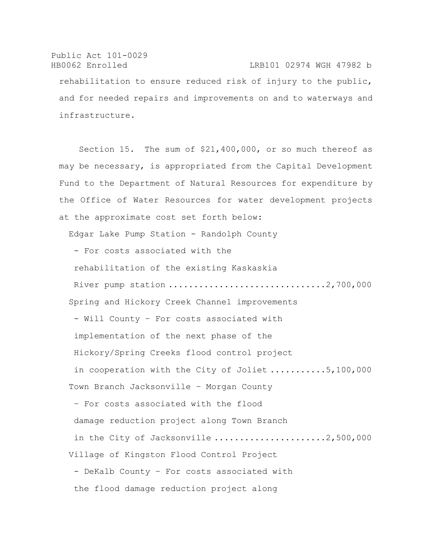Public Act 101-0029 HB0062 Enrolled LRB101 02974 WGH 47982 b rehabilitation to ensure reduced risk of injury to the public, and for needed repairs and improvements on and to waterways and infrastructure.

Section 15. The sum of \$21,400,000, or so much thereof as may be necessary, is appropriated from the Capital Development Fund to the Department of Natural Resources for expenditure by the Office of Water Resources for water development projects at the approximate cost set forth below: Edgar Lake Pump Station - Randolph County - For costs associated with the rehabilitation of the existing Kaskaskia River pump station ...................................2,700,000 Spring and Hickory Creek Channel improvements - Will County – For costs associated with implementation of the next phase of the Hickory/Spring Creeks flood control project in cooperation with the City of Joliet ...........5,100,000 Town Branch Jacksonville – Morgan County

– For costs associated with the flood damage reduction project along Town Branch in the City of Jacksonville  $\ldots \ldots \ldots \ldots \ldots \ldots \ldots$ .2,500,000 Village of Kingston Flood Control Project - DeKalb County – For costs associated with the flood damage reduction project along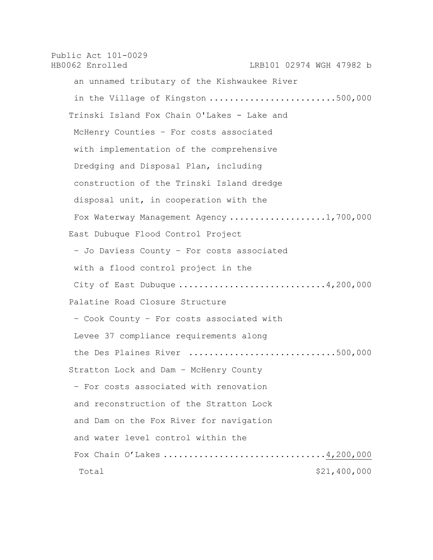Public Act 101-0029 HB0062 Enrolled LRB101 02974 WGH 47982 b an unnamed tributary of the Kishwaukee River in the Village of Kingston  $\ldots \ldots \ldots \ldots \ldots \ldots \ldots \ldots \ldots$ .500,000 Trinski Island Fox Chain O'Lakes - Lake and McHenry Counties – For costs associated with implementation of the comprehensive Dredging and Disposal Plan, including construction of the Trinski Island dredge disposal unit, in cooperation with the Fox Waterway Management Agency ..................1,700,000 East Dubuque Flood Control Project – Jo Daviess County – For costs associated with a flood control project in the City of East Dubuque .............................4,200,000 Palatine Road Closure Structure – Cook County – For costs associated with Levee 37 compliance requirements along the Des Plaines River ................................500,000 Stratton Lock and Dam – McHenry County – For costs associated with renovation and reconstruction of the Stratton Lock and Dam on the Fox River for navigation and water level control within the Fox Chain O'Lakes ..................................4,200,000 Total \$21,400,000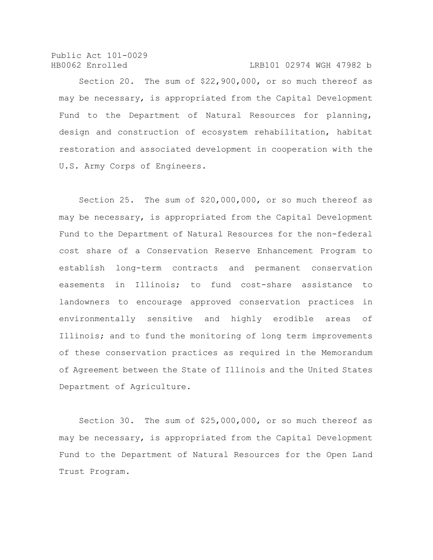Section 20. The sum of \$22,900,000, or so much thereof as may be necessary, is appropriated from the Capital Development Fund to the Department of Natural Resources for planning, design and construction of ecosystem rehabilitation, habitat restoration and associated development in cooperation with the U.S. Army Corps of Engineers.

Section 25. The sum of \$20,000,000, or so much thereof as may be necessary, is appropriated from the Capital Development Fund to the Department of Natural Resources for the non-federal cost share of a Conservation Reserve Enhancement Program to establish long-term contracts and permanent conservation easements in Illinois; to fund cost-share assistance to landowners to encourage approved conservation practices in environmentally sensitive and highly erodible areas of Illinois; and to fund the monitoring of long term improvements of these conservation practices as required in the Memorandum of Agreement between the State of Illinois and the United States Department of Agriculture.

Section 30. The sum of \$25,000,000, or so much thereof as may be necessary, is appropriated from the Capital Development Fund to the Department of Natural Resources for the Open Land Trust Program.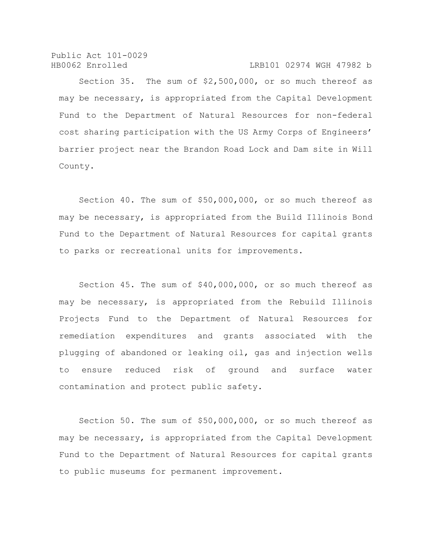Section 35. The sum of \$2,500,000, or so much thereof as may be necessary, is appropriated from the Capital Development Fund to the Department of Natural Resources for non-federal cost sharing participation with the US Army Corps of Engineers' barrier project near the Brandon Road Lock and Dam site in Will County.

Section 40. The sum of \$50,000,000, or so much thereof as may be necessary, is appropriated from the Build Illinois Bond Fund to the Department of Natural Resources for capital grants to parks or recreational units for improvements.

Section 45. The sum of \$40,000,000, or so much thereof as may be necessary, is appropriated from the Rebuild Illinois Projects Fund to the Department of Natural Resources for remediation expenditures and grants associated with the plugging of abandoned or leaking oil, gas and injection wells to ensure reduced risk of ground and surface water contamination and protect public safety.

Section 50. The sum of \$50,000,000, or so much thereof as may be necessary, is appropriated from the Capital Development Fund to the Department of Natural Resources for capital grants to public museums for permanent improvement.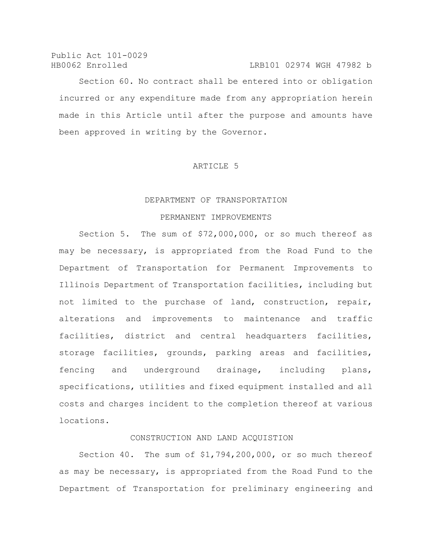Public Act 101-0029

HB0062 Enrolled LRB101 02974 WGH 47982 b Section 60. No contract shall be entered into or obligation incurred or any expenditure made from any appropriation herein made in this Article until after the purpose and amounts have been approved in writing by the Governor.

#### ARTICLE 5

### DEPARTMENT OF TRANSPORTATION

#### PERMANENT IMPROVEMENTS

Section 5. The sum of \$72,000,000, or so much thereof as may be necessary, is appropriated from the Road Fund to the Department of Transportation for Permanent Improvements to Illinois Department of Transportation facilities, including but not limited to the purchase of land, construction, repair, alterations and improvements to maintenance and traffic facilities, district and central headquarters facilities, storage facilities, grounds, parking areas and facilities, fencing and underground drainage, including plans, specifications, utilities and fixed equipment installed and all costs and charges incident to the completion thereof at various locations.

## CONSTRUCTION AND LAND ACQUISTION

Section 40. The sum of \$1,794,200,000, or so much thereof as may be necessary, is appropriated from the Road Fund to the Department of Transportation for preliminary engineering and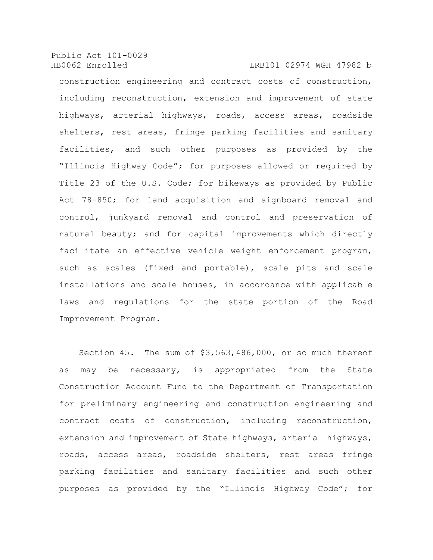construction engineering and contract costs of construction, including reconstruction, extension and improvement of state highways, arterial highways, roads, access areas, roadside shelters, rest areas, fringe parking facilities and sanitary facilities, and such other purposes as provided by the "Illinois Highway Code"; for purposes allowed or required by Title 23 of the U.S. Code; for bikeways as provided by Public Act 78-850; for land acquisition and signboard removal and control, junkyard removal and control and preservation of natural beauty; and for capital improvements which directly facilitate an effective vehicle weight enforcement program, such as scales (fixed and portable), scale pits and scale installations and scale houses, in accordance with applicable laws and regulations for the state portion of the Road Improvement Program.

Section 45. The sum of \$3,563,486,000, or so much thereof as may be necessary, is appropriated from the State Construction Account Fund to the Department of Transportation for preliminary engineering and construction engineering and contract costs of construction, including reconstruction, extension and improvement of State highways, arterial highways, roads, access areas, roadside shelters, rest areas fringe parking facilities and sanitary facilities and such other purposes as provided by the "Illinois Highway Code"; for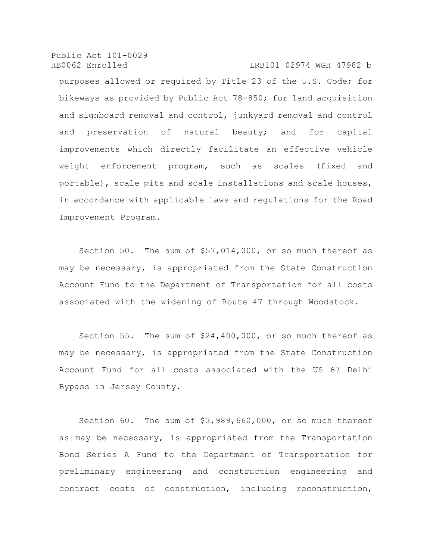purposes allowed or required by Title 23 of the U.S. Code; for bikeways as provided by Public Act 78-850; for land acquisition and signboard removal and control, junkyard removal and control and preservation of natural beauty; and for capital improvements which directly facilitate an effective vehicle weight enforcement program, such as scales (fixed and portable), scale pits and scale installations and scale houses, in accordance with applicable laws and regulations for the Road Improvement Program.

Section 50. The sum of \$57,014,000, or so much thereof as may be necessary, is appropriated from the State Construction Account Fund to the Department of Transportation for all costs associated with the widening of Route 47 through Woodstock.

Section 55. The sum of \$24,400,000, or so much thereof as may be necessary, is appropriated from the State Construction Account Fund for all costs associated with the US 67 Delhi Bypass in Jersey County.

Section 60. The sum of \$3,989,660,000, or so much thereof as may be necessary, is appropriated from the Transportation Bond Series A Fund to the Department of Transportation for preliminary engineering and construction engineering and contract costs of construction, including reconstruction,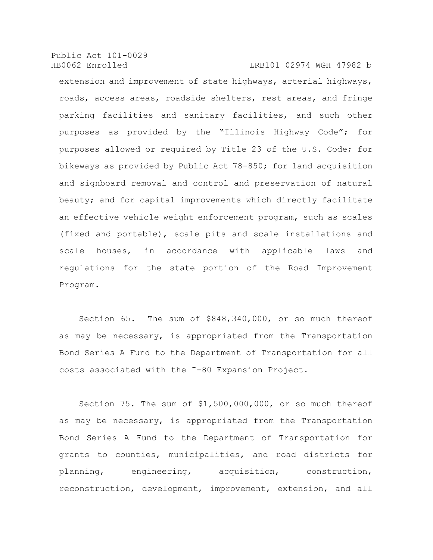extension and improvement of state highways, arterial highways, roads, access areas, roadside shelters, rest areas, and fringe parking facilities and sanitary facilities, and such other purposes as provided by the "Illinois Highway Code"; for purposes allowed or required by Title 23 of the U.S. Code; for bikeways as provided by Public Act 78-850; for land acquisition and signboard removal and control and preservation of natural beauty; and for capital improvements which directly facilitate an effective vehicle weight enforcement program, such as scales (fixed and portable), scale pits and scale installations and scale houses, in accordance with applicable laws and regulations for the state portion of the Road Improvement Program.

Section 65. The sum of \$848,340,000, or so much thereof as may be necessary, is appropriated from the Transportation Bond Series A Fund to the Department of Transportation for all costs associated with the I-80 Expansion Project.

Section 75. The sum of \$1,500,000,000, or so much thereof as may be necessary, is appropriated from the Transportation Bond Series A Fund to the Department of Transportation for grants to counties, municipalities, and road districts for planning, engineering, acquisition, construction, reconstruction, development, improvement, extension, and all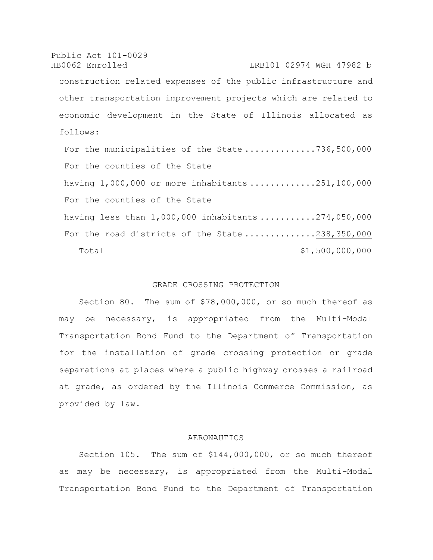Public Act 101-0029 HB0062 Enrolled LRB101 02974 WGH 47982 b construction related expenses of the public infrastructure and other transportation improvement projects which are related to economic development in the State of Illinois allocated as follows: For the municipalities of the State ..............736,500,000 For the counties of the State having 1,000,000 or more inhabitants .............251,100,000 For the counties of the State having less than 1,000,000 inhabitants ...........274,050,000 For the road districts of the State ..............238,350,000 Total  $$1,500,000,000$ 

## GRADE CROSSING PROTECTION

Section 80. The sum of \$78,000,000, or so much thereof as may be necessary, is appropriated from the Multi-Modal Transportation Bond Fund to the Department of Transportation for the installation of grade crossing protection or grade separations at places where a public highway crosses a railroad at grade, as ordered by the Illinois Commerce Commission, as provided by law.

## AERONAUTICS

Section 105. The sum of \$144,000,000, or so much thereof as may be necessary, is appropriated from the Multi-Modal Transportation Bond Fund to the Department of Transportation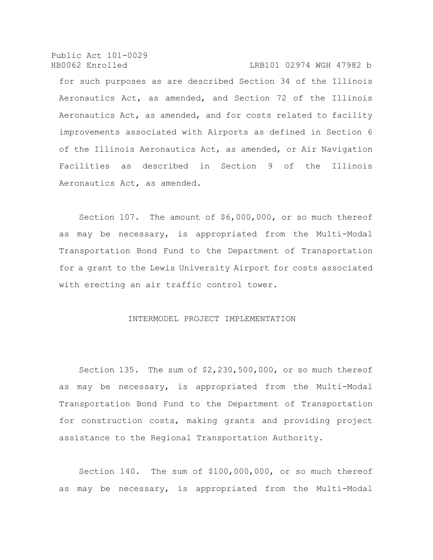for such purposes as are described Section 34 of the Illinois Aeronautics Act, as amended, and Section 72 of the Illinois Aeronautics Act, as amended, and for costs related to facility improvements associated with Airports as defined in Section 6 of the Illinois Aeronautics Act, as amended, or Air Navigation Facilities as described in Section 9 of the Illinois Aeronautics Act, as amended.

Section 107. The amount of \$6,000,000, or so much thereof as may be necessary, is appropriated from the Multi-Modal Transportation Bond Fund to the Department of Transportation for a grant to the Lewis University Airport for costs associated with erecting an air traffic control tower.

# INTERMODEL PROJECT IMPLEMENTATION

Section 135. The sum of \$2,230,500,000, or so much thereof as may be necessary, is appropriated from the Multi-Modal Transportation Bond Fund to the Department of Transportation for construction costs, making grants and providing project assistance to the Regional Transportation Authority.

Section 140. The sum of \$100,000,000, or so much thereof as may be necessary, is appropriated from the Multi-Modal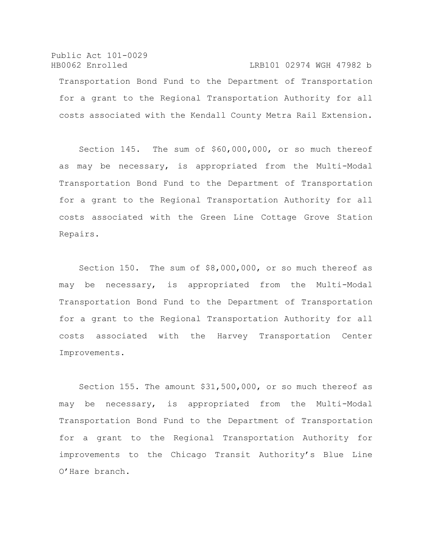Public Act 101-0029 HB0062 Enrolled LRB101 02974 WGH 47982 b Transportation Bond Fund to the Department of Transportation for a grant to the Regional Transportation Authority for all costs associated with the Kendall County Metra Rail Extension.

Section 145. The sum of \$60,000,000, or so much thereof as may be necessary, is appropriated from the Multi-Modal Transportation Bond Fund to the Department of Transportation for a grant to the Regional Transportation Authority for all costs associated with the Green Line Cottage Grove Station Repairs.

Section 150. The sum of \$8,000,000, or so much thereof as may be necessary, is appropriated from the Multi-Modal Transportation Bond Fund to the Department of Transportation for a grant to the Regional Transportation Authority for all costs associated with the Harvey Transportation Center Improvements.

Section 155. The amount \$31,500,000, or so much thereof as may be necessary, is appropriated from the Multi-Modal Transportation Bond Fund to the Department of Transportation for a grant to the Regional Transportation Authority for improvements to the Chicago Transit Authority's Blue Line O'Hare branch.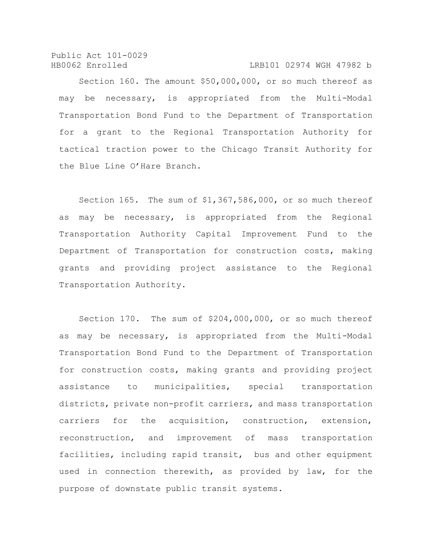Section 160. The amount \$50,000,000, or so much thereof as may be necessary, is appropriated from the Multi-Modal Transportation Bond Fund to the Department of Transportation for a grant to the Regional Transportation Authority for tactical traction power to the Chicago Transit Authority for the Blue Line O'Hare Branch.

Section 165. The sum of \$1,367,586,000, or so much thereof as may be necessary, is appropriated from the Regional Transportation Authority Capital Improvement Fund to the Department of Transportation for construction costs, making grants and providing project assistance to the Regional Transportation Authority.

Section 170. The sum of \$204,000,000, or so much thereof as may be necessary, is appropriated from the Multi-Modal Transportation Bond Fund to the Department of Transportation for construction costs, making grants and providing project assistance to municipalities, special transportation districts, private non-profit carriers, and mass transportation carriers for the acquisition, construction, extension, reconstruction, and improvement of mass transportation facilities, including rapid transit, bus and other equipment used in connection therewith, as provided by law, for the purpose of downstate public transit systems.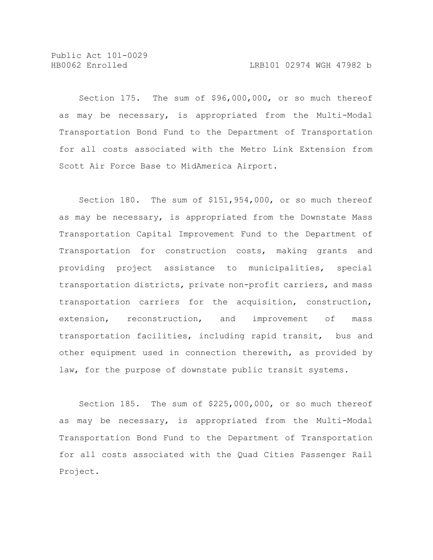Public Act 101-0029

Section 175. The sum of \$96,000,000, or so much thereof as may be necessary, is appropriated from the Multi-Modal Transportation Bond Fund to the Department of Transportation for all costs associated with the Metro Link Extension from Scott Air Force Base to MidAmerica Airport.

Section 180. The sum of \$151,954,000, or so much thereof as may be necessary, is appropriated from the Downstate Mass Transportation Capital Improvement Fund to the Department of Transportation for construction costs, making grants and providing project assistance to municipalities, special transportation districts, private non-profit carriers, and mass transportation carriers for the acquisition, construction, extension, reconstruction, and improvement of mass transportation facilities, including rapid transit, bus and other equipment used in connection therewith, as provided by law, for the purpose of downstate public transit systems.

Section 185. The sum of \$225,000,000, or so much thereof as may be necessary, is appropriated from the Multi-Modal Transportation Bond Fund to the Department of Transportation for all costs associated with the Quad Cities Passenger Rail Project.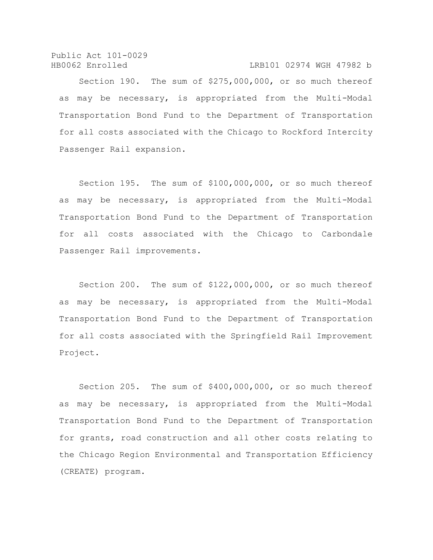Section 190. The sum of \$275,000,000, or so much thereof as may be necessary, is appropriated from the Multi-Modal Transportation Bond Fund to the Department of Transportation for all costs associated with the Chicago to Rockford Intercity Passenger Rail expansion.

Section 195. The sum of \$100,000,000, or so much thereof as may be necessary, is appropriated from the Multi-Modal Transportation Bond Fund to the Department of Transportation for all costs associated with the Chicago to Carbondale Passenger Rail improvements.

Section 200. The sum of \$122,000,000, or so much thereof as may be necessary, is appropriated from the Multi-Modal Transportation Bond Fund to the Department of Transportation for all costs associated with the Springfield Rail Improvement Project.

Section 205. The sum of \$400,000,000, or so much thereof as may be necessary, is appropriated from the Multi-Modal Transportation Bond Fund to the Department of Transportation for grants, road construction and all other costs relating to the Chicago Region Environmental and Transportation Efficiency (CREATE) program.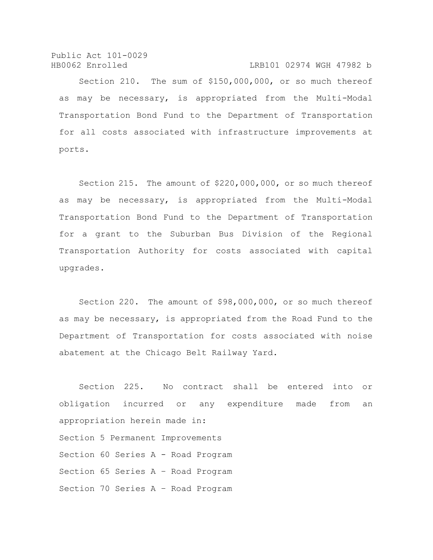Section 210. The sum of \$150,000,000, or so much thereof as may be necessary, is appropriated from the Multi-Modal Transportation Bond Fund to the Department of Transportation for all costs associated with infrastructure improvements at ports.

Section 215. The amount of \$220,000,000, or so much thereof as may be necessary, is appropriated from the Multi-Modal Transportation Bond Fund to the Department of Transportation for a grant to the Suburban Bus Division of the Regional Transportation Authority for costs associated with capital upgrades.

Section 220. The amount of \$98,000,000, or so much thereof as may be necessary, is appropriated from the Road Fund to the Department of Transportation for costs associated with noise abatement at the Chicago Belt Railway Yard.

Section 225. No contract shall be entered into or obligation incurred or any expenditure made from an appropriation herein made in: Section 5 Permanent Improvements Section 60 Series A - Road Program Section 65 Series A – Road Program Section 70 Series A – Road Program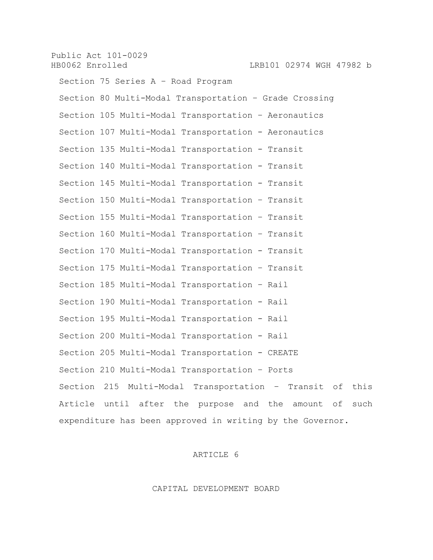Public Act 101-0029 HB0062 Enrolled LRB101 02974 WGH 47982 b Section 75 Series A – Road Program Section 80 Multi-Modal Transportation – Grade Crossing Section 105 Multi-Modal Transportation – Aeronautics Section 107 Multi-Modal Transportation - Aeronautics Section 135 Multi-Modal Transportation - Transit Section 140 Multi-Modal Transportation - Transit Section 145 Multi-Modal Transportation - Transit Section 150 Multi-Modal Transportation – Transit Section 155 Multi-Modal Transportation – Transit Section 160 Multi-Modal Transportation – Transit Section 170 Multi-Modal Transportation - Transit Section 175 Multi-Modal Transportation – Transit Section 185 Multi-Modal Transportation – Rail Section 190 Multi-Modal Transportation - Rail Section 195 Multi-Modal Transportation - Rail Section 200 Multi-Modal Transportation - Rail Section 205 Multi-Modal Transportation - CREATE Section 210 Multi-Modal Transportation – Ports Section 215 Multi-Modal Transportation – Transit of this Article until after the purpose and the amount of such expenditure has been approved in writing by the Governor.

# ARTICLE 6

CAPITAL DEVELOPMENT BOARD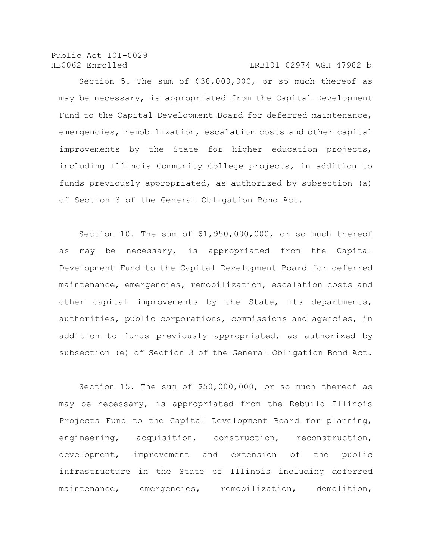Public Act 101-0029

#### HB0062 Enrolled LRB101 02974 WGH 47982 b

Section 5. The sum of \$38,000,000, or so much thereof as may be necessary, is appropriated from the Capital Development Fund to the Capital Development Board for deferred maintenance, emergencies, remobilization, escalation costs and other capital improvements by the State for higher education projects, including Illinois Community College projects, in addition to funds previously appropriated, as authorized by subsection (a) of Section 3 of the General Obligation Bond Act.

Section 10. The sum of \$1,950,000,000, or so much thereof as may be necessary, is appropriated from the Capital Development Fund to the Capital Development Board for deferred maintenance, emergencies, remobilization, escalation costs and other capital improvements by the State, its departments, authorities, public corporations, commissions and agencies, in addition to funds previously appropriated, as authorized by subsection (e) of Section 3 of the General Obligation Bond Act.

Section 15. The sum of \$50,000,000, or so much thereof as may be necessary, is appropriated from the Rebuild Illinois Projects Fund to the Capital Development Board for planning, engineering, acquisition, construction, reconstruction, development, improvement and extension of the public infrastructure in the State of Illinois including deferred maintenance, emergencies, remobilization, demolition,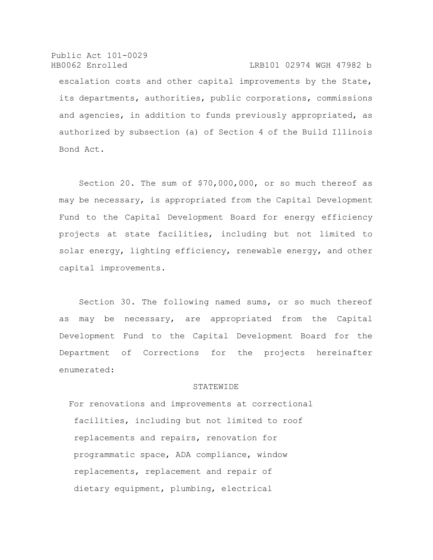Public Act 101-0029 HB0062 Enrolled LRB101 02974 WGH 47982 b escalation costs and other capital improvements by the State, its departments, authorities, public corporations, commissions and agencies, in addition to funds previously appropriated, as authorized by subsection (a) of Section 4 of the Build Illinois Bond Act.

Section 20. The sum of \$70,000,000, or so much thereof as may be necessary, is appropriated from the Capital Development Fund to the Capital Development Board for energy efficiency projects at state facilities, including but not limited to solar energy, lighting efficiency, renewable energy, and other capital improvements.

Section 30. The following named sums, or so much thereof as may be necessary, are appropriated from the Capital Development Fund to the Capital Development Board for the Department of Corrections for the projects hereinafter enumerated:

#### **STATEWIDE**

For renovations and improvements at correctional facilities, including but not limited to roof replacements and repairs, renovation for programmatic space, ADA compliance, window replacements, replacement and repair of dietary equipment, plumbing, electrical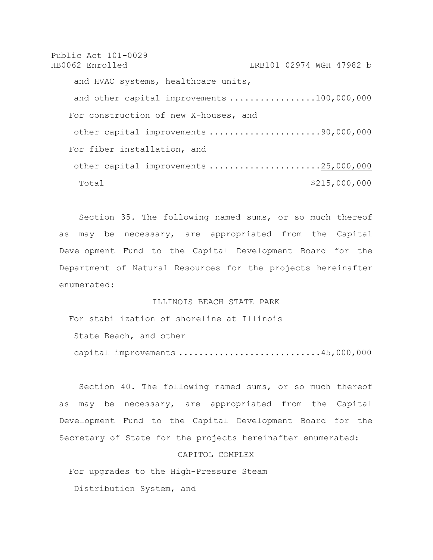Public Act 101-0029 HB0062 Enrolled LRB101 02974 WGH 47982 b and HVAC systems, healthcare units, and other capital improvements .................100,000,000 For construction of new X-houses, and other capital improvements ......................90,000,000 For fiber installation, and other capital improvements ......................25,000,000 Total \$215,000,000

Section 35. The following named sums, or so much thereof as may be necessary, are appropriated from the Capital Development Fund to the Capital Development Board for the Department of Natural Resources for the projects hereinafter enumerated:

## ILLINOIS BEACH STATE PARK

For stabilization of shoreline at Illinois

State Beach, and other

capital improvements ............................45,000,000

Section 40. The following named sums, or so much thereof as may be necessary, are appropriated from the Capital Development Fund to the Capital Development Board for the Secretary of State for the projects hereinafter enumerated:

## CAPITOL COMPLEX

For upgrades to the High-Pressure Steam

Distribution System, and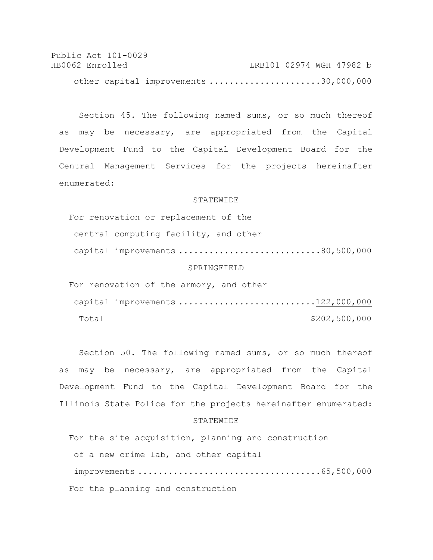Public Act 101-0029 HB0062 Enrolled LRB101 02974 WGH 47982 b other capital improvements ......................30,000,000

Section 45. The following named sums, or so much thereof as may be necessary, are appropriated from the Capital Development Fund to the Capital Development Board for the Central Management Services for the projects hereinafter enumerated:

#### **STATEWIDE**

For renovation or replacement of the central computing facility, and other capital improvements ............................80,500,000 SPRINGFIELD

For renovation of the armory, and other capital improvements ...........................122,000,000 Total \$202,500,000

Section 50. The following named sums, or so much thereof as may be necessary, are appropriated from the Capital Development Fund to the Capital Development Board for the Illinois State Police for the projects hereinafter enumerated:

## **STATEWIDE**

For the site acquisition, planning and construction of a new crime lab, and other capital improvements ....................................65,500,000 For the planning and construction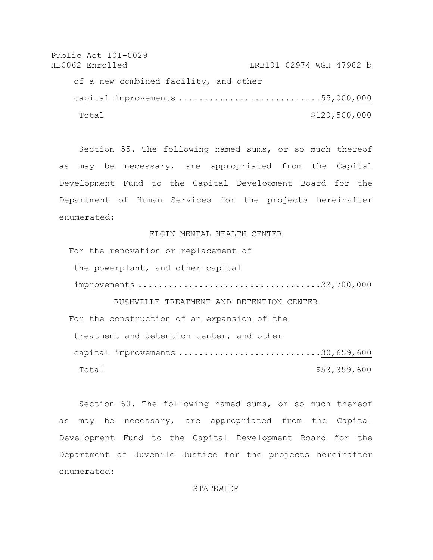Public Act 101-0029 HB0062 Enrolled LRB101 02974 WGH 47982 b of a new combined facility, and other capital improvements ............................55,000,000 Total \$120,500,000

Section 55. The following named sums, or so much thereof as may be necessary, are appropriated from the Capital Development Fund to the Capital Development Board for the Department of Human Services for the projects hereinafter enumerated:

ELGIN MENTAL HEALTH CENTER

For the renovation or replacement of the powerplant, and other capital improvements ....................................22,700,000 RUSHVILLE TREATMENT AND DETENTION CENTER

For the construction of an expansion of the treatment and detention center, and other capital improvements ............................30,659,600 Total \$53,359,600

Section 60. The following named sums, or so much thereof as may be necessary, are appropriated from the Capital Development Fund to the Capital Development Board for the Department of Juvenile Justice for the projects hereinafter enumerated:

#### STATEWIDE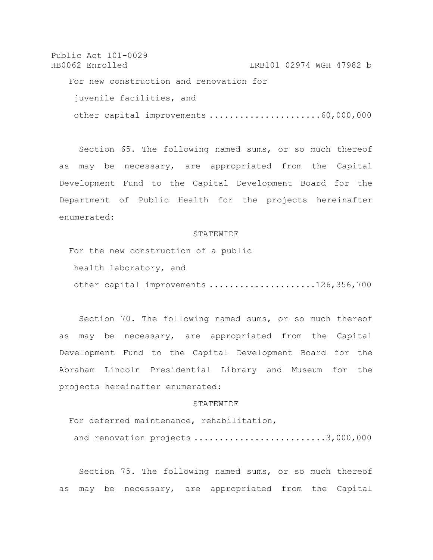```
Public Act 101-0029
HB0062 Enrolled LRB101 02974 WGH 47982 b
   For new construction and renovation for 
    juvenile facilities, and 
    other capital improvements ......................60,000,000
```
Section 65. The following named sums, or so much thereof as may be necessary, are appropriated from the Capital Development Fund to the Capital Development Board for the Department of Public Health for the projects hereinafter enumerated:

### **STATEWIDE**

For the new construction of a public health laboratory, and other capital improvements .....................126,356,700

Section 70. The following named sums, or so much thereof as may be necessary, are appropriated from the Capital Development Fund to the Capital Development Board for the Abraham Lincoln Presidential Library and Museum for the projects hereinafter enumerated:

#### **STATEWIDE**

For deferred maintenance, rehabilitation, and renovation projects ...........................3,000,000

Section 75. The following named sums, or so much thereof as may be necessary, are appropriated from the Capital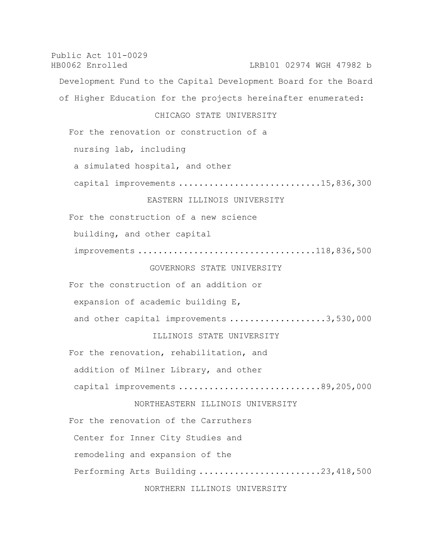Public Act 101-0029 HB0062 Enrolled LRB101 02974 WGH 47982 b Development Fund to the Capital Development Board for the Board of Higher Education for the projects hereinafter enumerated: CHICAGO STATE UNIVERSITY For the renovation or construction of a nursing lab, including a simulated hospital, and other capital improvements ............................15,836,300 EASTERN ILLINOIS UNIVERSITY For the construction of a new science building, and other capital improvements ...................................118,836,500 GOVERNORS STATE UNIVERSITY For the construction of an addition or expansion of academic building E, and other capital improvements ...................3,530,000 ILLINOIS STATE UNIVERSITY For the renovation, rehabilitation, and addition of Milner Library, and other capital improvements ............................89,205,000 NORTHEASTERN ILLINOIS UNIVERSITY For the renovation of the Carruthers Center for Inner City Studies and remodeling and expansion of the Performing Arts Building .........................23,418,500

NORTHERN ILLINOIS UNIVERSITY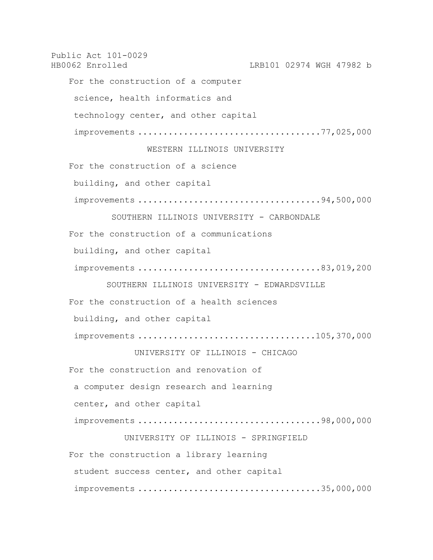Public Act 101-0029 HB0062 Enrolled LRB101 02974 WGH 47982 b For the construction of a computer science, health informatics and technology center, and other capital improvements ....................................77,025,000 WESTERN ILLINOIS UNIVERSITY For the construction of a science building, and other capital improvements ....................................94,500,000 SOUTHERN ILLINOIS UNIVERSITY - CARBONDALE For the construction of a communications building, and other capital improvements ....................................83,019,200 SOUTHERN ILLINOIS UNIVERSITY - EDWARDSVILLE For the construction of a health sciences building, and other capital improvements ...................................105,370,000 UNIVERSITY OF ILLINOIS - CHICAGO For the construction and renovation of a computer design research and learning center, and other capital improvements ....................................98,000,000 UNIVERSITY OF ILLINOIS - SPRINGFIELD For the construction a library learning student success center, and other capital improvements ....................................35,000,000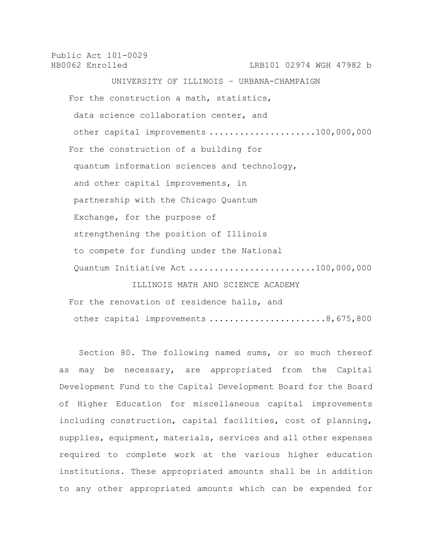Public Act 101-0029 HB0062 Enrolled LRB101 02974 WGH 47982 b UNIVERSITY OF ILLINOIS – URBANA-CHAMPAIGN For the construction a math, statistics, data science collaboration center, and other capital improvements .....................100,000,000 For the construction of a building for quantum information sciences and technology, and other capital improvements, in partnership with the Chicago Quantum Exchange, for the purpose of strengthening the position of Illinois to compete for funding under the National Quantum Initiative Act .........................100,000,000 ILLINOIS MATH AND SCIENCE ACADEMY

For the renovation of residence halls, and other capital improvements .......................8,675,800

Section 80. The following named sums, or so much thereof as may be necessary, are appropriated from the Capital Development Fund to the Capital Development Board for the Board of Higher Education for miscellaneous capital improvements including construction, capital facilities, cost of planning, supplies, equipment, materials, services and all other expenses required to complete work at the various higher education institutions. These appropriated amounts shall be in addition to any other appropriated amounts which can be expended for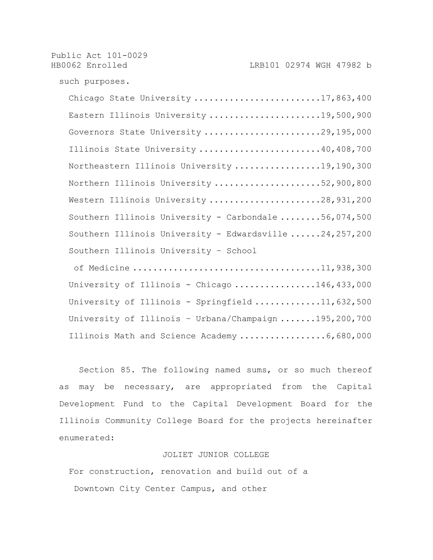Public Act 101-0029 HB0062 Enrolled LRB101 02974 WGH 47982 b such purposes. Chicago State University ..........................17,863,400 Eastern Illinois University .......................19,500,900 Governors State University .......................29,195,000 Illinois State University ........................40,408,700 Northeastern Illinois University .................19,190,300 Northern Illinois University .....................52,900,800 Western Illinois University .......................28,931,200 Southern Illinois University - Carbondale ........56,074,500 Southern Illinois University - Edwardsville ......24,257,200 Southern Illinois University – School of Medicine .....................................11,938,300 University of Illinois - Chicago ................146,433,000 University of Illinois - Springfield .............11,632,500 University of Illinois – Urbana/Champaign .......195,200,700

Illinois Math and Science Academy .................6,680,000

Section 85. The following named sums, or so much thereof as may be necessary, are appropriated from the Capital Development Fund to the Capital Development Board for the Illinois Community College Board for the projects hereinafter enumerated:

## JOLIET JUNIOR COLLEGE

For construction, renovation and build out of a Downtown City Center Campus, and other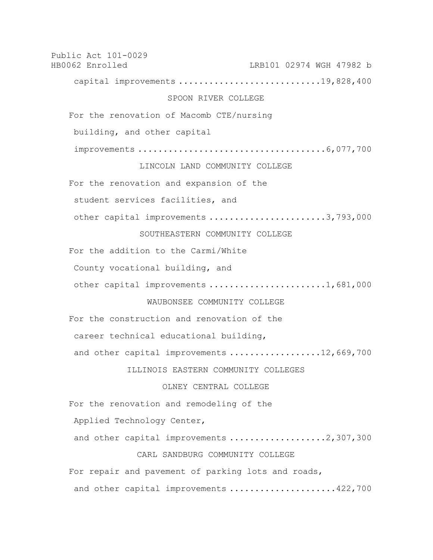Public Act 101-0029 HB0062 Enrolled LRB101 02974 WGH 47982 b capital improvements .............................19,828,400 SPOON RIVER COLLEGE For the renovation of Macomb CTE/nursing building, and other capital improvements .....................................6,077,700 LINCOLN LAND COMMUNITY COLLEGE For the renovation and expansion of the student services facilities, and other capital improvements .......................3,793,000 SOUTHEASTERN COMMUNITY COLLEGE For the addition to the Carmi/White County vocational building, and other capital improvements .......................1,681,000 WAUBONSEE COMMUNITY COLLEGE For the construction and renovation of the career technical educational building, and other capital improvements ..................12,669,700 ILLINOIS EASTERN COMMUNITY COLLEGES OLNEY CENTRAL COLLEGE For the renovation and remodeling of the Applied Technology Center, and other capital improvements ....................2,307,300 CARL SANDBURG COMMUNITY COLLEGE For repair and pavement of parking lots and roads, and other capital improvements ....................422,700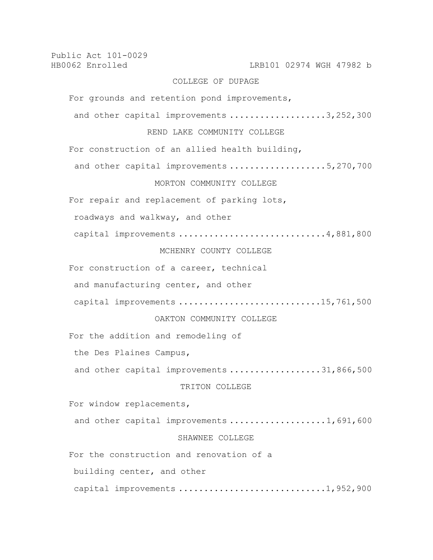Public Act 101-0029 HB0062 Enrolled LRB101 02974 WGH 47982 b COLLEGE OF DUPAGE For grounds and retention pond improvements, and other capital improvements ...................3,252,300 REND LAKE COMMUNITY COLLEGE For construction of an allied health building, and other capital improvements ....................5,270,700 MORTON COMMUNITY COLLEGE For repair and replacement of parking lots, roadways and walkway, and other capital improvements .............................4,881,800 MCHENRY COUNTY COLLEGE For construction of a career, technical and manufacturing center, and other capital improvements .............................15,761,500 OAKTON COMMUNITY COLLEGE For the addition and remodeling of the Des Plaines Campus, and other capital improvements ...................31,866,500 TRITON COLLEGE For window replacements, and other capital improvements ...................1,691,600 SHAWNEE COLLEGE For the construction and renovation of a building center, and other capital improvements .............................1,952,900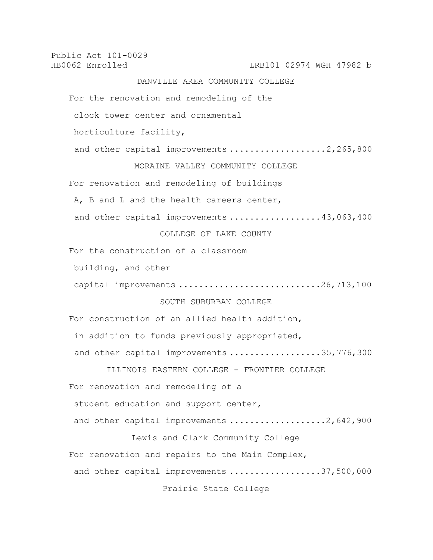Public Act 101-0029 HB0062 Enrolled LRB101 02974 WGH 47982 b DANVILLE AREA COMMUNITY COLLEGE For the renovation and remodeling of the clock tower center and ornamental horticulture facility, and other capital improvements ...................2,265,800 MORAINE VALLEY COMMUNITY COLLEGE For renovation and remodeling of buildings A, B and L and the health careers center, and other capital improvements .................43,063,400 COLLEGE OF LAKE COUNTY For the construction of a classroom building, and other capital improvements ..............................26,713,100 SOUTH SUBURBAN COLLEGE For construction of an allied health addition, in addition to funds previously appropriated, and other capital improvements ..................35,776,300 ILLINOIS EASTERN COLLEGE - FRONTIER COLLEGE For renovation and remodeling of a student education and support center, and other capital improvements ....................2,642,900 Lewis and Clark Community College For renovation and repairs to the Main Complex, and other capital improvements ..................37,500,000 Prairie State College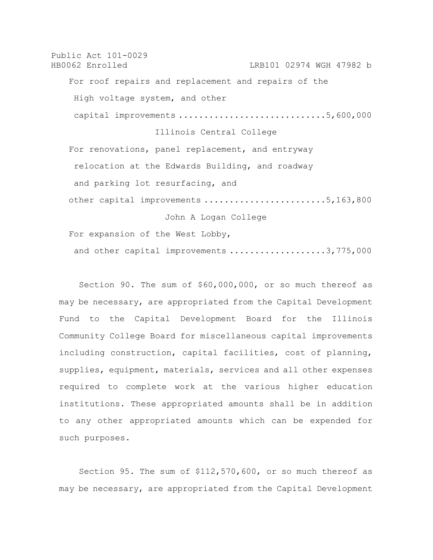Public Act 101-0029 HB0062 Enrolled LRB101 02974 WGH 47982 b For roof repairs and replacement and repairs of the High voltage system, and other capital improvements .............................5,600,000 Illinois Central College For renovations, panel replacement, and entryway relocation at the Edwards Building, and roadway and parking lot resurfacing, and other capital improvements ........................5,163,800 John A Logan College For expansion of the West Lobby,

and other capital improvements ...................3,775,000

Section 90. The sum of \$60,000,000, or so much thereof as may be necessary, are appropriated from the Capital Development Fund to the Capital Development Board for the Illinois Community College Board for miscellaneous capital improvements including construction, capital facilities, cost of planning, supplies, equipment, materials, services and all other expenses required to complete work at the various higher education institutions. These appropriated amounts shall be in addition to any other appropriated amounts which can be expended for such purposes.

Section 95. The sum of \$112,570,600, or so much thereof as may be necessary, are appropriated from the Capital Development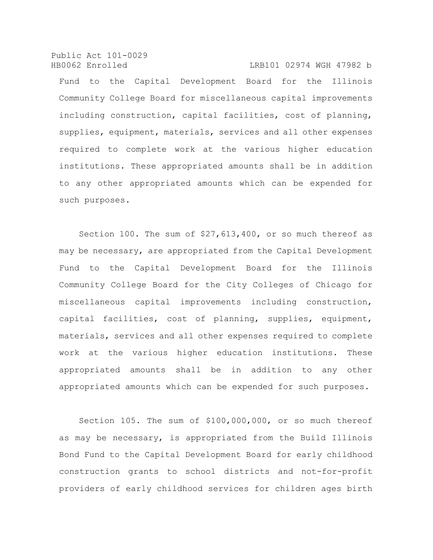Public Act 101-0029 HB0062 Enrolled LRB101 02974 WGH 47982 b

Fund to the Capital Development Board for the Illinois Community College Board for miscellaneous capital improvements including construction, capital facilities, cost of planning, supplies, equipment, materials, services and all other expenses required to complete work at the various higher education institutions. These appropriated amounts shall be in addition to any other appropriated amounts which can be expended for such purposes.

Section 100. The sum of \$27,613,400, or so much thereof as may be necessary, are appropriated from the Capital Development Fund to the Capital Development Board for the Illinois Community College Board for the City Colleges of Chicago for miscellaneous capital improvements including construction, capital facilities, cost of planning, supplies, equipment, materials, services and all other expenses required to complete work at the various higher education institutions. These appropriated amounts shall be in addition to any other appropriated amounts which can be expended for such purposes.

Section 105. The sum of \$100,000,000, or so much thereof as may be necessary, is appropriated from the Build Illinois Bond Fund to the Capital Development Board for early childhood construction grants to school districts and not-for-profit providers of early childhood services for children ages birth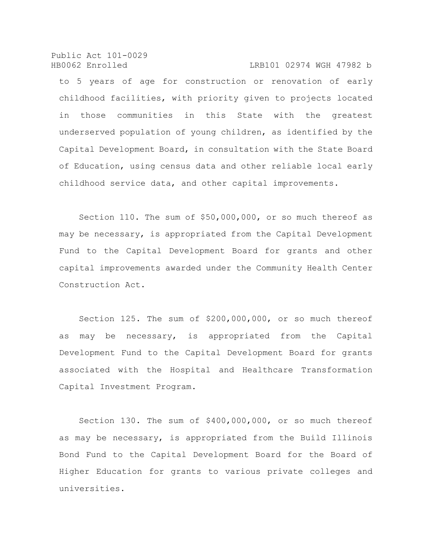Public Act 101-0029 HB0062 Enrolled LRB101 02974 WGH 47982 b

to 5 years of age for construction or renovation of early childhood facilities, with priority given to projects located in those communities in this State with the greatest underserved population of young children, as identified by the Capital Development Board, in consultation with the State Board of Education, using census data and other reliable local early childhood service data, and other capital improvements.

Section 110. The sum of \$50,000,000, or so much thereof as may be necessary, is appropriated from the Capital Development Fund to the Capital Development Board for grants and other capital improvements awarded under the Community Health Center Construction Act.

Section 125. The sum of \$200,000,000, or so much thereof as may be necessary, is appropriated from the Capital Development Fund to the Capital Development Board for grants associated with the Hospital and Healthcare Transformation Capital Investment Program.

Section 130. The sum of \$400,000,000, or so much thereof as may be necessary, is appropriated from the Build Illinois Bond Fund to the Capital Development Board for the Board of Higher Education for grants to various private colleges and universities.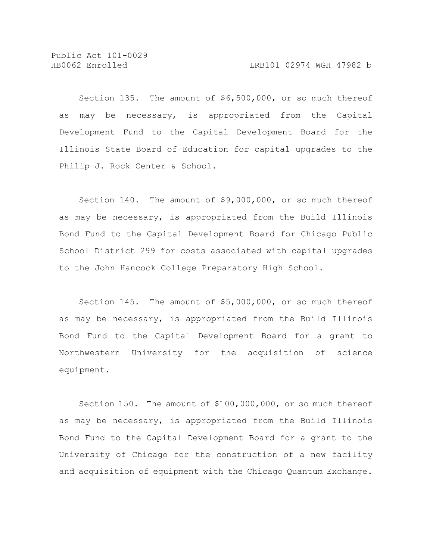Section 135. The amount of \$6,500,000, or so much thereof as may be necessary, is appropriated from the Capital Development Fund to the Capital Development Board for the Illinois State Board of Education for capital upgrades to the Philip J. Rock Center & School.

Section 140. The amount of \$9,000,000, or so much thereof as may be necessary, is appropriated from the Build Illinois Bond Fund to the Capital Development Board for Chicago Public School District 299 for costs associated with capital upgrades to the John Hancock College Preparatory High School.

Section 145. The amount of \$5,000,000, or so much thereof as may be necessary, is appropriated from the Build Illinois Bond Fund to the Capital Development Board for a grant to Northwestern University for the acquisition of science equipment.

Section 150. The amount of \$100,000,000, or so much thereof as may be necessary, is appropriated from the Build Illinois Bond Fund to the Capital Development Board for a grant to the University of Chicago for the construction of a new facility and acquisition of equipment with the Chicago Quantum Exchange.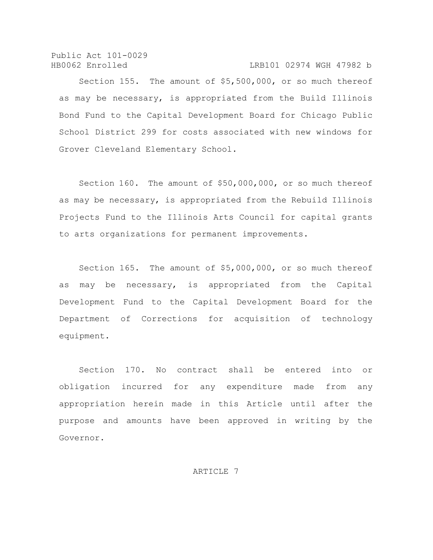Public Act 101-0029 HB0062 Enrolled LRB101 02974 WGH 47982 b

Section 155. The amount of \$5,500,000, or so much thereof as may be necessary, is appropriated from the Build Illinois Bond Fund to the Capital Development Board for Chicago Public School District 299 for costs associated with new windows for Grover Cleveland Elementary School.

Section 160. The amount of \$50,000,000, or so much thereof as may be necessary, is appropriated from the Rebuild Illinois Projects Fund to the Illinois Arts Council for capital grants to arts organizations for permanent improvements.

Section 165. The amount of \$5,000,000, or so much thereof as may be necessary, is appropriated from the Capital Development Fund to the Capital Development Board for the Department of Corrections for acquisition of technology equipment.

Section 170. No contract shall be entered into or obligation incurred for any expenditure made from any appropriation herein made in this Article until after the purpose and amounts have been approved in writing by the Governor.

ARTICLE 7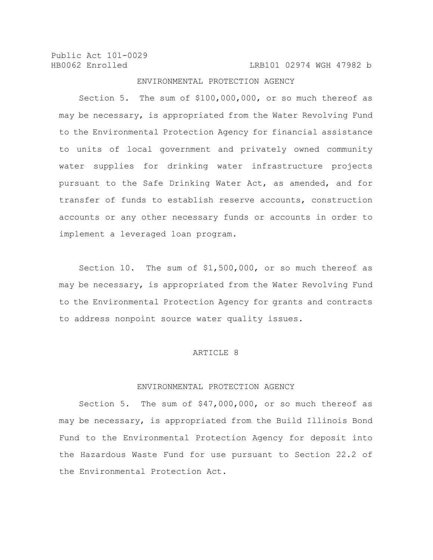HB0062 Enrolled LRB101 02974 WGH 47982 b

## ENVIRONMENTAL PROTECTION AGENCY

Section 5. The sum of \$100,000,000, or so much thereof as may be necessary, is appropriated from the Water Revolving Fund to the Environmental Protection Agency for financial assistance to units of local government and privately owned community water supplies for drinking water infrastructure projects pursuant to the Safe Drinking Water Act, as amended, and for transfer of funds to establish reserve accounts, construction accounts or any other necessary funds or accounts in order to implement a leveraged loan program.

Section 10. The sum of \$1,500,000, or so much thereof as may be necessary, is appropriated from the Water Revolving Fund to the Environmental Protection Agency for grants and contracts to address nonpoint source water quality issues.

#### ARTICLE 8

#### ENVIRONMENTAL PROTECTION AGENCY

Section 5. The sum of \$47,000,000, or so much thereof as may be necessary, is appropriated from the Build Illinois Bond Fund to the Environmental Protection Agency for deposit into the Hazardous Waste Fund for use pursuant to Section 22.2 of the Environmental Protection Act.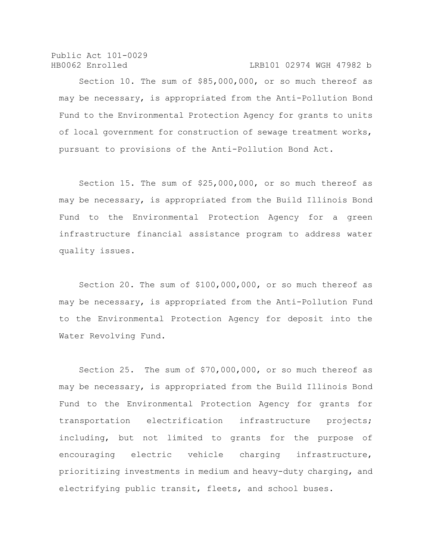Public Act 101-0029 HB0062 Enrolled LRB101 02974 WGH 47982 b

Section 10. The sum of \$85,000,000, or so much thereof as may be necessary, is appropriated from the Anti-Pollution Bond Fund to the Environmental Protection Agency for grants to units of local government for construction of sewage treatment works, pursuant to provisions of the Anti-Pollution Bond Act.

Section 15. The sum of \$25,000,000, or so much thereof as may be necessary, is appropriated from the Build Illinois Bond Fund to the Environmental Protection Agency for a green infrastructure financial assistance program to address water quality issues.

Section 20. The sum of \$100,000,000, or so much thereof as may be necessary, is appropriated from the Anti-Pollution Fund to the Environmental Protection Agency for deposit into the Water Revolving Fund.

Section 25. The sum of \$70,000,000, or so much thereof as may be necessary, is appropriated from the Build Illinois Bond Fund to the Environmental Protection Agency for grants for transportation electrification infrastructure projects; including, but not limited to grants for the purpose of encouraging electric vehicle charging infrastructure, prioritizing investments in medium and heavy-duty charging, and electrifying public transit, fleets, and school buses.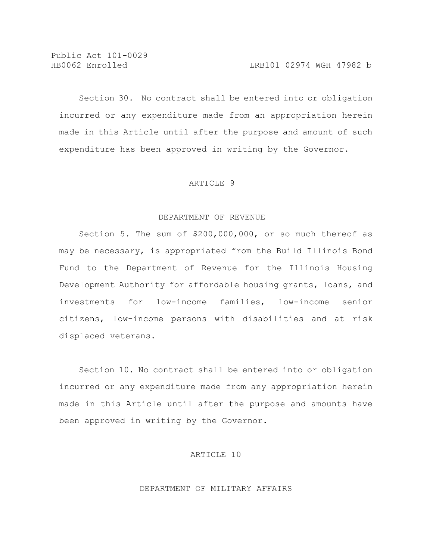Section 30. No contract shall be entered into or obligation incurred or any expenditure made from an appropriation herein made in this Article until after the purpose and amount of such expenditure has been approved in writing by the Governor.

### ARTICLE 9

#### DEPARTMENT OF REVENUE

Section 5. The sum of \$200,000,000, or so much thereof as may be necessary, is appropriated from the Build Illinois Bond Fund to the Department of Revenue for the Illinois Housing Development Authority for affordable housing grants, loans, and investments for low-income families, low-income senior citizens, low-income persons with disabilities and at risk displaced veterans.

Section 10. No contract shall be entered into or obligation incurred or any expenditure made from any appropriation herein made in this Article until after the purpose and amounts have been approved in writing by the Governor.

## ARTICLE 10

## DEPARTMENT OF MILITARY AFFAIRS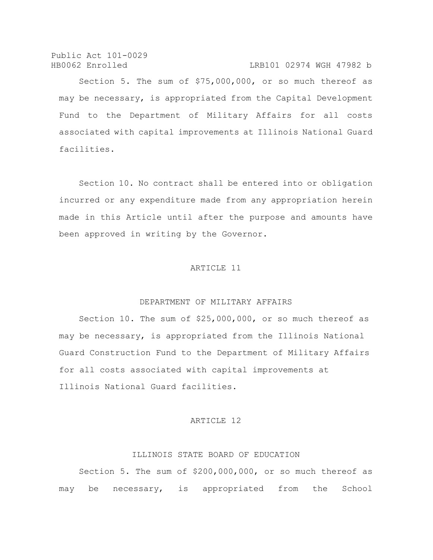Public Act 101-0029 HB0062 Enrolled LRB101 02974 WGH 47982 b

Section 5. The sum of \$75,000,000, or so much thereof as may be necessary, is appropriated from the Capital Development Fund to the Department of Military Affairs for all costs associated with capital improvements at Illinois National Guard facilities.

Section 10. No contract shall be entered into or obligation incurred or any expenditure made from any appropriation herein made in this Article until after the purpose and amounts have been approved in writing by the Governor.

### ARTICLE 11

### DEPARTMENT OF MILITARY AFFAIRS

Section 10. The sum of \$25,000,000, or so much thereof as may be necessary, is appropriated from the Illinois National Guard Construction Fund to the Department of Military Affairs for all costs associated with capital improvements at Illinois National Guard facilities.

## ARTICLE 12

# ILLINOIS STATE BOARD OF EDUCATION

Section 5. The sum of \$200,000,000, or so much thereof as may be necessary, is appropriated from the School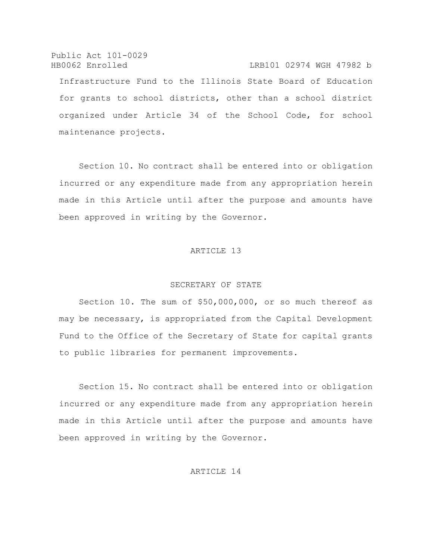Public Act 101-0029 HB0062 Enrolled LRB101 02974 WGH 47982 b Infrastructure Fund to the Illinois State Board of Education for grants to school districts, other than a school district organized under Article 34 of the School Code, for school maintenance projects.

Section 10. No contract shall be entered into or obligation incurred or any expenditure made from any appropriation herein made in this Article until after the purpose and amounts have been approved in writing by the Governor.

# ARTICLE 13

#### SECRETARY OF STATE

Section 10. The sum of \$50,000,000, or so much thereof as may be necessary, is appropriated from the Capital Development Fund to the Office of the Secretary of State for capital grants to public libraries for permanent improvements.

Section 15. No contract shall be entered into or obligation incurred or any expenditure made from any appropriation herein made in this Article until after the purpose and amounts have been approved in writing by the Governor.

# ARTICLE 14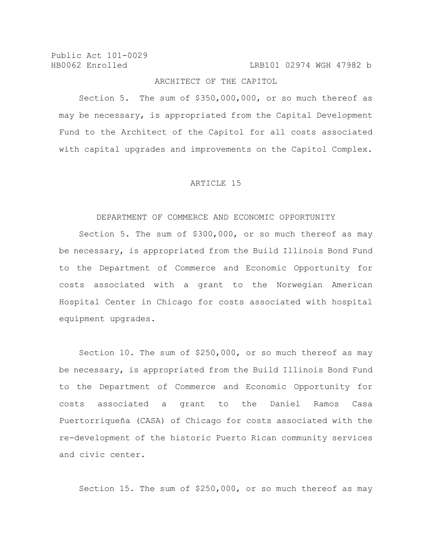HB0062 Enrolled LRB101 02974 WGH 47982 b

# ARCHITECT OF THE CAPITOL

Section 5. The sum of \$350,000,000, or so much thereof as may be necessary, is appropriated from the Capital Development Fund to the Architect of the Capitol for all costs associated with capital upgrades and improvements on the Capitol Complex.

### ARTICLE 15

### DEPARTMENT OF COMMERCE AND ECONOMIC OPPORTUNITY

Section 5. The sum of \$300,000, or so much thereof as may be necessary, is appropriated from the Build Illinois Bond Fund to the Department of Commerce and Economic Opportunity for costs associated with a grant to the Norwegian American Hospital Center in Chicago for costs associated with hospital equipment upgrades.

Section 10. The sum of \$250,000, or so much thereof as may be necessary, is appropriated from the Build Illinois Bond Fund to the Department of Commerce and Economic Opportunity for costs associated a grant to the Daniel Ramos Casa Puertorriqueña (CASA) of Chicago for costs associated with the re-development of the historic Puerto Rican community services and civic center.

Section 15. The sum of \$250,000, or so much thereof as may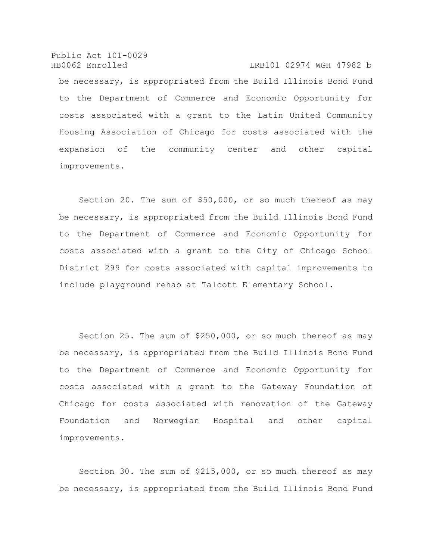Public Act 101-0029 HB0062 Enrolled LRB101 02974 WGH 47982 b be necessary, is appropriated from the Build Illinois Bond Fund to the Department of Commerce and Economic Opportunity for costs associated with a grant to the Latin United Community Housing Association of Chicago for costs associated with the expansion of the community center and other capital improvements.

Section 20. The sum of \$50,000, or so much thereof as may be necessary, is appropriated from the Build Illinois Bond Fund to the Department of Commerce and Economic Opportunity for costs associated with a grant to the City of Chicago School District 299 for costs associated with capital improvements to include playground rehab at Talcott Elementary School.

Section 25. The sum of \$250,000, or so much thereof as may be necessary, is appropriated from the Build Illinois Bond Fund to the Department of Commerce and Economic Opportunity for costs associated with a grant to the Gateway Foundation of Chicago for costs associated with renovation of the Gateway Foundation and Norwegian Hospital and other capital improvements.

Section 30. The sum of \$215,000, or so much thereof as may be necessary, is appropriated from the Build Illinois Bond Fund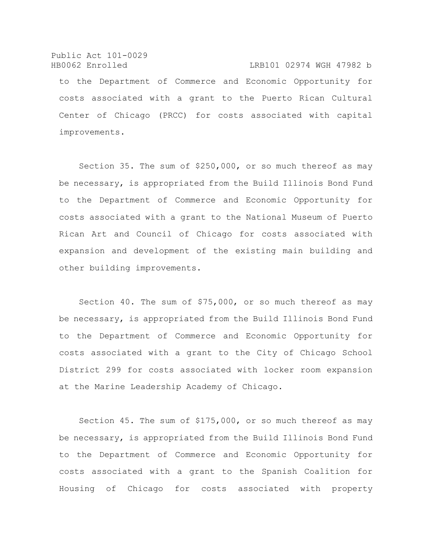Public Act 101-0029 HB0062 Enrolled LRB101 02974 WGH 47982 b to the Department of Commerce and Economic Opportunity for costs associated with a grant to the Puerto Rican Cultural Center of Chicago (PRCC) for costs associated with capital improvements.

Section 35. The sum of \$250,000, or so much thereof as may be necessary, is appropriated from the Build Illinois Bond Fund to the Department of Commerce and Economic Opportunity for costs associated with a grant to the National Museum of Puerto Rican Art and Council of Chicago for costs associated with expansion and development of the existing main building and other building improvements.

Section 40. The sum of \$75,000, or so much thereof as may be necessary, is appropriated from the Build Illinois Bond Fund to the Department of Commerce and Economic Opportunity for costs associated with a grant to the City of Chicago School District 299 for costs associated with locker room expansion at the Marine Leadership Academy of Chicago.

Section 45. The sum of \$175,000, or so much thereof as may be necessary, is appropriated from the Build Illinois Bond Fund to the Department of Commerce and Economic Opportunity for costs associated with a grant to the Spanish Coalition for Housing of Chicago for costs associated with property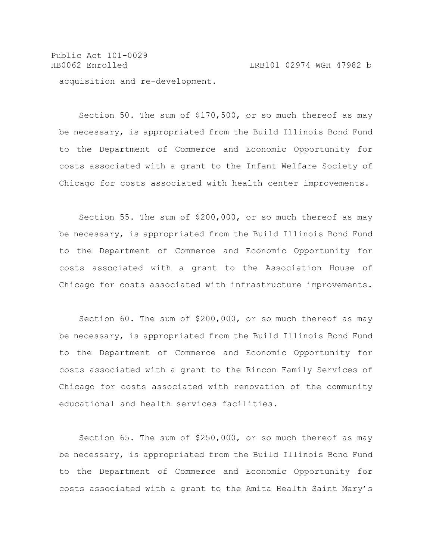Public Act 101-0029 HB0062 Enrolled LRB101 02974 WGH 47982 b acquisition and re-development.

Section 50. The sum of \$170,500, or so much thereof as may be necessary, is appropriated from the Build Illinois Bond Fund to the Department of Commerce and Economic Opportunity for costs associated with a grant to the Infant Welfare Society of Chicago for costs associated with health center improvements.

Section 55. The sum of \$200,000, or so much thereof as may be necessary, is appropriated from the Build Illinois Bond Fund to the Department of Commerce and Economic Opportunity for costs associated with a grant to the Association House of Chicago for costs associated with infrastructure improvements.

Section 60. The sum of \$200,000, or so much thereof as may be necessary, is appropriated from the Build Illinois Bond Fund to the Department of Commerce and Economic Opportunity for costs associated with a grant to the Rincon Family Services of Chicago for costs associated with renovation of the community educational and health services facilities.

Section 65. The sum of \$250,000, or so much thereof as may be necessary, is appropriated from the Build Illinois Bond Fund to the Department of Commerce and Economic Opportunity for costs associated with a grant to the Amita Health Saint Mary's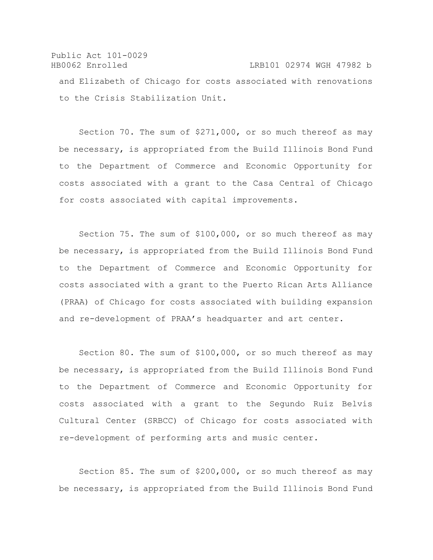Public Act 101-0029 HB0062 Enrolled LRB101 02974 WGH 47982 b and Elizabeth of Chicago for costs associated with renovations to the Crisis Stabilization Unit.

Section 70. The sum of \$271,000, or so much thereof as may be necessary, is appropriated from the Build Illinois Bond Fund to the Department of Commerce and Economic Opportunity for costs associated with a grant to the Casa Central of Chicago for costs associated with capital improvements.

Section 75. The sum of \$100,000, or so much thereof as may be necessary, is appropriated from the Build Illinois Bond Fund to the Department of Commerce and Economic Opportunity for costs associated with a grant to the Puerto Rican Arts Alliance (PRAA) of Chicago for costs associated with building expansion and re-development of PRAA's headquarter and art center.

Section 80. The sum of \$100,000, or so much thereof as may be necessary, is appropriated from the Build Illinois Bond Fund to the Department of Commerce and Economic Opportunity for costs associated with a grant to the Segundo Ruiz Belvis Cultural Center (SRBCC) of Chicago for costs associated with re-development of performing arts and music center.

Section 85. The sum of \$200,000, or so much thereof as may be necessary, is appropriated from the Build Illinois Bond Fund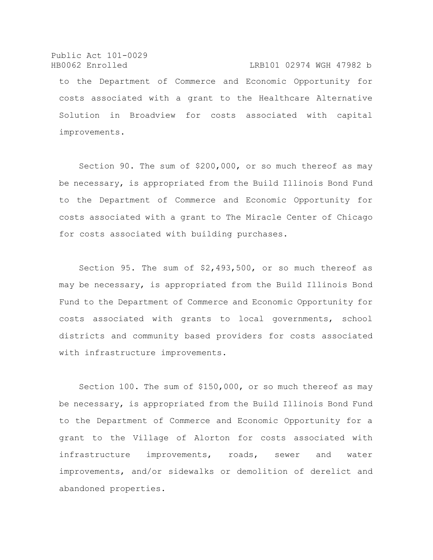Public Act 101-0029 HB0062 Enrolled LRB101 02974 WGH 47982 b to the Department of Commerce and Economic Opportunity for costs associated with a grant to the Healthcare Alternative Solution in Broadview for costs associated with capital improvements.

Section 90. The sum of \$200,000, or so much thereof as may be necessary, is appropriated from the Build Illinois Bond Fund to the Department of Commerce and Economic Opportunity for costs associated with a grant to The Miracle Center of Chicago for costs associated with building purchases.

Section 95. The sum of \$2,493,500, or so much thereof as may be necessary, is appropriated from the Build Illinois Bond Fund to the Department of Commerce and Economic Opportunity for costs associated with grants to local governments, school districts and community based providers for costs associated with infrastructure improvements.

Section 100. The sum of \$150,000, or so much thereof as may be necessary, is appropriated from the Build Illinois Bond Fund to the Department of Commerce and Economic Opportunity for a grant to the Village of Alorton for costs associated with infrastructure improvements, roads, sewer and water improvements, and/or sidewalks or demolition of derelict and abandoned properties.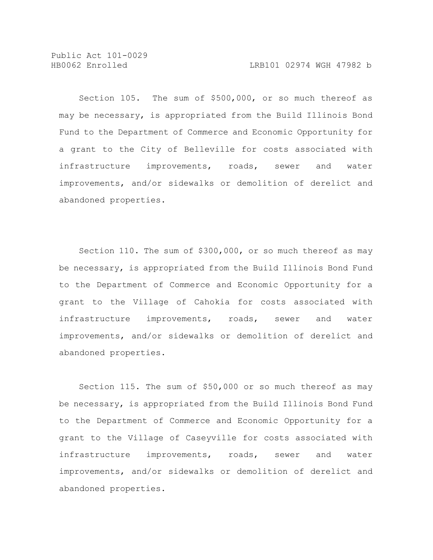Section 105. The sum of \$500,000, or so much thereof as may be necessary, is appropriated from the Build Illinois Bond Fund to the Department of Commerce and Economic Opportunity for a grant to the City of Belleville for costs associated with infrastructure improvements, roads, sewer and water improvements, and/or sidewalks or demolition of derelict and abandoned properties.

Section 110. The sum of \$300,000, or so much thereof as may be necessary, is appropriated from the Build Illinois Bond Fund to the Department of Commerce and Economic Opportunity for a grant to the Village of Cahokia for costs associated with infrastructure improvements, roads, sewer and water improvements, and/or sidewalks or demolition of derelict and abandoned properties.

Section 115. The sum of \$50,000 or so much thereof as may be necessary, is appropriated from the Build Illinois Bond Fund to the Department of Commerce and Economic Opportunity for a grant to the Village of Caseyville for costs associated with infrastructure improvements, roads, sewer and water improvements, and/or sidewalks or demolition of derelict and abandoned properties.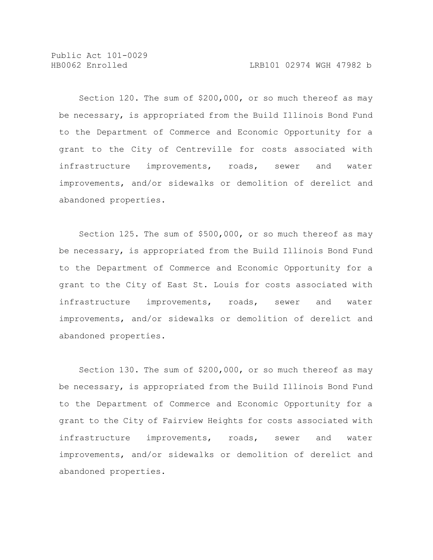Section 120. The sum of \$200,000, or so much thereof as may be necessary, is appropriated from the Build Illinois Bond Fund to the Department of Commerce and Economic Opportunity for a grant to the City of Centreville for costs associated with infrastructure improvements, roads, sewer and water improvements, and/or sidewalks or demolition of derelict and abandoned properties.

Section 125. The sum of \$500,000, or so much thereof as may be necessary, is appropriated from the Build Illinois Bond Fund to the Department of Commerce and Economic Opportunity for a grant to the City of East St. Louis for costs associated with infrastructure improvements, roads, sewer and water improvements, and/or sidewalks or demolition of derelict and abandoned properties.

Section 130. The sum of \$200,000, or so much thereof as may be necessary, is appropriated from the Build Illinois Bond Fund to the Department of Commerce and Economic Opportunity for a grant to the City of Fairview Heights for costs associated with infrastructure improvements, roads, sewer and water improvements, and/or sidewalks or demolition of derelict and abandoned properties.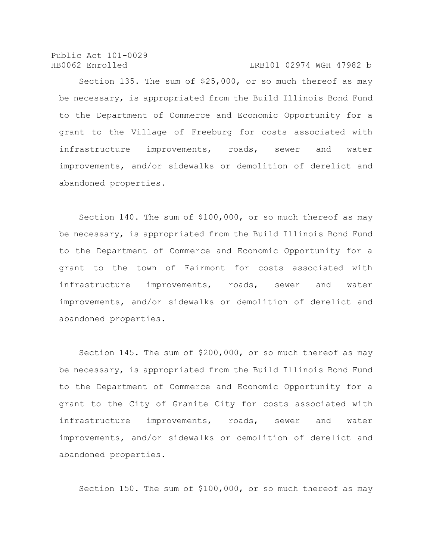HB0062 Enrolled LRB101 02974 WGH 47982 b

Section 135. The sum of \$25,000, or so much thereof as may be necessary, is appropriated from the Build Illinois Bond Fund to the Department of Commerce and Economic Opportunity for a grant to the Village of Freeburg for costs associated with infrastructure improvements, roads, sewer and water improvements, and/or sidewalks or demolition of derelict and abandoned properties.

Section 140. The sum of \$100,000, or so much thereof as may be necessary, is appropriated from the Build Illinois Bond Fund to the Department of Commerce and Economic Opportunity for a grant to the town of Fairmont for costs associated with infrastructure improvements, roads, sewer and water improvements, and/or sidewalks or demolition of derelict and abandoned properties.

Section 145. The sum of \$200,000, or so much thereof as may be necessary, is appropriated from the Build Illinois Bond Fund to the Department of Commerce and Economic Opportunity for a grant to the City of Granite City for costs associated with infrastructure improvements, roads, sewer and water improvements, and/or sidewalks or demolition of derelict and abandoned properties.

Section 150. The sum of \$100,000, or so much thereof as may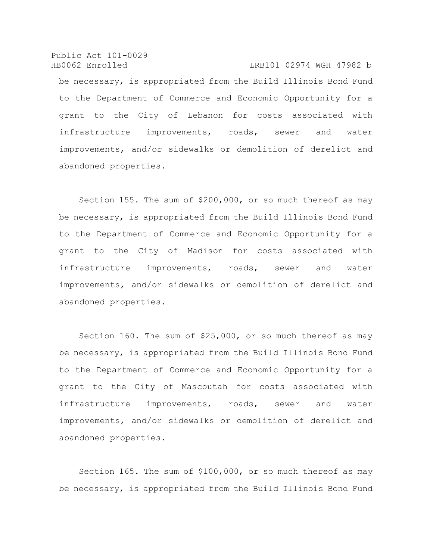Public Act 101-0029 HB0062 Enrolled LRB101 02974 WGH 47982 b be necessary, is appropriated from the Build Illinois Bond Fund to the Department of Commerce and Economic Opportunity for a grant to the City of Lebanon for costs associated with infrastructure improvements, roads, sewer and water improvements, and/or sidewalks or demolition of derelict and abandoned properties.

Section 155. The sum of \$200,000, or so much thereof as may be necessary, is appropriated from the Build Illinois Bond Fund to the Department of Commerce and Economic Opportunity for a grant to the City of Madison for costs associated with infrastructure improvements, roads, sewer and water improvements, and/or sidewalks or demolition of derelict and abandoned properties.

Section 160. The sum of \$25,000, or so much thereof as may be necessary, is appropriated from the Build Illinois Bond Fund to the Department of Commerce and Economic Opportunity for a grant to the City of Mascoutah for costs associated with infrastructure improvements, roads, sewer and water improvements, and/or sidewalks or demolition of derelict and abandoned properties.

Section 165. The sum of \$100,000, or so much thereof as may be necessary, is appropriated from the Build Illinois Bond Fund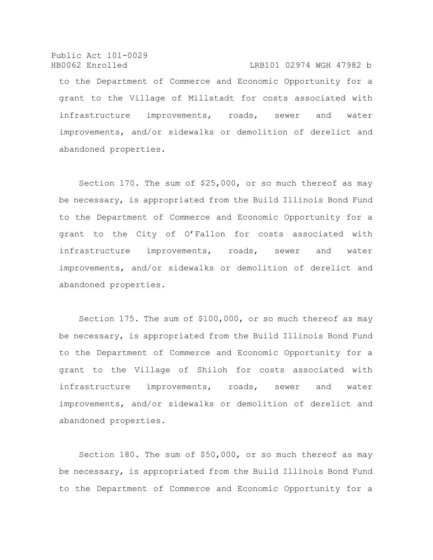Public Act 101-0029 HB0062 Enrolled LRB101 02974 WGH 47982 b

to the Department of Commerce and Economic Opportunity for a grant to the Village of Millstadt for costs associated with infrastructure improvements, roads, sewer and water improvements, and/or sidewalks or demolition of derelict and abandoned properties.

Section 170. The sum of \$25,000, or so much thereof as may be necessary, is appropriated from the Build Illinois Bond Fund to the Department of Commerce and Economic Opportunity for a grant to the City of O'Fallon for costs associated with infrastructure improvements, roads, sewer and water improvements, and/or sidewalks or demolition of derelict and abandoned properties.

Section 175. The sum of \$100,000, or so much thereof as may be necessary, is appropriated from the Build Illinois Bond Fund to the Department of Commerce and Economic Opportunity for a grant to the Village of Shiloh for costs associated with infrastructure improvements, roads, sewer and water improvements, and/or sidewalks or demolition of derelict and abandoned properties.

Section 180. The sum of \$50,000, or so much thereof as may be necessary, is appropriated from the Build Illinois Bond Fund to the Department of Commerce and Economic Opportunity for a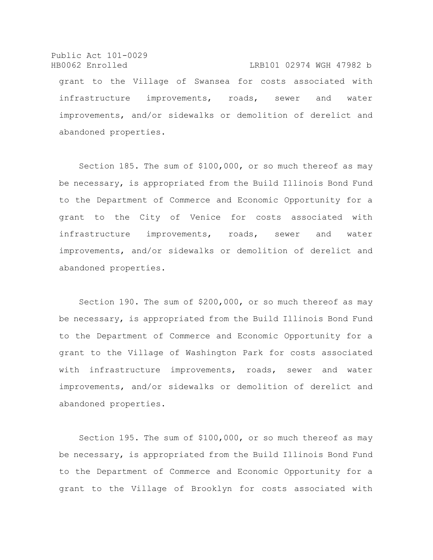Public Act 101-0029 HB0062 Enrolled LRB101 02974 WGH 47982 b grant to the Village of Swansea for costs associated with infrastructure improvements, roads, sewer and water improvements, and/or sidewalks or demolition of derelict and abandoned properties.

Section 185. The sum of \$100,000, or so much thereof as may be necessary, is appropriated from the Build Illinois Bond Fund to the Department of Commerce and Economic Opportunity for a grant to the City of Venice for costs associated with infrastructure improvements, roads, sewer and water improvements, and/or sidewalks or demolition of derelict and abandoned properties.

Section 190. The sum of \$200,000, or so much thereof as may be necessary, is appropriated from the Build Illinois Bond Fund to the Department of Commerce and Economic Opportunity for a grant to the Village of Washington Park for costs associated with infrastructure improvements, roads, sewer and water improvements, and/or sidewalks or demolition of derelict and abandoned properties.

Section 195. The sum of \$100,000, or so much thereof as may be necessary, is appropriated from the Build Illinois Bond Fund to the Department of Commerce and Economic Opportunity for a grant to the Village of Brooklyn for costs associated with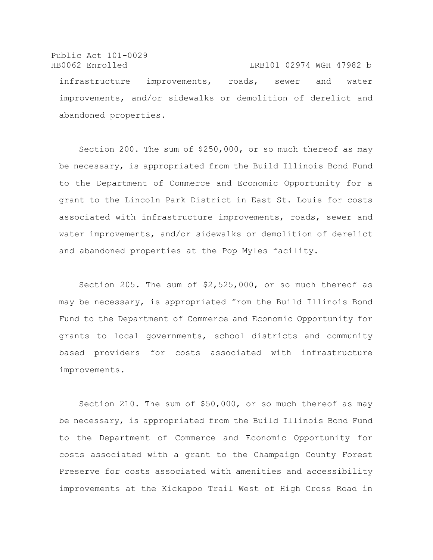Public Act 101-0029 HB0062 Enrolled LRB101 02974 WGH 47982 b infrastructure improvements, roads, sewer and water improvements, and/or sidewalks or demolition of derelict and abandoned properties.

Section 200. The sum of \$250,000, or so much thereof as may be necessary, is appropriated from the Build Illinois Bond Fund to the Department of Commerce and Economic Opportunity for a grant to the Lincoln Park District in East St. Louis for costs associated with infrastructure improvements, roads, sewer and water improvements, and/or sidewalks or demolition of derelict and abandoned properties at the Pop Myles facility.

Section 205. The sum of \$2,525,000, or so much thereof as may be necessary, is appropriated from the Build Illinois Bond Fund to the Department of Commerce and Economic Opportunity for grants to local governments, school districts and community based providers for costs associated with infrastructure improvements.

Section 210. The sum of \$50,000, or so much thereof as may be necessary, is appropriated from the Build Illinois Bond Fund to the Department of Commerce and Economic Opportunity for costs associated with a grant to the Champaign County Forest Preserve for costs associated with amenities and accessibility improvements at the Kickapoo Trail West of High Cross Road in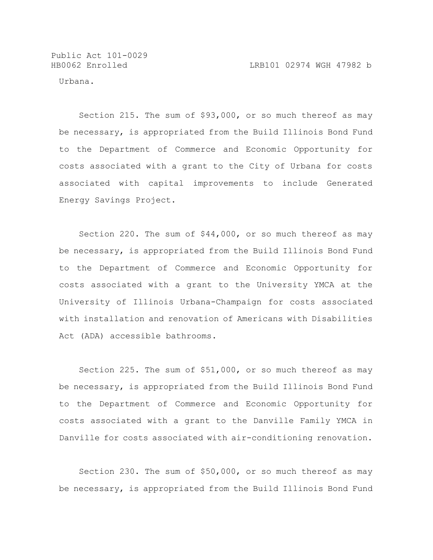Urbana.

Section 215. The sum of \$93,000, or so much thereof as may be necessary, is appropriated from the Build Illinois Bond Fund to the Department of Commerce and Economic Opportunity for costs associated with a grant to the City of Urbana for costs associated with capital improvements to include Generated Energy Savings Project.

Section 220. The sum of \$44,000, or so much thereof as may be necessary, is appropriated from the Build Illinois Bond Fund to the Department of Commerce and Economic Opportunity for costs associated with a grant to the University YMCA at the University of Illinois Urbana-Champaign for costs associated with installation and renovation of Americans with Disabilities Act (ADA) accessible bathrooms.

Section 225. The sum of \$51,000, or so much thereof as may be necessary, is appropriated from the Build Illinois Bond Fund to the Department of Commerce and Economic Opportunity for costs associated with a grant to the Danville Family YMCA in Danville for costs associated with air-conditioning renovation.

Section 230. The sum of \$50,000, or so much thereof as may be necessary, is appropriated from the Build Illinois Bond Fund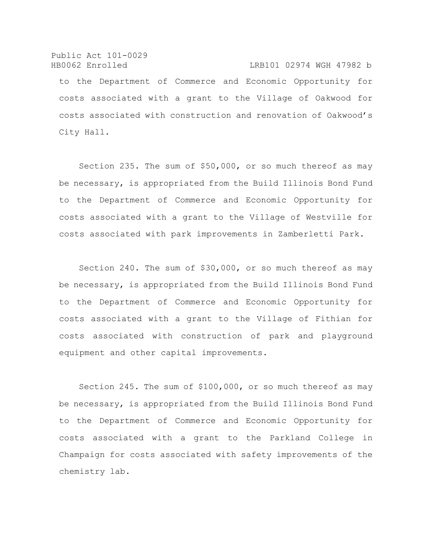Public Act 101-0029 HB0062 Enrolled LRB101 02974 WGH 47982 b to the Department of Commerce and Economic Opportunity for costs associated with a grant to the Village of Oakwood for costs associated with construction and renovation of Oakwood's City Hall.

Section 235. The sum of \$50,000, or so much thereof as may be necessary, is appropriated from the Build Illinois Bond Fund to the Department of Commerce and Economic Opportunity for costs associated with a grant to the Village of Westville for costs associated with park improvements in Zamberletti Park.

Section 240. The sum of \$30,000, or so much thereof as may be necessary, is appropriated from the Build Illinois Bond Fund to the Department of Commerce and Economic Opportunity for costs associated with a grant to the Village of Fithian for costs associated with construction of park and playground equipment and other capital improvements.

Section 245. The sum of \$100,000, or so much thereof as may be necessary, is appropriated from the Build Illinois Bond Fund to the Department of Commerce and Economic Opportunity for costs associated with a grant to the Parkland College in Champaign for costs associated with safety improvements of the chemistry lab.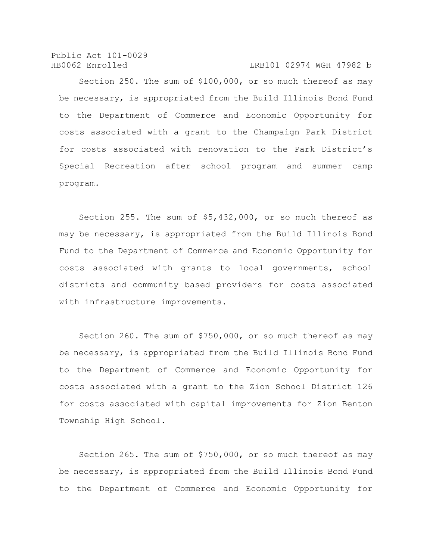#### HB0062 Enrolled LRB101 02974 WGH 47982 b

Section 250. The sum of \$100,000, or so much thereof as may be necessary, is appropriated from the Build Illinois Bond Fund to the Department of Commerce and Economic Opportunity for costs associated with a grant to the Champaign Park District for costs associated with renovation to the Park District's Special Recreation after school program and summer camp program.

Section 255. The sum of \$5,432,000, or so much thereof as may be necessary, is appropriated from the Build Illinois Bond Fund to the Department of Commerce and Economic Opportunity for costs associated with grants to local governments, school districts and community based providers for costs associated with infrastructure improvements.

Section 260. The sum of \$750,000, or so much thereof as may be necessary, is appropriated from the Build Illinois Bond Fund to the Department of Commerce and Economic Opportunity for costs associated with a grant to the Zion School District 126 for costs associated with capital improvements for Zion Benton Township High School.

Section 265. The sum of \$750,000, or so much thereof as may be necessary, is appropriated from the Build Illinois Bond Fund to the Department of Commerce and Economic Opportunity for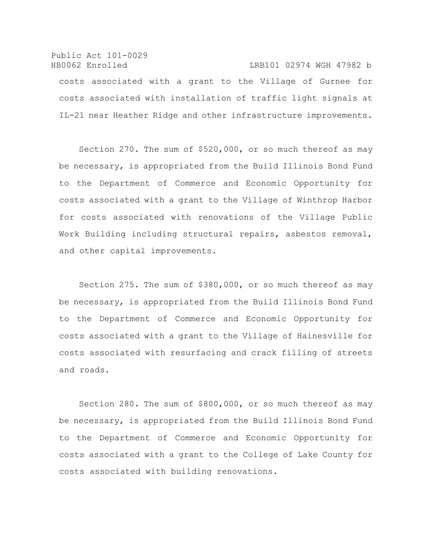# Public Act 101-0029 HB0062 Enrolled LRB101 02974 WGH 47982 b costs associated with a grant to the Village of Gurnee for costs associated with installation of traffic light signals at IL-21 near Heather Ridge and other infrastructure improvements.

Section 270. The sum of \$520,000, or so much thereof as may be necessary, is appropriated from the Build Illinois Bond Fund to the Department of Commerce and Economic Opportunity for costs associated with a grant to the Village of Winthrop Harbor for costs associated with renovations of the Village Public Work Building including structural repairs, asbestos removal, and other capital improvements.

Section 275. The sum of \$380,000, or so much thereof as may be necessary, is appropriated from the Build Illinois Bond Fund to the Department of Commerce and Economic Opportunity for costs associated with a grant to the Village of Hainesville for costs associated with resurfacing and crack filling of streets and roads.

Section 280. The sum of \$800,000, or so much thereof as may be necessary, is appropriated from the Build Illinois Bond Fund to the Department of Commerce and Economic Opportunity for costs associated with a grant to the College of Lake County for costs associated with building renovations.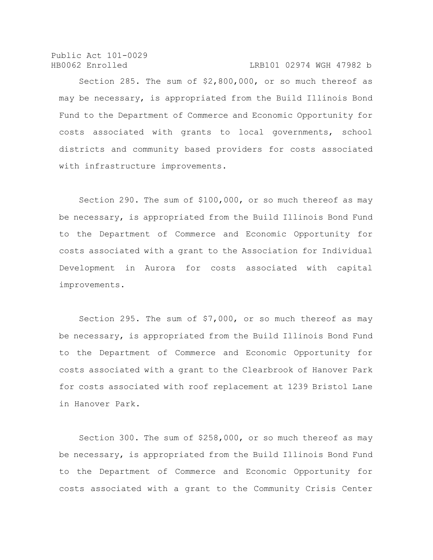Public Act 101-0029 HB0062 Enrolled LRB101 02974 WGH 47982 b

with infrastructure improvements.

Section 285. The sum of \$2,800,000, or so much thereof as may be necessary, is appropriated from the Build Illinois Bond Fund to the Department of Commerce and Economic Opportunity for costs associated with grants to local governments, school districts and community based providers for costs associated

Section 290. The sum of \$100,000, or so much thereof as may be necessary, is appropriated from the Build Illinois Bond Fund to the Department of Commerce and Economic Opportunity for costs associated with a grant to the Association for Individual Development in Aurora for costs associated with capital

improvements.

Section 295. The sum of \$7,000, or so much thereof as may be necessary, is appropriated from the Build Illinois Bond Fund to the Department of Commerce and Economic Opportunity for costs associated with a grant to the Clearbrook of Hanover Park for costs associated with roof replacement at 1239 Bristol Lane in Hanover Park.

Section 300. The sum of \$258,000, or so much thereof as may be necessary, is appropriated from the Build Illinois Bond Fund to the Department of Commerce and Economic Opportunity for costs associated with a grant to the Community Crisis Center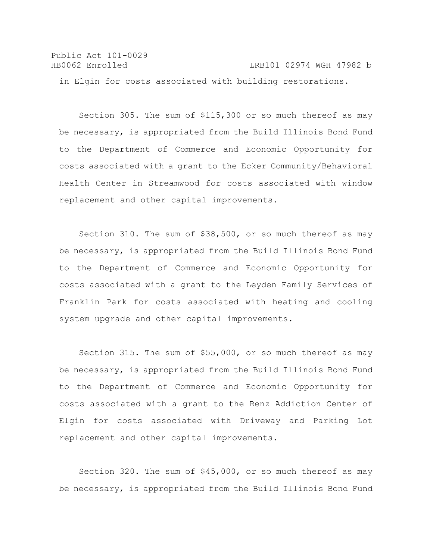Public Act 101-0029 HB0062 Enrolled LRB101 02974 WGH 47982 b in Elgin for costs associated with building restorations.

Section 305. The sum of \$115,300 or so much thereof as may be necessary, is appropriated from the Build Illinois Bond Fund to the Department of Commerce and Economic Opportunity for costs associated with a grant to the Ecker Community/Behavioral Health Center in Streamwood for costs associated with window replacement and other capital improvements.

Section 310. The sum of \$38,500, or so much thereof as may be necessary, is appropriated from the Build Illinois Bond Fund to the Department of Commerce and Economic Opportunity for costs associated with a grant to the Leyden Family Services of Franklin Park for costs associated with heating and cooling system upgrade and other capital improvements.

Section 315. The sum of \$55,000, or so much thereof as may be necessary, is appropriated from the Build Illinois Bond Fund to the Department of Commerce and Economic Opportunity for costs associated with a grant to the Renz Addiction Center of Elgin for costs associated with Driveway and Parking Lot replacement and other capital improvements.

Section 320. The sum of \$45,000, or so much thereof as may be necessary, is appropriated from the Build Illinois Bond Fund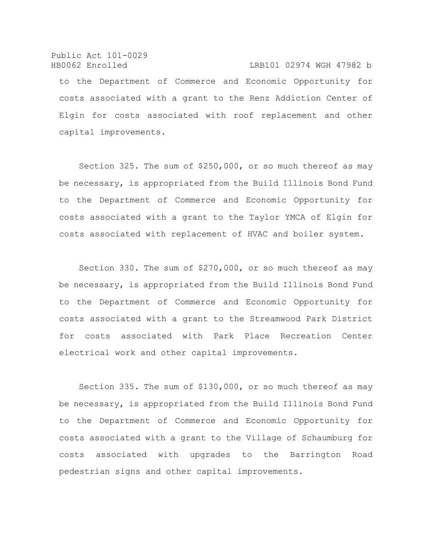Public Act 101-0029 HB0062 Enrolled LRB101 02974 WGH 47982 b to the Department of Commerce and Economic Opportunity for costs associated with a grant to the Renz Addiction Center of Elgin for costs associated with roof replacement and other capital improvements.

Section 325. The sum of \$250,000, or so much thereof as may be necessary, is appropriated from the Build Illinois Bond Fund to the Department of Commerce and Economic Opportunity for costs associated with a grant to the Taylor YMCA of Elgin for costs associated with replacement of HVAC and boiler system.

Section 330. The sum of \$270,000, or so much thereof as may be necessary, is appropriated from the Build Illinois Bond Fund to the Department of Commerce and Economic Opportunity for costs associated with a grant to the Streamwood Park District for costs associated with Park Place Recreation Center electrical work and other capital improvements.

Section 335. The sum of \$130,000, or so much thereof as may be necessary, is appropriated from the Build Illinois Bond Fund to the Department of Commerce and Economic Opportunity for costs associated with a grant to the Village of Schaumburg for costs associated with upgrades to the Barrington Road pedestrian signs and other capital improvements.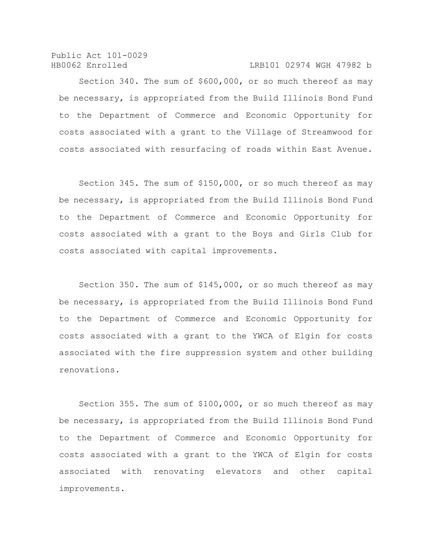Public Act 101-0029

#### HB0062 Enrolled LRB101 02974 WGH 47982 b

Section 340. The sum of \$600,000, or so much thereof as may be necessary, is appropriated from the Build Illinois Bond Fund to the Department of Commerce and Economic Opportunity for costs associated with a grant to the Village of Streamwood for costs associated with resurfacing of roads within East Avenue.

Section 345. The sum of \$150,000, or so much thereof as may be necessary, is appropriated from the Build Illinois Bond Fund to the Department of Commerce and Economic Opportunity for costs associated with a grant to the Boys and Girls Club for costs associated with capital improvements.

Section 350. The sum of \$145,000, or so much thereof as may be necessary, is appropriated from the Build Illinois Bond Fund to the Department of Commerce and Economic Opportunity for costs associated with a grant to the YWCA of Elgin for costs associated with the fire suppression system and other building renovations.

Section 355. The sum of \$100,000, or so much thereof as may be necessary, is appropriated from the Build Illinois Bond Fund to the Department of Commerce and Economic Opportunity for costs associated with a grant to the YWCA of Elgin for costs associated with renovating elevators and other capital improvements.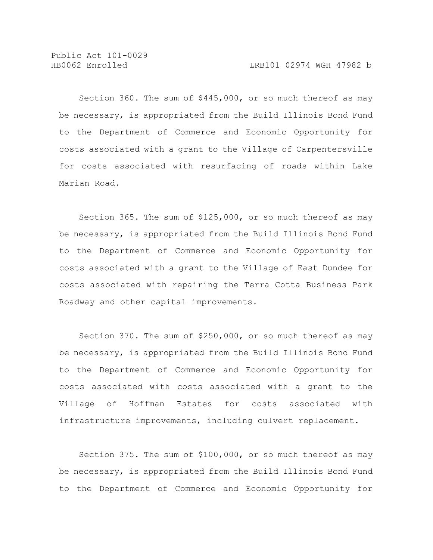Section 360. The sum of \$445,000, or so much thereof as may be necessary, is appropriated from the Build Illinois Bond Fund to the Department of Commerce and Economic Opportunity for costs associated with a grant to the Village of Carpentersville for costs associated with resurfacing of roads within Lake Marian Road.

Section 365. The sum of \$125,000, or so much thereof as may be necessary, is appropriated from the Build Illinois Bond Fund to the Department of Commerce and Economic Opportunity for costs associated with a grant to the Village of East Dundee for costs associated with repairing the Terra Cotta Business Park Roadway and other capital improvements.

Section 370. The sum of \$250,000, or so much thereof as may be necessary, is appropriated from the Build Illinois Bond Fund to the Department of Commerce and Economic Opportunity for costs associated with costs associated with a grant to the Village of Hoffman Estates for costs associated with infrastructure improvements, including culvert replacement.

Section 375. The sum of \$100,000, or so much thereof as may be necessary, is appropriated from the Build Illinois Bond Fund to the Department of Commerce and Economic Opportunity for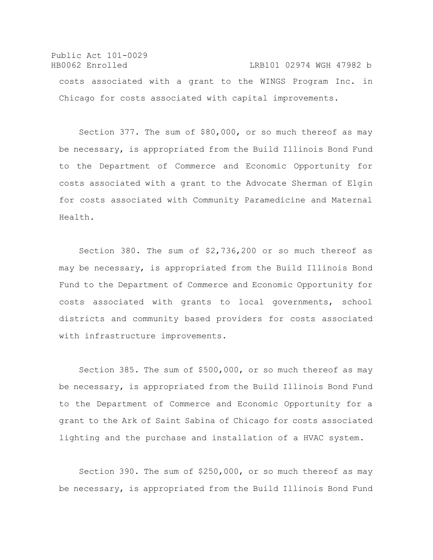Public Act 101-0029 HB0062 Enrolled LRB101 02974 WGH 47982 b costs associated with a grant to the WINGS Program Inc. in Chicago for costs associated with capital improvements.

Section 377. The sum of \$80,000, or so much thereof as may be necessary, is appropriated from the Build Illinois Bond Fund to the Department of Commerce and Economic Opportunity for costs associated with a grant to the Advocate Sherman of Elgin for costs associated with Community Paramedicine and Maternal Health.

Section 380. The sum of \$2,736,200 or so much thereof as may be necessary, is appropriated from the Build Illinois Bond Fund to the Department of Commerce and Economic Opportunity for costs associated with grants to local governments, school districts and community based providers for costs associated with infrastructure improvements.

Section 385. The sum of \$500,000, or so much thereof as may be necessary, is appropriated from the Build Illinois Bond Fund to the Department of Commerce and Economic Opportunity for a grant to the Ark of Saint Sabina of Chicago for costs associated lighting and the purchase and installation of a HVAC system.

Section 390. The sum of \$250,000, or so much thereof as may be necessary, is appropriated from the Build Illinois Bond Fund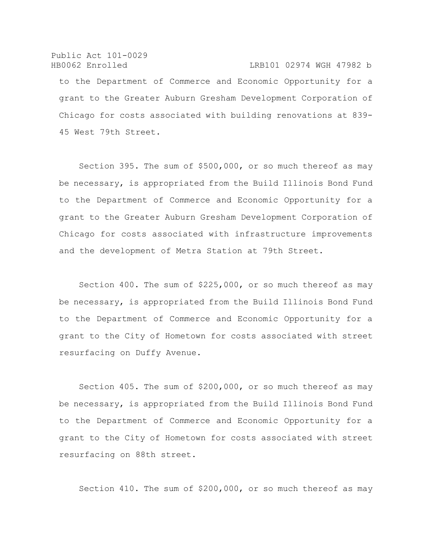Public Act 101-0029 HB0062 Enrolled LRB101 02974 WGH 47982 b to the Department of Commerce and Economic Opportunity for a grant to the Greater Auburn Gresham Development Corporation of Chicago for costs associated with building renovations at 839- 45 West 79th Street.

Section 395. The sum of \$500,000, or so much thereof as may be necessary, is appropriated from the Build Illinois Bond Fund to the Department of Commerce and Economic Opportunity for a grant to the Greater Auburn Gresham Development Corporation of Chicago for costs associated with infrastructure improvements and the development of Metra Station at 79th Street.

Section 400. The sum of \$225,000, or so much thereof as may be necessary, is appropriated from the Build Illinois Bond Fund to the Department of Commerce and Economic Opportunity for a grant to the City of Hometown for costs associated with street resurfacing on Duffy Avenue.

Section 405. The sum of \$200,000, or so much thereof as may be necessary, is appropriated from the Build Illinois Bond Fund to the Department of Commerce and Economic Opportunity for a grant to the City of Hometown for costs associated with street resurfacing on 88th street.

Section 410. The sum of \$200,000, or so much thereof as may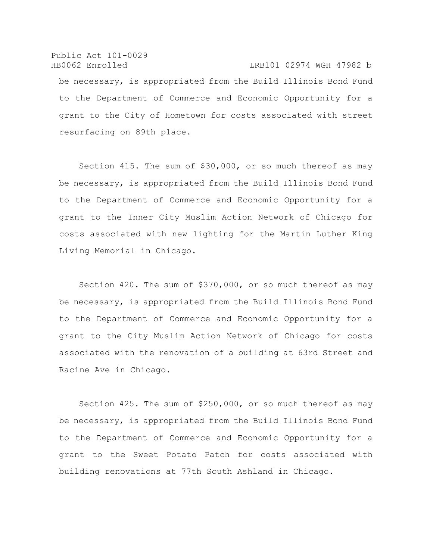# Public Act 101-0029 HB0062 Enrolled LRB101 02974 WGH 47982 b be necessary, is appropriated from the Build Illinois Bond Fund to the Department of Commerce and Economic Opportunity for a grant to the City of Hometown for costs associated with street resurfacing on 89th place.

Section 415. The sum of \$30,000, or so much thereof as may be necessary, is appropriated from the Build Illinois Bond Fund to the Department of Commerce and Economic Opportunity for a grant to the Inner City Muslim Action Network of Chicago for costs associated with new lighting for the Martin Luther King Living Memorial in Chicago.

Section 420. The sum of \$370,000, or so much thereof as may be necessary, is appropriated from the Build Illinois Bond Fund to the Department of Commerce and Economic Opportunity for a grant to the City Muslim Action Network of Chicago for costs associated with the renovation of a building at 63rd Street and Racine Ave in Chicago.

Section 425. The sum of \$250,000, or so much thereof as may be necessary, is appropriated from the Build Illinois Bond Fund to the Department of Commerce and Economic Opportunity for a grant to the Sweet Potato Patch for costs associated with building renovations at 77th South Ashland in Chicago.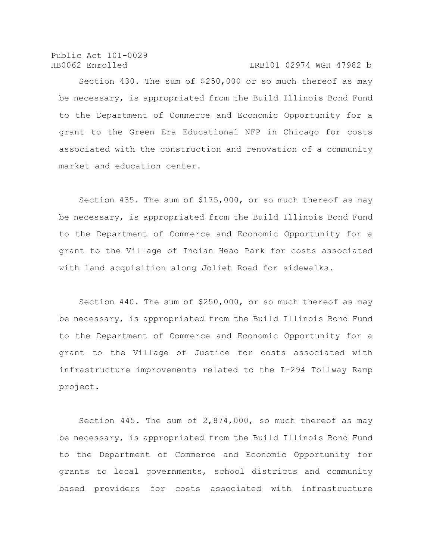Public Act 101-0029 HB0062 Enrolled LRB101 02974 WGH 47982 b

Section 430. The sum of \$250,000 or so much thereof as may be necessary, is appropriated from the Build Illinois Bond Fund to the Department of Commerce and Economic Opportunity for a grant to the Green Era Educational NFP in Chicago for costs associated with the construction and renovation of a community market and education center.

Section 435. The sum of \$175,000, or so much thereof as may be necessary, is appropriated from the Build Illinois Bond Fund to the Department of Commerce and Economic Opportunity for a grant to the Village of Indian Head Park for costs associated with land acquisition along Joliet Road for sidewalks.

Section 440. The sum of \$250,000, or so much thereof as may be necessary, is appropriated from the Build Illinois Bond Fund to the Department of Commerce and Economic Opportunity for a grant to the Village of Justice for costs associated with infrastructure improvements related to the I-294 Tollway Ramp project.

Section 445. The sum of 2,874,000, so much thereof as may be necessary, is appropriated from the Build Illinois Bond Fund to the Department of Commerce and Economic Opportunity for grants to local governments, school districts and community based providers for costs associated with infrastructure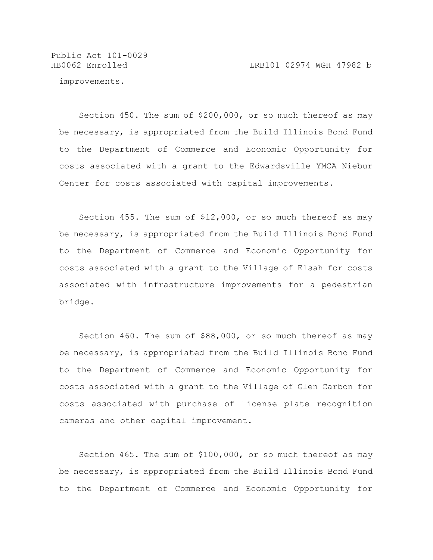Public Act 101-0029

improvements.

Section 450. The sum of \$200,000, or so much thereof as may be necessary, is appropriated from the Build Illinois Bond Fund to the Department of Commerce and Economic Opportunity for costs associated with a grant to the Edwardsville YMCA Niebur Center for costs associated with capital improvements.

Section 455. The sum of \$12,000, or so much thereof as may be necessary, is appropriated from the Build Illinois Bond Fund to the Department of Commerce and Economic Opportunity for costs associated with a grant to the Village of Elsah for costs associated with infrastructure improvements for a pedestrian bridge.

Section 460. The sum of \$88,000, or so much thereof as may be necessary, is appropriated from the Build Illinois Bond Fund to the Department of Commerce and Economic Opportunity for costs associated with a grant to the Village of Glen Carbon for costs associated with purchase of license plate recognition cameras and other capital improvement.

Section 465. The sum of \$100,000, or so much thereof as may be necessary, is appropriated from the Build Illinois Bond Fund to the Department of Commerce and Economic Opportunity for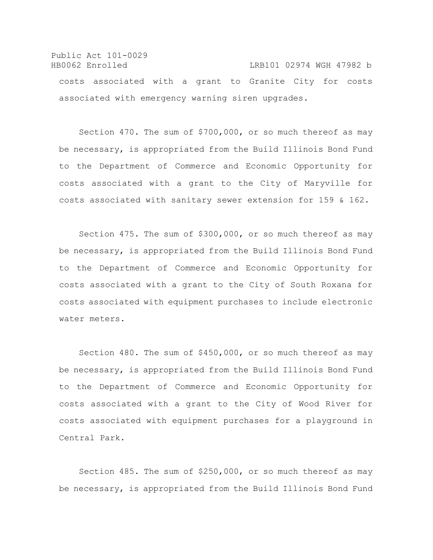### Public Act 101-0029 HB0062 Enrolled LRB101 02974 WGH 47982 b costs associated with a grant to Granite City for costs associated with emergency warning siren upgrades.

Section 470. The sum of \$700,000, or so much thereof as may be necessary, is appropriated from the Build Illinois Bond Fund to the Department of Commerce and Economic Opportunity for costs associated with a grant to the City of Maryville for costs associated with sanitary sewer extension for 159 & 162.

Section 475. The sum of \$300,000, or so much thereof as may be necessary, is appropriated from the Build Illinois Bond Fund to the Department of Commerce and Economic Opportunity for costs associated with a grant to the City of South Roxana for costs associated with equipment purchases to include electronic water meters.

Section 480. The sum of \$450,000, or so much thereof as may be necessary, is appropriated from the Build Illinois Bond Fund to the Department of Commerce and Economic Opportunity for costs associated with a grant to the City of Wood River for costs associated with equipment purchases for a playground in Central Park.

Section 485. The sum of \$250,000, or so much thereof as may be necessary, is appropriated from the Build Illinois Bond Fund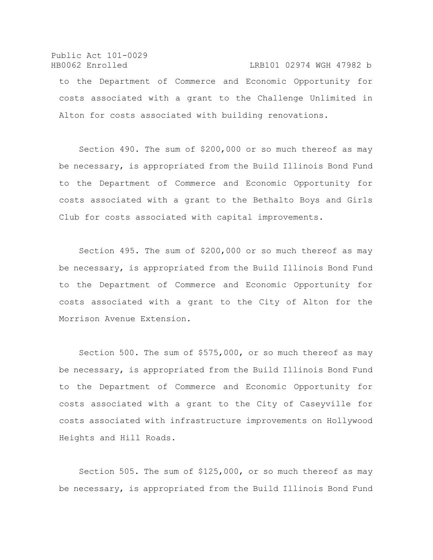### Public Act 101-0029 HB0062 Enrolled LRB101 02974 WGH 47982 b to the Department of Commerce and Economic Opportunity for

costs associated with a grant to the Challenge Unlimited in Alton for costs associated with building renovations.

Section 490. The sum of \$200,000 or so much thereof as may be necessary, is appropriated from the Build Illinois Bond Fund to the Department of Commerce and Economic Opportunity for costs associated with a grant to the Bethalto Boys and Girls Club for costs associated with capital improvements.

Section 495. The sum of \$200,000 or so much thereof as may be necessary, is appropriated from the Build Illinois Bond Fund to the Department of Commerce and Economic Opportunity for costs associated with a grant to the City of Alton for the Morrison Avenue Extension.

Section 500. The sum of \$575,000, or so much thereof as may be necessary, is appropriated from the Build Illinois Bond Fund to the Department of Commerce and Economic Opportunity for costs associated with a grant to the City of Caseyville for costs associated with infrastructure improvements on Hollywood Heights and Hill Roads.

Section 505. The sum of \$125,000, or so much thereof as may be necessary, is appropriated from the Build Illinois Bond Fund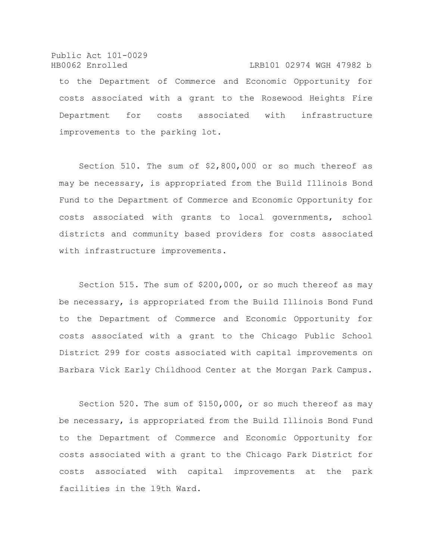Public Act 101-0029 HB0062 Enrolled LRB101 02974 WGH 47982 b to the Department of Commerce and Economic Opportunity for costs associated with a grant to the Rosewood Heights Fire Department for costs associated with infrastructure improvements to the parking lot.

Section 510. The sum of \$2,800,000 or so much thereof as may be necessary, is appropriated from the Build Illinois Bond Fund to the Department of Commerce and Economic Opportunity for costs associated with grants to local governments, school districts and community based providers for costs associated with infrastructure improvements.

Section 515. The sum of \$200,000, or so much thereof as may be necessary, is appropriated from the Build Illinois Bond Fund to the Department of Commerce and Economic Opportunity for costs associated with a grant to the Chicago Public School District 299 for costs associated with capital improvements on Barbara Vick Early Childhood Center at the Morgan Park Campus.

Section 520. The sum of \$150,000, or so much thereof as may be necessary, is appropriated from the Build Illinois Bond Fund to the Department of Commerce and Economic Opportunity for costs associated with a grant to the Chicago Park District for costs associated with capital improvements at the park facilities in the 19th Ward.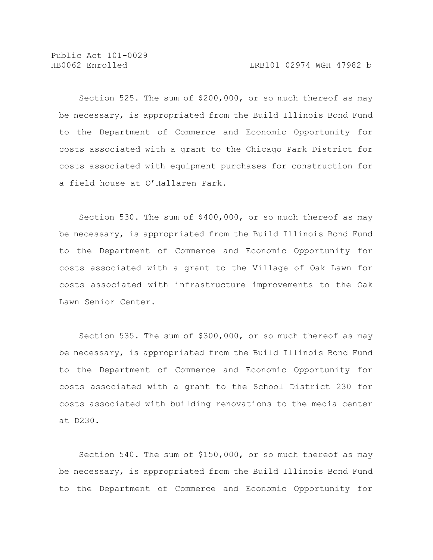Public Act 101-0029

Section 525. The sum of \$200,000, or so much thereof as may be necessary, is appropriated from the Build Illinois Bond Fund to the Department of Commerce and Economic Opportunity for costs associated with a grant to the Chicago Park District for costs associated with equipment purchases for construction for a field house at O'Hallaren Park.

Section 530. The sum of \$400,000, or so much thereof as may be necessary, is appropriated from the Build Illinois Bond Fund to the Department of Commerce and Economic Opportunity for costs associated with a grant to the Village of Oak Lawn for costs associated with infrastructure improvements to the Oak Lawn Senior Center.

Section 535. The sum of \$300,000, or so much thereof as may be necessary, is appropriated from the Build Illinois Bond Fund to the Department of Commerce and Economic Opportunity for costs associated with a grant to the School District 230 for costs associated with building renovations to the media center at D230.

Section 540. The sum of \$150,000, or so much thereof as may be necessary, is appropriated from the Build Illinois Bond Fund to the Department of Commerce and Economic Opportunity for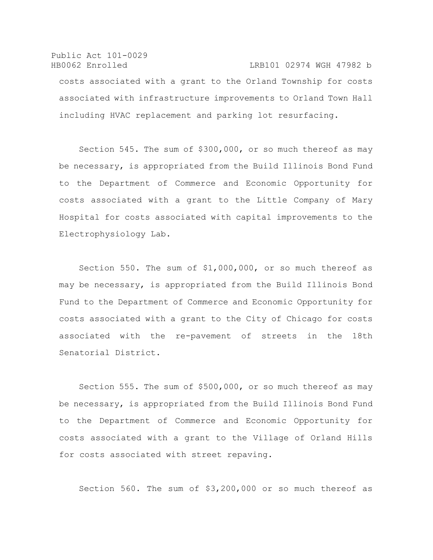# Public Act 101-0029 HB0062 Enrolled LRB101 02974 WGH 47982 b costs associated with a grant to the Orland Township for costs associated with infrastructure improvements to Orland Town Hall including HVAC replacement and parking lot resurfacing.

Section 545. The sum of \$300,000, or so much thereof as may be necessary, is appropriated from the Build Illinois Bond Fund to the Department of Commerce and Economic Opportunity for costs associated with a grant to the Little Company of Mary Hospital for costs associated with capital improvements to the Electrophysiology Lab.

Section 550. The sum of \$1,000,000, or so much thereof as may be necessary, is appropriated from the Build Illinois Bond Fund to the Department of Commerce and Economic Opportunity for costs associated with a grant to the City of Chicago for costs associated with the re-pavement of streets in the 18th Senatorial District.

Section 555. The sum of \$500,000, or so much thereof as may be necessary, is appropriated from the Build Illinois Bond Fund to the Department of Commerce and Economic Opportunity for costs associated with a grant to the Village of Orland Hills for costs associated with street repaving.

Section 560. The sum of \$3,200,000 or so much thereof as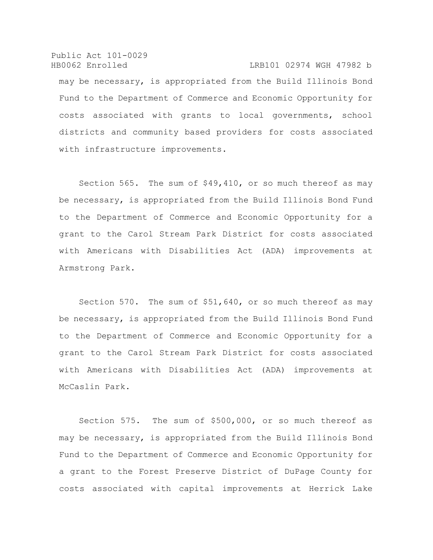Public Act 101-0029 HB0062 Enrolled LRB101 02974 WGH 47982 b may be necessary, is appropriated from the Build Illinois Bond Fund to the Department of Commerce and Economic Opportunity for costs associated with grants to local governments, school districts and community based providers for costs associated with infrastructure improvements.

Section 565. The sum of \$49,410, or so much thereof as may be necessary, is appropriated from the Build Illinois Bond Fund to the Department of Commerce and Economic Opportunity for a grant to the Carol Stream Park District for costs associated with Americans with Disabilities Act (ADA) improvements at Armstrong Park.

Section 570. The sum of \$51,640, or so much thereof as may be necessary, is appropriated from the Build Illinois Bond Fund to the Department of Commerce and Economic Opportunity for a grant to the Carol Stream Park District for costs associated with Americans with Disabilities Act (ADA) improvements at McCaslin Park.

Section 575. The sum of \$500,000, or so much thereof as may be necessary, is appropriated from the Build Illinois Bond Fund to the Department of Commerce and Economic Opportunity for a grant to the Forest Preserve District of DuPage County for costs associated with capital improvements at Herrick Lake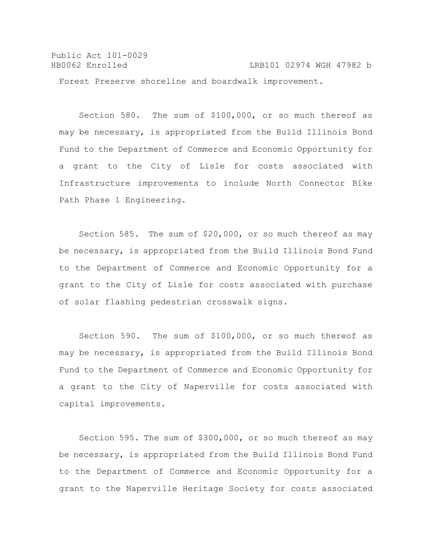Public Act 101-0029 HB0062 Enrolled LRB101 02974 WGH 47982 b Forest Preserve shoreline and boardwalk improvement.

Section 580. The sum of \$100,000, or so much thereof as may be necessary, is appropriated from the Build Illinois Bond Fund to the Department of Commerce and Economic Opportunity for a grant to the City of Lisle for costs associated with Infrastructure improvements to include North Connector Bike Path Phase 1 Engineering.

Section 585. The sum of \$20,000, or so much thereof as may be necessary, is appropriated from the Build Illinois Bond Fund to the Department of Commerce and Economic Opportunity for a grant to the City of Lisle for costs associated with purchase of solar flashing pedestrian crosswalk signs.

Section 590. The sum of \$100,000, or so much thereof as may be necessary, is appropriated from the Build Illinois Bond Fund to the Department of Commerce and Economic Opportunity for a grant to the City of Naperville for costs associated with capital improvements.

Section 595. The sum of \$300,000, or so much thereof as may be necessary, is appropriated from the Build Illinois Bond Fund to the Department of Commerce and Economic Opportunity for a grant to the Naperville Heritage Society for costs associated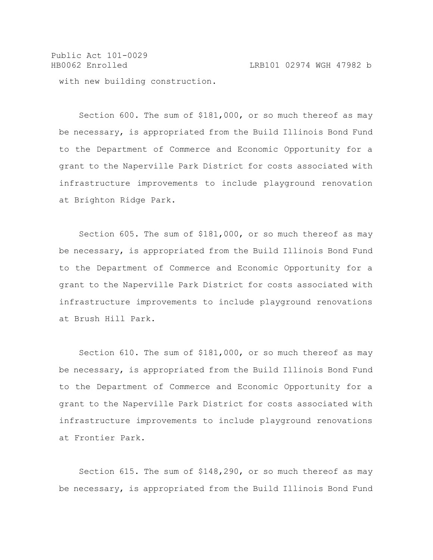Public Act 101-0029 HB0062 Enrolled LRB101 02974 WGH 47982 b with new building construction.

Section 600. The sum of \$181,000, or so much thereof as may be necessary, is appropriated from the Build Illinois Bond Fund to the Department of Commerce and Economic Opportunity for a grant to the Naperville Park District for costs associated with infrastructure improvements to include playground renovation at Brighton Ridge Park.

Section 605. The sum of \$181,000, or so much thereof as may be necessary, is appropriated from the Build Illinois Bond Fund to the Department of Commerce and Economic Opportunity for a grant to the Naperville Park District for costs associated with infrastructure improvements to include playground renovations at Brush Hill Park.

Section 610. The sum of \$181,000, or so much thereof as may be necessary, is appropriated from the Build Illinois Bond Fund to the Department of Commerce and Economic Opportunity for a grant to the Naperville Park District for costs associated with infrastructure improvements to include playground renovations at Frontier Park.

Section 615. The sum of \$148,290, or so much thereof as may be necessary, is appropriated from the Build Illinois Bond Fund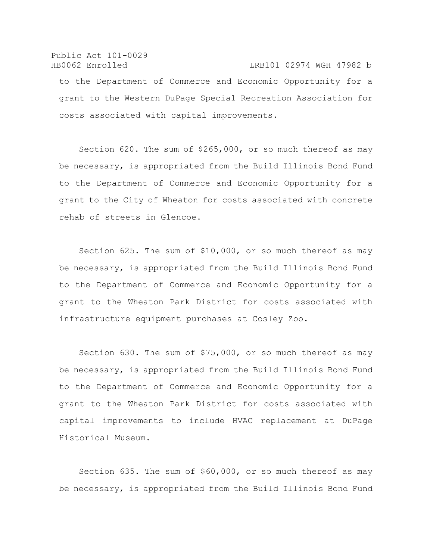#### Public Act 101-0029 HB0062 Enrolled LRB101 02974 WGH 47982 b

to the Department of Commerce and Economic Opportunity for a grant to the Western DuPage Special Recreation Association for costs associated with capital improvements.

Section 620. The sum of \$265,000, or so much thereof as may be necessary, is appropriated from the Build Illinois Bond Fund to the Department of Commerce and Economic Opportunity for a grant to the City of Wheaton for costs associated with concrete rehab of streets in Glencoe.

Section 625. The sum of \$10,000, or so much thereof as may be necessary, is appropriated from the Build Illinois Bond Fund to the Department of Commerce and Economic Opportunity for a grant to the Wheaton Park District for costs associated with infrastructure equipment purchases at Cosley Zoo.

Section 630. The sum of \$75,000, or so much thereof as may be necessary, is appropriated from the Build Illinois Bond Fund to the Department of Commerce and Economic Opportunity for a grant to the Wheaton Park District for costs associated with capital improvements to include HVAC replacement at DuPage Historical Museum.

Section 635. The sum of \$60,000, or so much thereof as may be necessary, is appropriated from the Build Illinois Bond Fund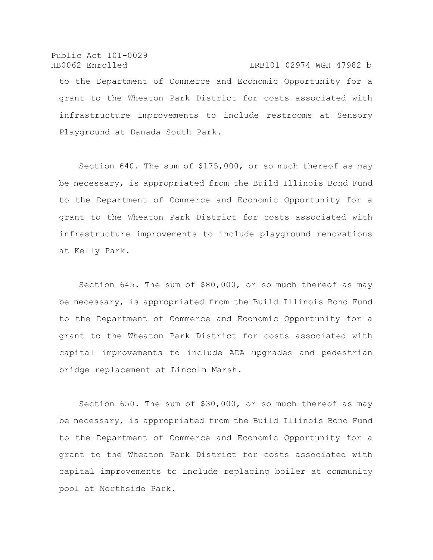Public Act 101-0029 HB0062 Enrolled LRB101 02974 WGH 47982 b to the Department of Commerce and Economic Opportunity for a grant to the Wheaton Park District for costs associated with infrastructure improvements to include restrooms at Sensory Playground at Danada South Park.

Section 640. The sum of \$175,000, or so much thereof as may be necessary, is appropriated from the Build Illinois Bond Fund to the Department of Commerce and Economic Opportunity for a grant to the Wheaton Park District for costs associated with infrastructure improvements to include playground renovations at Kelly Park.

Section 645. The sum of \$80,000, or so much thereof as may be necessary, is appropriated from the Build Illinois Bond Fund to the Department of Commerce and Economic Opportunity for a grant to the Wheaton Park District for costs associated with capital improvements to include ADA upgrades and pedestrian bridge replacement at Lincoln Marsh.

Section 650. The sum of \$30,000, or so much thereof as may be necessary, is appropriated from the Build Illinois Bond Fund to the Department of Commerce and Economic Opportunity for a grant to the Wheaton Park District for costs associated with capital improvements to include replacing boiler at community pool at Northside Park.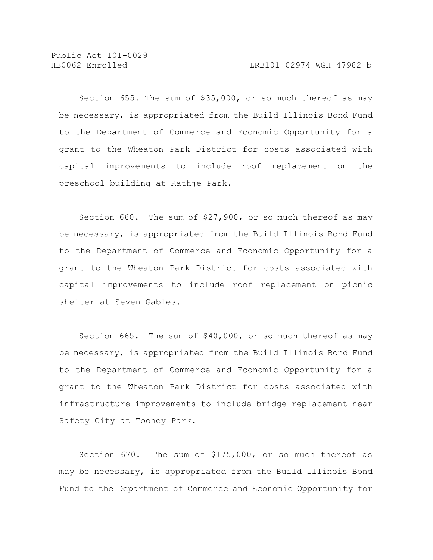Public Act 101-0029

Section 655. The sum of \$35,000, or so much thereof as may be necessary, is appropriated from the Build Illinois Bond Fund to the Department of Commerce and Economic Opportunity for a grant to the Wheaton Park District for costs associated with capital improvements to include roof replacement on the preschool building at Rathje Park.

Section 660. The sum of \$27,900, or so much thereof as may be necessary, is appropriated from the Build Illinois Bond Fund to the Department of Commerce and Economic Opportunity for a grant to the Wheaton Park District for costs associated with capital improvements to include roof replacement on picnic shelter at Seven Gables.

Section 665. The sum of \$40,000, or so much thereof as may be necessary, is appropriated from the Build Illinois Bond Fund to the Department of Commerce and Economic Opportunity for a grant to the Wheaton Park District for costs associated with infrastructure improvements to include bridge replacement near Safety City at Toohey Park.

Section 670. The sum of \$175,000, or so much thereof as may be necessary, is appropriated from the Build Illinois Bond Fund to the Department of Commerce and Economic Opportunity for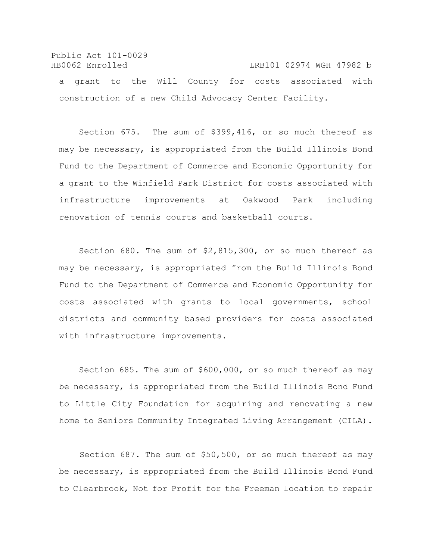Public Act 101-0029 HB0062 Enrolled LRB101 02974 WGH 47982 b a grant to the Will County for costs associated with construction of a new Child Advocacy Center Facility.

Section 675. The sum of \$399,416, or so much thereof as may be necessary, is appropriated from the Build Illinois Bond Fund to the Department of Commerce and Economic Opportunity for a grant to the Winfield Park District for costs associated with infrastructure improvements at Oakwood Park including renovation of tennis courts and basketball courts.

Section 680. The sum of \$2,815,300, or so much thereof as may be necessary, is appropriated from the Build Illinois Bond Fund to the Department of Commerce and Economic Opportunity for costs associated with grants to local governments, school districts and community based providers for costs associated with infrastructure improvements.

Section 685. The sum of \$600,000, or so much thereof as may be necessary, is appropriated from the Build Illinois Bond Fund to Little City Foundation for acquiring and renovating a new home to Seniors Community Integrated Living Arrangement (CILA).

 Section 687. The sum of \$50,500, or so much thereof as may be necessary, is appropriated from the Build Illinois Bond Fund to Clearbrook, Not for Profit for the Freeman location to repair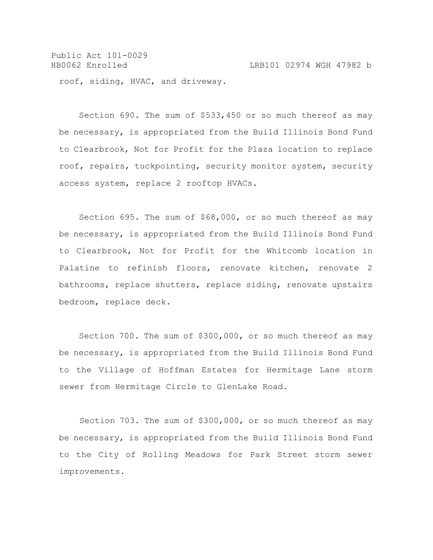Public Act 101-0029 HB0062 Enrolled LRB101 02974 WGH 47982 b roof, siding, HVAC, and driveway.

Section 690. The sum of \$533,450 or so much thereof as may be necessary, is appropriated from the Build Illinois Bond Fund to Clearbrook, Not for Profit for the Plaza location to replace roof, repairs, tuckpointing, security monitor system, security access system, replace 2 rooftop HVACs.

Section 695. The sum of \$68,000, or so much thereof as may be necessary, is appropriated from the Build Illinois Bond Fund to Clearbrook, Not for Profit for the Whitcomb location in Palatine to refinish floors, renovate kitchen, renovate 2 bathrooms, replace shutters, replace siding, renovate upstairs bedroom, replace deck.

Section 700. The sum of \$300,000, or so much thereof as may be necessary, is appropriated from the Build Illinois Bond Fund to the Village of Hoffman Estates for Hermitage Lane storm sewer from Hermitage Circle to GlenLake Road.

 Section 703. The sum of \$300,000, or so much thereof as may be necessary, is appropriated from the Build Illinois Bond Fund to the City of Rolling Meadows for Park Street storm sewer improvements.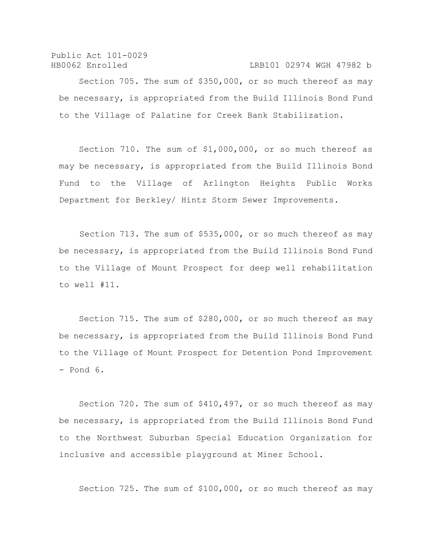Public Act 101-0029 HB0062 Enrolled LRB101 02974 WGH 47982 b

Section 705. The sum of \$350,000, or so much thereof as may be necessary, is appropriated from the Build Illinois Bond Fund to the Village of Palatine for Creek Bank Stabilization.

Section 710. The sum of \$1,000,000, or so much thereof as may be necessary, is appropriated from the Build Illinois Bond Fund to the Village of Arlington Heights Public Works Department for Berkley/ Hintz Storm Sewer Improvements.

 Section 713. The sum of \$535,000, or so much thereof as may be necessary, is appropriated from the Build Illinois Bond Fund to the Village of Mount Prospect for deep well rehabilitation to well #11.

Section 715. The sum of \$280,000, or so much thereof as may be necessary, is appropriated from the Build Illinois Bond Fund to the Village of Mount Prospect for Detention Pond Improvement - Pond 6.

Section 720. The sum of \$410,497, or so much thereof as may be necessary, is appropriated from the Build Illinois Bond Fund to the Northwest Suburban Special Education Organization for inclusive and accessible playground at Miner School.

Section 725. The sum of \$100,000, or so much thereof as may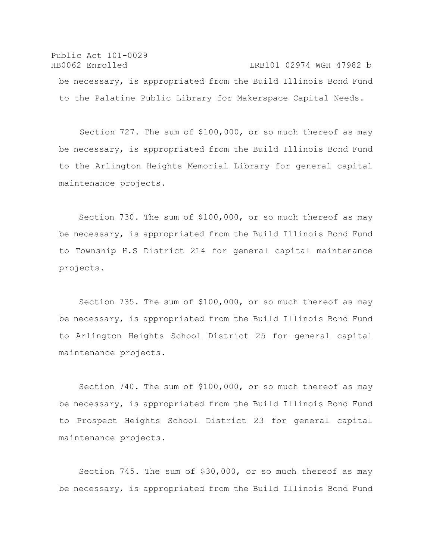Public Act 101-0029 HB0062 Enrolled LRB101 02974 WGH 47982 b be necessary, is appropriated from the Build Illinois Bond Fund to the Palatine Public Library for Makerspace Capital Needs.

 Section 727. The sum of \$100,000, or so much thereof as may be necessary, is appropriated from the Build Illinois Bond Fund to the Arlington Heights Memorial Library for general capital maintenance projects.

Section 730. The sum of \$100,000, or so much thereof as may be necessary, is appropriated from the Build Illinois Bond Fund to Township H.S District 214 for general capital maintenance projects.

Section 735. The sum of \$100,000, or so much thereof as may be necessary, is appropriated from the Build Illinois Bond Fund to Arlington Heights School District 25 for general capital maintenance projects.

Section 740. The sum of \$100,000, or so much thereof as may be necessary, is appropriated from the Build Illinois Bond Fund to Prospect Heights School District 23 for general capital maintenance projects.

Section 745. The sum of \$30,000, or so much thereof as may be necessary, is appropriated from the Build Illinois Bond Fund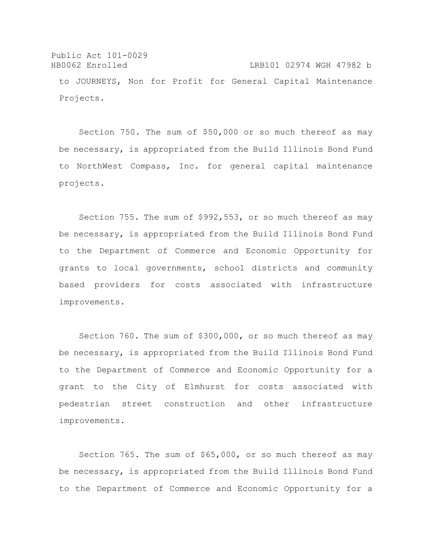Public Act 101-0029 HB0062 Enrolled LRB101 02974 WGH 47982 b to JOURNEYS, Non for Profit for General Capital Maintenance Projects.

Section 750. The sum of \$50,000 or so much thereof as may be necessary, is appropriated from the Build Illinois Bond Fund to NorthWest Compass, Inc. for general capital maintenance projects.

Section 755. The sum of \$992,553, or so much thereof as may be necessary, is appropriated from the Build Illinois Bond Fund to the Department of Commerce and Economic Opportunity for grants to local governments, school districts and community based providers for costs associated with infrastructure improvements.

Section 760. The sum of \$300,000, or so much thereof as may be necessary, is appropriated from the Build Illinois Bond Fund to the Department of Commerce and Economic Opportunity for a grant to the City of Elmhurst for costs associated with pedestrian street construction and other infrastructure improvements.

Section 765. The sum of \$65,000, or so much thereof as may be necessary, is appropriated from the Build Illinois Bond Fund to the Department of Commerce and Economic Opportunity for a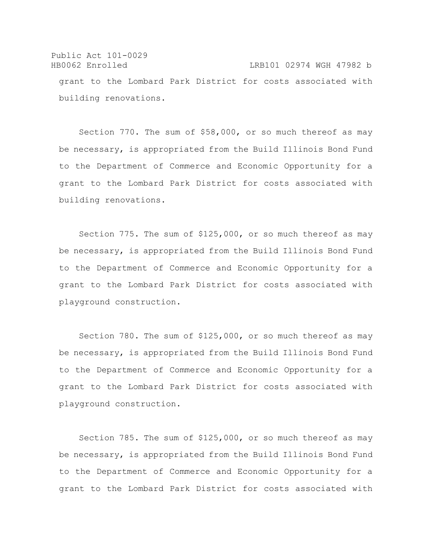Public Act 101-0029 HB0062 Enrolled LRB101 02974 WGH 47982 b grant to the Lombard Park District for costs associated with building renovations.

Section 770. The sum of \$58,000, or so much thereof as may be necessary, is appropriated from the Build Illinois Bond Fund to the Department of Commerce and Economic Opportunity for a grant to the Lombard Park District for costs associated with building renovations.

Section 775. The sum of \$125,000, or so much thereof as may be necessary, is appropriated from the Build Illinois Bond Fund to the Department of Commerce and Economic Opportunity for a grant to the Lombard Park District for costs associated with playground construction.

Section 780. The sum of \$125,000, or so much thereof as may be necessary, is appropriated from the Build Illinois Bond Fund to the Department of Commerce and Economic Opportunity for a grant to the Lombard Park District for costs associated with playground construction.

Section 785. The sum of \$125,000, or so much thereof as may be necessary, is appropriated from the Build Illinois Bond Fund to the Department of Commerce and Economic Opportunity for a grant to the Lombard Park District for costs associated with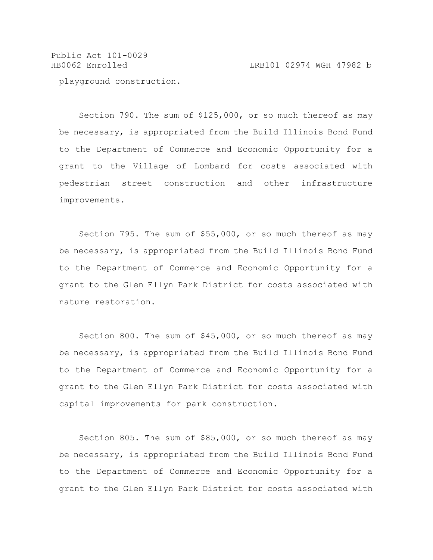Public Act 101-0029 HB0062 Enrolled LRB101 02974 WGH 47982 b playground construction.

Section 790. The sum of \$125,000, or so much thereof as may be necessary, is appropriated from the Build Illinois Bond Fund to the Department of Commerce and Economic Opportunity for a grant to the Village of Lombard for costs associated with pedestrian street construction and other infrastructure improvements.

Section 795. The sum of \$55,000, or so much thereof as may be necessary, is appropriated from the Build Illinois Bond Fund to the Department of Commerce and Economic Opportunity for a grant to the Glen Ellyn Park District for costs associated with nature restoration.

Section 800. The sum of \$45,000, or so much thereof as may be necessary, is appropriated from the Build Illinois Bond Fund to the Department of Commerce and Economic Opportunity for a grant to the Glen Ellyn Park District for costs associated with capital improvements for park construction.

Section 805. The sum of \$85,000, or so much thereof as may be necessary, is appropriated from the Build Illinois Bond Fund to the Department of Commerce and Economic Opportunity for a grant to the Glen Ellyn Park District for costs associated with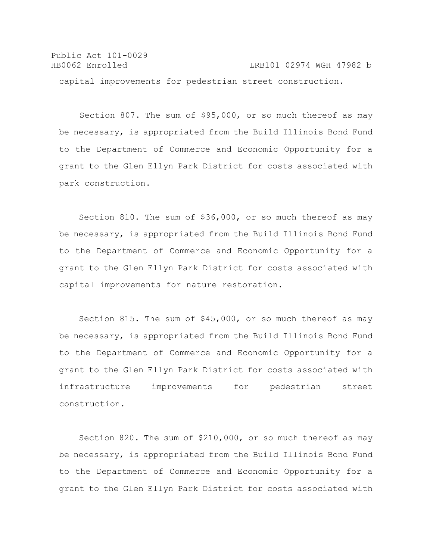Public Act 101-0029 HB0062 Enrolled LRB101 02974 WGH 47982 b capital improvements for pedestrian street construction.

 Section 807. The sum of \$95,000, or so much thereof as may be necessary, is appropriated from the Build Illinois Bond Fund to the Department of Commerce and Economic Opportunity for a grant to the Glen Ellyn Park District for costs associated with park construction.

Section 810. The sum of \$36,000, or so much thereof as may be necessary, is appropriated from the Build Illinois Bond Fund to the Department of Commerce and Economic Opportunity for a grant to the Glen Ellyn Park District for costs associated with capital improvements for nature restoration.

Section 815. The sum of \$45,000, or so much thereof as may be necessary, is appropriated from the Build Illinois Bond Fund to the Department of Commerce and Economic Opportunity for a grant to the Glen Ellyn Park District for costs associated with infrastructure improvements for pedestrian street construction.

Section 820. The sum of \$210,000, or so much thereof as may be necessary, is appropriated from the Build Illinois Bond Fund to the Department of Commerce and Economic Opportunity for a grant to the Glen Ellyn Park District for costs associated with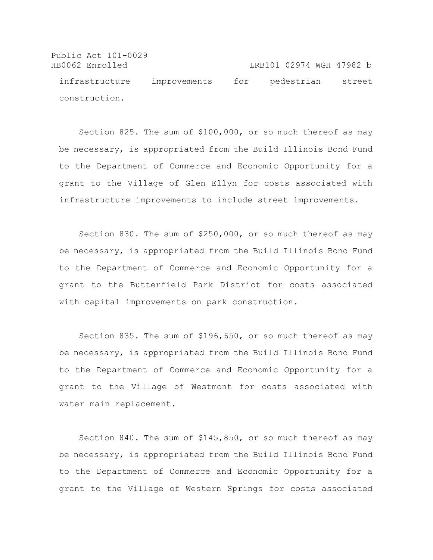Public Act 101-0029 HB0062 Enrolled LRB101 02974 WGH 47982 b infrastructure improvements for pedestrian street construction.

Section 825. The sum of \$100,000, or so much thereof as may be necessary, is appropriated from the Build Illinois Bond Fund to the Department of Commerce and Economic Opportunity for a grant to the Village of Glen Ellyn for costs associated with infrastructure improvements to include street improvements.

Section 830. The sum of \$250,000, or so much thereof as may be necessary, is appropriated from the Build Illinois Bond Fund to the Department of Commerce and Economic Opportunity for a grant to the Butterfield Park District for costs associated with capital improvements on park construction.

Section 835. The sum of \$196,650, or so much thereof as may be necessary, is appropriated from the Build Illinois Bond Fund to the Department of Commerce and Economic Opportunity for a grant to the Village of Westmont for costs associated with water main replacement.

Section 840. The sum of \$145,850, or so much thereof as may be necessary, is appropriated from the Build Illinois Bond Fund to the Department of Commerce and Economic Opportunity for a grant to the Village of Western Springs for costs associated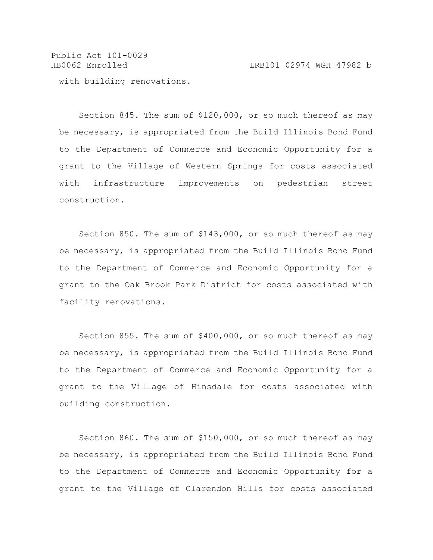Public Act 101-0029 HB0062 Enrolled LRB101 02974 WGH 47982 b with building renovations.

Section 845. The sum of \$120,000, or so much thereof as may be necessary, is appropriated from the Build Illinois Bond Fund to the Department of Commerce and Economic Opportunity for a grant to the Village of Western Springs for costs associated with infrastructure improvements on pedestrian street construction.

Section 850. The sum of \$143,000, or so much thereof as may be necessary, is appropriated from the Build Illinois Bond Fund to the Department of Commerce and Economic Opportunity for a grant to the Oak Brook Park District for costs associated with facility renovations.

Section 855. The sum of \$400,000, or so much thereof as may be necessary, is appropriated from the Build Illinois Bond Fund to the Department of Commerce and Economic Opportunity for a grant to the Village of Hinsdale for costs associated with building construction.

Section 860. The sum of \$150,000, or so much thereof as may be necessary, is appropriated from the Build Illinois Bond Fund to the Department of Commerce and Economic Opportunity for a grant to the Village of Clarendon Hills for costs associated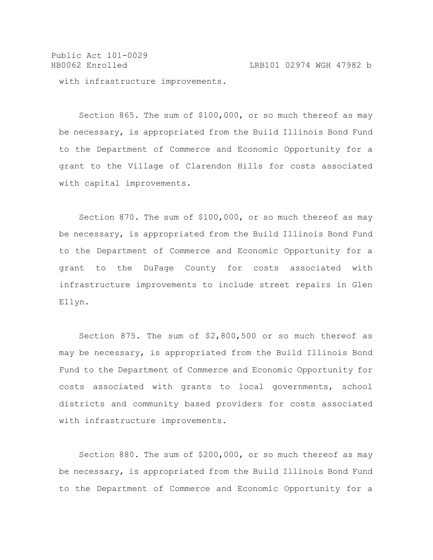Public Act 101-0029 HB0062 Enrolled LRB101 02974 WGH 47982 b with infrastructure improvements.

Section 865. The sum of \$100,000, or so much thereof as may be necessary, is appropriated from the Build Illinois Bond Fund to the Department of Commerce and Economic Opportunity for a grant to the Village of Clarendon Hills for costs associated with capital improvements.

Section 870. The sum of \$100,000, or so much thereof as may be necessary, is appropriated from the Build Illinois Bond Fund to the Department of Commerce and Economic Opportunity for a grant to the DuPage County for costs associated with infrastructure improvements to include street repairs in Glen Ellyn.

Section 875. The sum of \$2,800,500 or so much thereof as may be necessary, is appropriated from the Build Illinois Bond Fund to the Department of Commerce and Economic Opportunity for costs associated with grants to local governments, school districts and community based providers for costs associated with infrastructure improvements.

Section 880. The sum of \$200,000, or so much thereof as may be necessary, is appropriated from the Build Illinois Bond Fund to the Department of Commerce and Economic Opportunity for a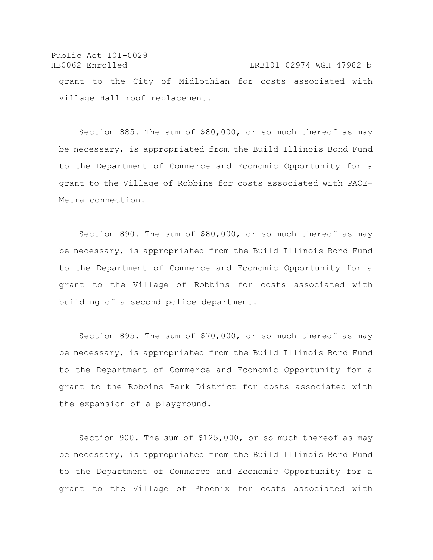Public Act 101-0029 HB0062 Enrolled LRB101 02974 WGH 47982 b grant to the City of Midlothian for costs associated with Village Hall roof replacement.

Section 885. The sum of \$80,000, or so much thereof as may be necessary, is appropriated from the Build Illinois Bond Fund to the Department of Commerce and Economic Opportunity for a grant to the Village of Robbins for costs associated with PACE-Metra connection.

Section 890. The sum of \$80,000, or so much thereof as may be necessary, is appropriated from the Build Illinois Bond Fund to the Department of Commerce and Economic Opportunity for a grant to the Village of Robbins for costs associated with building of a second police department.

Section 895. The sum of \$70,000, or so much thereof as may be necessary, is appropriated from the Build Illinois Bond Fund to the Department of Commerce and Economic Opportunity for a grant to the Robbins Park District for costs associated with the expansion of a playground.

Section 900. The sum of \$125,000, or so much thereof as may be necessary, is appropriated from the Build Illinois Bond Fund to the Department of Commerce and Economic Opportunity for a grant to the Village of Phoenix for costs associated with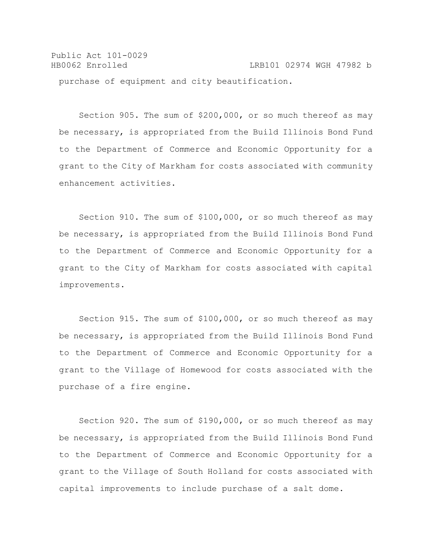Public Act 101-0029 HB0062 Enrolled LRB101 02974 WGH 47982 b purchase of equipment and city beautification.

Section 905. The sum of \$200,000, or so much thereof as may be necessary, is appropriated from the Build Illinois Bond Fund to the Department of Commerce and Economic Opportunity for a grant to the City of Markham for costs associated with community enhancement activities.

Section 910. The sum of \$100,000, or so much thereof as may be necessary, is appropriated from the Build Illinois Bond Fund to the Department of Commerce and Economic Opportunity for a grant to the City of Markham for costs associated with capital improvements.

Section 915. The sum of \$100,000, or so much thereof as may be necessary, is appropriated from the Build Illinois Bond Fund to the Department of Commerce and Economic Opportunity for a grant to the Village of Homewood for costs associated with the purchase of a fire engine.

Section 920. The sum of \$190,000, or so much thereof as may be necessary, is appropriated from the Build Illinois Bond Fund to the Department of Commerce and Economic Opportunity for a grant to the Village of South Holland for costs associated with capital improvements to include purchase of a salt dome.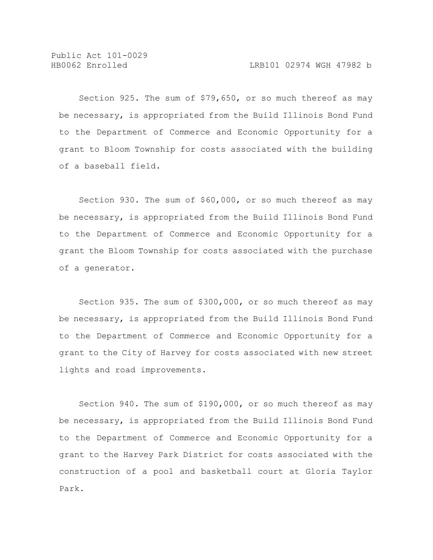Section 925. The sum of \$79,650, or so much thereof as may be necessary, is appropriated from the Build Illinois Bond Fund to the Department of Commerce and Economic Opportunity for a grant to Bloom Township for costs associated with the building of a baseball field.

Section 930. The sum of \$60,000, or so much thereof as may be necessary, is appropriated from the Build Illinois Bond Fund to the Department of Commerce and Economic Opportunity for a grant the Bloom Township for costs associated with the purchase of a generator.

Section 935. The sum of \$300,000, or so much thereof as may be necessary, is appropriated from the Build Illinois Bond Fund to the Department of Commerce and Economic Opportunity for a grant to the City of Harvey for costs associated with new street lights and road improvements.

Section 940. The sum of \$190,000, or so much thereof as may be necessary, is appropriated from the Build Illinois Bond Fund to the Department of Commerce and Economic Opportunity for a grant to the Harvey Park District for costs associated with the construction of a pool and basketball court at Gloria Taylor Park.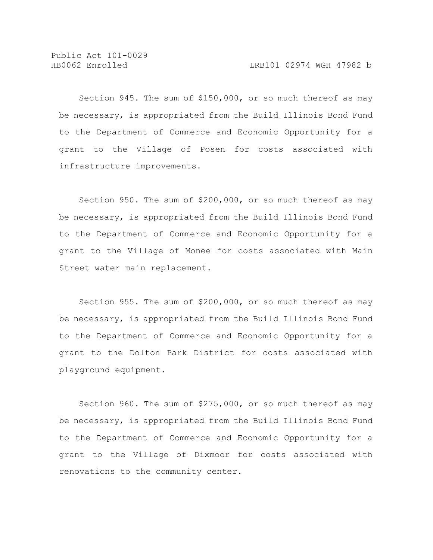Section 945. The sum of \$150,000, or so much thereof as may be necessary, is appropriated from the Build Illinois Bond Fund to the Department of Commerce and Economic Opportunity for a grant to the Village of Posen for costs associated with infrastructure improvements.

Section 950. The sum of \$200,000, or so much thereof as may be necessary, is appropriated from the Build Illinois Bond Fund to the Department of Commerce and Economic Opportunity for a grant to the Village of Monee for costs associated with Main Street water main replacement.

Section 955. The sum of \$200,000, or so much thereof as may be necessary, is appropriated from the Build Illinois Bond Fund to the Department of Commerce and Economic Opportunity for a grant to the Dolton Park District for costs associated with playground equipment.

Section 960. The sum of \$275,000, or so much thereof as may be necessary, is appropriated from the Build Illinois Bond Fund to the Department of Commerce and Economic Opportunity for a grant to the Village of Dixmoor for costs associated with renovations to the community center.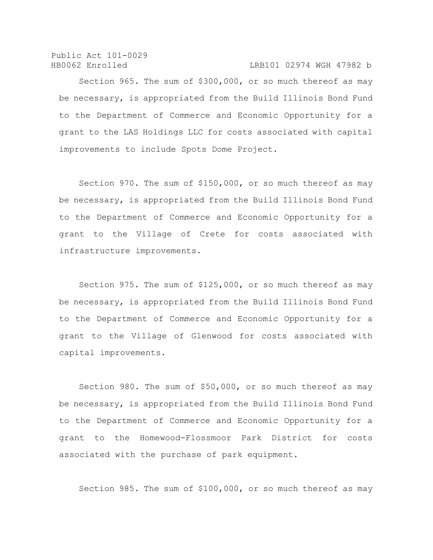### HB0062 Enrolled LRB101 02974 WGH 47982 b

Section 965. The sum of \$300,000, or so much thereof as may be necessary, is appropriated from the Build Illinois Bond Fund to the Department of Commerce and Economic Opportunity for a grant to the LAS Holdings LLC for costs associated with capital improvements to include Spots Dome Project.

Section 970. The sum of \$150,000, or so much thereof as may be necessary, is appropriated from the Build Illinois Bond Fund to the Department of Commerce and Economic Opportunity for a grant to the Village of Crete for costs associated with infrastructure improvements.

Section 975. The sum of \$125,000, or so much thereof as may be necessary, is appropriated from the Build Illinois Bond Fund to the Department of Commerce and Economic Opportunity for a grant to the Village of Glenwood for costs associated with capital improvements.

Section 980. The sum of \$50,000, or so much thereof as may be necessary, is appropriated from the Build Illinois Bond Fund to the Department of Commerce and Economic Opportunity for a grant to the Homewood-Flossmoor Park District for costs associated with the purchase of park equipment.

Section 985. The sum of \$100,000, or so much thereof as may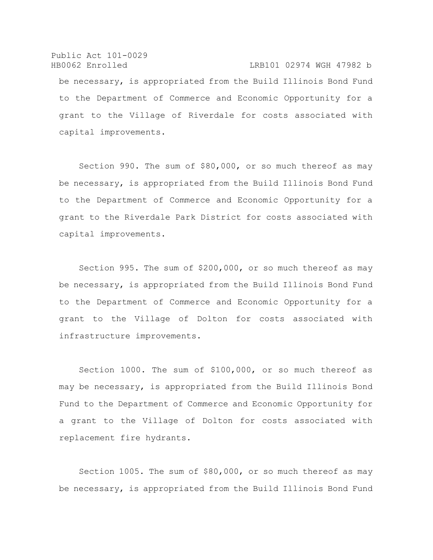Public Act 101-0029 HB0062 Enrolled LRB101 02974 WGH 47982 b be necessary, is appropriated from the Build Illinois Bond Fund to the Department of Commerce and Economic Opportunity for a grant to the Village of Riverdale for costs associated with capital improvements.

Section 990. The sum of \$80,000, or so much thereof as may be necessary, is appropriated from the Build Illinois Bond Fund to the Department of Commerce and Economic Opportunity for a grant to the Riverdale Park District for costs associated with capital improvements.

Section 995. The sum of \$200,000, or so much thereof as may be necessary, is appropriated from the Build Illinois Bond Fund to the Department of Commerce and Economic Opportunity for a grant to the Village of Dolton for costs associated with infrastructure improvements.

Section 1000. The sum of \$100,000, or so much thereof as may be necessary, is appropriated from the Build Illinois Bond Fund to the Department of Commerce and Economic Opportunity for a grant to the Village of Dolton for costs associated with replacement fire hydrants.

Section 1005. The sum of \$80,000, or so much thereof as may be necessary, is appropriated from the Build Illinois Bond Fund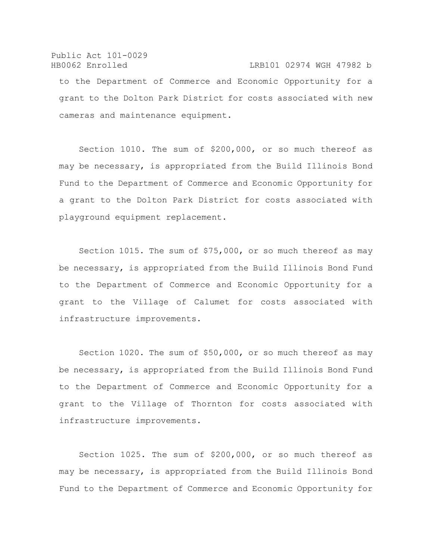### Public Act 101-0029 HB0062 Enrolled LRB101 02974 WGH 47982 b

to the Department of Commerce and Economic Opportunity for a grant to the Dolton Park District for costs associated with new cameras and maintenance equipment.

Section 1010. The sum of \$200,000, or so much thereof as may be necessary, is appropriated from the Build Illinois Bond Fund to the Department of Commerce and Economic Opportunity for a grant to the Dolton Park District for costs associated with playground equipment replacement.

Section 1015. The sum of \$75,000, or so much thereof as may be necessary, is appropriated from the Build Illinois Bond Fund to the Department of Commerce and Economic Opportunity for a grant to the Village of Calumet for costs associated with infrastructure improvements.

Section 1020. The sum of \$50,000, or so much thereof as may be necessary, is appropriated from the Build Illinois Bond Fund to the Department of Commerce and Economic Opportunity for a grant to the Village of Thornton for costs associated with infrastructure improvements.

Section 1025. The sum of \$200,000, or so much thereof as may be necessary, is appropriated from the Build Illinois Bond Fund to the Department of Commerce and Economic Opportunity for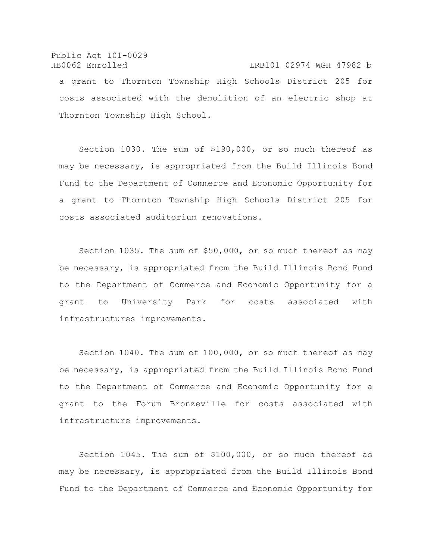# Public Act 101-0029 HB0062 Enrolled LRB101 02974 WGH 47982 b a grant to Thornton Township High Schools District 205 for costs associated with the demolition of an electric shop at Thornton Township High School.

Section 1030. The sum of \$190,000, or so much thereof as may be necessary, is appropriated from the Build Illinois Bond Fund to the Department of Commerce and Economic Opportunity for a grant to Thornton Township High Schools District 205 for costs associated auditorium renovations.

Section 1035. The sum of \$50,000, or so much thereof as may be necessary, is appropriated from the Build Illinois Bond Fund to the Department of Commerce and Economic Opportunity for a grant to University Park for costs associated with infrastructures improvements.

Section 1040. The sum of 100,000, or so much thereof as may be necessary, is appropriated from the Build Illinois Bond Fund to the Department of Commerce and Economic Opportunity for a grant to the Forum Bronzeville for costs associated with infrastructure improvements.

Section 1045. The sum of \$100,000, or so much thereof as may be necessary, is appropriated from the Build Illinois Bond Fund to the Department of Commerce and Economic Opportunity for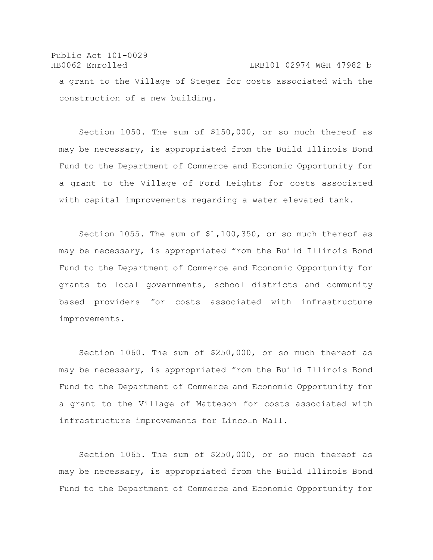Public Act 101-0029 HB0062 Enrolled LRB101 02974 WGH 47982 b a grant to the Village of Steger for costs associated with the construction of a new building.

Section 1050. The sum of \$150,000, or so much thereof as may be necessary, is appropriated from the Build Illinois Bond Fund to the Department of Commerce and Economic Opportunity for a grant to the Village of Ford Heights for costs associated with capital improvements regarding a water elevated tank.

Section 1055. The sum of \$1,100,350, or so much thereof as may be necessary, is appropriated from the Build Illinois Bond Fund to the Department of Commerce and Economic Opportunity for grants to local governments, school districts and community based providers for costs associated with infrastructure improvements.

Section 1060. The sum of \$250,000, or so much thereof as may be necessary, is appropriated from the Build Illinois Bond Fund to the Department of Commerce and Economic Opportunity for a grant to the Village of Matteson for costs associated with infrastructure improvements for Lincoln Mall.

Section 1065. The sum of \$250,000, or so much thereof as may be necessary, is appropriated from the Build Illinois Bond Fund to the Department of Commerce and Economic Opportunity for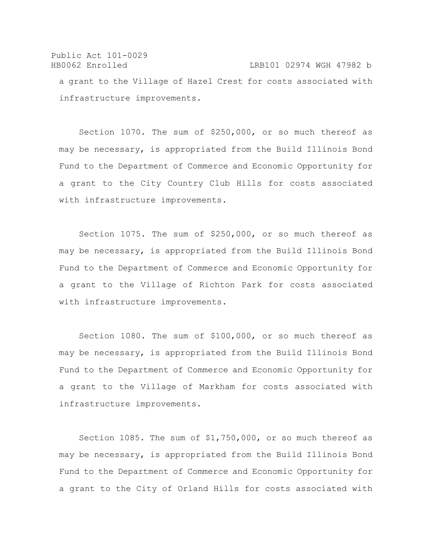Public Act 101-0029 HB0062 Enrolled LRB101 02974 WGH 47982 b a grant to the Village of Hazel Crest for costs associated with infrastructure improvements.

Section 1070. The sum of \$250,000, or so much thereof as may be necessary, is appropriated from the Build Illinois Bond Fund to the Department of Commerce and Economic Opportunity for a grant to the City Country Club Hills for costs associated with infrastructure improvements.

Section 1075. The sum of \$250,000, or so much thereof as may be necessary, is appropriated from the Build Illinois Bond Fund to the Department of Commerce and Economic Opportunity for a grant to the Village of Richton Park for costs associated with infrastructure improvements.

Section 1080. The sum of \$100,000, or so much thereof as may be necessary, is appropriated from the Build Illinois Bond Fund to the Department of Commerce and Economic Opportunity for a grant to the Village of Markham for costs associated with infrastructure improvements.

Section 1085. The sum of \$1,750,000, or so much thereof as may be necessary, is appropriated from the Build Illinois Bond Fund to the Department of Commerce and Economic Opportunity for a grant to the City of Orland Hills for costs associated with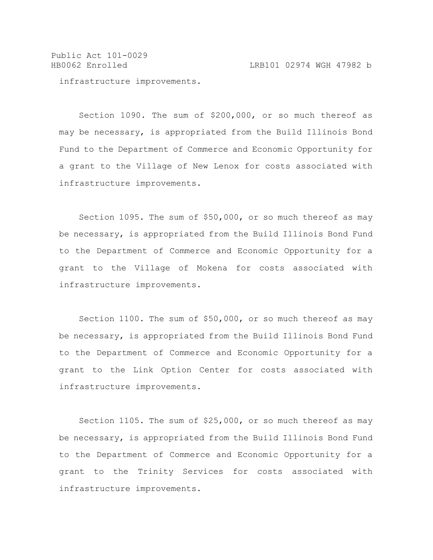Public Act 101-0029 HB0062 Enrolled LRB101 02974 WGH 47982 b

infrastructure improvements.

Section 1090. The sum of \$200,000, or so much thereof as may be necessary, is appropriated from the Build Illinois Bond Fund to the Department of Commerce and Economic Opportunity for a grant to the Village of New Lenox for costs associated with infrastructure improvements.

Section 1095. The sum of \$50,000, or so much thereof as may be necessary, is appropriated from the Build Illinois Bond Fund to the Department of Commerce and Economic Opportunity for a grant to the Village of Mokena for costs associated with infrastructure improvements.

Section 1100. The sum of \$50,000, or so much thereof as may be necessary, is appropriated from the Build Illinois Bond Fund to the Department of Commerce and Economic Opportunity for a grant to the Link Option Center for costs associated with infrastructure improvements.

Section 1105. The sum of \$25,000, or so much thereof as may be necessary, is appropriated from the Build Illinois Bond Fund to the Department of Commerce and Economic Opportunity for a grant to the Trinity Services for costs associated with infrastructure improvements.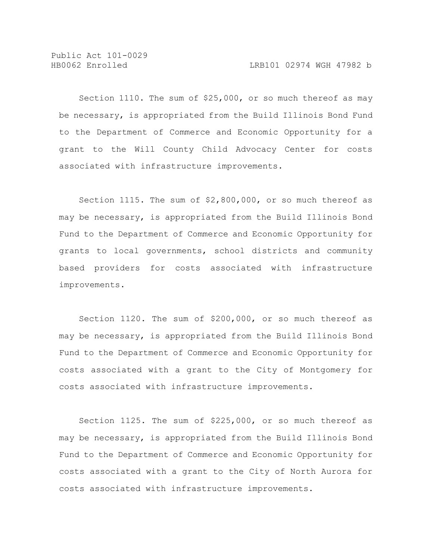Section 1110. The sum of \$25,000, or so much thereof as may be necessary, is appropriated from the Build Illinois Bond Fund to the Department of Commerce and Economic Opportunity for a grant to the Will County Child Advocacy Center for costs associated with infrastructure improvements.

Section 1115. The sum of \$2,800,000, or so much thereof as may be necessary, is appropriated from the Build Illinois Bond Fund to the Department of Commerce and Economic Opportunity for grants to local governments, school districts and community based providers for costs associated with infrastructure improvements.

Section 1120. The sum of \$200,000, or so much thereof as may be necessary, is appropriated from the Build Illinois Bond Fund to the Department of Commerce and Economic Opportunity for costs associated with a grant to the City of Montgomery for costs associated with infrastructure improvements.

Section 1125. The sum of \$225,000, or so much thereof as may be necessary, is appropriated from the Build Illinois Bond Fund to the Department of Commerce and Economic Opportunity for costs associated with a grant to the City of North Aurora for costs associated with infrastructure improvements.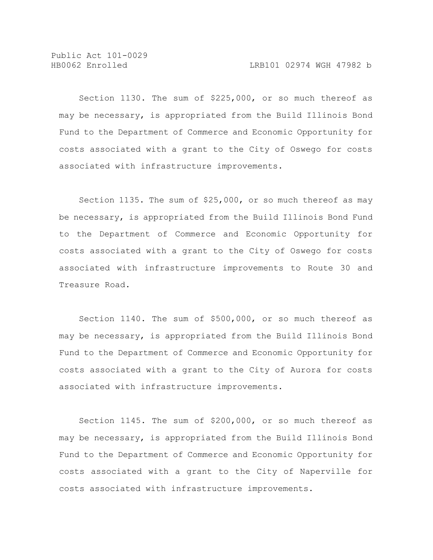Section 1130. The sum of \$225,000, or so much thereof as may be necessary, is appropriated from the Build Illinois Bond Fund to the Department of Commerce and Economic Opportunity for costs associated with a grant to the City of Oswego for costs associated with infrastructure improvements.

Section 1135. The sum of \$25,000, or so much thereof as may be necessary, is appropriated from the Build Illinois Bond Fund to the Department of Commerce and Economic Opportunity for costs associated with a grant to the City of Oswego for costs associated with infrastructure improvements to Route 30 and Treasure Road.

Section 1140. The sum of \$500,000, or so much thereof as may be necessary, is appropriated from the Build Illinois Bond Fund to the Department of Commerce and Economic Opportunity for costs associated with a grant to the City of Aurora for costs associated with infrastructure improvements.

Section 1145. The sum of \$200,000, or so much thereof as may be necessary, is appropriated from the Build Illinois Bond Fund to the Department of Commerce and Economic Opportunity for costs associated with a grant to the City of Naperville for costs associated with infrastructure improvements.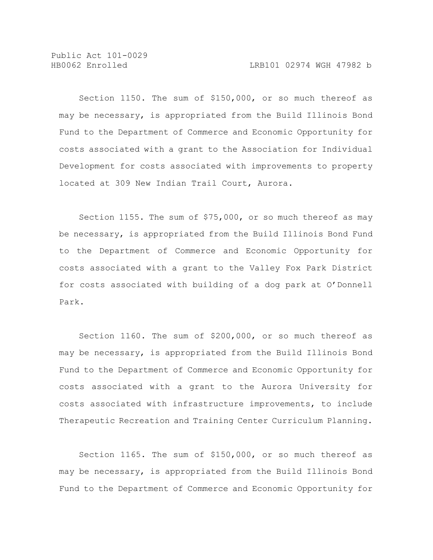Section 1150. The sum of \$150,000, or so much thereof as may be necessary, is appropriated from the Build Illinois Bond Fund to the Department of Commerce and Economic Opportunity for costs associated with a grant to the Association for Individual Development for costs associated with improvements to property located at 309 New Indian Trail Court, Aurora.

Section 1155. The sum of \$75,000, or so much thereof as may be necessary, is appropriated from the Build Illinois Bond Fund to the Department of Commerce and Economic Opportunity for costs associated with a grant to the Valley Fox Park District for costs associated with building of a dog park at O'Donnell Park.

Section 1160. The sum of \$200,000, or so much thereof as may be necessary, is appropriated from the Build Illinois Bond Fund to the Department of Commerce and Economic Opportunity for costs associated with a grant to the Aurora University for costs associated with infrastructure improvements, to include Therapeutic Recreation and Training Center Curriculum Planning.

Section 1165. The sum of \$150,000, or so much thereof as may be necessary, is appropriated from the Build Illinois Bond Fund to the Department of Commerce and Economic Opportunity for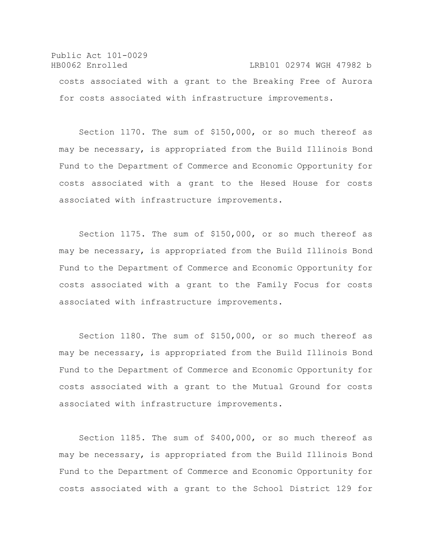Public Act 101-0029 HB0062 Enrolled LRB101 02974 WGH 47982 b costs associated with a grant to the Breaking Free of Aurora for costs associated with infrastructure improvements.

Section 1170. The sum of \$150,000, or so much thereof as may be necessary, is appropriated from the Build Illinois Bond Fund to the Department of Commerce and Economic Opportunity for costs associated with a grant to the Hesed House for costs associated with infrastructure improvements.

Section 1175. The sum of \$150,000, or so much thereof as may be necessary, is appropriated from the Build Illinois Bond Fund to the Department of Commerce and Economic Opportunity for costs associated with a grant to the Family Focus for costs associated with infrastructure improvements.

Section 1180. The sum of \$150,000, or so much thereof as may be necessary, is appropriated from the Build Illinois Bond Fund to the Department of Commerce and Economic Opportunity for costs associated with a grant to the Mutual Ground for costs associated with infrastructure improvements.

Section 1185. The sum of \$400,000, or so much thereof as may be necessary, is appropriated from the Build Illinois Bond Fund to the Department of Commerce and Economic Opportunity for costs associated with a grant to the School District 129 for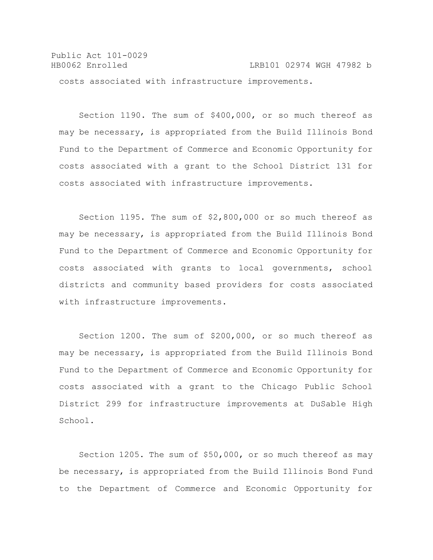Public Act 101-0029 HB0062 Enrolled LRB101 02974 WGH 47982 b costs associated with infrastructure improvements.

Section 1190. The sum of \$400,000, or so much thereof as may be necessary, is appropriated from the Build Illinois Bond Fund to the Department of Commerce and Economic Opportunity for costs associated with a grant to the School District 131 for costs associated with infrastructure improvements.

Section 1195. The sum of \$2,800,000 or so much thereof as may be necessary, is appropriated from the Build Illinois Bond Fund to the Department of Commerce and Economic Opportunity for costs associated with grants to local governments, school districts and community based providers for costs associated with infrastructure improvements.

Section 1200. The sum of \$200,000, or so much thereof as may be necessary, is appropriated from the Build Illinois Bond Fund to the Department of Commerce and Economic Opportunity for costs associated with a grant to the Chicago Public School District 299 for infrastructure improvements at DuSable High School.

Section 1205. The sum of \$50,000, or so much thereof as may be necessary, is appropriated from the Build Illinois Bond Fund to the Department of Commerce and Economic Opportunity for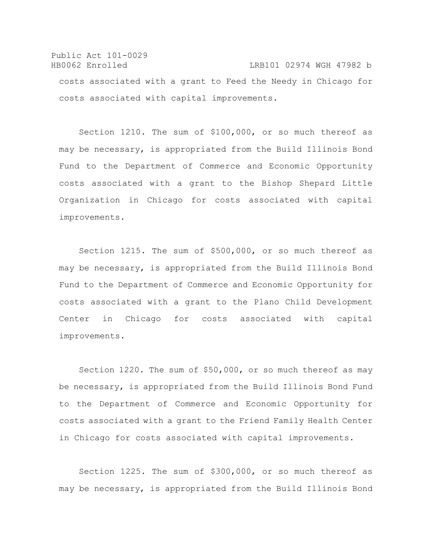Public Act 101-0029 HB0062 Enrolled LRB101 02974 WGH 47982 b costs associated with a grant to Feed the Needy in Chicago for costs associated with capital improvements.

Section 1210. The sum of \$100,000, or so much thereof as may be necessary, is appropriated from the Build Illinois Bond Fund to the Department of Commerce and Economic Opportunity costs associated with a grant to the Bishop Shepard Little Organization in Chicago for costs associated with capital improvements.

Section 1215. The sum of \$500,000, or so much thereof as may be necessary, is appropriated from the Build Illinois Bond Fund to the Department of Commerce and Economic Opportunity for costs associated with a grant to the Plano Child Development Center in Chicago for costs associated with capital improvements.

Section 1220. The sum of \$50,000, or so much thereof as may be necessary, is appropriated from the Build Illinois Bond Fund to the Department of Commerce and Economic Opportunity for costs associated with a grant to the Friend Family Health Center in Chicago for costs associated with capital improvements.

Section 1225. The sum of \$300,000, or so much thereof as may be necessary, is appropriated from the Build Illinois Bond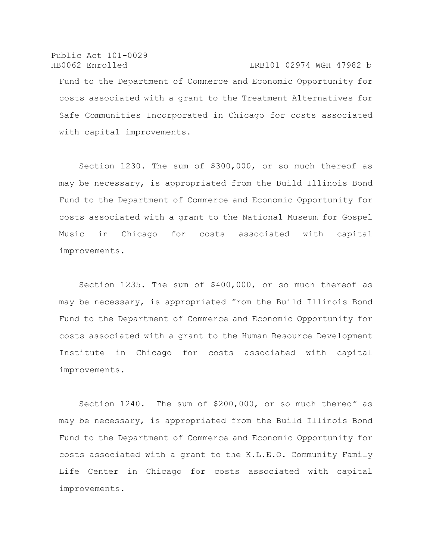Public Act 101-0029 HB0062 Enrolled LRB101 02974 WGH 47982 b Fund to the Department of Commerce and Economic Opportunity for costs associated with a grant to the Treatment Alternatives for Safe Communities Incorporated in Chicago for costs associated with capital improvements.

Section 1230. The sum of \$300,000, or so much thereof as may be necessary, is appropriated from the Build Illinois Bond Fund to the Department of Commerce and Economic Opportunity for costs associated with a grant to the National Museum for Gospel Music in Chicago for costs associated with capital improvements.

Section 1235. The sum of \$400,000, or so much thereof as may be necessary, is appropriated from the Build Illinois Bond Fund to the Department of Commerce and Economic Opportunity for costs associated with a grant to the Human Resource Development Institute in Chicago for costs associated with capital improvements.

Section 1240. The sum of \$200,000, or so much thereof as may be necessary, is appropriated from the Build Illinois Bond Fund to the Department of Commerce and Economic Opportunity for costs associated with a grant to the K.L.E.O. Community Family Life Center in Chicago for costs associated with capital improvements.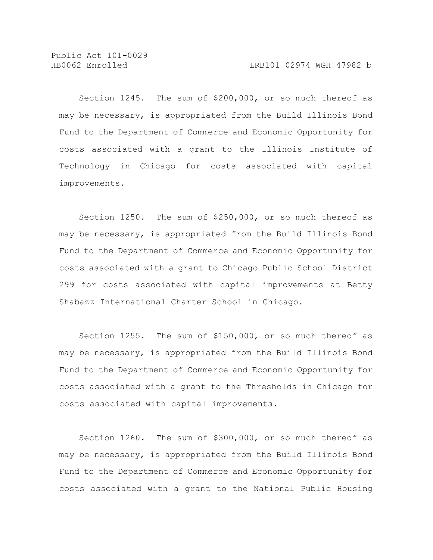Section 1245. The sum of \$200,000, or so much thereof as may be necessary, is appropriated from the Build Illinois Bond Fund to the Department of Commerce and Economic Opportunity for costs associated with a grant to the Illinois Institute of Technology in Chicago for costs associated with capital improvements.

Section 1250. The sum of \$250,000, or so much thereof as may be necessary, is appropriated from the Build Illinois Bond Fund to the Department of Commerce and Economic Opportunity for costs associated with a grant to Chicago Public School District 299 for costs associated with capital improvements at Betty Shabazz International Charter School in Chicago.

Section 1255. The sum of \$150,000, or so much thereof as may be necessary, is appropriated from the Build Illinois Bond Fund to the Department of Commerce and Economic Opportunity for costs associated with a grant to the Thresholds in Chicago for costs associated with capital improvements.

Section 1260. The sum of \$300,000, or so much thereof as may be necessary, is appropriated from the Build Illinois Bond Fund to the Department of Commerce and Economic Opportunity for costs associated with a grant to the National Public Housing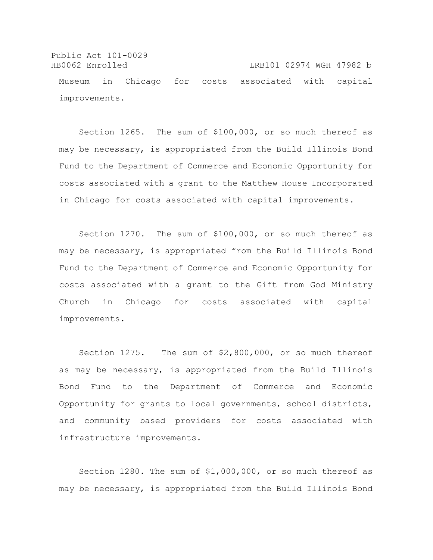Public Act 101-0029 HB0062 Enrolled LRB101 02974 WGH 47982 b Museum in Chicago for costs associated with capital improvements.

Section 1265. The sum of \$100,000, or so much thereof as may be necessary, is appropriated from the Build Illinois Bond Fund to the Department of Commerce and Economic Opportunity for costs associated with a grant to the Matthew House Incorporated in Chicago for costs associated with capital improvements.

Section 1270. The sum of \$100,000, or so much thereof as may be necessary, is appropriated from the Build Illinois Bond Fund to the Department of Commerce and Economic Opportunity for costs associated with a grant to the Gift from God Ministry Church in Chicago for costs associated with capital improvements.

Section 1275. The sum of \$2,800,000, or so much thereof as may be necessary, is appropriated from the Build Illinois Bond Fund to the Department of Commerce and Economic Opportunity for grants to local governments, school districts, and community based providers for costs associated with infrastructure improvements.

Section 1280. The sum of \$1,000,000, or so much thereof as may be necessary, is appropriated from the Build Illinois Bond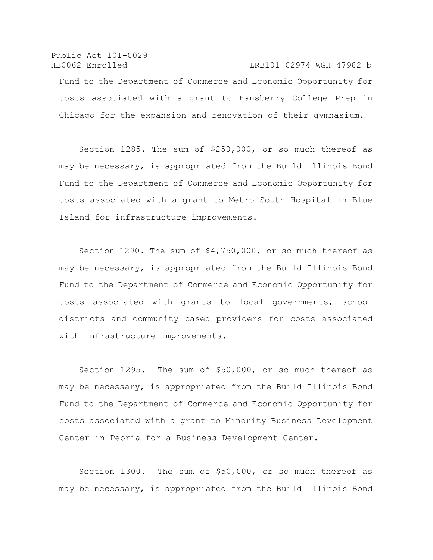Public Act 101-0029 HB0062 Enrolled LRB101 02974 WGH 47982 b Fund to the Department of Commerce and Economic Opportunity for costs associated with a grant to Hansberry College Prep in Chicago for the expansion and renovation of their gymnasium.

Section 1285. The sum of \$250,000, or so much thereof as may be necessary, is appropriated from the Build Illinois Bond Fund to the Department of Commerce and Economic Opportunity for costs associated with a grant to Metro South Hospital in Blue Island for infrastructure improvements.

Section 1290. The sum of \$4,750,000, or so much thereof as may be necessary, is appropriated from the Build Illinois Bond Fund to the Department of Commerce and Economic Opportunity for costs associated with grants to local governments, school districts and community based providers for costs associated with infrastructure improvements.

Section 1295. The sum of \$50,000, or so much thereof as may be necessary, is appropriated from the Build Illinois Bond Fund to the Department of Commerce and Economic Opportunity for costs associated with a grant to Minority Business Development Center in Peoria for a Business Development Center.

Section 1300. The sum of \$50,000, or so much thereof as may be necessary, is appropriated from the Build Illinois Bond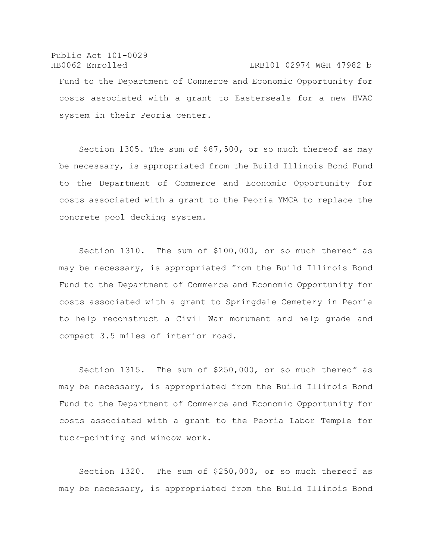# Public Act 101-0029 HB0062 Enrolled LRB101 02974 WGH 47982 b Fund to the Department of Commerce and Economic Opportunity for costs associated with a grant to Easterseals for a new HVAC system in their Peoria center.

Section 1305. The sum of \$87,500, or so much thereof as may be necessary, is appropriated from the Build Illinois Bond Fund to the Department of Commerce and Economic Opportunity for costs associated with a grant to the Peoria YMCA to replace the concrete pool decking system.

Section 1310. The sum of \$100,000, or so much thereof as may be necessary, is appropriated from the Build Illinois Bond Fund to the Department of Commerce and Economic Opportunity for costs associated with a grant to Springdale Cemetery in Peoria to help reconstruct a Civil War monument and help grade and compact 3.5 miles of interior road.

Section 1315. The sum of \$250,000, or so much thereof as may be necessary, is appropriated from the Build Illinois Bond Fund to the Department of Commerce and Economic Opportunity for costs associated with a grant to the Peoria Labor Temple for tuck-pointing and window work.

Section 1320. The sum of \$250,000, or so much thereof as may be necessary, is appropriated from the Build Illinois Bond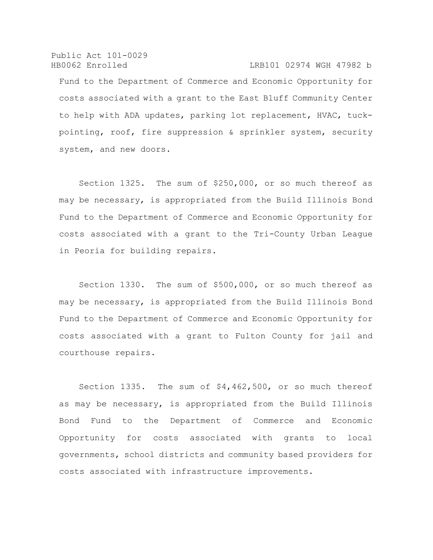Public Act 101-0029 HB0062 Enrolled LRB101 02974 WGH 47982 b Fund to the Department of Commerce and Economic Opportunity for costs associated with a grant to the East Bluff Community Center to help with ADA updates, parking lot replacement, HVAC, tuckpointing, roof, fire suppression & sprinkler system, security system, and new doors.

Section 1325. The sum of \$250,000, or so much thereof as may be necessary, is appropriated from the Build Illinois Bond Fund to the Department of Commerce and Economic Opportunity for costs associated with a grant to the Tri-County Urban League in Peoria for building repairs.

Section 1330. The sum of \$500,000, or so much thereof as may be necessary, is appropriated from the Build Illinois Bond Fund to the Department of Commerce and Economic Opportunity for costs associated with a grant to Fulton County for jail and courthouse repairs.

Section 1335. The sum of \$4,462,500, or so much thereof as may be necessary, is appropriated from the Build Illinois Bond Fund to the Department of Commerce and Economic Opportunity for costs associated with grants to local governments, school districts and community based providers for costs associated with infrastructure improvements.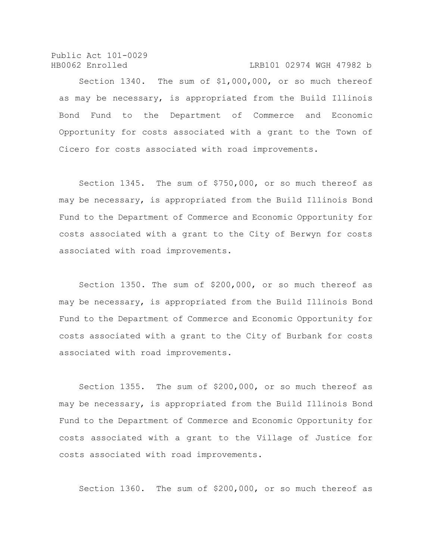Public Act 101-0029 HB0062 Enrolled LRB101 02974 WGH 47982 b

Section 1340. The sum of \$1,000,000, or so much thereof as may be necessary, is appropriated from the Build Illinois Bond Fund to the Department of Commerce and Economic Opportunity for costs associated with a grant to the Town of Cicero for costs associated with road improvements.

Section 1345. The sum of \$750,000, or so much thereof as may be necessary, is appropriated from the Build Illinois Bond Fund to the Department of Commerce and Economic Opportunity for costs associated with a grant to the City of Berwyn for costs associated with road improvements.

Section 1350. The sum of \$200,000, or so much thereof as may be necessary, is appropriated from the Build Illinois Bond Fund to the Department of Commerce and Economic Opportunity for costs associated with a grant to the City of Burbank for costs associated with road improvements.

Section 1355. The sum of \$200,000, or so much thereof as may be necessary, is appropriated from the Build Illinois Bond Fund to the Department of Commerce and Economic Opportunity for costs associated with a grant to the Village of Justice for costs associated with road improvements.

Section 1360. The sum of \$200,000, or so much thereof as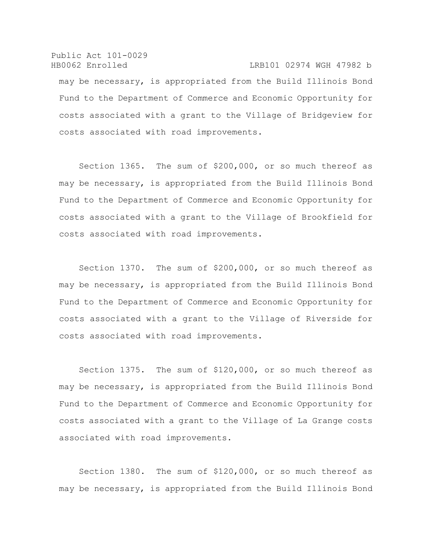Public Act 101-0029 HB0062 Enrolled LRB101 02974 WGH 47982 b may be necessary, is appropriated from the Build Illinois Bond Fund to the Department of Commerce and Economic Opportunity for costs associated with a grant to the Village of Bridgeview for costs associated with road improvements.

Section 1365. The sum of \$200,000, or so much thereof as may be necessary, is appropriated from the Build Illinois Bond Fund to the Department of Commerce and Economic Opportunity for costs associated with a grant to the Village of Brookfield for costs associated with road improvements.

Section 1370. The sum of \$200,000, or so much thereof as may be necessary, is appropriated from the Build Illinois Bond Fund to the Department of Commerce and Economic Opportunity for costs associated with a grant to the Village of Riverside for costs associated with road improvements.

Section 1375. The sum of \$120,000, or so much thereof as may be necessary, is appropriated from the Build Illinois Bond Fund to the Department of Commerce and Economic Opportunity for costs associated with a grant to the Village of La Grange costs associated with road improvements.

Section 1380. The sum of \$120,000, or so much thereof as may be necessary, is appropriated from the Build Illinois Bond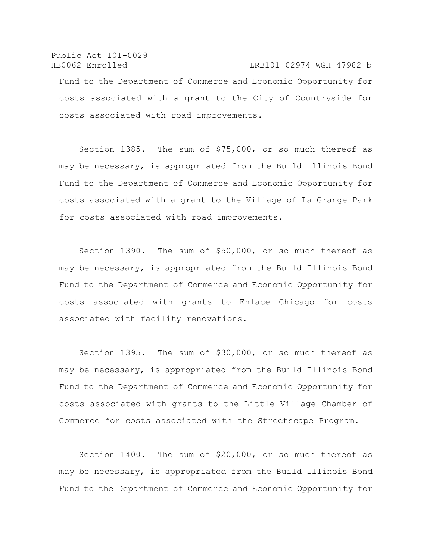Public Act 101-0029 HB0062 Enrolled LRB101 02974 WGH 47982 b Fund to the Department of Commerce and Economic Opportunity for costs associated with a grant to the City of Countryside for costs associated with road improvements.

Section 1385. The sum of \$75,000, or so much thereof as may be necessary, is appropriated from the Build Illinois Bond Fund to the Department of Commerce and Economic Opportunity for costs associated with a grant to the Village of La Grange Park for costs associated with road improvements.

Section 1390. The sum of \$50,000, or so much thereof as may be necessary, is appropriated from the Build Illinois Bond Fund to the Department of Commerce and Economic Opportunity for costs associated with grants to Enlace Chicago for costs associated with facility renovations.

Section 1395. The sum of \$30,000, or so much thereof as may be necessary, is appropriated from the Build Illinois Bond Fund to the Department of Commerce and Economic Opportunity for costs associated with grants to the Little Village Chamber of Commerce for costs associated with the Streetscape Program.

Section 1400. The sum of \$20,000, or so much thereof as may be necessary, is appropriated from the Build Illinois Bond Fund to the Department of Commerce and Economic Opportunity for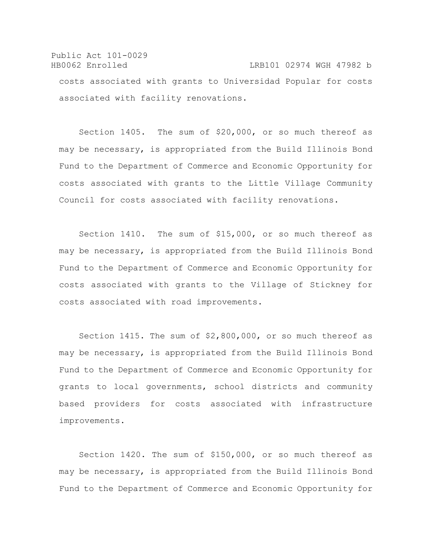Public Act 101-0029 HB0062 Enrolled LRB101 02974 WGH 47982 b costs associated with grants to Universidad Popular for costs associated with facility renovations.

Section 1405. The sum of \$20,000, or so much thereof as may be necessary, is appropriated from the Build Illinois Bond Fund to the Department of Commerce and Economic Opportunity for costs associated with grants to the Little Village Community Council for costs associated with facility renovations.

Section 1410. The sum of \$15,000, or so much thereof as may be necessary, is appropriated from the Build Illinois Bond Fund to the Department of Commerce and Economic Opportunity for costs associated with grants to the Village of Stickney for costs associated with road improvements.

Section 1415. The sum of \$2,800,000, or so much thereof as may be necessary, is appropriated from the Build Illinois Bond Fund to the Department of Commerce and Economic Opportunity for grants to local governments, school districts and community based providers for costs associated with infrastructure improvements.

Section 1420. The sum of \$150,000, or so much thereof as may be necessary, is appropriated from the Build Illinois Bond Fund to the Department of Commerce and Economic Opportunity for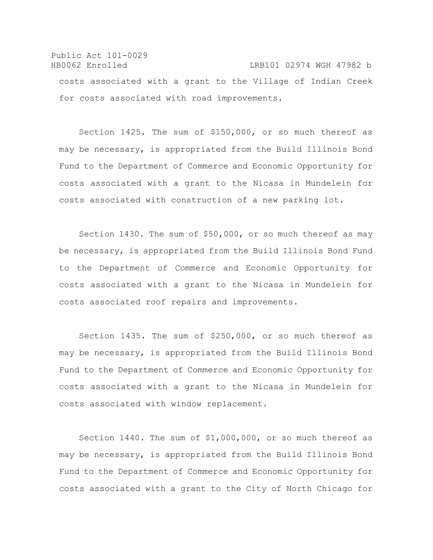Public Act 101-0029 HB0062 Enrolled LRB101 02974 WGH 47982 b costs associated with a grant to the Village of Indian Creek for costs associated with road improvements.

Section 1425. The sum of \$150,000, or so much thereof as may be necessary, is appropriated from the Build Illinois Bond Fund to the Department of Commerce and Economic Opportunity for costs associated with a grant to the Nicasa in Mundelein for costs associated with construction of a new parking lot.

Section 1430. The sum of \$50,000, or so much thereof as may be necessary, is appropriated from the Build Illinois Bond Fund to the Department of Commerce and Economic Opportunity for costs associated with a grant to the Nicasa in Mundelein for costs associated roof repairs and improvements.

Section 1435. The sum of \$250,000, or so much thereof as may be necessary, is appropriated from the Build Illinois Bond Fund to the Department of Commerce and Economic Opportunity for costs associated with a grant to the Nicasa in Mundelein for costs associated with window replacement.

Section 1440. The sum of \$1,000,000, or so much thereof as may be necessary, is appropriated from the Build Illinois Bond Fund to the Department of Commerce and Economic Opportunity for costs associated with a grant to the City of North Chicago for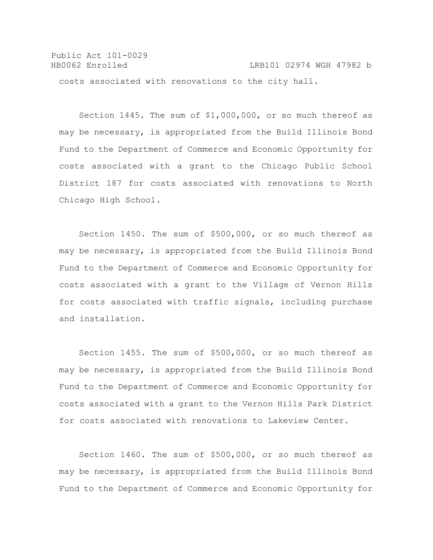Public Act 101-0029 HB0062 Enrolled LRB101 02974 WGH 47982 b costs associated with renovations to the city hall.

Section 1445. The sum of \$1,000,000, or so much thereof as may be necessary, is appropriated from the Build Illinois Bond Fund to the Department of Commerce and Economic Opportunity for costs associated with a grant to the Chicago Public School District 187 for costs associated with renovations to North Chicago High School.

Section 1450. The sum of \$500,000, or so much thereof as may be necessary, is appropriated from the Build Illinois Bond Fund to the Department of Commerce and Economic Opportunity for costs associated with a grant to the Village of Vernon Hills for costs associated with traffic signals, including purchase and installation.

Section 1455. The sum of \$500,000, or so much thereof as may be necessary, is appropriated from the Build Illinois Bond Fund to the Department of Commerce and Economic Opportunity for costs associated with a grant to the Vernon Hills Park District for costs associated with renovations to Lakeview Center.

Section 1460. The sum of \$500,000, or so much thereof as may be necessary, is appropriated from the Build Illinois Bond Fund to the Department of Commerce and Economic Opportunity for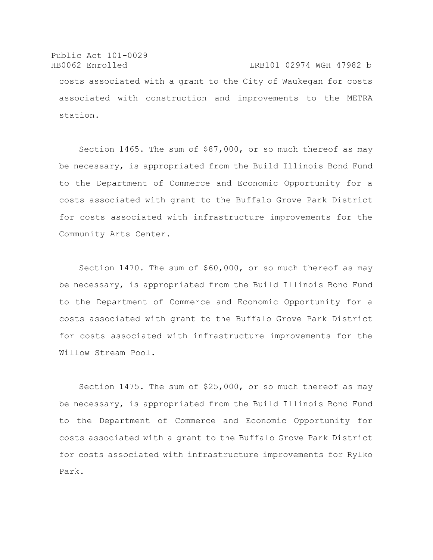Public Act 101-0029 HB0062 Enrolled LRB101 02974 WGH 47982 b costs associated with a grant to the City of Waukegan for costs associated with construction and improvements to the METRA station.

Section 1465. The sum of \$87,000, or so much thereof as may be necessary, is appropriated from the Build Illinois Bond Fund to the Department of Commerce and Economic Opportunity for a costs associated with grant to the Buffalo Grove Park District for costs associated with infrastructure improvements for the Community Arts Center.

Section 1470. The sum of \$60,000, or so much thereof as may be necessary, is appropriated from the Build Illinois Bond Fund to the Department of Commerce and Economic Opportunity for a costs associated with grant to the Buffalo Grove Park District for costs associated with infrastructure improvements for the Willow Stream Pool.

Section 1475. The sum of \$25,000, or so much thereof as may be necessary, is appropriated from the Build Illinois Bond Fund to the Department of Commerce and Economic Opportunity for costs associated with a grant to the Buffalo Grove Park District for costs associated with infrastructure improvements for Rylko Park.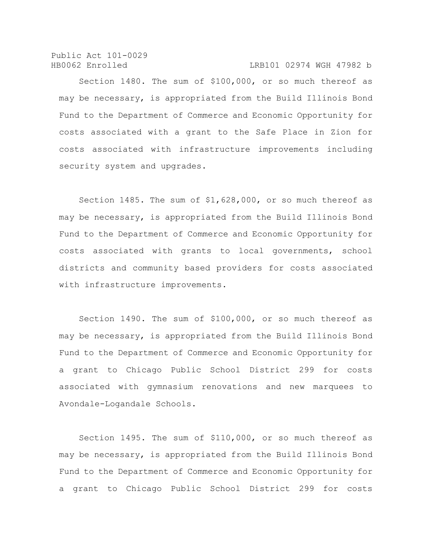HB0062 Enrolled LRB101 02974 WGH 47982 b

Section 1480. The sum of \$100,000, or so much thereof as may be necessary, is appropriated from the Build Illinois Bond Fund to the Department of Commerce and Economic Opportunity for costs associated with a grant to the Safe Place in Zion for costs associated with infrastructure improvements including security system and upgrades.

Section 1485. The sum of \$1,628,000, or so much thereof as may be necessary, is appropriated from the Build Illinois Bond Fund to the Department of Commerce and Economic Opportunity for costs associated with grants to local governments, school districts and community based providers for costs associated with infrastructure improvements.

Section 1490. The sum of \$100,000, or so much thereof as may be necessary, is appropriated from the Build Illinois Bond Fund to the Department of Commerce and Economic Opportunity for a grant to Chicago Public School District 299 for costs associated with gymnasium renovations and new marquees to Avondale-Logandale Schools.

Section 1495. The sum of \$110,000, or so much thereof as may be necessary, is appropriated from the Build Illinois Bond Fund to the Department of Commerce and Economic Opportunity for a grant to Chicago Public School District 299 for costs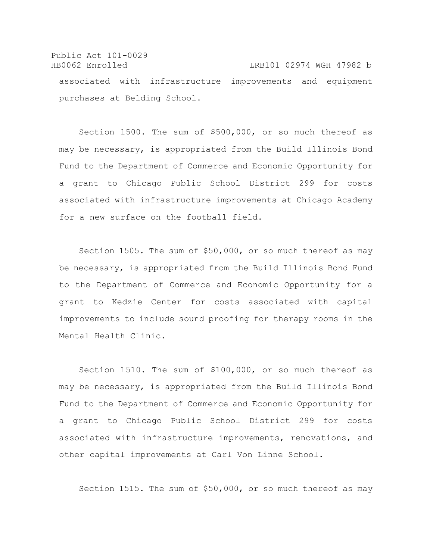Public Act 101-0029 HB0062 Enrolled LRB101 02974 WGH 47982 b associated with infrastructure improvements and equipment purchases at Belding School.

Section 1500. The sum of \$500,000, or so much thereof as may be necessary, is appropriated from the Build Illinois Bond Fund to the Department of Commerce and Economic Opportunity for a grant to Chicago Public School District 299 for costs associated with infrastructure improvements at Chicago Academy for a new surface on the football field.

Section 1505. The sum of \$50,000, or so much thereof as may be necessary, is appropriated from the Build Illinois Bond Fund to the Department of Commerce and Economic Opportunity for a grant to Kedzie Center for costs associated with capital improvements to include sound proofing for therapy rooms in the Mental Health Clinic.

Section 1510. The sum of \$100,000, or so much thereof as may be necessary, is appropriated from the Build Illinois Bond Fund to the Department of Commerce and Economic Opportunity for a grant to Chicago Public School District 299 for costs associated with infrastructure improvements, renovations, and other capital improvements at Carl Von Linne School.

Section 1515. The sum of \$50,000, or so much thereof as may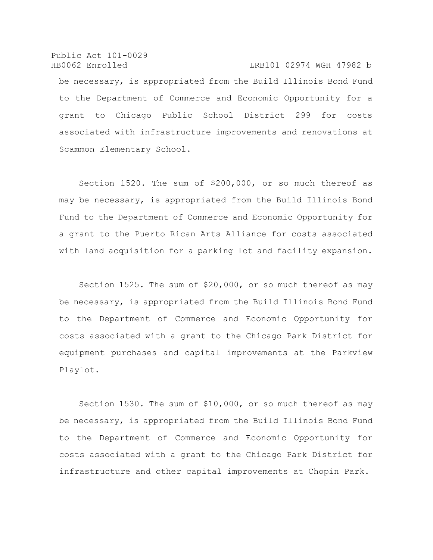Public Act 101-0029 HB0062 Enrolled LRB101 02974 WGH 47982 b be necessary, is appropriated from the Build Illinois Bond Fund to the Department of Commerce and Economic Opportunity for a grant to Chicago Public School District 299 for costs associated with infrastructure improvements and renovations at Scammon Elementary School.

Section 1520. The sum of \$200,000, or so much thereof as may be necessary, is appropriated from the Build Illinois Bond Fund to the Department of Commerce and Economic Opportunity for a grant to the Puerto Rican Arts Alliance for costs associated with land acquisition for a parking lot and facility expansion.

Section 1525. The sum of \$20,000, or so much thereof as may be necessary, is appropriated from the Build Illinois Bond Fund to the Department of Commerce and Economic Opportunity for costs associated with a grant to the Chicago Park District for equipment purchases and capital improvements at the Parkview Playlot.

Section 1530. The sum of \$10,000, or so much thereof as may be necessary, is appropriated from the Build Illinois Bond Fund to the Department of Commerce and Economic Opportunity for costs associated with a grant to the Chicago Park District for infrastructure and other capital improvements at Chopin Park.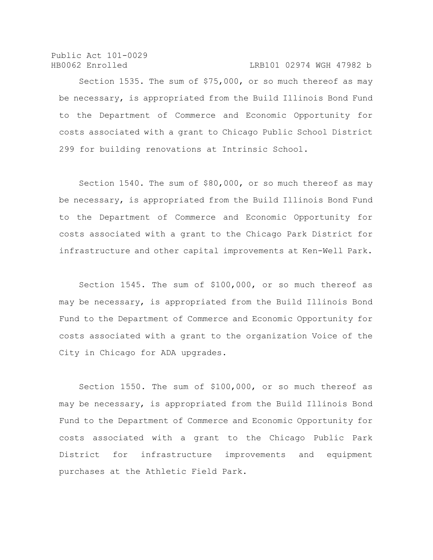#### HB0062 Enrolled LRB101 02974 WGH 47982 b

Section 1535. The sum of \$75,000, or so much thereof as may be necessary, is appropriated from the Build Illinois Bond Fund to the Department of Commerce and Economic Opportunity for costs associated with a grant to Chicago Public School District 299 for building renovations at Intrinsic School.

Section 1540. The sum of \$80,000, or so much thereof as may be necessary, is appropriated from the Build Illinois Bond Fund to the Department of Commerce and Economic Opportunity for costs associated with a grant to the Chicago Park District for infrastructure and other capital improvements at Ken-Well Park.

Section 1545. The sum of \$100,000, or so much thereof as may be necessary, is appropriated from the Build Illinois Bond Fund to the Department of Commerce and Economic Opportunity for costs associated with a grant to the organization Voice of the City in Chicago for ADA upgrades.

Section 1550. The sum of \$100,000, or so much thereof as may be necessary, is appropriated from the Build Illinois Bond Fund to the Department of Commerce and Economic Opportunity for costs associated with a grant to the Chicago Public Park District for infrastructure improvements and equipment purchases at the Athletic Field Park.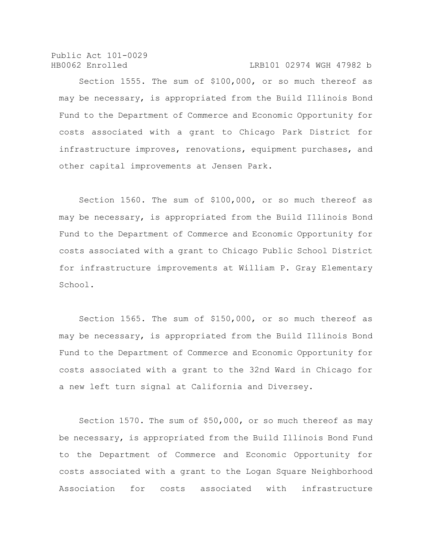Public Act 101-0029 HB0062 Enrolled LRB101 02974 WGH 47982 b

Section 1555. The sum of \$100,000, or so much thereof as may be necessary, is appropriated from the Build Illinois Bond Fund to the Department of Commerce and Economic Opportunity for costs associated with a grant to Chicago Park District for infrastructure improves, renovations, equipment purchases, and other capital improvements at Jensen Park.

Section 1560. The sum of \$100,000, or so much thereof as may be necessary, is appropriated from the Build Illinois Bond Fund to the Department of Commerce and Economic Opportunity for costs associated with a grant to Chicago Public School District for infrastructure improvements at William P. Gray Elementary School.

Section 1565. The sum of \$150,000, or so much thereof as may be necessary, is appropriated from the Build Illinois Bond Fund to the Department of Commerce and Economic Opportunity for costs associated with a grant to the 32nd Ward in Chicago for a new left turn signal at California and Diversey.

Section 1570. The sum of \$50,000, or so much thereof as may be necessary, is appropriated from the Build Illinois Bond Fund to the Department of Commerce and Economic Opportunity for costs associated with a grant to the Logan Square Neighborhood Association for costs associated with infrastructure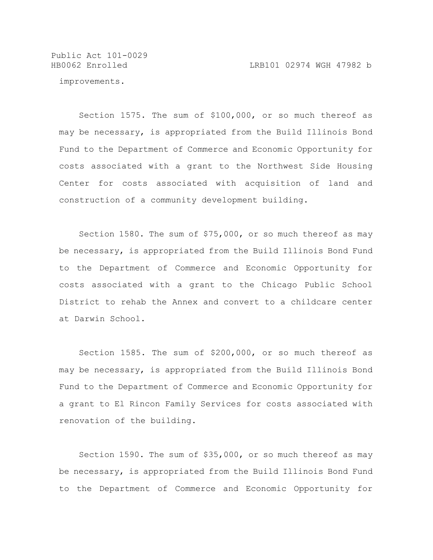improvements.

Section 1575. The sum of \$100,000, or so much thereof as may be necessary, is appropriated from the Build Illinois Bond Fund to the Department of Commerce and Economic Opportunity for costs associated with a grant to the Northwest Side Housing Center for costs associated with acquisition of land and construction of a community development building.

Section 1580. The sum of \$75,000, or so much thereof as may be necessary, is appropriated from the Build Illinois Bond Fund to the Department of Commerce and Economic Opportunity for costs associated with a grant to the Chicago Public School District to rehab the Annex and convert to a childcare center at Darwin School.

Section 1585. The sum of \$200,000, or so much thereof as may be necessary, is appropriated from the Build Illinois Bond Fund to the Department of Commerce and Economic Opportunity for a grant to El Rincon Family Services for costs associated with renovation of the building.

Section 1590. The sum of \$35,000, or so much thereof as may be necessary, is appropriated from the Build Illinois Bond Fund to the Department of Commerce and Economic Opportunity for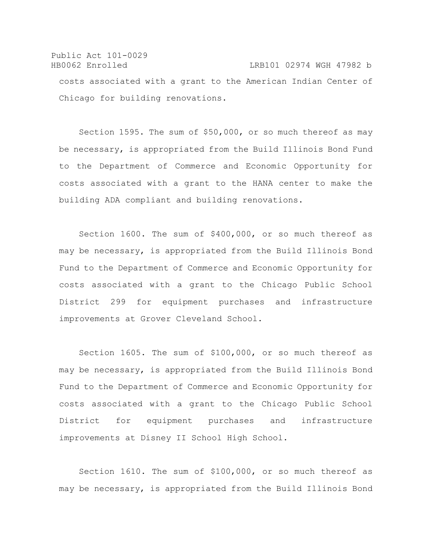### Public Act 101-0029 HB0062 Enrolled LRB101 02974 WGH 47982 b costs associated with a grant to the American Indian Center of Chicago for building renovations.

Section 1595. The sum of \$50,000, or so much thereof as may be necessary, is appropriated from the Build Illinois Bond Fund to the Department of Commerce and Economic Opportunity for costs associated with a grant to the HANA center to make the building ADA compliant and building renovations.

Section 1600. The sum of \$400,000, or so much thereof as may be necessary, is appropriated from the Build Illinois Bond Fund to the Department of Commerce and Economic Opportunity for costs associated with a grant to the Chicago Public School District 299 for equipment purchases and infrastructure improvements at Grover Cleveland School.

Section 1605. The sum of \$100,000, or so much thereof as may be necessary, is appropriated from the Build Illinois Bond Fund to the Department of Commerce and Economic Opportunity for costs associated with a grant to the Chicago Public School District for equipment purchases and infrastructure improvements at Disney II School High School.

Section 1610. The sum of \$100,000, or so much thereof as may be necessary, is appropriated from the Build Illinois Bond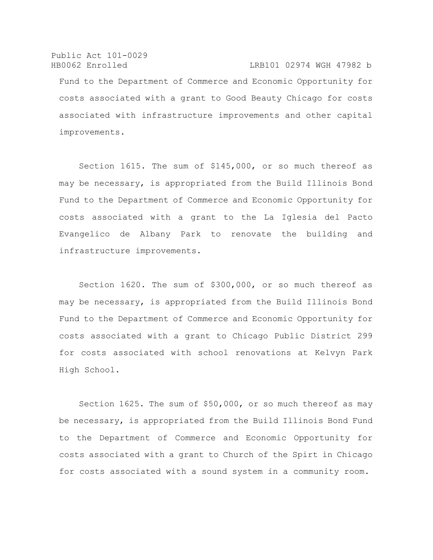Public Act 101-0029 HB0062 Enrolled LRB101 02974 WGH 47982 b Fund to the Department of Commerce and Economic Opportunity for costs associated with a grant to Good Beauty Chicago for costs associated with infrastructure improvements and other capital improvements.

Section 1615. The sum of \$145,000, or so much thereof as may be necessary, is appropriated from the Build Illinois Bond Fund to the Department of Commerce and Economic Opportunity for costs associated with a grant to the La Iglesia del Pacto Evangelico de Albany Park to renovate the building and infrastructure improvements.

Section 1620. The sum of \$300,000, or so much thereof as may be necessary, is appropriated from the Build Illinois Bond Fund to the Department of Commerce and Economic Opportunity for costs associated with a grant to Chicago Public District 299 for costs associated with school renovations at Kelvyn Park High School.

Section 1625. The sum of \$50,000, or so much thereof as may be necessary, is appropriated from the Build Illinois Bond Fund to the Department of Commerce and Economic Opportunity for costs associated with a grant to Church of the Spirt in Chicago for costs associated with a sound system in a community room.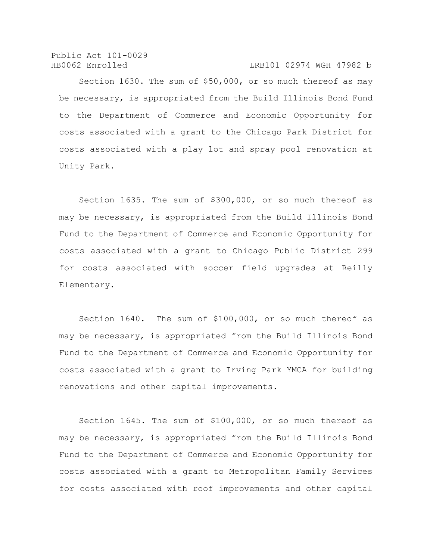#### HB0062 Enrolled LRB101 02974 WGH 47982 b

Section 1630. The sum of \$50,000, or so much thereof as may be necessary, is appropriated from the Build Illinois Bond Fund to the Department of Commerce and Economic Opportunity for costs associated with a grant to the Chicago Park District for costs associated with a play lot and spray pool renovation at Unity Park.

Section 1635. The sum of \$300,000, or so much thereof as may be necessary, is appropriated from the Build Illinois Bond Fund to the Department of Commerce and Economic Opportunity for costs associated with a grant to Chicago Public District 299 for costs associated with soccer field upgrades at Reilly Elementary.

Section 1640. The sum of \$100,000, or so much thereof as may be necessary, is appropriated from the Build Illinois Bond Fund to the Department of Commerce and Economic Opportunity for costs associated with a grant to Irving Park YMCA for building renovations and other capital improvements.

Section 1645. The sum of \$100,000, or so much thereof as may be necessary, is appropriated from the Build Illinois Bond Fund to the Department of Commerce and Economic Opportunity for costs associated with a grant to Metropolitan Family Services for costs associated with roof improvements and other capital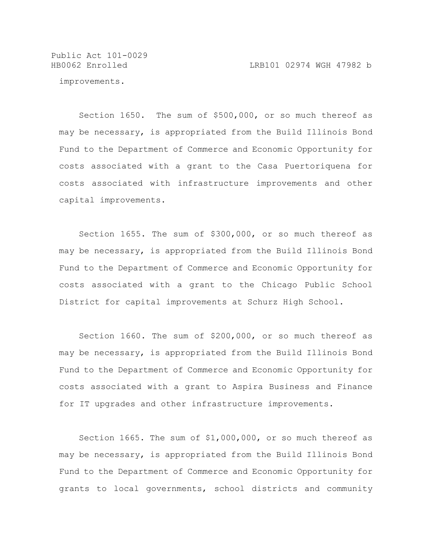Public Act 101-0029

improvements.

Section 1650. The sum of \$500,000, or so much thereof as may be necessary, is appropriated from the Build Illinois Bond Fund to the Department of Commerce and Economic Opportunity for costs associated with a grant to the Casa Puertoriquena for costs associated with infrastructure improvements and other capital improvements.

Section 1655. The sum of \$300,000, or so much thereof as may be necessary, is appropriated from the Build Illinois Bond Fund to the Department of Commerce and Economic Opportunity for costs associated with a grant to the Chicago Public School District for capital improvements at Schurz High School.

Section 1660. The sum of \$200,000, or so much thereof as may be necessary, is appropriated from the Build Illinois Bond Fund to the Department of Commerce and Economic Opportunity for costs associated with a grant to Aspira Business and Finance for IT upgrades and other infrastructure improvements.

Section 1665. The sum of \$1,000,000, or so much thereof as may be necessary, is appropriated from the Build Illinois Bond Fund to the Department of Commerce and Economic Opportunity for grants to local governments, school districts and community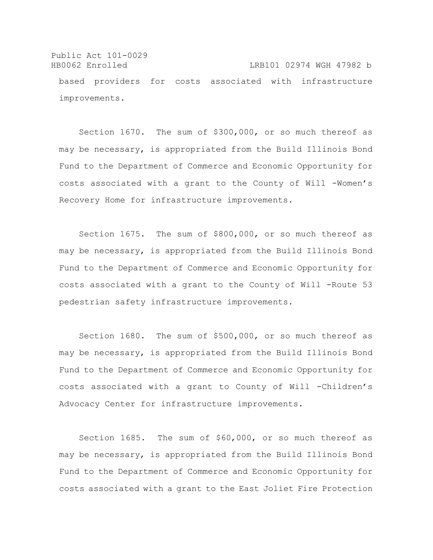Public Act 101-0029 HB0062 Enrolled LRB101 02974 WGH 47982 b based providers for costs associated with infrastructure improvements.

Section 1670. The sum of \$300,000, or so much thereof as may be necessary, is appropriated from the Build Illinois Bond Fund to the Department of Commerce and Economic Opportunity for costs associated with a grant to the County of Will -Women's Recovery Home for infrastructure improvements.

Section 1675. The sum of \$800,000, or so much thereof as may be necessary, is appropriated from the Build Illinois Bond Fund to the Department of Commerce and Economic Opportunity for costs associated with a grant to the County of Will -Route 53 pedestrian safety infrastructure improvements.

Section 1680. The sum of \$500,000, or so much thereof as may be necessary, is appropriated from the Build Illinois Bond Fund to the Department of Commerce and Economic Opportunity for costs associated with a grant to County of Will -Children's Advocacy Center for infrastructure improvements.

Section 1685. The sum of \$60,000, or so much thereof as may be necessary, is appropriated from the Build Illinois Bond Fund to the Department of Commerce and Economic Opportunity for costs associated with a grant to the East Joliet Fire Protection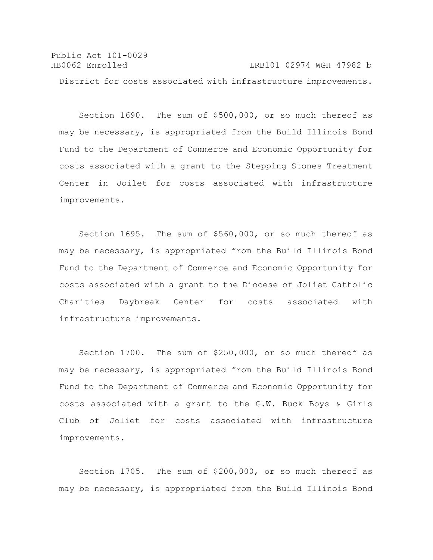Public Act 101-0029 HB0062 Enrolled LRB101 02974 WGH 47982 b District for costs associated with infrastructure improvements.

Section 1690. The sum of \$500,000, or so much thereof as may be necessary, is appropriated from the Build Illinois Bond Fund to the Department of Commerce and Economic Opportunity for costs associated with a grant to the Stepping Stones Treatment Center in Joilet for costs associated with infrastructure improvements.

Section 1695. The sum of \$560,000, or so much thereof as may be necessary, is appropriated from the Build Illinois Bond Fund to the Department of Commerce and Economic Opportunity for costs associated with a grant to the Diocese of Joliet Catholic Charities Daybreak Center for costs associated with infrastructure improvements.

Section 1700. The sum of \$250,000, or so much thereof as may be necessary, is appropriated from the Build Illinois Bond Fund to the Department of Commerce and Economic Opportunity for costs associated with a grant to the G.W. Buck Boys & Girls Club of Joliet for costs associated with infrastructure improvements.

Section 1705. The sum of \$200,000, or so much thereof as may be necessary, is appropriated from the Build Illinois Bond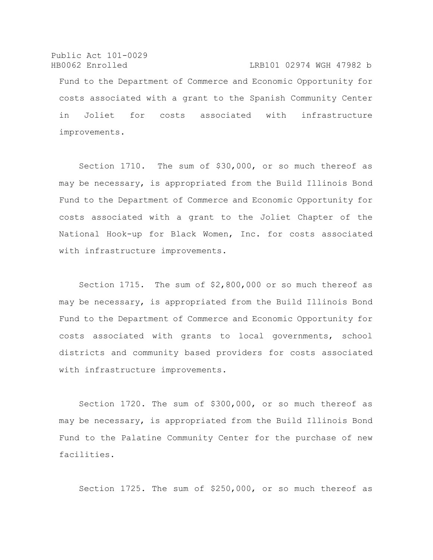Public Act 101-0029 HB0062 Enrolled LRB101 02974 WGH 47982 b Fund to the Department of Commerce and Economic Opportunity for costs associated with a grant to the Spanish Community Center in Joliet for costs associated with infrastructure improvements.

Section 1710. The sum of \$30,000, or so much thereof as may be necessary, is appropriated from the Build Illinois Bond Fund to the Department of Commerce and Economic Opportunity for costs associated with a grant to the Joliet Chapter of the National Hook-up for Black Women, Inc. for costs associated with infrastructure improvements.

Section 1715. The sum of \$2,800,000 or so much thereof as may be necessary, is appropriated from the Build Illinois Bond Fund to the Department of Commerce and Economic Opportunity for costs associated with grants to local governments, school districts and community based providers for costs associated with infrastructure improvements.

Section 1720. The sum of \$300,000, or so much thereof as may be necessary, is appropriated from the Build Illinois Bond Fund to the Palatine Community Center for the purchase of new facilities.

Section 1725. The sum of \$250,000, or so much thereof as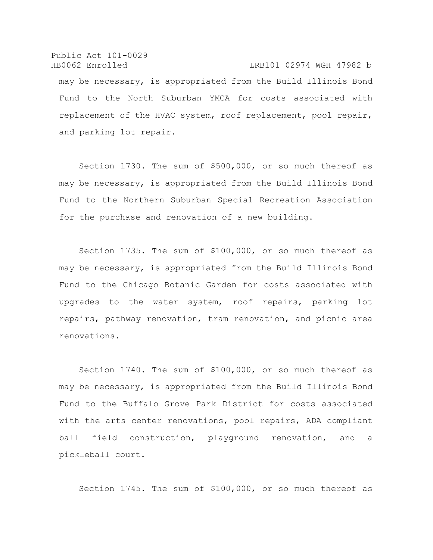Public Act 101-0029 HB0062 Enrolled LRB101 02974 WGH 47982 b may be necessary, is appropriated from the Build Illinois Bond Fund to the North Suburban YMCA for costs associated with replacement of the HVAC system, roof replacement, pool repair, and parking lot repair.

Section 1730. The sum of \$500,000, or so much thereof as may be necessary, is appropriated from the Build Illinois Bond Fund to the Northern Suburban Special Recreation Association for the purchase and renovation of a new building.

Section 1735. The sum of \$100,000, or so much thereof as may be necessary, is appropriated from the Build Illinois Bond Fund to the Chicago Botanic Garden for costs associated with upgrades to the water system, roof repairs, parking lot repairs, pathway renovation, tram renovation, and picnic area renovations.

Section 1740. The sum of \$100,000, or so much thereof as may be necessary, is appropriated from the Build Illinois Bond Fund to the Buffalo Grove Park District for costs associated with the arts center renovations, pool repairs, ADA compliant ball field construction, playground renovation, and a pickleball court.

Section 1745. The sum of \$100,000, or so much thereof as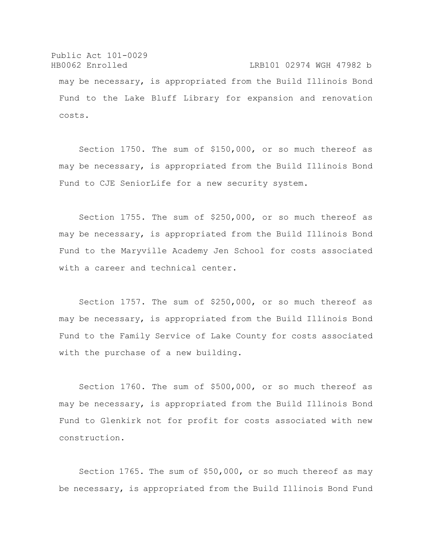Public Act 101-0029 HB0062 Enrolled LRB101 02974 WGH 47982 b may be necessary, is appropriated from the Build Illinois Bond Fund to the Lake Bluff Library for expansion and renovation costs.

Section 1750. The sum of \$150,000, or so much thereof as may be necessary, is appropriated from the Build Illinois Bond Fund to CJE SeniorLife for a new security system.

Section 1755. The sum of \$250,000, or so much thereof as may be necessary, is appropriated from the Build Illinois Bond Fund to the Maryville Academy Jen School for costs associated with a career and technical center.

Section 1757. The sum of \$250,000, or so much thereof as may be necessary, is appropriated from the Build Illinois Bond Fund to the Family Service of Lake County for costs associated with the purchase of a new building.

Section 1760. The sum of \$500,000, or so much thereof as may be necessary, is appropriated from the Build Illinois Bond Fund to Glenkirk not for profit for costs associated with new construction.

Section 1765. The sum of \$50,000, or so much thereof as may be necessary, is appropriated from the Build Illinois Bond Fund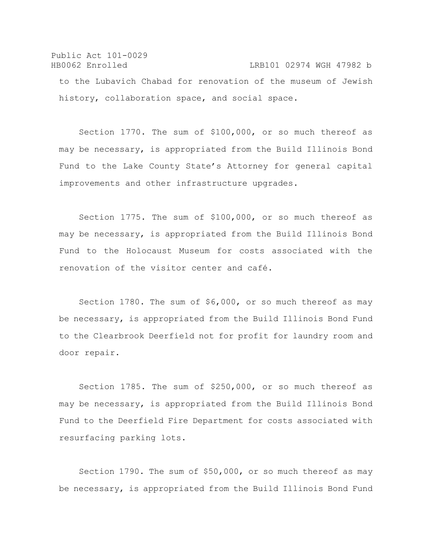Public Act 101-0029 HB0062 Enrolled LRB101 02974 WGH 47982 b to the Lubavich Chabad for renovation of the museum of Jewish history, collaboration space, and social space.

Section 1770. The sum of \$100,000, or so much thereof as may be necessary, is appropriated from the Build Illinois Bond Fund to the Lake County State's Attorney for general capital improvements and other infrastructure upgrades.

Section 1775. The sum of \$100,000, or so much thereof as may be necessary, is appropriated from the Build Illinois Bond Fund to the Holocaust Museum for costs associated with the renovation of the visitor center and café.

Section 1780. The sum of \$6,000, or so much thereof as may be necessary, is appropriated from the Build Illinois Bond Fund to the Clearbrook Deerfield not for profit for laundry room and door repair.

Section 1785. The sum of \$250,000, or so much thereof as may be necessary, is appropriated from the Build Illinois Bond Fund to the Deerfield Fire Department for costs associated with resurfacing parking lots.

Section 1790. The sum of \$50,000, or so much thereof as may be necessary, is appropriated from the Build Illinois Bond Fund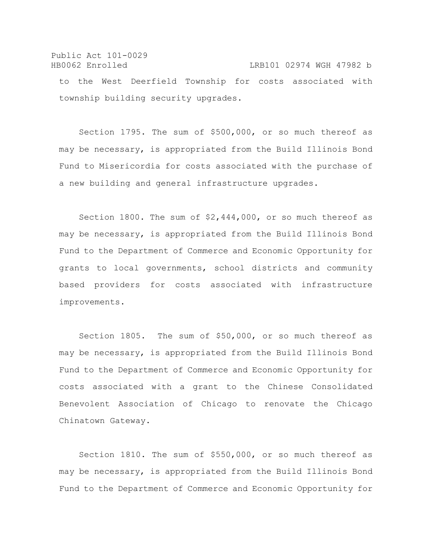Public Act 101-0029 HB0062 Enrolled LRB101 02974 WGH 47982 b to the West Deerfield Township for costs associated with township building security upgrades.

Section 1795. The sum of \$500,000, or so much thereof as may be necessary, is appropriated from the Build Illinois Bond Fund to Misericordia for costs associated with the purchase of a new building and general infrastructure upgrades.

Section 1800. The sum of \$2,444,000, or so much thereof as may be necessary, is appropriated from the Build Illinois Bond Fund to the Department of Commerce and Economic Opportunity for grants to local governments, school districts and community based providers for costs associated with infrastructure improvements.

Section 1805. The sum of \$50,000, or so much thereof as may be necessary, is appropriated from the Build Illinois Bond Fund to the Department of Commerce and Economic Opportunity for costs associated with a grant to the Chinese Consolidated Benevolent Association of Chicago to renovate the Chicago Chinatown Gateway.

Section 1810. The sum of \$550,000, or so much thereof as may be necessary, is appropriated from the Build Illinois Bond Fund to the Department of Commerce and Economic Opportunity for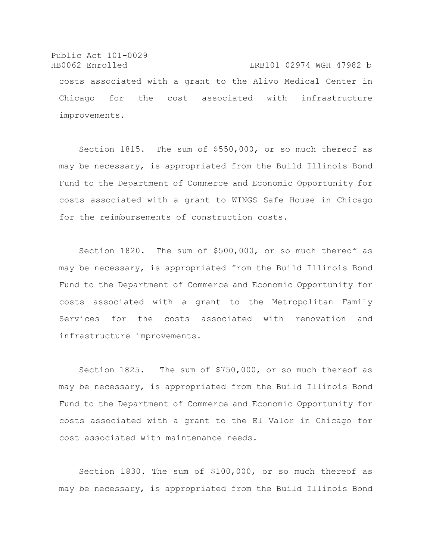Public Act 101-0029 HB0062 Enrolled LRB101 02974 WGH 47982 b costs associated with a grant to the Alivo Medical Center in Chicago for the cost associated with infrastructure improvements.

Section 1815. The sum of \$550,000, or so much thereof as may be necessary, is appropriated from the Build Illinois Bond Fund to the Department of Commerce and Economic Opportunity for costs associated with a grant to WINGS Safe House in Chicago for the reimbursements of construction costs.

Section 1820. The sum of \$500,000, or so much thereof as may be necessary, is appropriated from the Build Illinois Bond Fund to the Department of Commerce and Economic Opportunity for costs associated with a grant to the Metropolitan Family Services for the costs associated with renovation and infrastructure improvements.

Section 1825. The sum of \$750,000, or so much thereof as may be necessary, is appropriated from the Build Illinois Bond Fund to the Department of Commerce and Economic Opportunity for costs associated with a grant to the El Valor in Chicago for cost associated with maintenance needs.

Section 1830. The sum of \$100,000, or so much thereof as may be necessary, is appropriated from the Build Illinois Bond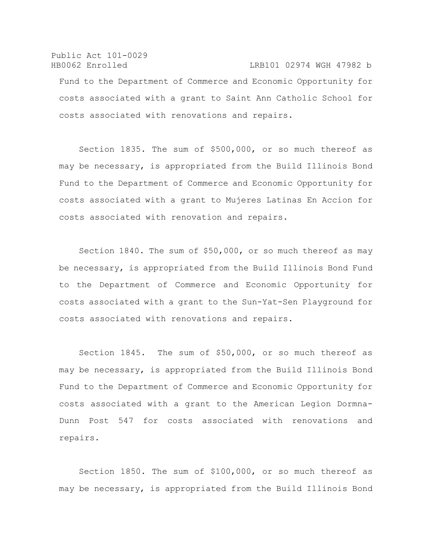Public Act 101-0029 HB0062 Enrolled LRB101 02974 WGH 47982 b Fund to the Department of Commerce and Economic Opportunity for costs associated with a grant to Saint Ann Catholic School for costs associated with renovations and repairs.

Section 1835. The sum of \$500,000, or so much thereof as may be necessary, is appropriated from the Build Illinois Bond Fund to the Department of Commerce and Economic Opportunity for costs associated with a grant to Mujeres Latinas En Accion for costs associated with renovation and repairs.

Section 1840. The sum of \$50,000, or so much thereof as may be necessary, is appropriated from the Build Illinois Bond Fund to the Department of Commerce and Economic Opportunity for costs associated with a grant to the Sun-Yat-Sen Playground for costs associated with renovations and repairs.

Section 1845. The sum of \$50,000, or so much thereof as may be necessary, is appropriated from the Build Illinois Bond Fund to the Department of Commerce and Economic Opportunity for costs associated with a grant to the American Legion Dormna-Dunn Post 547 for costs associated with renovations and repairs.

Section 1850. The sum of \$100,000, or so much thereof as may be necessary, is appropriated from the Build Illinois Bond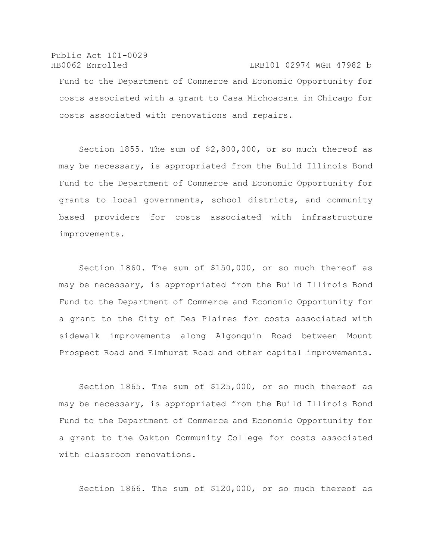Public Act 101-0029 HB0062 Enrolled LRB101 02974 WGH 47982 b Fund to the Department of Commerce and Economic Opportunity for costs associated with a grant to Casa Michoacana in Chicago for costs associated with renovations and repairs.

Section 1855. The sum of \$2,800,000, or so much thereof as may be necessary, is appropriated from the Build Illinois Bond Fund to the Department of Commerce and Economic Opportunity for grants to local governments, school districts, and community based providers for costs associated with infrastructure improvements.

Section 1860. The sum of \$150,000, or so much thereof as may be necessary, is appropriated from the Build Illinois Bond Fund to the Department of Commerce and Economic Opportunity for a grant to the City of Des Plaines for costs associated with sidewalk improvements along Algonquin Road between Mount Prospect Road and Elmhurst Road and other capital improvements.

Section 1865. The sum of \$125,000, or so much thereof as may be necessary, is appropriated from the Build Illinois Bond Fund to the Department of Commerce and Economic Opportunity for a grant to the Oakton Community College for costs associated with classroom renovations.

Section 1866. The sum of \$120,000, or so much thereof as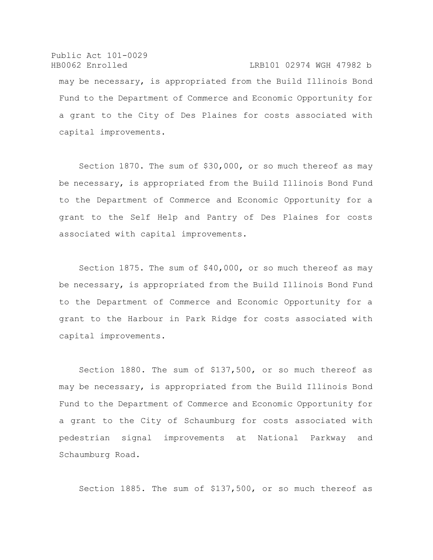Public Act 101-0029 HB0062 Enrolled LRB101 02974 WGH 47982 b may be necessary, is appropriated from the Build Illinois Bond Fund to the Department of Commerce and Economic Opportunity for a grant to the City of Des Plaines for costs associated with capital improvements.

Section 1870. The sum of \$30,000, or so much thereof as may be necessary, is appropriated from the Build Illinois Bond Fund to the Department of Commerce and Economic Opportunity for a grant to the Self Help and Pantry of Des Plaines for costs associated with capital improvements.

Section 1875. The sum of \$40,000, or so much thereof as may be necessary, is appropriated from the Build Illinois Bond Fund to the Department of Commerce and Economic Opportunity for a grant to the Harbour in Park Ridge for costs associated with capital improvements.

Section 1880. The sum of \$137,500, or so much thereof as may be necessary, is appropriated from the Build Illinois Bond Fund to the Department of Commerce and Economic Opportunity for a grant to the City of Schaumburg for costs associated with pedestrian signal improvements at National Parkway and Schaumburg Road.

Section 1885. The sum of \$137,500, or so much thereof as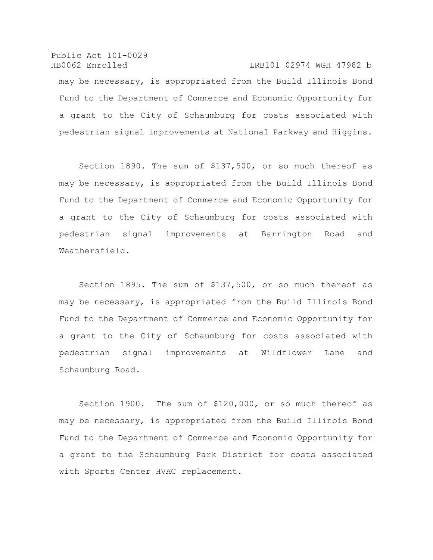Public Act 101-0029 HB0062 Enrolled LRB101 02974 WGH 47982 b may be necessary, is appropriated from the Build Illinois Bond Fund to the Department of Commerce and Economic Opportunity for a grant to the City of Schaumburg for costs associated with pedestrian signal improvements at National Parkway and Higgins.

Section 1890. The sum of \$137,500, or so much thereof as may be necessary, is appropriated from the Build Illinois Bond Fund to the Department of Commerce and Economic Opportunity for a grant to the City of Schaumburg for costs associated with pedestrian signal improvements at Barrington Road and Weathersfield.

Section 1895. The sum of \$137,500, or so much thereof as may be necessary, is appropriated from the Build Illinois Bond Fund to the Department of Commerce and Economic Opportunity for a grant to the City of Schaumburg for costs associated with pedestrian signal improvements at Wildflower Lane and Schaumburg Road.

Section 1900. The sum of \$120,000, or so much thereof as may be necessary, is appropriated from the Build Illinois Bond Fund to the Department of Commerce and Economic Opportunity for a grant to the Schaumburg Park District for costs associated with Sports Center HVAC replacement.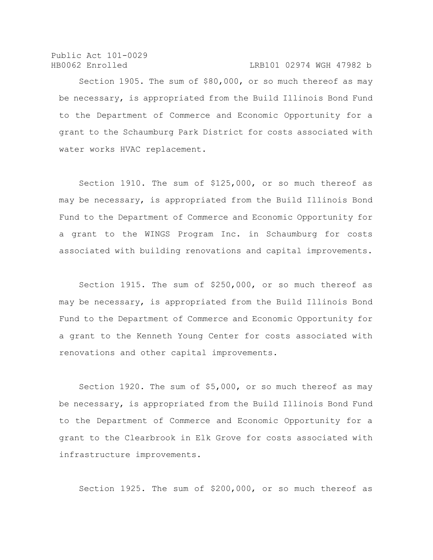Public Act 101-0029

HB0062 Enrolled LRB101 02974 WGH 47982 b

Section 1905. The sum of \$80,000, or so much thereof as may be necessary, is appropriated from the Build Illinois Bond Fund to the Department of Commerce and Economic Opportunity for a grant to the Schaumburg Park District for costs associated with water works HVAC replacement.

Section 1910. The sum of \$125,000, or so much thereof as may be necessary, is appropriated from the Build Illinois Bond Fund to the Department of Commerce and Economic Opportunity for a grant to the WINGS Program Inc. in Schaumburg for costs associated with building renovations and capital improvements.

Section 1915. The sum of \$250,000, or so much thereof as may be necessary, is appropriated from the Build Illinois Bond Fund to the Department of Commerce and Economic Opportunity for a grant to the Kenneth Young Center for costs associated with renovations and other capital improvements.

Section 1920. The sum of \$5,000, or so much thereof as may be necessary, is appropriated from the Build Illinois Bond Fund to the Department of Commerce and Economic Opportunity for a grant to the Clearbrook in Elk Grove for costs associated with infrastructure improvements.

Section 1925. The sum of \$200,000, or so much thereof as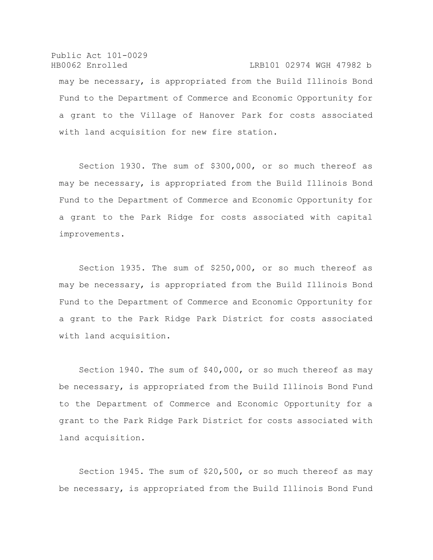Public Act 101-0029 HB0062 Enrolled LRB101 02974 WGH 47982 b may be necessary, is appropriated from the Build Illinois Bond Fund to the Department of Commerce and Economic Opportunity for a grant to the Village of Hanover Park for costs associated with land acquisition for new fire station.

Section 1930. The sum of \$300,000, or so much thereof as may be necessary, is appropriated from the Build Illinois Bond Fund to the Department of Commerce and Economic Opportunity for a grant to the Park Ridge for costs associated with capital improvements.

Section 1935. The sum of \$250,000, or so much thereof as may be necessary, is appropriated from the Build Illinois Bond Fund to the Department of Commerce and Economic Opportunity for a grant to the Park Ridge Park District for costs associated with land acquisition.

Section 1940. The sum of \$40,000, or so much thereof as may be necessary, is appropriated from the Build Illinois Bond Fund to the Department of Commerce and Economic Opportunity for a grant to the Park Ridge Park District for costs associated with land acquisition.

Section 1945. The sum of \$20,500, or so much thereof as may be necessary, is appropriated from the Build Illinois Bond Fund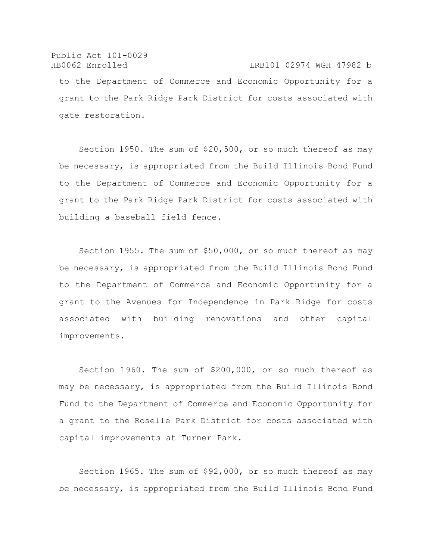# Public Act 101-0029 HB0062 Enrolled LRB101 02974 WGH 47982 b to the Department of Commerce and Economic Opportunity for a grant to the Park Ridge Park District for costs associated with gate restoration.

Section 1950. The sum of \$20,500, or so much thereof as may be necessary, is appropriated from the Build Illinois Bond Fund to the Department of Commerce and Economic Opportunity for a grant to the Park Ridge Park District for costs associated with building a baseball field fence.

Section 1955. The sum of \$50,000, or so much thereof as may be necessary, is appropriated from the Build Illinois Bond Fund to the Department of Commerce and Economic Opportunity for a grant to the Avenues for Independence in Park Ridge for costs associated with building renovations and other capital improvements.

Section 1960. The sum of \$200,000, or so much thereof as may be necessary, is appropriated from the Build Illinois Bond Fund to the Department of Commerce and Economic Opportunity for a grant to the Roselle Park District for costs associated with capital improvements at Turner Park.

Section 1965. The sum of \$92,000, or so much thereof as may be necessary, is appropriated from the Build Illinois Bond Fund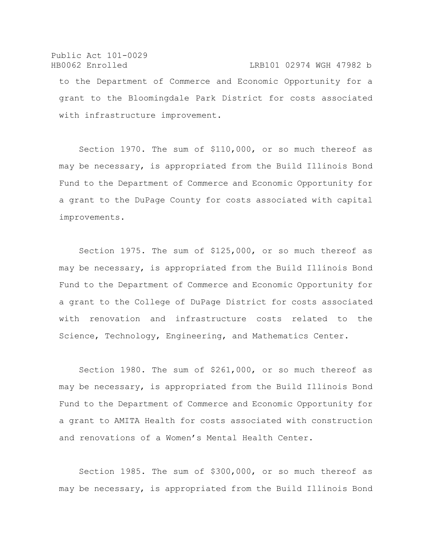### Public Act 101-0029 HB0062 Enrolled LRB101 02974 WGH 47982 b

to the Department of Commerce and Economic Opportunity for a grant to the Bloomingdale Park District for costs associated with infrastructure improvement.

Section 1970. The sum of \$110,000, or so much thereof as may be necessary, is appropriated from the Build Illinois Bond Fund to the Department of Commerce and Economic Opportunity for a grant to the DuPage County for costs associated with capital improvements.

Section 1975. The sum of \$125,000, or so much thereof as may be necessary, is appropriated from the Build Illinois Bond Fund to the Department of Commerce and Economic Opportunity for a grant to the College of DuPage District for costs associated with renovation and infrastructure costs related to the Science, Technology, Engineering, and Mathematics Center.

Section 1980. The sum of \$261,000, or so much thereof as may be necessary, is appropriated from the Build Illinois Bond Fund to the Department of Commerce and Economic Opportunity for a grant to AMITA Health for costs associated with construction and renovations of a Women's Mental Health Center.

Section 1985. The sum of \$300,000, or so much thereof as may be necessary, is appropriated from the Build Illinois Bond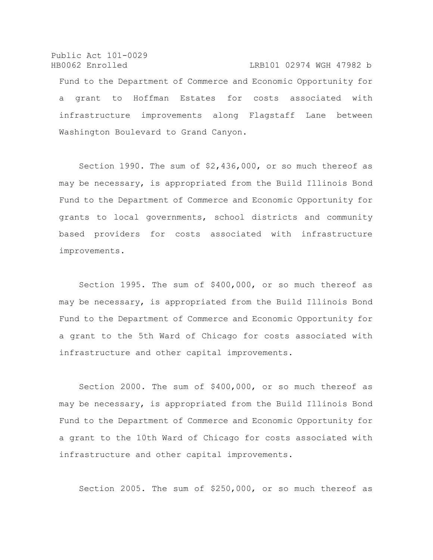Public Act 101-0029 HB0062 Enrolled LRB101 02974 WGH 47982 b Fund to the Department of Commerce and Economic Opportunity for a grant to Hoffman Estates for costs associated with infrastructure improvements along Flagstaff Lane between Washington Boulevard to Grand Canyon.

Section 1990. The sum of \$2,436,000, or so much thereof as may be necessary, is appropriated from the Build Illinois Bond Fund to the Department of Commerce and Economic Opportunity for grants to local governments, school districts and community based providers for costs associated with infrastructure improvements.

Section 1995. The sum of \$400,000, or so much thereof as may be necessary, is appropriated from the Build Illinois Bond Fund to the Department of Commerce and Economic Opportunity for a grant to the 5th Ward of Chicago for costs associated with infrastructure and other capital improvements.

Section 2000. The sum of \$400,000, or so much thereof as may be necessary, is appropriated from the Build Illinois Bond Fund to the Department of Commerce and Economic Opportunity for a grant to the 10th Ward of Chicago for costs associated with infrastructure and other capital improvements.

Section 2005. The sum of \$250,000, or so much thereof as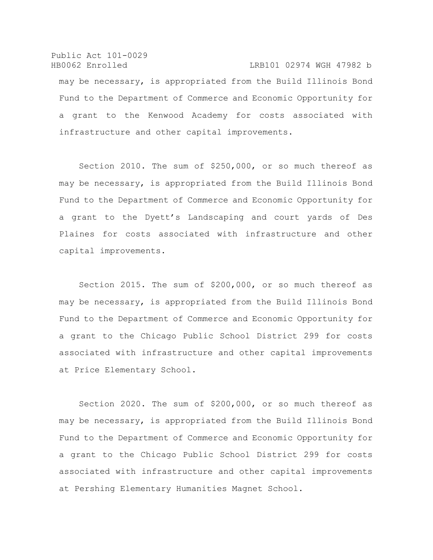Public Act 101-0029 HB0062 Enrolled LRB101 02974 WGH 47982 b may be necessary, is appropriated from the Build Illinois Bond Fund to the Department of Commerce and Economic Opportunity for a grant to the Kenwood Academy for costs associated with infrastructure and other capital improvements.

Section 2010. The sum of \$250,000, or so much thereof as may be necessary, is appropriated from the Build Illinois Bond Fund to the Department of Commerce and Economic Opportunity for a grant to the Dyett's Landscaping and court yards of Des Plaines for costs associated with infrastructure and other capital improvements.

Section 2015. The sum of \$200,000, or so much thereof as may be necessary, is appropriated from the Build Illinois Bond Fund to the Department of Commerce and Economic Opportunity for a grant to the Chicago Public School District 299 for costs associated with infrastructure and other capital improvements at Price Elementary School.

Section 2020. The sum of \$200,000, or so much thereof as may be necessary, is appropriated from the Build Illinois Bond Fund to the Department of Commerce and Economic Opportunity for a grant to the Chicago Public School District 299 for costs associated with infrastructure and other capital improvements at Pershing Elementary Humanities Magnet School.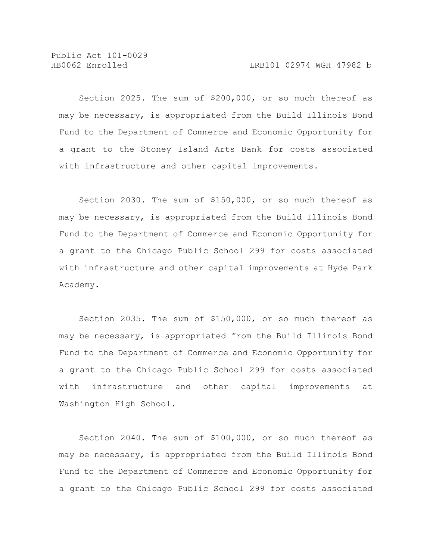Public Act 101-0029

Section 2025. The sum of \$200,000, or so much thereof as may be necessary, is appropriated from the Build Illinois Bond Fund to the Department of Commerce and Economic Opportunity for a grant to the Stoney Island Arts Bank for costs associated with infrastructure and other capital improvements.

Section 2030. The sum of \$150,000, or so much thereof as may be necessary, is appropriated from the Build Illinois Bond Fund to the Department of Commerce and Economic Opportunity for a grant to the Chicago Public School 299 for costs associated with infrastructure and other capital improvements at Hyde Park Academy.

Section 2035. The sum of \$150,000, or so much thereof as may be necessary, is appropriated from the Build Illinois Bond Fund to the Department of Commerce and Economic Opportunity for a grant to the Chicago Public School 299 for costs associated with infrastructure and other capital improvements at Washington High School.

Section 2040. The sum of \$100,000, or so much thereof as may be necessary, is appropriated from the Build Illinois Bond Fund to the Department of Commerce and Economic Opportunity for a grant to the Chicago Public School 299 for costs associated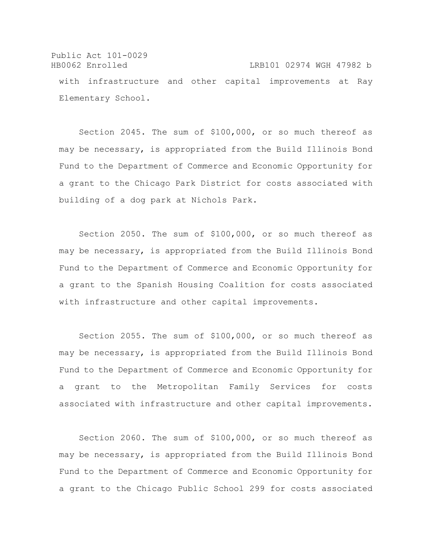Public Act 101-0029 HB0062 Enrolled LRB101 02974 WGH 47982 b with infrastructure and other capital improvements at Ray Elementary School.

Section 2045. The sum of \$100,000, or so much thereof as may be necessary, is appropriated from the Build Illinois Bond Fund to the Department of Commerce and Economic Opportunity for a grant to the Chicago Park District for costs associated with building of a dog park at Nichols Park.

Section 2050. The sum of \$100,000, or so much thereof as may be necessary, is appropriated from the Build Illinois Bond Fund to the Department of Commerce and Economic Opportunity for a grant to the Spanish Housing Coalition for costs associated with infrastructure and other capital improvements.

Section 2055. The sum of \$100,000, or so much thereof as may be necessary, is appropriated from the Build Illinois Bond Fund to the Department of Commerce and Economic Opportunity for a grant to the Metropolitan Family Services for costs associated with infrastructure and other capital improvements.

Section 2060. The sum of \$100,000, or so much thereof as may be necessary, is appropriated from the Build Illinois Bond Fund to the Department of Commerce and Economic Opportunity for a grant to the Chicago Public School 299 for costs associated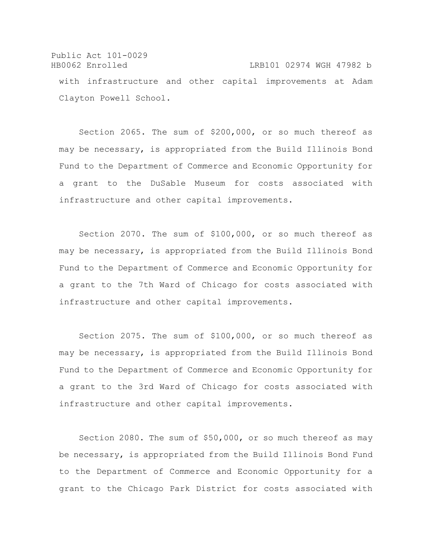Public Act 101-0029 HB0062 Enrolled LRB101 02974 WGH 47982 b with infrastructure and other capital improvements at Adam Clayton Powell School.

Section 2065. The sum of \$200,000, or so much thereof as may be necessary, is appropriated from the Build Illinois Bond Fund to the Department of Commerce and Economic Opportunity for a grant to the DuSable Museum for costs associated with infrastructure and other capital improvements.

Section 2070. The sum of \$100,000, or so much thereof as may be necessary, is appropriated from the Build Illinois Bond Fund to the Department of Commerce and Economic Opportunity for a grant to the 7th Ward of Chicago for costs associated with infrastructure and other capital improvements.

Section 2075. The sum of \$100,000, or so much thereof as may be necessary, is appropriated from the Build Illinois Bond Fund to the Department of Commerce and Economic Opportunity for a grant to the 3rd Ward of Chicago for costs associated with infrastructure and other capital improvements.

Section 2080. The sum of \$50,000, or so much thereof as may be necessary, is appropriated from the Build Illinois Bond Fund to the Department of Commerce and Economic Opportunity for a grant to the Chicago Park District for costs associated with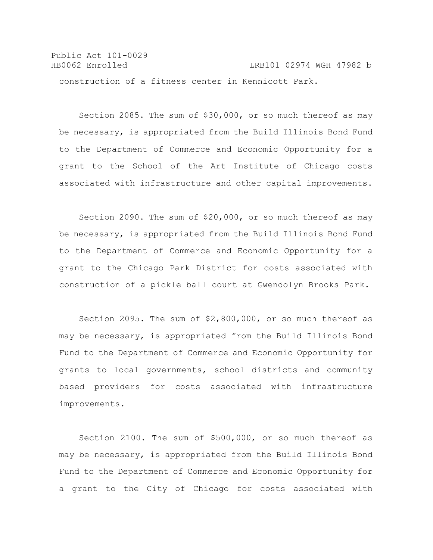Public Act 101-0029 HB0062 Enrolled LRB101 02974 WGH 47982 b construction of a fitness center in Kennicott Park.

Section 2085. The sum of \$30,000, or so much thereof as may be necessary, is appropriated from the Build Illinois Bond Fund to the Department of Commerce and Economic Opportunity for a grant to the School of the Art Institute of Chicago costs associated with infrastructure and other capital improvements.

Section 2090. The sum of \$20,000, or so much thereof as may be necessary, is appropriated from the Build Illinois Bond Fund to the Department of Commerce and Economic Opportunity for a grant to the Chicago Park District for costs associated with construction of a pickle ball court at Gwendolyn Brooks Park.

Section 2095. The sum of \$2,800,000, or so much thereof as may be necessary, is appropriated from the Build Illinois Bond Fund to the Department of Commerce and Economic Opportunity for grants to local governments, school districts and community based providers for costs associated with infrastructure improvements.

Section 2100. The sum of \$500,000, or so much thereof as may be necessary, is appropriated from the Build Illinois Bond Fund to the Department of Commerce and Economic Opportunity for a grant to the City of Chicago for costs associated with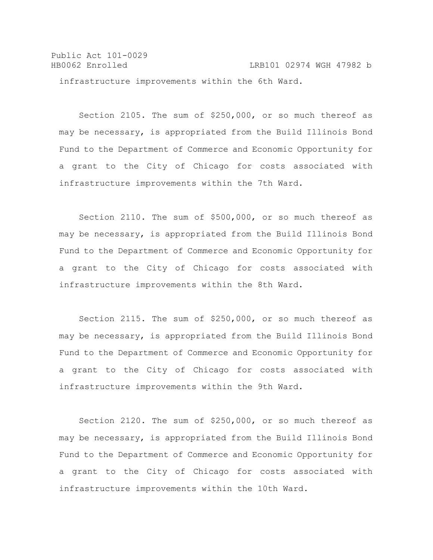Public Act 101-0029 HB0062 Enrolled LRB101 02974 WGH 47982 b infrastructure improvements within the 6th Ward.

Section 2105. The sum of \$250,000, or so much thereof as may be necessary, is appropriated from the Build Illinois Bond Fund to the Department of Commerce and Economic Opportunity for a grant to the City of Chicago for costs associated with infrastructure improvements within the 7th Ward.

Section 2110. The sum of \$500,000, or so much thereof as may be necessary, is appropriated from the Build Illinois Bond Fund to the Department of Commerce and Economic Opportunity for a grant to the City of Chicago for costs associated with infrastructure improvements within the 8th Ward.

Section 2115. The sum of \$250,000, or so much thereof as may be necessary, is appropriated from the Build Illinois Bond Fund to the Department of Commerce and Economic Opportunity for a grant to the City of Chicago for costs associated with infrastructure improvements within the 9th Ward.

Section 2120. The sum of \$250,000, or so much thereof as may be necessary, is appropriated from the Build Illinois Bond Fund to the Department of Commerce and Economic Opportunity for a grant to the City of Chicago for costs associated with infrastructure improvements within the 10th Ward.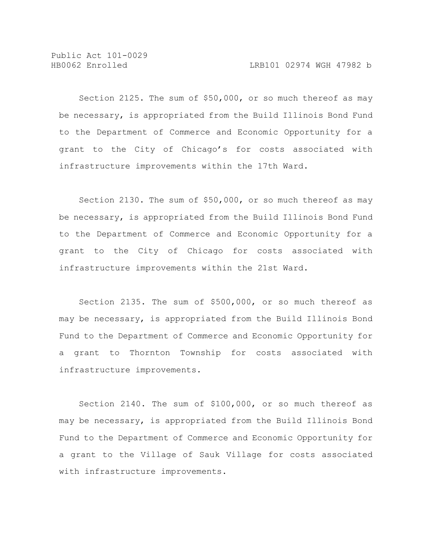Public Act 101-0029

Section 2125. The sum of \$50,000, or so much thereof as may be necessary, is appropriated from the Build Illinois Bond Fund to the Department of Commerce and Economic Opportunity for a grant to the City of Chicago's for costs associated with infrastructure improvements within the 17th Ward.

Section 2130. The sum of \$50,000, or so much thereof as may be necessary, is appropriated from the Build Illinois Bond Fund to the Department of Commerce and Economic Opportunity for a grant to the City of Chicago for costs associated with infrastructure improvements within the 21st Ward.

Section 2135. The sum of \$500,000, or so much thereof as may be necessary, is appropriated from the Build Illinois Bond Fund to the Department of Commerce and Economic Opportunity for a grant to Thornton Township for costs associated with infrastructure improvements.

Section 2140. The sum of \$100,000, or so much thereof as may be necessary, is appropriated from the Build Illinois Bond Fund to the Department of Commerce and Economic Opportunity for a grant to the Village of Sauk Village for costs associated with infrastructure improvements.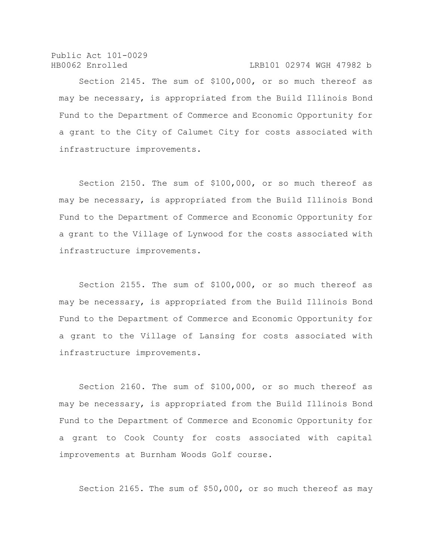Public Act 101-0029 HB0062 Enrolled LRB101 02974 WGH 47982 b

Section 2145. The sum of \$100,000, or so much thereof as may be necessary, is appropriated from the Build Illinois Bond Fund to the Department of Commerce and Economic Opportunity for a grant to the City of Calumet City for costs associated with infrastructure improvements.

Section 2150. The sum of \$100,000, or so much thereof as may be necessary, is appropriated from the Build Illinois Bond Fund to the Department of Commerce and Economic Opportunity for a grant to the Village of Lynwood for the costs associated with infrastructure improvements.

Section 2155. The sum of \$100,000, or so much thereof as may be necessary, is appropriated from the Build Illinois Bond Fund to the Department of Commerce and Economic Opportunity for a grant to the Village of Lansing for costs associated with infrastructure improvements.

Section 2160. The sum of \$100,000, or so much thereof as may be necessary, is appropriated from the Build Illinois Bond Fund to the Department of Commerce and Economic Opportunity for a grant to Cook County for costs associated with capital improvements at Burnham Woods Golf course.

Section 2165. The sum of \$50,000, or so much thereof as may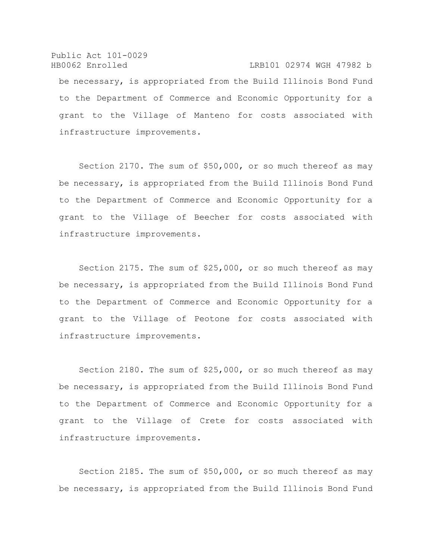Public Act 101-0029 HB0062 Enrolled LRB101 02974 WGH 47982 b be necessary, is appropriated from the Build Illinois Bond Fund to the Department of Commerce and Economic Opportunity for a grant to the Village of Manteno for costs associated with infrastructure improvements.

Section 2170. The sum of \$50,000, or so much thereof as may be necessary, is appropriated from the Build Illinois Bond Fund to the Department of Commerce and Economic Opportunity for a grant to the Village of Beecher for costs associated with infrastructure improvements.

Section 2175. The sum of \$25,000, or so much thereof as may be necessary, is appropriated from the Build Illinois Bond Fund to the Department of Commerce and Economic Opportunity for a grant to the Village of Peotone for costs associated with infrastructure improvements.

Section 2180. The sum of \$25,000, or so much thereof as may be necessary, is appropriated from the Build Illinois Bond Fund to the Department of Commerce and Economic Opportunity for a grant to the Village of Crete for costs associated with infrastructure improvements.

Section 2185. The sum of \$50,000, or so much thereof as may be necessary, is appropriated from the Build Illinois Bond Fund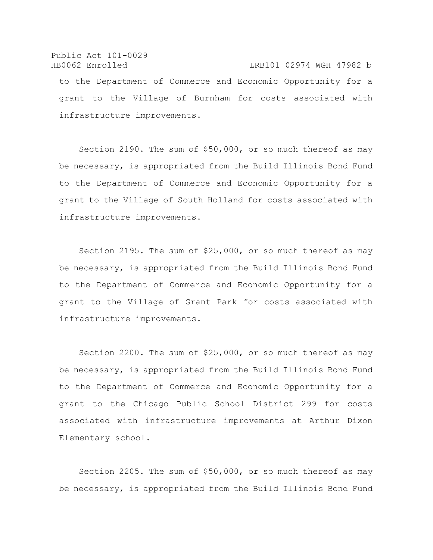## Public Act 101-0029 HB0062 Enrolled LRB101 02974 WGH 47982 b to the Department of Commerce and Economic Opportunity for a grant to the Village of Burnham for costs associated with infrastructure improvements.

Section 2190. The sum of \$50,000, or so much thereof as may be necessary, is appropriated from the Build Illinois Bond Fund to the Department of Commerce and Economic Opportunity for a grant to the Village of South Holland for costs associated with infrastructure improvements.

Section 2195. The sum of \$25,000, or so much thereof as may be necessary, is appropriated from the Build Illinois Bond Fund to the Department of Commerce and Economic Opportunity for a grant to the Village of Grant Park for costs associated with infrastructure improvements.

Section 2200. The sum of \$25,000, or so much thereof as may be necessary, is appropriated from the Build Illinois Bond Fund to the Department of Commerce and Economic Opportunity for a grant to the Chicago Public School District 299 for costs associated with infrastructure improvements at Arthur Dixon Elementary school.

Section 2205. The sum of \$50,000, or so much thereof as may be necessary, is appropriated from the Build Illinois Bond Fund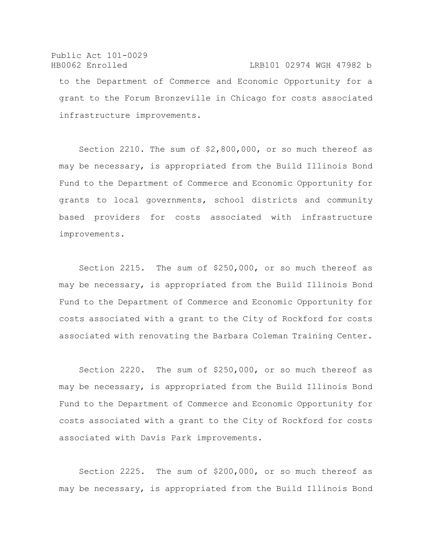#### Public Act 101-0029 HB0062 Enrolled LRB101 02974 WGH 47982 b

to the Department of Commerce and Economic Opportunity for a grant to the Forum Bronzeville in Chicago for costs associated infrastructure improvements.

Section 2210. The sum of \$2,800,000, or so much thereof as may be necessary, is appropriated from the Build Illinois Bond Fund to the Department of Commerce and Economic Opportunity for grants to local governments, school districts and community based providers for costs associated with infrastructure improvements.

Section 2215. The sum of \$250,000, or so much thereof as may be necessary, is appropriated from the Build Illinois Bond Fund to the Department of Commerce and Economic Opportunity for costs associated with a grant to the City of Rockford for costs associated with renovating the Barbara Coleman Training Center.

Section 2220. The sum of \$250,000, or so much thereof as may be necessary, is appropriated from the Build Illinois Bond Fund to the Department of Commerce and Economic Opportunity for costs associated with a grant to the City of Rockford for costs associated with Davis Park improvements.

Section 2225. The sum of \$200,000, or so much thereof as may be necessary, is appropriated from the Build Illinois Bond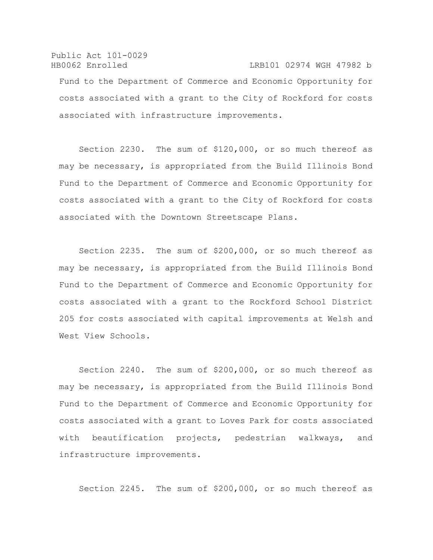### Public Act 101-0029 HB0062 Enrolled LRB101 02974 WGH 47982 b Fund to the Department of Commerce and Economic Opportunity for costs associated with a grant to the City of Rockford for costs associated with infrastructure improvements.

Section 2230. The sum of \$120,000, or so much thereof as may be necessary, is appropriated from the Build Illinois Bond Fund to the Department of Commerce and Economic Opportunity for costs associated with a grant to the City of Rockford for costs associated with the Downtown Streetscape Plans.

Section 2235. The sum of \$200,000, or so much thereof as may be necessary, is appropriated from the Build Illinois Bond Fund to the Department of Commerce and Economic Opportunity for costs associated with a grant to the Rockford School District 205 for costs associated with capital improvements at Welsh and West View Schools.

Section 2240. The sum of \$200,000, or so much thereof as may be necessary, is appropriated from the Build Illinois Bond Fund to the Department of Commerce and Economic Opportunity for costs associated with a grant to Loves Park for costs associated with beautification projects, pedestrian walkways, and infrastructure improvements.

Section 2245. The sum of \$200,000, or so much thereof as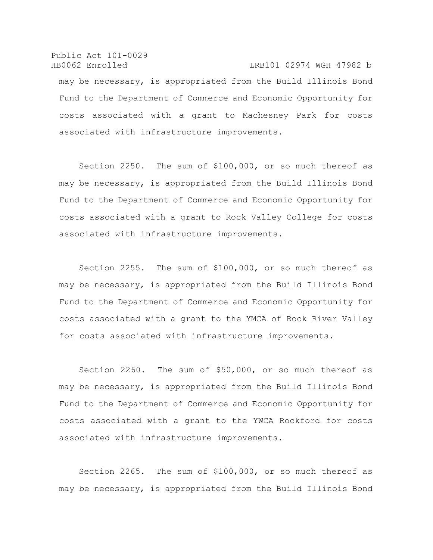Public Act 101-0029 HB0062 Enrolled LRB101 02974 WGH 47982 b may be necessary, is appropriated from the Build Illinois Bond Fund to the Department of Commerce and Economic Opportunity for costs associated with a grant to Machesney Park for costs associated with infrastructure improvements.

Section 2250. The sum of \$100,000, or so much thereof as may be necessary, is appropriated from the Build Illinois Bond Fund to the Department of Commerce and Economic Opportunity for costs associated with a grant to Rock Valley College for costs associated with infrastructure improvements.

Section 2255. The sum of \$100,000, or so much thereof as may be necessary, is appropriated from the Build Illinois Bond Fund to the Department of Commerce and Economic Opportunity for costs associated with a grant to the YMCA of Rock River Valley for costs associated with infrastructure improvements.

Section 2260. The sum of \$50,000, or so much thereof as may be necessary, is appropriated from the Build Illinois Bond Fund to the Department of Commerce and Economic Opportunity for costs associated with a grant to the YWCA Rockford for costs associated with infrastructure improvements.

Section 2265. The sum of \$100,000, or so much thereof as may be necessary, is appropriated from the Build Illinois Bond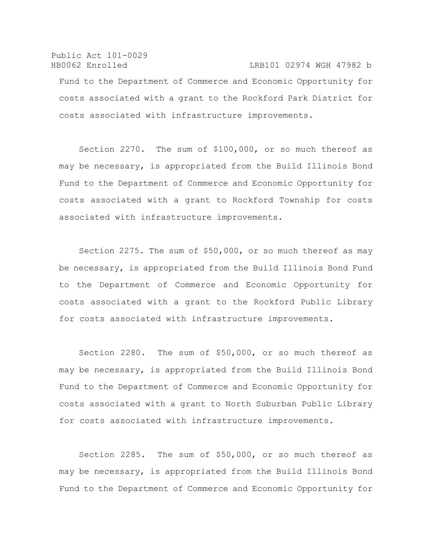## Public Act 101-0029 HB0062 Enrolled LRB101 02974 WGH 47982 b Fund to the Department of Commerce and Economic Opportunity for costs associated with a grant to the Rockford Park District for costs associated with infrastructure improvements.

Section 2270. The sum of \$100,000, or so much thereof as may be necessary, is appropriated from the Build Illinois Bond Fund to the Department of Commerce and Economic Opportunity for costs associated with a grant to Rockford Township for costs associated with infrastructure improvements.

Section 2275. The sum of \$50,000, or so much thereof as may be necessary, is appropriated from the Build Illinois Bond Fund to the Department of Commerce and Economic Opportunity for costs associated with a grant to the Rockford Public Library for costs associated with infrastructure improvements.

Section 2280. The sum of \$50,000, or so much thereof as may be necessary, is appropriated from the Build Illinois Bond Fund to the Department of Commerce and Economic Opportunity for costs associated with a grant to North Suburban Public Library for costs associated with infrastructure improvements.

Section 2285. The sum of \$50,000, or so much thereof as may be necessary, is appropriated from the Build Illinois Bond Fund to the Department of Commerce and Economic Opportunity for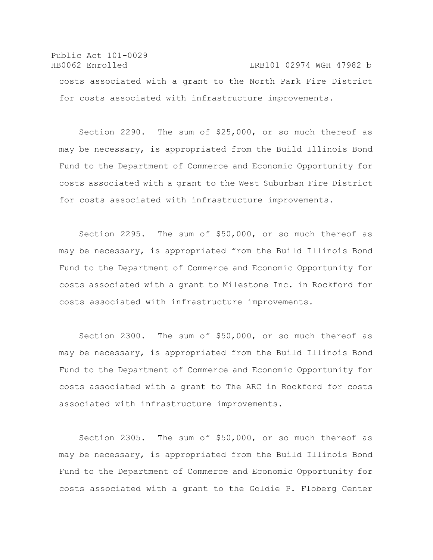Public Act 101-0029 HB0062 Enrolled LRB101 02974 WGH 47982 b costs associated with a grant to the North Park Fire District for costs associated with infrastructure improvements.

Section 2290. The sum of \$25,000, or so much thereof as may be necessary, is appropriated from the Build Illinois Bond Fund to the Department of Commerce and Economic Opportunity for costs associated with a grant to the West Suburban Fire District for costs associated with infrastructure improvements.

Section 2295. The sum of \$50,000, or so much thereof as may be necessary, is appropriated from the Build Illinois Bond Fund to the Department of Commerce and Economic Opportunity for costs associated with a grant to Milestone Inc. in Rockford for costs associated with infrastructure improvements.

Section 2300. The sum of \$50,000, or so much thereof as may be necessary, is appropriated from the Build Illinois Bond Fund to the Department of Commerce and Economic Opportunity for costs associated with a grant to The ARC in Rockford for costs associated with infrastructure improvements.

Section 2305. The sum of \$50,000, or so much thereof as may be necessary, is appropriated from the Build Illinois Bond Fund to the Department of Commerce and Economic Opportunity for costs associated with a grant to the Goldie P. Floberg Center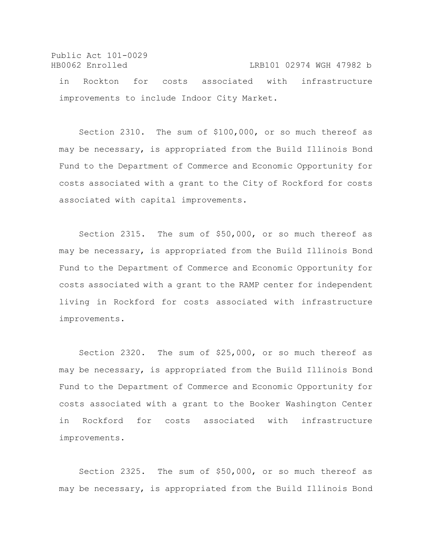Public Act 101-0029 HB0062 Enrolled LRB101 02974 WGH 47982 b

in Rockton for costs associated with infrastructure improvements to include Indoor City Market.

Section 2310. The sum of \$100,000, or so much thereof as may be necessary, is appropriated from the Build Illinois Bond Fund to the Department of Commerce and Economic Opportunity for costs associated with a grant to the City of Rockford for costs associated with capital improvements.

Section 2315. The sum of \$50,000, or so much thereof as may be necessary, is appropriated from the Build Illinois Bond Fund to the Department of Commerce and Economic Opportunity for costs associated with a grant to the RAMP center for independent living in Rockford for costs associated with infrastructure improvements.

Section 2320. The sum of \$25,000, or so much thereof as may be necessary, is appropriated from the Build Illinois Bond Fund to the Department of Commerce and Economic Opportunity for costs associated with a grant to the Booker Washington Center in Rockford for costs associated with infrastructure improvements.

Section 2325. The sum of \$50,000, or so much thereof as may be necessary, is appropriated from the Build Illinois Bond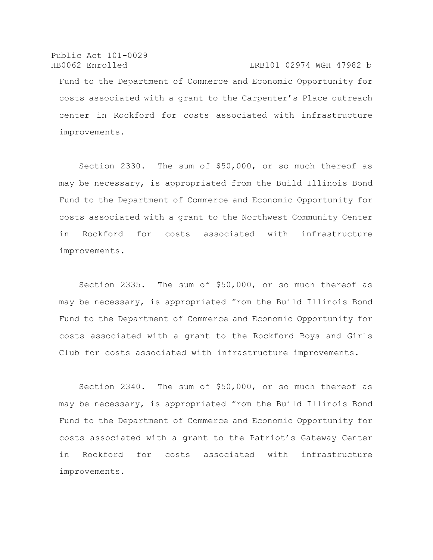Public Act 101-0029 HB0062 Enrolled LRB101 02974 WGH 47982 b Fund to the Department of Commerce and Economic Opportunity for costs associated with a grant to the Carpenter's Place outreach center in Rockford for costs associated with infrastructure improvements.

Section 2330. The sum of \$50,000, or so much thereof as may be necessary, is appropriated from the Build Illinois Bond Fund to the Department of Commerce and Economic Opportunity for costs associated with a grant to the Northwest Community Center in Rockford for costs associated with infrastructure improvements.

Section 2335. The sum of \$50,000, or so much thereof as may be necessary, is appropriated from the Build Illinois Bond Fund to the Department of Commerce and Economic Opportunity for costs associated with a grant to the Rockford Boys and Girls Club for costs associated with infrastructure improvements.

Section 2340. The sum of \$50,000, or so much thereof as may be necessary, is appropriated from the Build Illinois Bond Fund to the Department of Commerce and Economic Opportunity for costs associated with a grant to the Patriot's Gateway Center in Rockford for costs associated with infrastructure improvements.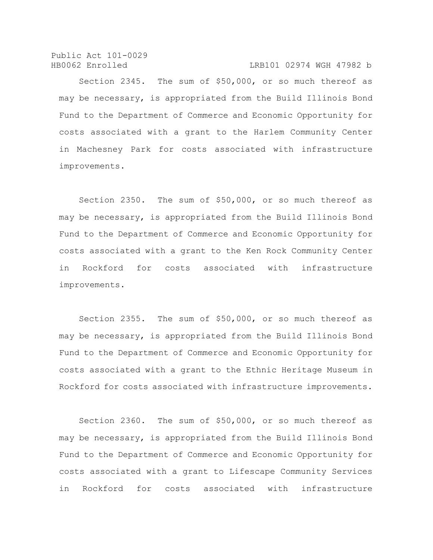Public Act 101-0029 HB0062 Enrolled LRB101 02974 WGH 47982 b

Section 2345. The sum of \$50,000, or so much thereof as may be necessary, is appropriated from the Build Illinois Bond Fund to the Department of Commerce and Economic Opportunity for costs associated with a grant to the Harlem Community Center in Machesney Park for costs associated with infrastructure improvements.

Section 2350. The sum of \$50,000, or so much thereof as may be necessary, is appropriated from the Build Illinois Bond Fund to the Department of Commerce and Economic Opportunity for costs associated with a grant to the Ken Rock Community Center in Rockford for costs associated with infrastructure improvements.

Section 2355. The sum of \$50,000, or so much thereof as may be necessary, is appropriated from the Build Illinois Bond Fund to the Department of Commerce and Economic Opportunity for costs associated with a grant to the Ethnic Heritage Museum in Rockford for costs associated with infrastructure improvements.

Section 2360. The sum of \$50,000, or so much thereof as may be necessary, is appropriated from the Build Illinois Bond Fund to the Department of Commerce and Economic Opportunity for costs associated with a grant to Lifescape Community Services in Rockford for costs associated with infrastructure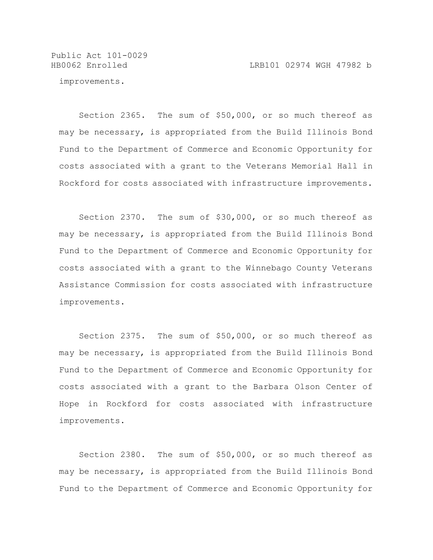Public Act 101-0029

improvements.

Section 2365. The sum of \$50,000, or so much thereof as may be necessary, is appropriated from the Build Illinois Bond Fund to the Department of Commerce and Economic Opportunity for costs associated with a grant to the Veterans Memorial Hall in Rockford for costs associated with infrastructure improvements.

Section 2370. The sum of \$30,000, or so much thereof as may be necessary, is appropriated from the Build Illinois Bond Fund to the Department of Commerce and Economic Opportunity for costs associated with a grant to the Winnebago County Veterans Assistance Commission for costs associated with infrastructure improvements.

Section 2375. The sum of \$50,000, or so much thereof as may be necessary, is appropriated from the Build Illinois Bond Fund to the Department of Commerce and Economic Opportunity for costs associated with a grant to the Barbara Olson Center of Hope in Rockford for costs associated with infrastructure improvements.

Section 2380. The sum of \$50,000, or so much thereof as may be necessary, is appropriated from the Build Illinois Bond Fund to the Department of Commerce and Economic Opportunity for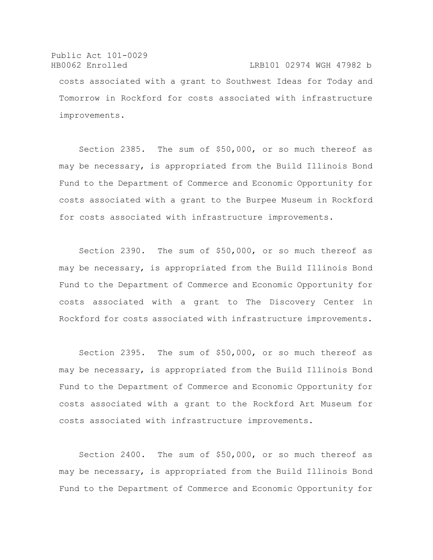Public Act 101-0029 HB0062 Enrolled LRB101 02974 WGH 47982 b costs associated with a grant to Southwest Ideas for Today and Tomorrow in Rockford for costs associated with infrastructure improvements.

Section 2385. The sum of \$50,000, or so much thereof as may be necessary, is appropriated from the Build Illinois Bond Fund to the Department of Commerce and Economic Opportunity for costs associated with a grant to the Burpee Museum in Rockford for costs associated with infrastructure improvements.

Section 2390. The sum of \$50,000, or so much thereof as may be necessary, is appropriated from the Build Illinois Bond Fund to the Department of Commerce and Economic Opportunity for costs associated with a grant to The Discovery Center in Rockford for costs associated with infrastructure improvements.

Section 2395. The sum of \$50,000, or so much thereof as may be necessary, is appropriated from the Build Illinois Bond Fund to the Department of Commerce and Economic Opportunity for costs associated with a grant to the Rockford Art Museum for costs associated with infrastructure improvements.

Section 2400. The sum of \$50,000, or so much thereof as may be necessary, is appropriated from the Build Illinois Bond Fund to the Department of Commerce and Economic Opportunity for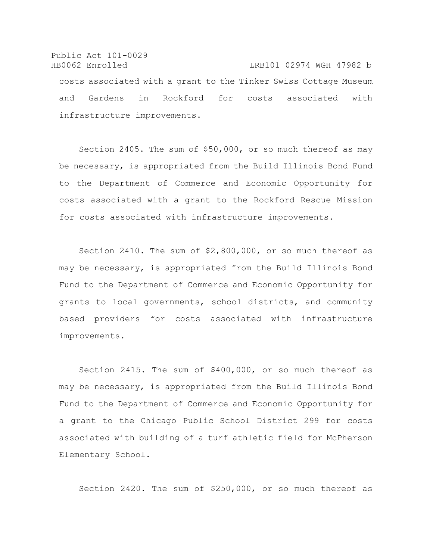Public Act 101-0029 HB0062 Enrolled LRB101 02974 WGH 47982 b costs associated with a grant to the Tinker Swiss Cottage Museum and Gardens in Rockford for costs associated with infrastructure improvements.

Section 2405. The sum of \$50,000, or so much thereof as may be necessary, is appropriated from the Build Illinois Bond Fund to the Department of Commerce and Economic Opportunity for costs associated with a grant to the Rockford Rescue Mission for costs associated with infrastructure improvements.

Section 2410. The sum of \$2,800,000, or so much thereof as may be necessary, is appropriated from the Build Illinois Bond Fund to the Department of Commerce and Economic Opportunity for grants to local governments, school districts, and community based providers for costs associated with infrastructure improvements.

Section 2415. The sum of \$400,000, or so much thereof as may be necessary, is appropriated from the Build Illinois Bond Fund to the Department of Commerce and Economic Opportunity for a grant to the Chicago Public School District 299 for costs associated with building of a turf athletic field for McPherson Elementary School.

Section 2420. The sum of \$250,000, or so much thereof as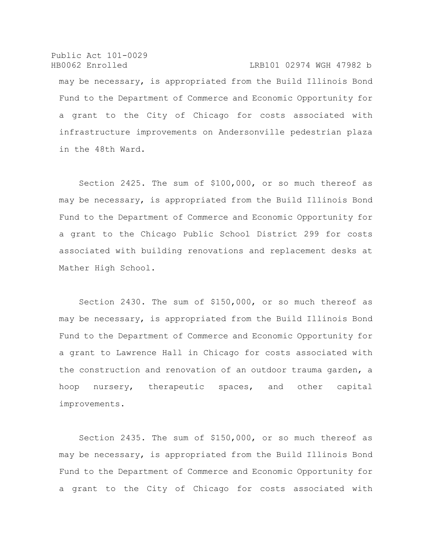Public Act 101-0029 HB0062 Enrolled LRB101 02974 WGH 47982 b may be necessary, is appropriated from the Build Illinois Bond Fund to the Department of Commerce and Economic Opportunity for a grant to the City of Chicago for costs associated with infrastructure improvements on Andersonville pedestrian plaza in the 48th Ward.

Section 2425. The sum of \$100,000, or so much thereof as may be necessary, is appropriated from the Build Illinois Bond Fund to the Department of Commerce and Economic Opportunity for a grant to the Chicago Public School District 299 for costs associated with building renovations and replacement desks at Mather High School.

Section 2430. The sum of \$150,000, or so much thereof as may be necessary, is appropriated from the Build Illinois Bond Fund to the Department of Commerce and Economic Opportunity for a grant to Lawrence Hall in Chicago for costs associated with the construction and renovation of an outdoor trauma garden, a hoop nursery, therapeutic spaces, and other capital improvements.

Section 2435. The sum of \$150,000, or so much thereof as may be necessary, is appropriated from the Build Illinois Bond Fund to the Department of Commerce and Economic Opportunity for a grant to the City of Chicago for costs associated with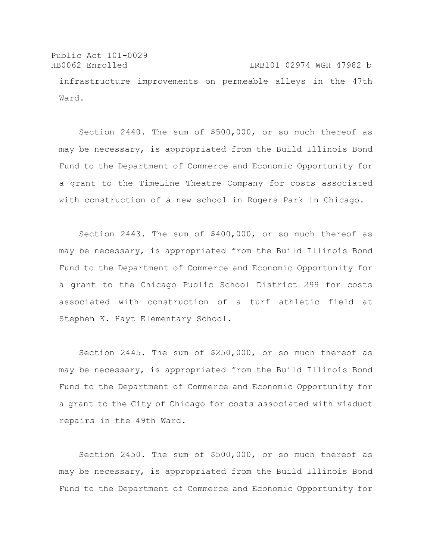Public Act 101-0029 HB0062 Enrolled LRB101 02974 WGH 47982 b infrastructure improvements on permeable alleys in the 47th Ward.

Section 2440. The sum of \$500,000, or so much thereof as may be necessary, is appropriated from the Build Illinois Bond Fund to the Department of Commerce and Economic Opportunity for a grant to the TimeLine Theatre Company for costs associated with construction of a new school in Rogers Park in Chicago.

Section 2443. The sum of \$400,000, or so much thereof as may be necessary, is appropriated from the Build Illinois Bond Fund to the Department of Commerce and Economic Opportunity for a grant to the Chicago Public School District 299 for costs associated with construction of a turf athletic field at Stephen K. Hayt Elementary School.

Section 2445. The sum of \$250,000, or so much thereof as may be necessary, is appropriated from the Build Illinois Bond Fund to the Department of Commerce and Economic Opportunity for a grant to the City of Chicago for costs associated with viaduct repairs in the 49th Ward.

Section 2450. The sum of \$500,000, or so much thereof as may be necessary, is appropriated from the Build Illinois Bond Fund to the Department of Commerce and Economic Opportunity for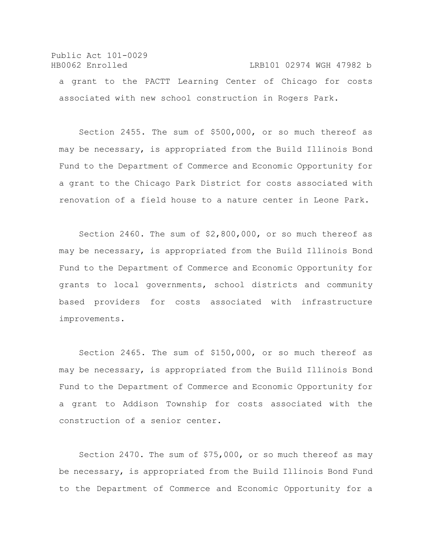## Public Act 101-0029 HB0062 Enrolled LRB101 02974 WGH 47982 b a grant to the PACTT Learning Center of Chicago for costs associated with new school construction in Rogers Park.

Section 2455. The sum of \$500,000, or so much thereof as may be necessary, is appropriated from the Build Illinois Bond Fund to the Department of Commerce and Economic Opportunity for a grant to the Chicago Park District for costs associated with renovation of a field house to a nature center in Leone Park.

Section 2460. The sum of \$2,800,000, or so much thereof as may be necessary, is appropriated from the Build Illinois Bond Fund to the Department of Commerce and Economic Opportunity for grants to local governments, school districts and community based providers for costs associated with infrastructure improvements.

Section 2465. The sum of \$150,000, or so much thereof as may be necessary, is appropriated from the Build Illinois Bond Fund to the Department of Commerce and Economic Opportunity for a grant to Addison Township for costs associated with the construction of a senior center.

Section 2470. The sum of \$75,000, or so much thereof as may be necessary, is appropriated from the Build Illinois Bond Fund to the Department of Commerce and Economic Opportunity for a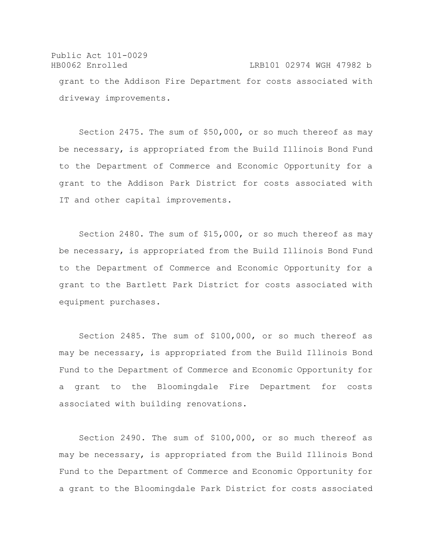Public Act 101-0029 HB0062 Enrolled LRB101 02974 WGH 47982 b grant to the Addison Fire Department for costs associated with driveway improvements.

Section 2475. The sum of \$50,000, or so much thereof as may be necessary, is appropriated from the Build Illinois Bond Fund to the Department of Commerce and Economic Opportunity for a grant to the Addison Park District for costs associated with IT and other capital improvements.

Section 2480. The sum of \$15,000, or so much thereof as may be necessary, is appropriated from the Build Illinois Bond Fund to the Department of Commerce and Economic Opportunity for a grant to the Bartlett Park District for costs associated with equipment purchases.

Section 2485. The sum of \$100,000, or so much thereof as may be necessary, is appropriated from the Build Illinois Bond Fund to the Department of Commerce and Economic Opportunity for a grant to the Bloomingdale Fire Department for costs associated with building renovations.

Section 2490. The sum of \$100,000, or so much thereof as may be necessary, is appropriated from the Build Illinois Bond Fund to the Department of Commerce and Economic Opportunity for a grant to the Bloomingdale Park District for costs associated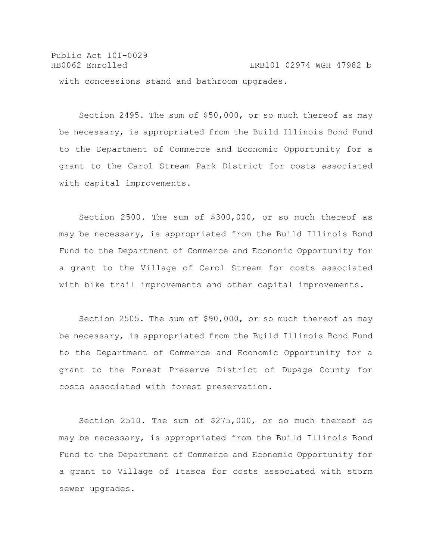Public Act 101-0029 HB0062 Enrolled LRB101 02974 WGH 47982 b with concessions stand and bathroom upgrades.

Section 2495. The sum of \$50,000, or so much thereof as may be necessary, is appropriated from the Build Illinois Bond Fund to the Department of Commerce and Economic Opportunity for a grant to the Carol Stream Park District for costs associated with capital improvements.

Section 2500. The sum of \$300,000, or so much thereof as may be necessary, is appropriated from the Build Illinois Bond Fund to the Department of Commerce and Economic Opportunity for a grant to the Village of Carol Stream for costs associated with bike trail improvements and other capital improvements.

Section 2505. The sum of \$90,000, or so much thereof as may be necessary, is appropriated from the Build Illinois Bond Fund to the Department of Commerce and Economic Opportunity for a grant to the Forest Preserve District of Dupage County for costs associated with forest preservation.

Section 2510. The sum of \$275,000, or so much thereof as may be necessary, is appropriated from the Build Illinois Bond Fund to the Department of Commerce and Economic Opportunity for a grant to Village of Itasca for costs associated with storm sewer upgrades.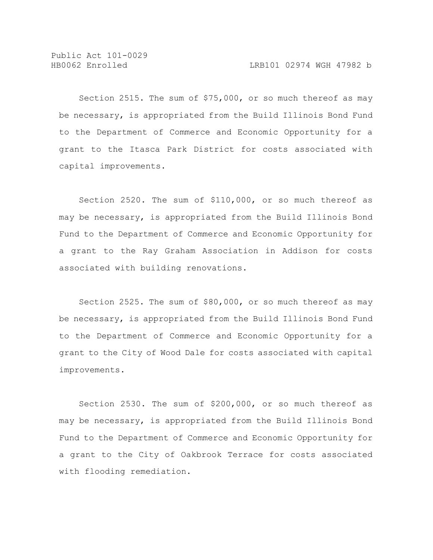Section 2515. The sum of \$75,000, or so much thereof as may be necessary, is appropriated from the Build Illinois Bond Fund to the Department of Commerce and Economic Opportunity for a grant to the Itasca Park District for costs associated with capital improvements.

Section 2520. The sum of \$110,000, or so much thereof as may be necessary, is appropriated from the Build Illinois Bond Fund to the Department of Commerce and Economic Opportunity for a grant to the Ray Graham Association in Addison for costs associated with building renovations.

Section 2525. The sum of \$80,000, or so much thereof as may be necessary, is appropriated from the Build Illinois Bond Fund to the Department of Commerce and Economic Opportunity for a grant to the City of Wood Dale for costs associated with capital improvements.

Section 2530. The sum of \$200,000, or so much thereof as may be necessary, is appropriated from the Build Illinois Bond Fund to the Department of Commerce and Economic Opportunity for a grant to the City of Oakbrook Terrace for costs associated with flooding remediation.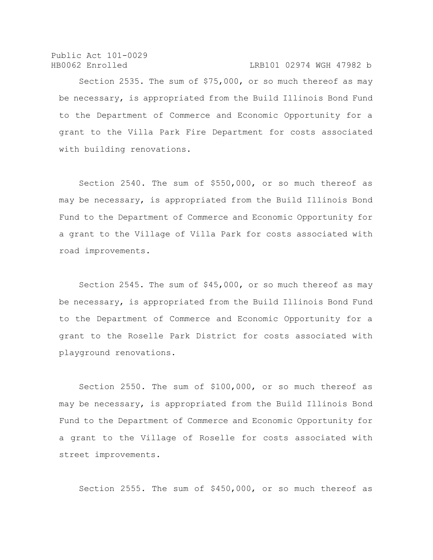Public Act 101-0029

#### HB0062 Enrolled LRB101 02974 WGH 47982 b

Section 2535. The sum of \$75,000, or so much thereof as may be necessary, is appropriated from the Build Illinois Bond Fund to the Department of Commerce and Economic Opportunity for a grant to the Villa Park Fire Department for costs associated with building renovations.

Section 2540. The sum of \$550,000, or so much thereof as may be necessary, is appropriated from the Build Illinois Bond Fund to the Department of Commerce and Economic Opportunity for a grant to the Village of Villa Park for costs associated with road improvements.

Section 2545. The sum of \$45,000, or so much thereof as may be necessary, is appropriated from the Build Illinois Bond Fund to the Department of Commerce and Economic Opportunity for a grant to the Roselle Park District for costs associated with playground renovations.

Section 2550. The sum of \$100,000, or so much thereof as may be necessary, is appropriated from the Build Illinois Bond Fund to the Department of Commerce and Economic Opportunity for a grant to the Village of Roselle for costs associated with street improvements.

Section 2555. The sum of \$450,000, or so much thereof as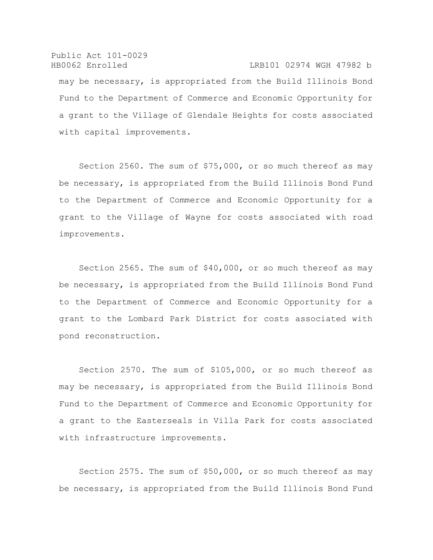Public Act 101-0029 HB0062 Enrolled LRB101 02974 WGH 47982 b may be necessary, is appropriated from the Build Illinois Bond Fund to the Department of Commerce and Economic Opportunity for a grant to the Village of Glendale Heights for costs associated with capital improvements.

Section 2560. The sum of \$75,000, or so much thereof as may be necessary, is appropriated from the Build Illinois Bond Fund to the Department of Commerce and Economic Opportunity for a grant to the Village of Wayne for costs associated with road improvements.

Section 2565. The sum of \$40,000, or so much thereof as may be necessary, is appropriated from the Build Illinois Bond Fund to the Department of Commerce and Economic Opportunity for a grant to the Lombard Park District for costs associated with pond reconstruction.

Section 2570. The sum of \$105,000, or so much thereof as may be necessary, is appropriated from the Build Illinois Bond Fund to the Department of Commerce and Economic Opportunity for a grant to the Easterseals in Villa Park for costs associated with infrastructure improvements.

Section 2575. The sum of \$50,000, or so much thereof as may be necessary, is appropriated from the Build Illinois Bond Fund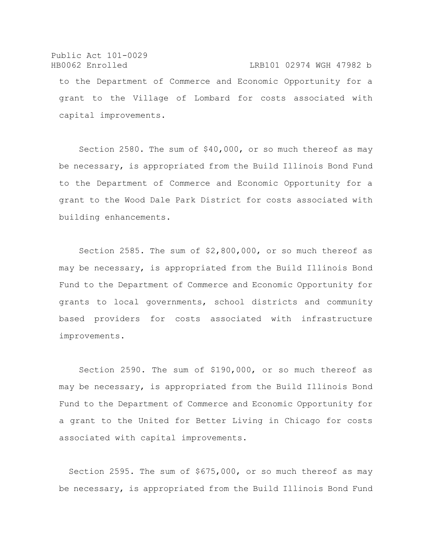Public Act 101-0029 HB0062 Enrolled LRB101 02974 WGH 47982 b to the Department of Commerce and Economic Opportunity for a grant to the Village of Lombard for costs associated with capital improvements.

Section 2580. The sum of \$40,000, or so much thereof as may be necessary, is appropriated from the Build Illinois Bond Fund to the Department of Commerce and Economic Opportunity for a grant to the Wood Dale Park District for costs associated with building enhancements.

Section 2585. The sum of \$2,800,000, or so much thereof as may be necessary, is appropriated from the Build Illinois Bond Fund to the Department of Commerce and Economic Opportunity for grants to local governments, school districts and community based providers for costs associated with infrastructure improvements.

Section 2590. The sum of \$190,000, or so much thereof as may be necessary, is appropriated from the Build Illinois Bond Fund to the Department of Commerce and Economic Opportunity for a grant to the United for Better Living in Chicago for costs associated with capital improvements.

Section 2595. The sum of \$675,000, or so much thereof as may be necessary, is appropriated from the Build Illinois Bond Fund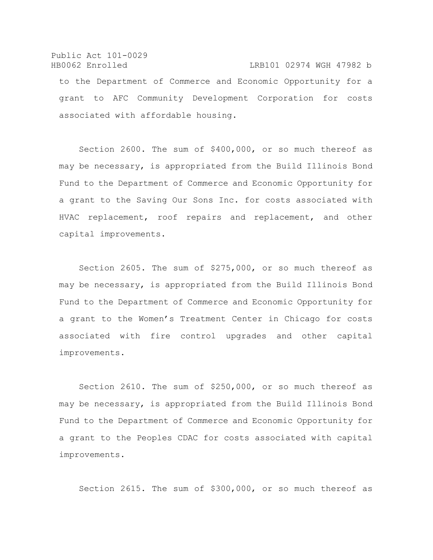Public Act 101-0029 HB0062 Enrolled LRB101 02974 WGH 47982 b to the Department of Commerce and Economic Opportunity for a grant to AFC Community Development Corporation for costs associated with affordable housing.

Section 2600. The sum of \$400,000, or so much thereof as may be necessary, is appropriated from the Build Illinois Bond Fund to the Department of Commerce and Economic Opportunity for a grant to the Saving Our Sons Inc. for costs associated with HVAC replacement, roof repairs and replacement, and other capital improvements.

Section 2605. The sum of \$275,000, or so much thereof as may be necessary, is appropriated from the Build Illinois Bond Fund to the Department of Commerce and Economic Opportunity for a grant to the Women's Treatment Center in Chicago for costs associated with fire control upgrades and other capital improvements.

Section 2610. The sum of \$250,000, or so much thereof as may be necessary, is appropriated from the Build Illinois Bond Fund to the Department of Commerce and Economic Opportunity for a grant to the Peoples CDAC for costs associated with capital improvements.

Section 2615. The sum of \$300,000, or so much thereof as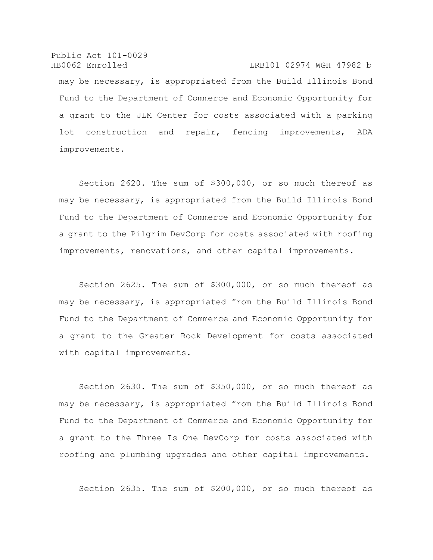Public Act 101-0029 HB0062 Enrolled LRB101 02974 WGH 47982 b may be necessary, is appropriated from the Build Illinois Bond Fund to the Department of Commerce and Economic Opportunity for a grant to the JLM Center for costs associated with a parking lot construction and repair, fencing improvements, ADA improvements.

Section 2620. The sum of \$300,000, or so much thereof as may be necessary, is appropriated from the Build Illinois Bond Fund to the Department of Commerce and Economic Opportunity for a grant to the Pilgrim DevCorp for costs associated with roofing improvements, renovations, and other capital improvements.

Section 2625. The sum of \$300,000, or so much thereof as may be necessary, is appropriated from the Build Illinois Bond Fund to the Department of Commerce and Economic Opportunity for a grant to the Greater Rock Development for costs associated with capital improvements.

Section 2630. The sum of \$350,000, or so much thereof as may be necessary, is appropriated from the Build Illinois Bond Fund to the Department of Commerce and Economic Opportunity for a grant to the Three Is One DevCorp for costs associated with roofing and plumbing upgrades and other capital improvements.

Section 2635. The sum of \$200,000, or so much thereof as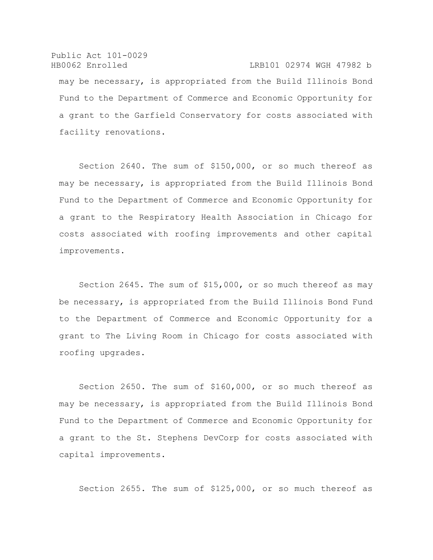Public Act 101-0029 HB0062 Enrolled LRB101 02974 WGH 47982 b may be necessary, is appropriated from the Build Illinois Bond Fund to the Department of Commerce and Economic Opportunity for a grant to the Garfield Conservatory for costs associated with facility renovations.

Section 2640. The sum of \$150,000, or so much thereof as may be necessary, is appropriated from the Build Illinois Bond Fund to the Department of Commerce and Economic Opportunity for a grant to the Respiratory Health Association in Chicago for costs associated with roofing improvements and other capital improvements.

Section 2645. The sum of \$15,000, or so much thereof as may be necessary, is appropriated from the Build Illinois Bond Fund to the Department of Commerce and Economic Opportunity for a grant to The Living Room in Chicago for costs associated with roofing upgrades.

Section 2650. The sum of \$160,000, or so much thereof as may be necessary, is appropriated from the Build Illinois Bond Fund to the Department of Commerce and Economic Opportunity for a grant to the St. Stephens DevCorp for costs associated with capital improvements.

Section 2655. The sum of \$125,000, or so much thereof as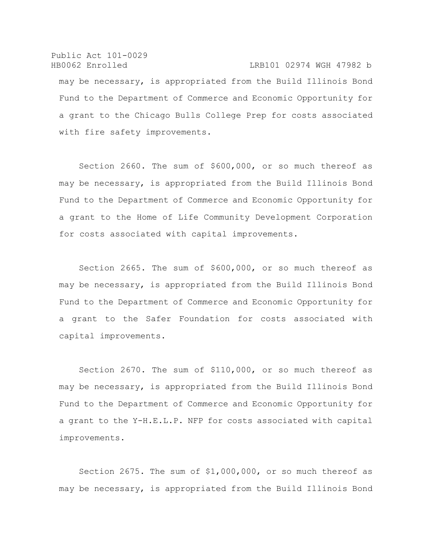Public Act 101-0029 HB0062 Enrolled LRB101 02974 WGH 47982 b may be necessary, is appropriated from the Build Illinois Bond Fund to the Department of Commerce and Economic Opportunity for a grant to the Chicago Bulls College Prep for costs associated with fire safety improvements.

Section 2660. The sum of \$600,000, or so much thereof as may be necessary, is appropriated from the Build Illinois Bond Fund to the Department of Commerce and Economic Opportunity for a grant to the Home of Life Community Development Corporation for costs associated with capital improvements.

Section 2665. The sum of \$600,000, or so much thereof as may be necessary, is appropriated from the Build Illinois Bond Fund to the Department of Commerce and Economic Opportunity for a grant to the Safer Foundation for costs associated with capital improvements.

Section 2670. The sum of \$110,000, or so much thereof as may be necessary, is appropriated from the Build Illinois Bond Fund to the Department of Commerce and Economic Opportunity for a grant to the Y-H.E.L.P. NFP for costs associated with capital improvements.

Section 2675. The sum of \$1,000,000, or so much thereof as may be necessary, is appropriated from the Build Illinois Bond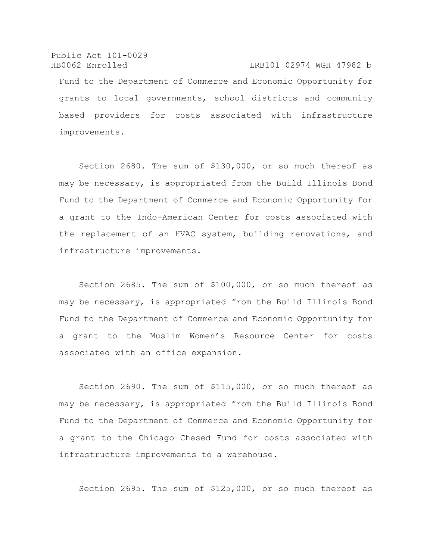Public Act 101-0029 HB0062 Enrolled LRB101 02974 WGH 47982 b Fund to the Department of Commerce and Economic Opportunity for grants to local governments, school districts and community based providers for costs associated with infrastructure improvements.

Section 2680. The sum of \$130,000, or so much thereof as may be necessary, is appropriated from the Build Illinois Bond Fund to the Department of Commerce and Economic Opportunity for a grant to the Indo-American Center for costs associated with the replacement of an HVAC system, building renovations, and infrastructure improvements.

Section 2685. The sum of \$100,000, or so much thereof as may be necessary, is appropriated from the Build Illinois Bond Fund to the Department of Commerce and Economic Opportunity for a grant to the Muslim Women's Resource Center for costs associated with an office expansion.

Section 2690. The sum of \$115,000, or so much thereof as may be necessary, is appropriated from the Build Illinois Bond Fund to the Department of Commerce and Economic Opportunity for a grant to the Chicago Chesed Fund for costs associated with infrastructure improvements to a warehouse.

Section 2695. The sum of \$125,000, or so much thereof as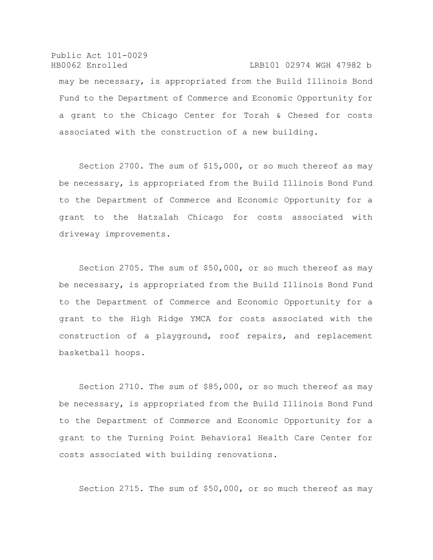Public Act 101-0029 HB0062 Enrolled LRB101 02974 WGH 47982 b may be necessary, is appropriated from the Build Illinois Bond Fund to the Department of Commerce and Economic Opportunity for a grant to the Chicago Center for Torah & Chesed for costs associated with the construction of a new building.

Section 2700. The sum of \$15,000, or so much thereof as may be necessary, is appropriated from the Build Illinois Bond Fund to the Department of Commerce and Economic Opportunity for a grant to the Hatzalah Chicago for costs associated with driveway improvements.

Section 2705. The sum of \$50,000, or so much thereof as may be necessary, is appropriated from the Build Illinois Bond Fund to the Department of Commerce and Economic Opportunity for a grant to the High Ridge YMCA for costs associated with the construction of a playground, roof repairs, and replacement basketball hoops.

Section 2710. The sum of \$85,000, or so much thereof as may be necessary, is appropriated from the Build Illinois Bond Fund to the Department of Commerce and Economic Opportunity for a grant to the Turning Point Behavioral Health Care Center for costs associated with building renovations.

Section 2715. The sum of \$50,000, or so much thereof as may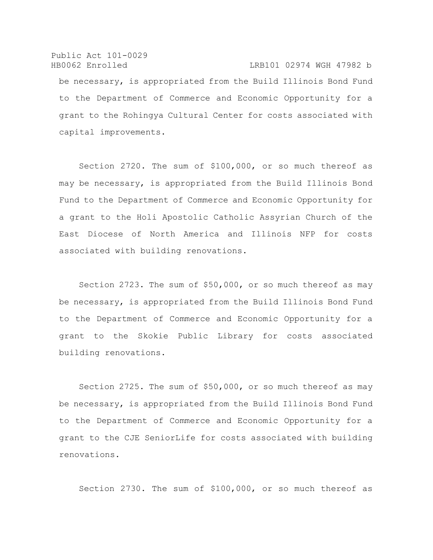Public Act 101-0029 HB0062 Enrolled LRB101 02974 WGH 47982 b be necessary, is appropriated from the Build Illinois Bond Fund to the Department of Commerce and Economic Opportunity for a grant to the Rohingya Cultural Center for costs associated with capital improvements.

Section 2720. The sum of \$100,000, or so much thereof as may be necessary, is appropriated from the Build Illinois Bond Fund to the Department of Commerce and Economic Opportunity for a grant to the Holi Apostolic Catholic Assyrian Church of the East Diocese of North America and Illinois NFP for costs associated with building renovations.

Section 2723. The sum of \$50,000, or so much thereof as may be necessary, is appropriated from the Build Illinois Bond Fund to the Department of Commerce and Economic Opportunity for a grant to the Skokie Public Library for costs associated building renovations.

Section 2725. The sum of \$50,000, or so much thereof as may be necessary, is appropriated from the Build Illinois Bond Fund to the Department of Commerce and Economic Opportunity for a grant to the CJE SeniorLife for costs associated with building renovations.

Section 2730. The sum of \$100,000, or so much thereof as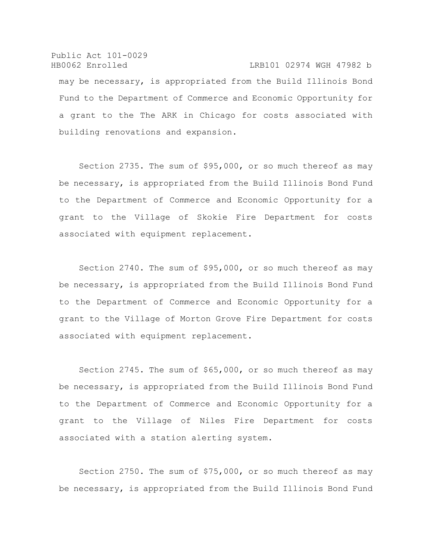Public Act 101-0029 HB0062 Enrolled LRB101 02974 WGH 47982 b may be necessary, is appropriated from the Build Illinois Bond Fund to the Department of Commerce and Economic Opportunity for a grant to the The ARK in Chicago for costs associated with building renovations and expansion.

Section 2735. The sum of \$95,000, or so much thereof as may be necessary, is appropriated from the Build Illinois Bond Fund to the Department of Commerce and Economic Opportunity for a grant to the Village of Skokie Fire Department for costs associated with equipment replacement.

Section 2740. The sum of \$95,000, or so much thereof as may be necessary, is appropriated from the Build Illinois Bond Fund to the Department of Commerce and Economic Opportunity for a grant to the Village of Morton Grove Fire Department for costs associated with equipment replacement.

Section 2745. The sum of \$65,000, or so much thereof as may be necessary, is appropriated from the Build Illinois Bond Fund to the Department of Commerce and Economic Opportunity for a grant to the Village of Niles Fire Department for costs associated with a station alerting system.

Section 2750. The sum of \$75,000, or so much thereof as may be necessary, is appropriated from the Build Illinois Bond Fund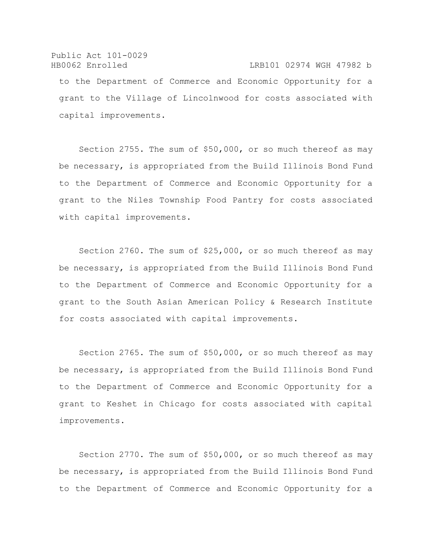# Public Act 101-0029 HB0062 Enrolled LRB101 02974 WGH 47982 b to the Department of Commerce and Economic Opportunity for a grant to the Village of Lincolnwood for costs associated with capital improvements.

Section 2755. The sum of \$50,000, or so much thereof as may be necessary, is appropriated from the Build Illinois Bond Fund to the Department of Commerce and Economic Opportunity for a grant to the Niles Township Food Pantry for costs associated with capital improvements.

Section 2760. The sum of \$25,000, or so much thereof as may be necessary, is appropriated from the Build Illinois Bond Fund to the Department of Commerce and Economic Opportunity for a grant to the South Asian American Policy & Research Institute for costs associated with capital improvements.

Section 2765. The sum of \$50,000, or so much thereof as may be necessary, is appropriated from the Build Illinois Bond Fund to the Department of Commerce and Economic Opportunity for a grant to Keshet in Chicago for costs associated with capital improvements.

Section 2770. The sum of \$50,000, or so much thereof as may be necessary, is appropriated from the Build Illinois Bond Fund to the Department of Commerce and Economic Opportunity for a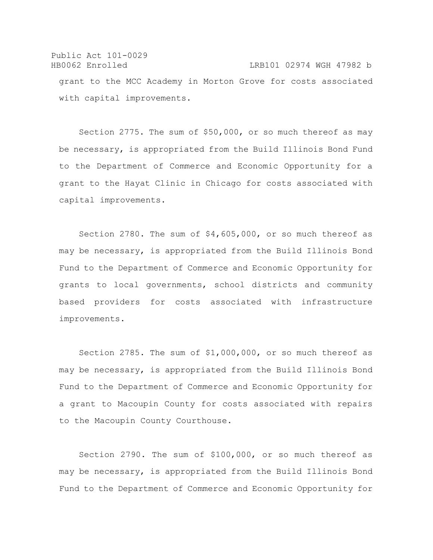Public Act 101-0029 HB0062 Enrolled LRB101 02974 WGH 47982 b grant to the MCC Academy in Morton Grove for costs associated with capital improvements.

Section 2775. The sum of \$50,000, or so much thereof as may be necessary, is appropriated from the Build Illinois Bond Fund to the Department of Commerce and Economic Opportunity for a grant to the Hayat Clinic in Chicago for costs associated with capital improvements.

Section 2780. The sum of \$4,605,000, or so much thereof as may be necessary, is appropriated from the Build Illinois Bond Fund to the Department of Commerce and Economic Opportunity for grants to local governments, school districts and community based providers for costs associated with infrastructure improvements.

Section 2785. The sum of \$1,000,000, or so much thereof as may be necessary, is appropriated from the Build Illinois Bond Fund to the Department of Commerce and Economic Opportunity for a grant to Macoupin County for costs associated with repairs to the Macoupin County Courthouse.

Section 2790. The sum of \$100,000, or so much thereof as may be necessary, is appropriated from the Build Illinois Bond Fund to the Department of Commerce and Economic Opportunity for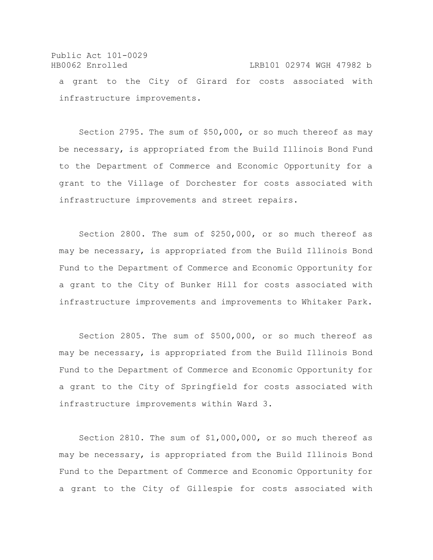## Public Act 101-0029 HB0062 Enrolled LRB101 02974 WGH 47982 b a grant to the City of Girard for costs associated with infrastructure improvements.

Section 2795. The sum of \$50,000, or so much thereof as may be necessary, is appropriated from the Build Illinois Bond Fund to the Department of Commerce and Economic Opportunity for a grant to the Village of Dorchester for costs associated with infrastructure improvements and street repairs.

Section 2800. The sum of \$250,000, or so much thereof as may be necessary, is appropriated from the Build Illinois Bond Fund to the Department of Commerce and Economic Opportunity for a grant to the City of Bunker Hill for costs associated with infrastructure improvements and improvements to Whitaker Park.

Section 2805. The sum of \$500,000, or so much thereof as may be necessary, is appropriated from the Build Illinois Bond Fund to the Department of Commerce and Economic Opportunity for a grant to the City of Springfield for costs associated with infrastructure improvements within Ward 3.

Section 2810. The sum of \$1,000,000, or so much thereof as may be necessary, is appropriated from the Build Illinois Bond Fund to the Department of Commerce and Economic Opportunity for a grant to the City of Gillespie for costs associated with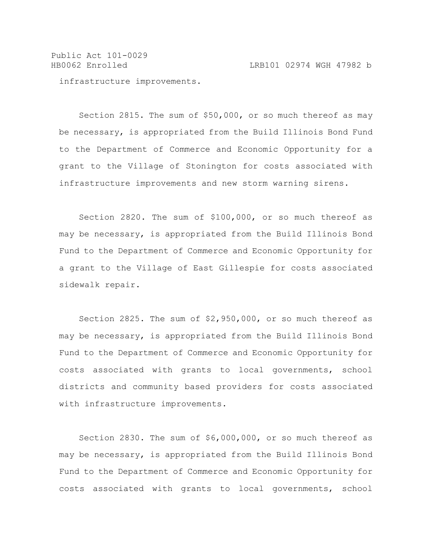Public Act 101-0029 HB0062 Enrolled LRB101 02974 WGH 47982 b

infrastructure improvements.

Section 2815. The sum of \$50,000, or so much thereof as may be necessary, is appropriated from the Build Illinois Bond Fund to the Department of Commerce and Economic Opportunity for a grant to the Village of Stonington for costs associated with infrastructure improvements and new storm warning sirens.

Section 2820. The sum of \$100,000, or so much thereof as may be necessary, is appropriated from the Build Illinois Bond Fund to the Department of Commerce and Economic Opportunity for a grant to the Village of East Gillespie for costs associated sidewalk repair.

Section 2825. The sum of \$2,950,000, or so much thereof as may be necessary, is appropriated from the Build Illinois Bond Fund to the Department of Commerce and Economic Opportunity for costs associated with grants to local governments, school districts and community based providers for costs associated with infrastructure improvements.

Section 2830. The sum of \$6,000,000, or so much thereof as may be necessary, is appropriated from the Build Illinois Bond Fund to the Department of Commerce and Economic Opportunity for costs associated with grants to local governments, school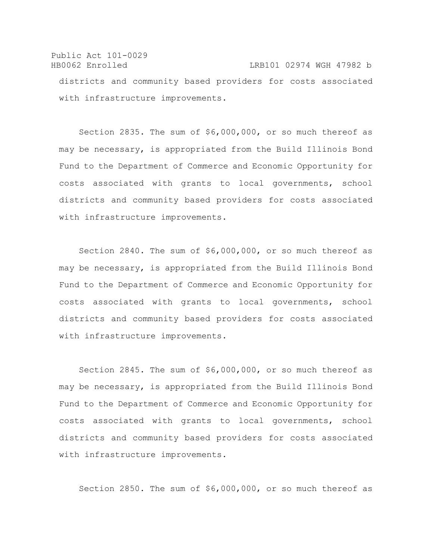Public Act 101-0029 HB0062 Enrolled LRB101 02974 WGH 47982 b districts and community based providers for costs associated with infrastructure improvements.

Section 2835. The sum of \$6,000,000, or so much thereof as may be necessary, is appropriated from the Build Illinois Bond Fund to the Department of Commerce and Economic Opportunity for costs associated with grants to local governments, school districts and community based providers for costs associated with infrastructure improvements.

Section 2840. The sum of \$6,000,000, or so much thereof as may be necessary, is appropriated from the Build Illinois Bond Fund to the Department of Commerce and Economic Opportunity for costs associated with grants to local governments, school districts and community based providers for costs associated with infrastructure improvements.

Section 2845. The sum of \$6,000,000, or so much thereof as may be necessary, is appropriated from the Build Illinois Bond Fund to the Department of Commerce and Economic Opportunity for costs associated with grants to local governments, school districts and community based providers for costs associated with infrastructure improvements.

Section 2850. The sum of \$6,000,000, or so much thereof as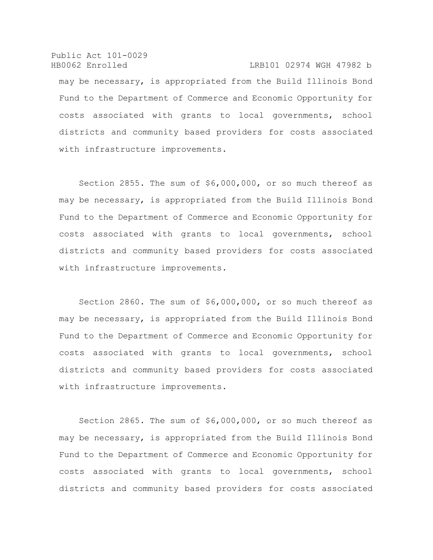Public Act 101-0029 HB0062 Enrolled LRB101 02974 WGH 47982 b may be necessary, is appropriated from the Build Illinois Bond Fund to the Department of Commerce and Economic Opportunity for costs associated with grants to local governments, school districts and community based providers for costs associated with infrastructure improvements.

Section 2855. The sum of \$6,000,000, or so much thereof as may be necessary, is appropriated from the Build Illinois Bond Fund to the Department of Commerce and Economic Opportunity for costs associated with grants to local governments, school districts and community based providers for costs associated with infrastructure improvements.

Section 2860. The sum of \$6,000,000, or so much thereof as may be necessary, is appropriated from the Build Illinois Bond Fund to the Department of Commerce and Economic Opportunity for costs associated with grants to local governments, school districts and community based providers for costs associated with infrastructure improvements.

Section 2865. The sum of \$6,000,000, or so much thereof as may be necessary, is appropriated from the Build Illinois Bond Fund to the Department of Commerce and Economic Opportunity for costs associated with grants to local governments, school districts and community based providers for costs associated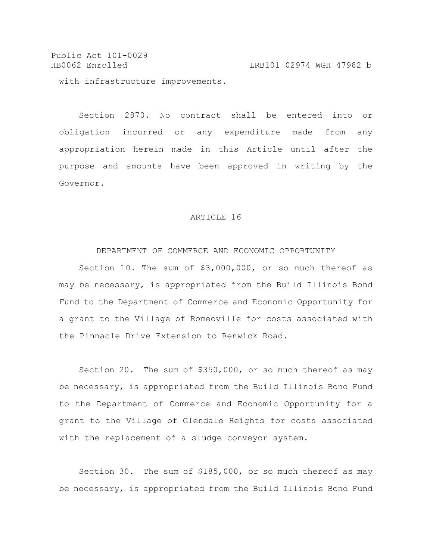Public Act 101-0029 HB0062 Enrolled LRB101 02974 WGH 47982 b with infrastructure improvements.

Section 2870. No contract shall be entered into or obligation incurred or any expenditure made from any appropriation herein made in this Article until after the purpose and amounts have been approved in writing by the Governor.

### ARTICLE 16

### DEPARTMENT OF COMMERCE AND ECONOMIC OPPORTUNITY

Section 10. The sum of \$3,000,000, or so much thereof as may be necessary, is appropriated from the Build Illinois Bond Fund to the Department of Commerce and Economic Opportunity for a grant to the Village of Romeoville for costs associated with the Pinnacle Drive Extension to Renwick Road.

Section 20. The sum of \$350,000, or so much thereof as may be necessary, is appropriated from the Build Illinois Bond Fund to the Department of Commerce and Economic Opportunity for a grant to the Village of Glendale Heights for costs associated with the replacement of a sludge conveyor system.

Section 30. The sum of \$185,000, or so much thereof as may be necessary, is appropriated from the Build Illinois Bond Fund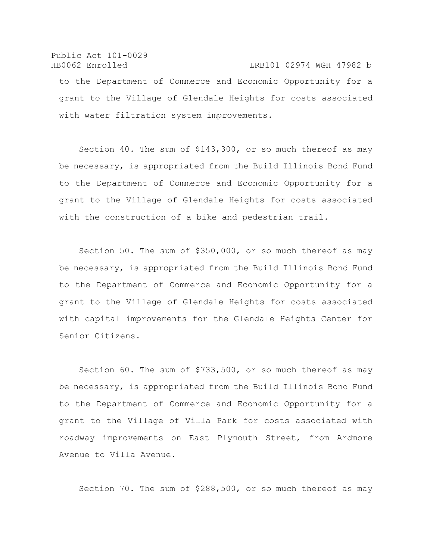### Public Act 101-0029 HB0062 Enrolled LRB101 02974 WGH 47982 b

to the Department of Commerce and Economic Opportunity for a grant to the Village of Glendale Heights for costs associated with water filtration system improvements.

Section 40. The sum of \$143,300, or so much thereof as may be necessary, is appropriated from the Build Illinois Bond Fund to the Department of Commerce and Economic Opportunity for a grant to the Village of Glendale Heights for costs associated with the construction of a bike and pedestrian trail.

Section 50. The sum of \$350,000, or so much thereof as may be necessary, is appropriated from the Build Illinois Bond Fund to the Department of Commerce and Economic Opportunity for a grant to the Village of Glendale Heights for costs associated with capital improvements for the Glendale Heights Center for Senior Citizens.

Section 60. The sum of \$733,500, or so much thereof as may be necessary, is appropriated from the Build Illinois Bond Fund to the Department of Commerce and Economic Opportunity for a grant to the Village of Villa Park for costs associated with roadway improvements on East Plymouth Street, from Ardmore Avenue to Villa Avenue.

Section 70. The sum of \$288,500, or so much thereof as may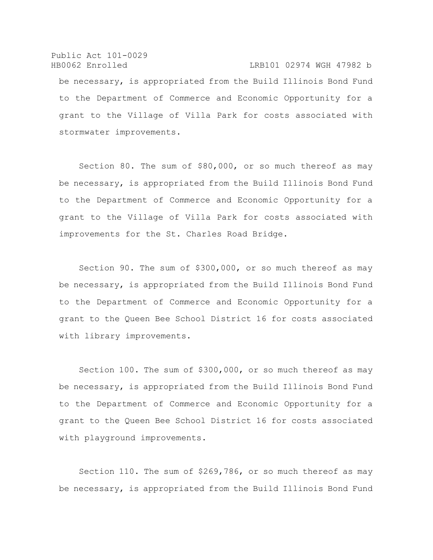Public Act 101-0029 HB0062 Enrolled LRB101 02974 WGH 47982 b be necessary, is appropriated from the Build Illinois Bond Fund to the Department of Commerce and Economic Opportunity for a grant to the Village of Villa Park for costs associated with stormwater improvements.

Section 80. The sum of \$80,000, or so much thereof as may be necessary, is appropriated from the Build Illinois Bond Fund to the Department of Commerce and Economic Opportunity for a grant to the Village of Villa Park for costs associated with improvements for the St. Charles Road Bridge.

Section 90. The sum of \$300,000, or so much thereof as may be necessary, is appropriated from the Build Illinois Bond Fund to the Department of Commerce and Economic Opportunity for a grant to the Queen Bee School District 16 for costs associated with library improvements.

Section 100. The sum of \$300,000, or so much thereof as may be necessary, is appropriated from the Build Illinois Bond Fund to the Department of Commerce and Economic Opportunity for a grant to the Queen Bee School District 16 for costs associated with playground improvements.

Section 110. The sum of \$269,786, or so much thereof as may be necessary, is appropriated from the Build Illinois Bond Fund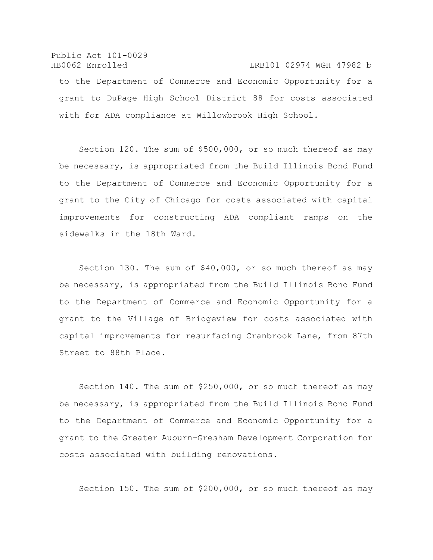# Public Act 101-0029 HB0062 Enrolled LRB101 02974 WGH 47982 b to the Department of Commerce and Economic Opportunity for a grant to DuPage High School District 88 for costs associated with for ADA compliance at Willowbrook High School.

Section 120. The sum of \$500,000, or so much thereof as may be necessary, is appropriated from the Build Illinois Bond Fund to the Department of Commerce and Economic Opportunity for a grant to the City of Chicago for costs associated with capital improvements for constructing ADA compliant ramps on the sidewalks in the 18th Ward.

Section 130. The sum of \$40,000, or so much thereof as may be necessary, is appropriated from the Build Illinois Bond Fund to the Department of Commerce and Economic Opportunity for a grant to the Village of Bridgeview for costs associated with capital improvements for resurfacing Cranbrook Lane, from 87th Street to 88th Place.

Section 140. The sum of \$250,000, or so much thereof as may be necessary, is appropriated from the Build Illinois Bond Fund to the Department of Commerce and Economic Opportunity for a grant to the Greater Auburn-Gresham Development Corporation for costs associated with building renovations.

Section 150. The sum of \$200,000, or so much thereof as may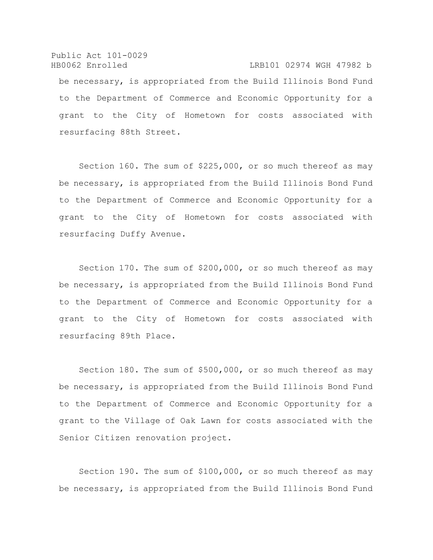Public Act 101-0029 HB0062 Enrolled LRB101 02974 WGH 47982 b be necessary, is appropriated from the Build Illinois Bond Fund to the Department of Commerce and Economic Opportunity for a grant to the City of Hometown for costs associated with resurfacing 88th Street.

Section 160. The sum of \$225,000, or so much thereof as may be necessary, is appropriated from the Build Illinois Bond Fund to the Department of Commerce and Economic Opportunity for a grant to the City of Hometown for costs associated with resurfacing Duffy Avenue.

Section 170. The sum of \$200,000, or so much thereof as may be necessary, is appropriated from the Build Illinois Bond Fund to the Department of Commerce and Economic Opportunity for a grant to the City of Hometown for costs associated with resurfacing 89th Place.

Section 180. The sum of \$500,000, or so much thereof as may be necessary, is appropriated from the Build Illinois Bond Fund to the Department of Commerce and Economic Opportunity for a grant to the Village of Oak Lawn for costs associated with the Senior Citizen renovation project.

Section 190. The sum of \$100,000, or so much thereof as may be necessary, is appropriated from the Build Illinois Bond Fund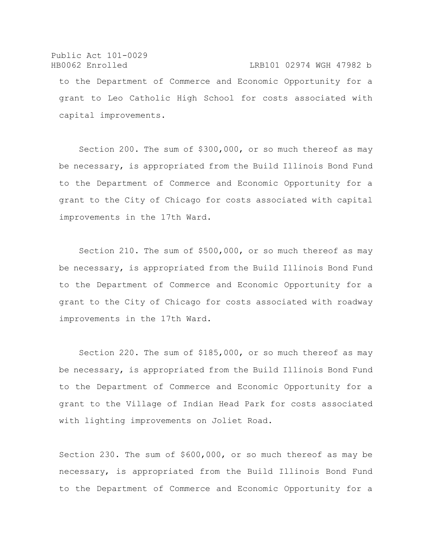# Public Act 101-0029 HB0062 Enrolled LRB101 02974 WGH 47982 b to the Department of Commerce and Economic Opportunity for a grant to Leo Catholic High School for costs associated with capital improvements.

Section 200. The sum of \$300,000, or so much thereof as may be necessary, is appropriated from the Build Illinois Bond Fund to the Department of Commerce and Economic Opportunity for a grant to the City of Chicago for costs associated with capital improvements in the 17th Ward.

Section 210. The sum of \$500,000, or so much thereof as may be necessary, is appropriated from the Build Illinois Bond Fund to the Department of Commerce and Economic Opportunity for a grant to the City of Chicago for costs associated with roadway improvements in the 17th Ward.

Section 220. The sum of \$185,000, or so much thereof as may be necessary, is appropriated from the Build Illinois Bond Fund to the Department of Commerce and Economic Opportunity for a grant to the Village of Indian Head Park for costs associated with lighting improvements on Joliet Road.

Section 230. The sum of \$600,000, or so much thereof as may be necessary, is appropriated from the Build Illinois Bond Fund to the Department of Commerce and Economic Opportunity for a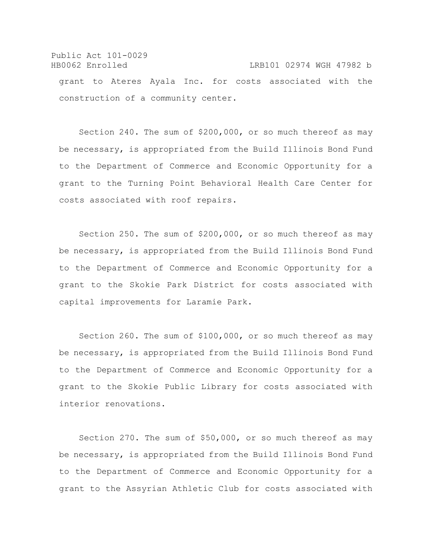## Public Act 101-0029 HB0062 Enrolled LRB101 02974 WGH 47982 b grant to Ateres Ayala Inc. for costs associated with the construction of a community center.

Section 240. The sum of \$200,000, or so much thereof as may be necessary, is appropriated from the Build Illinois Bond Fund to the Department of Commerce and Economic Opportunity for a grant to the Turning Point Behavioral Health Care Center for costs associated with roof repairs.

Section 250. The sum of \$200,000, or so much thereof as may be necessary, is appropriated from the Build Illinois Bond Fund to the Department of Commerce and Economic Opportunity for a grant to the Skokie Park District for costs associated with capital improvements for Laramie Park.

Section 260. The sum of \$100,000, or so much thereof as may be necessary, is appropriated from the Build Illinois Bond Fund to the Department of Commerce and Economic Opportunity for a grant to the Skokie Public Library for costs associated with interior renovations.

Section 270. The sum of \$50,000, or so much thereof as may be necessary, is appropriated from the Build Illinois Bond Fund to the Department of Commerce and Economic Opportunity for a grant to the Assyrian Athletic Club for costs associated with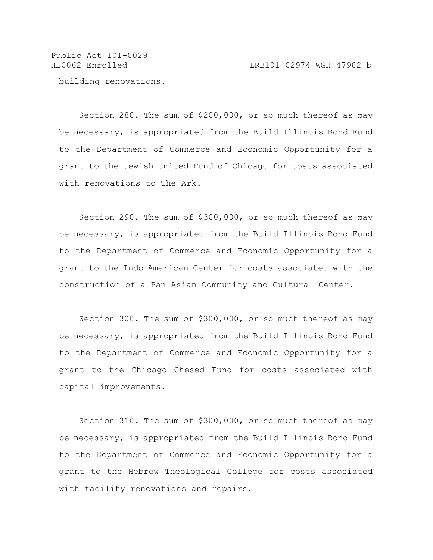Public Act 101-0029

building renovations.

Section 280. The sum of \$200,000, or so much thereof as may be necessary, is appropriated from the Build Illinois Bond Fund to the Department of Commerce and Economic Opportunity for a grant to the Jewish United Fund of Chicago for costs associated with renovations to The Ark.

Section 290. The sum of \$300,000, or so much thereof as may be necessary, is appropriated from the Build Illinois Bond Fund to the Department of Commerce and Economic Opportunity for a grant to the Indo American Center for costs associated with the construction of a Pan Asian Community and Cultural Center.

Section 300. The sum of \$300,000, or so much thereof as may be necessary, is appropriated from the Build Illinois Bond Fund to the Department of Commerce and Economic Opportunity for a grant to the Chicago Chesed Fund for costs associated with capital improvements.

Section 310. The sum of \$300,000, or so much thereof as may be necessary, is appropriated from the Build Illinois Bond Fund to the Department of Commerce and Economic Opportunity for a grant to the Hebrew Theological College for costs associated with facility renovations and repairs.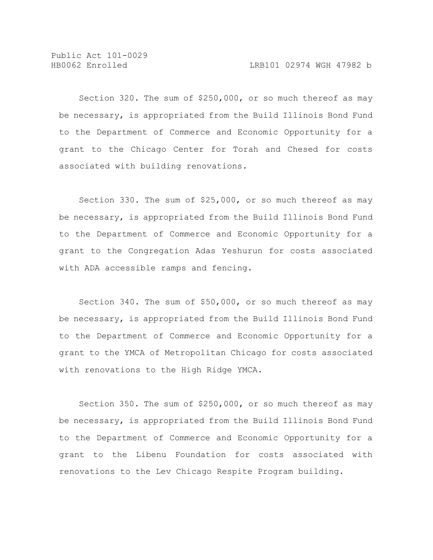Public Act 101-0029

Section 320. The sum of \$250,000, or so much thereof as may be necessary, is appropriated from the Build Illinois Bond Fund to the Department of Commerce and Economic Opportunity for a grant to the Chicago Center for Torah and Chesed for costs associated with building renovations.

Section 330. The sum of \$25,000, or so much thereof as may be necessary, is appropriated from the Build Illinois Bond Fund to the Department of Commerce and Economic Opportunity for a grant to the Congregation Adas Yeshurun for costs associated with ADA accessible ramps and fencing.

Section 340. The sum of \$50,000, or so much thereof as may be necessary, is appropriated from the Build Illinois Bond Fund to the Department of Commerce and Economic Opportunity for a grant to the YMCA of Metropolitan Chicago for costs associated with renovations to the High Ridge YMCA.

Section 350. The sum of \$250,000, or so much thereof as may be necessary, is appropriated from the Build Illinois Bond Fund to the Department of Commerce and Economic Opportunity for a grant to the Libenu Foundation for costs associated with renovations to the Lev Chicago Respite Program building.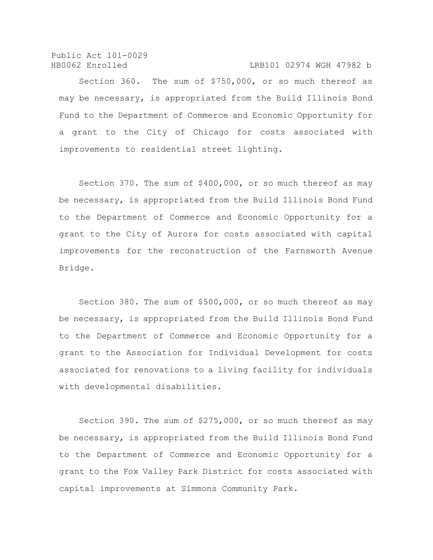Public Act 101-0029 HB0062 Enrolled LRB101 02974 WGH 47982 b

Section 360. The sum of \$750,000, or so much thereof as may be necessary, is appropriated from the Build Illinois Bond Fund to the Department of Commerce and Economic Opportunity for a grant to the City of Chicago for costs associated with improvements to residential street lighting.

Section 370. The sum of \$400,000, or so much thereof as may be necessary, is appropriated from the Build Illinois Bond Fund to the Department of Commerce and Economic Opportunity for a grant to the City of Aurora for costs associated with capital improvements for the reconstruction of the Farnsworth Avenue Bridge.

Section 380. The sum of \$500,000, or so much thereof as may be necessary, is appropriated from the Build Illinois Bond Fund to the Department of Commerce and Economic Opportunity for a grant to the Association for Individual Development for costs associated for renovations to a living facility for individuals with developmental disabilities.

Section 390. The sum of \$275,000, or so much thereof as may be necessary, is appropriated from the Build Illinois Bond Fund to the Department of Commerce and Economic Opportunity for a grant to the Fox Valley Park District for costs associated with capital improvements at Simmons Community Park.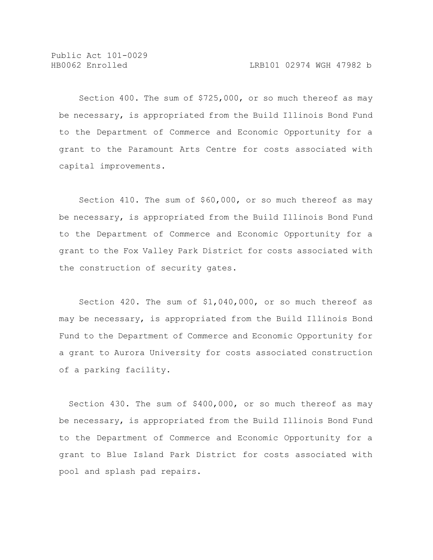Section 400. The sum of \$725,000, or so much thereof as may be necessary, is appropriated from the Build Illinois Bond Fund to the Department of Commerce and Economic Opportunity for a grant to the Paramount Arts Centre for costs associated with capital improvements.

Section 410. The sum of \$60,000, or so much thereof as may be necessary, is appropriated from the Build Illinois Bond Fund to the Department of Commerce and Economic Opportunity for a grant to the Fox Valley Park District for costs associated with the construction of security gates.

Section 420. The sum of \$1,040,000, or so much thereof as may be necessary, is appropriated from the Build Illinois Bond Fund to the Department of Commerce and Economic Opportunity for a grant to Aurora University for costs associated construction of a parking facility.

Section 430. The sum of \$400,000, or so much thereof as may be necessary, is appropriated from the Build Illinois Bond Fund to the Department of Commerce and Economic Opportunity for a grant to Blue Island Park District for costs associated with pool and splash pad repairs.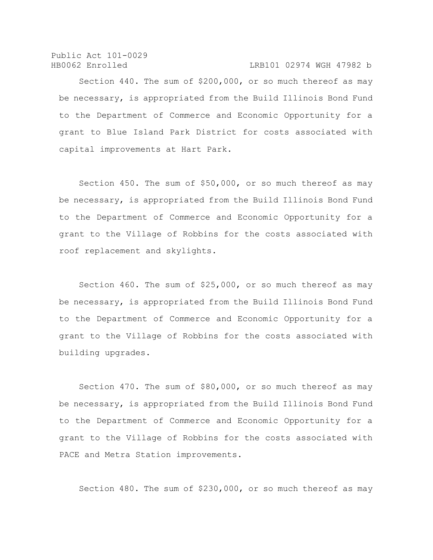## HB0062 Enrolled LRB101 02974 WGH 47982 b

Section 440. The sum of \$200,000, or so much thereof as may be necessary, is appropriated from the Build Illinois Bond Fund to the Department of Commerce and Economic Opportunity for a grant to Blue Island Park District for costs associated with capital improvements at Hart Park.

Section 450. The sum of \$50,000, or so much thereof as may be necessary, is appropriated from the Build Illinois Bond Fund to the Department of Commerce and Economic Opportunity for a grant to the Village of Robbins for the costs associated with roof replacement and skylights.

Section 460. The sum of \$25,000, or so much thereof as may be necessary, is appropriated from the Build Illinois Bond Fund to the Department of Commerce and Economic Opportunity for a grant to the Village of Robbins for the costs associated with building upgrades.

Section 470. The sum of \$80,000, or so much thereof as may be necessary, is appropriated from the Build Illinois Bond Fund to the Department of Commerce and Economic Opportunity for a grant to the Village of Robbins for the costs associated with PACE and Metra Station improvements.

Section 480. The sum of \$230,000, or so much thereof as may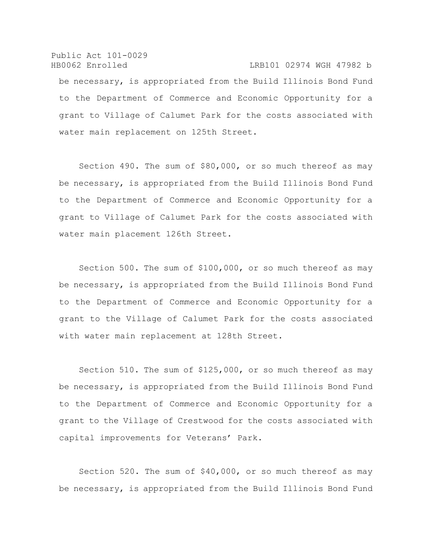Public Act 101-0029 HB0062 Enrolled LRB101 02974 WGH 47982 b be necessary, is appropriated from the Build Illinois Bond Fund to the Department of Commerce and Economic Opportunity for a grant to Village of Calumet Park for the costs associated with water main replacement on 125th Street.

Section 490. The sum of \$80,000, or so much thereof as may be necessary, is appropriated from the Build Illinois Bond Fund to the Department of Commerce and Economic Opportunity for a grant to Village of Calumet Park for the costs associated with water main placement 126th Street.

Section 500. The sum of \$100,000, or so much thereof as may be necessary, is appropriated from the Build Illinois Bond Fund to the Department of Commerce and Economic Opportunity for a grant to the Village of Calumet Park for the costs associated with water main replacement at 128th Street.

Section 510. The sum of \$125,000, or so much thereof as may be necessary, is appropriated from the Build Illinois Bond Fund to the Department of Commerce and Economic Opportunity for a grant to the Village of Crestwood for the costs associated with capital improvements for Veterans' Park.

Section 520. The sum of \$40,000, or so much thereof as may be necessary, is appropriated from the Build Illinois Bond Fund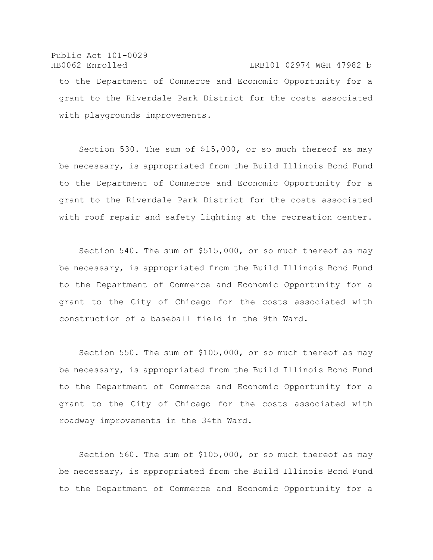## Public Act 101-0029 HB0062 Enrolled LRB101 02974 WGH 47982 b

to the Department of Commerce and Economic Opportunity for a grant to the Riverdale Park District for the costs associated with playgrounds improvements.

Section 530. The sum of \$15,000, or so much thereof as may be necessary, is appropriated from the Build Illinois Bond Fund to the Department of Commerce and Economic Opportunity for a grant to the Riverdale Park District for the costs associated with roof repair and safety lighting at the recreation center.

Section 540. The sum of \$515,000, or so much thereof as may be necessary, is appropriated from the Build Illinois Bond Fund to the Department of Commerce and Economic Opportunity for a grant to the City of Chicago for the costs associated with construction of a baseball field in the 9th Ward.

Section 550. The sum of \$105,000, or so much thereof as may be necessary, is appropriated from the Build Illinois Bond Fund to the Department of Commerce and Economic Opportunity for a grant to the City of Chicago for the costs associated with roadway improvements in the 34th Ward.

Section 560. The sum of \$105,000, or so much thereof as may be necessary, is appropriated from the Build Illinois Bond Fund to the Department of Commerce and Economic Opportunity for a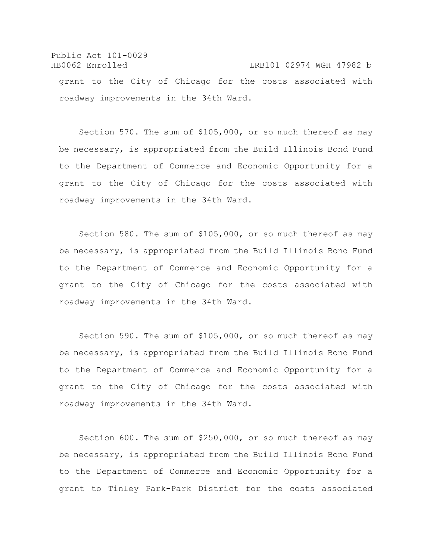Public Act 101-0029 HB0062 Enrolled LRB101 02974 WGH 47982 b grant to the City of Chicago for the costs associated with roadway improvements in the 34th Ward.

Section 570. The sum of \$105,000, or so much thereof as may be necessary, is appropriated from the Build Illinois Bond Fund to the Department of Commerce and Economic Opportunity for a grant to the City of Chicago for the costs associated with roadway improvements in the 34th Ward.

Section 580. The sum of \$105,000, or so much thereof as may be necessary, is appropriated from the Build Illinois Bond Fund to the Department of Commerce and Economic Opportunity for a grant to the City of Chicago for the costs associated with roadway improvements in the 34th Ward.

Section 590. The sum of \$105,000, or so much thereof as may be necessary, is appropriated from the Build Illinois Bond Fund to the Department of Commerce and Economic Opportunity for a grant to the City of Chicago for the costs associated with roadway improvements in the 34th Ward.

Section 600. The sum of \$250,000, or so much thereof as may be necessary, is appropriated from the Build Illinois Bond Fund to the Department of Commerce and Economic Opportunity for a grant to Tinley Park-Park District for the costs associated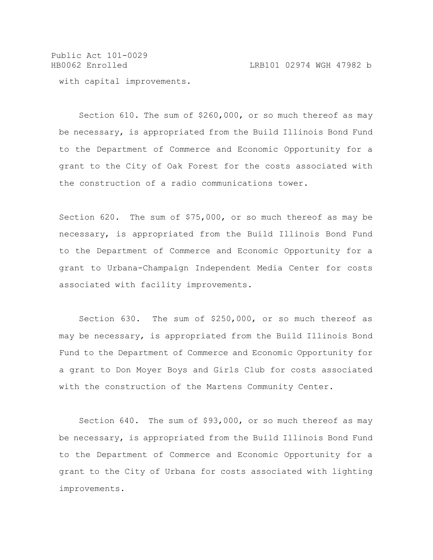Public Act 101-0029 HB0062 Enrolled LRB101 02974 WGH 47982 b with capital improvements.

Section 610. The sum of \$260,000, or so much thereof as may be necessary, is appropriated from the Build Illinois Bond Fund to the Department of Commerce and Economic Opportunity for a grant to the City of Oak Forest for the costs associated with the construction of a radio communications tower.

Section 620. The sum of \$75,000, or so much thereof as may be necessary, is appropriated from the Build Illinois Bond Fund to the Department of Commerce and Economic Opportunity for a grant to Urbana-Champaign Independent Media Center for costs associated with facility improvements.

Section 630. The sum of \$250,000, or so much thereof as may be necessary, is appropriated from the Build Illinois Bond Fund to the Department of Commerce and Economic Opportunity for a grant to Don Moyer Boys and Girls Club for costs associated with the construction of the Martens Community Center.

Section 640. The sum of \$93,000, or so much thereof as may be necessary, is appropriated from the Build Illinois Bond Fund to the Department of Commerce and Economic Opportunity for a grant to the City of Urbana for costs associated with lighting improvements.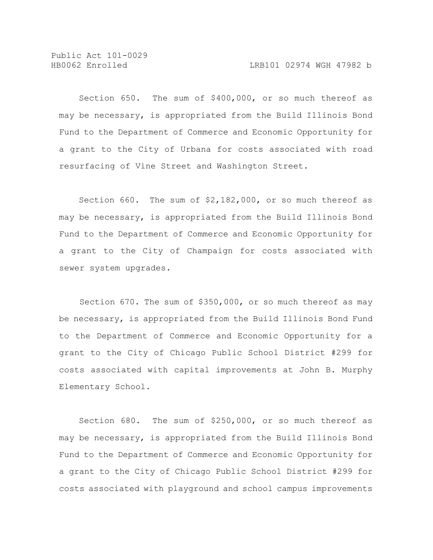Section 650. The sum of \$400,000, or so much thereof as may be necessary, is appropriated from the Build Illinois Bond Fund to the Department of Commerce and Economic Opportunity for a grant to the City of Urbana for costs associated with road resurfacing of Vine Street and Washington Street.

Section 660. The sum of \$2,182,000, or so much thereof as may be necessary, is appropriated from the Build Illinois Bond Fund to the Department of Commerce and Economic Opportunity for a grant to the City of Champaign for costs associated with sewer system upgrades.

 Section 670. The sum of \$350,000, or so much thereof as may be necessary, is appropriated from the Build Illinois Bond Fund to the Department of Commerce and Economic Opportunity for a grant to the City of Chicago Public School District #299 for costs associated with capital improvements at John B. Murphy Elementary School.

Section 680. The sum of \$250,000, or so much thereof as may be necessary, is appropriated from the Build Illinois Bond Fund to the Department of Commerce and Economic Opportunity for a grant to the City of Chicago Public School District #299 for costs associated with playground and school campus improvements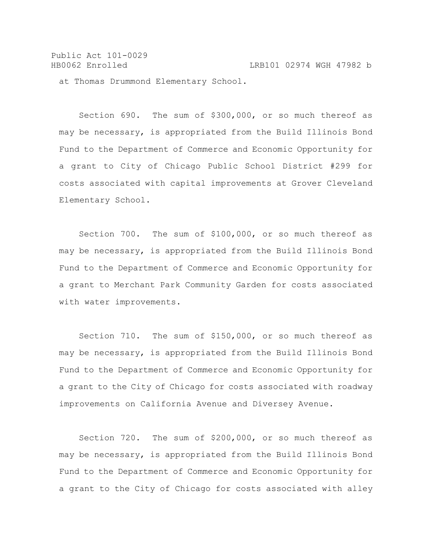Public Act 101-0029 HB0062 Enrolled LRB101 02974 WGH 47982 b at Thomas Drummond Elementary School.

Section 690. The sum of \$300,000, or so much thereof as may be necessary, is appropriated from the Build Illinois Bond Fund to the Department of Commerce and Economic Opportunity for a grant to City of Chicago Public School District #299 for costs associated with capital improvements at Grover Cleveland Elementary School.

Section 700. The sum of \$100,000, or so much thereof as may be necessary, is appropriated from the Build Illinois Bond Fund to the Department of Commerce and Economic Opportunity for a grant to Merchant Park Community Garden for costs associated with water improvements.

Section 710. The sum of \$150,000, or so much thereof as may be necessary, is appropriated from the Build Illinois Bond Fund to the Department of Commerce and Economic Opportunity for a grant to the City of Chicago for costs associated with roadway improvements on California Avenue and Diversey Avenue.

Section 720. The sum of \$200,000, or so much thereof as may be necessary, is appropriated from the Build Illinois Bond Fund to the Department of Commerce and Economic Opportunity for a grant to the City of Chicago for costs associated with alley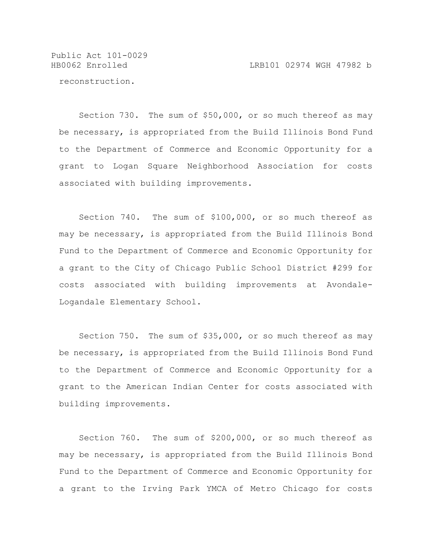HB0062 Enrolled LRB101 02974 WGH 47982 b

reconstruction.

Section 730. The sum of \$50,000, or so much thereof as may be necessary, is appropriated from the Build Illinois Bond Fund to the Department of Commerce and Economic Opportunity for a grant to Logan Square Neighborhood Association for costs associated with building improvements.

Section 740. The sum of \$100,000, or so much thereof as may be necessary, is appropriated from the Build Illinois Bond Fund to the Department of Commerce and Economic Opportunity for a grant to the City of Chicago Public School District #299 for costs associated with building improvements at Avondale-Logandale Elementary School.

Section 750. The sum of \$35,000, or so much thereof as may be necessary, is appropriated from the Build Illinois Bond Fund to the Department of Commerce and Economic Opportunity for a grant to the American Indian Center for costs associated with building improvements.

Section 760. The sum of \$200,000, or so much thereof as may be necessary, is appropriated from the Build Illinois Bond Fund to the Department of Commerce and Economic Opportunity for a grant to the Irving Park YMCA of Metro Chicago for costs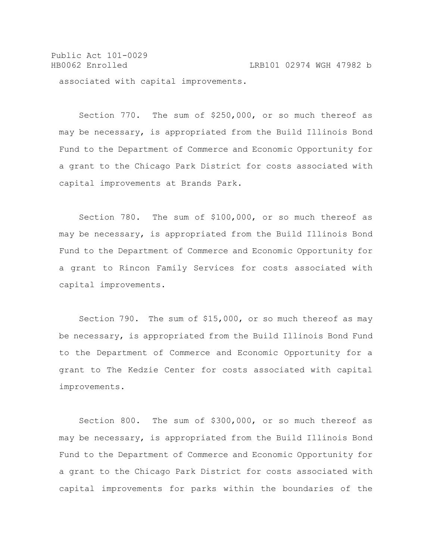Public Act 101-0029 HB0062 Enrolled LRB101 02974 WGH 47982 b associated with capital improvements.

Section 770. The sum of \$250,000, or so much thereof as may be necessary, is appropriated from the Build Illinois Bond Fund to the Department of Commerce and Economic Opportunity for a grant to the Chicago Park District for costs associated with capital improvements at Brands Park.

Section 780. The sum of \$100,000, or so much thereof as may be necessary, is appropriated from the Build Illinois Bond Fund to the Department of Commerce and Economic Opportunity for a grant to Rincon Family Services for costs associated with capital improvements.

Section 790. The sum of \$15,000, or so much thereof as may be necessary, is appropriated from the Build Illinois Bond Fund to the Department of Commerce and Economic Opportunity for a grant to The Kedzie Center for costs associated with capital improvements.

Section 800. The sum of \$300,000, or so much thereof as may be necessary, is appropriated from the Build Illinois Bond Fund to the Department of Commerce and Economic Opportunity for a grant to the Chicago Park District for costs associated with capital improvements for parks within the boundaries of the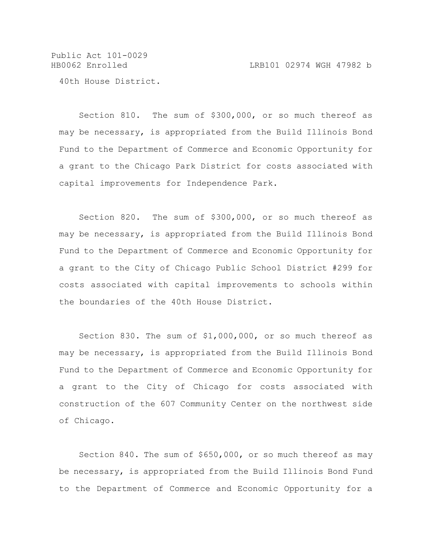Public Act 101-0029 HB0062 Enrolled LRB101 02974 WGH 47982 b 40th House District.

Section 810. The sum of \$300,000, or so much thereof as may be necessary, is appropriated from the Build Illinois Bond Fund to the Department of Commerce and Economic Opportunity for a grant to the Chicago Park District for costs associated with capital improvements for Independence Park.

Section 820. The sum of \$300,000, or so much thereof as may be necessary, is appropriated from the Build Illinois Bond Fund to the Department of Commerce and Economic Opportunity for a grant to the City of Chicago Public School District #299 for costs associated with capital improvements to schools within the boundaries of the 40th House District.

Section 830. The sum of \$1,000,000, or so much thereof as may be necessary, is appropriated from the Build Illinois Bond Fund to the Department of Commerce and Economic Opportunity for a grant to the City of Chicago for costs associated with construction of the 607 Community Center on the northwest side of Chicago.

Section 840. The sum of \$650,000, or so much thereof as may be necessary, is appropriated from the Build Illinois Bond Fund to the Department of Commerce and Economic Opportunity for a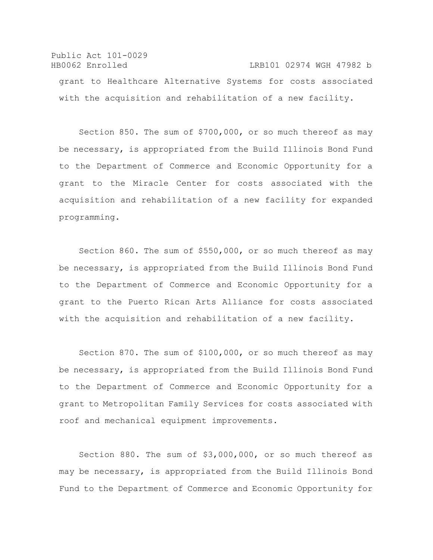```
Public Act 101-0029
HB0062 Enrolled LRB101 02974 WGH 47982 b
 grant to Healthcare Alternative Systems for costs associated 
 with the acquisition and rehabilitation of a new facility.
```
Section 850. The sum of \$700,000, or so much thereof as may be necessary, is appropriated from the Build Illinois Bond Fund to the Department of Commerce and Economic Opportunity for a grant to the Miracle Center for costs associated with the acquisition and rehabilitation of a new facility for expanded programming.

Section 860. The sum of \$550,000, or so much thereof as may be necessary, is appropriated from the Build Illinois Bond Fund to the Department of Commerce and Economic Opportunity for a grant to the Puerto Rican Arts Alliance for costs associated with the acquisition and rehabilitation of a new facility.

Section 870. The sum of \$100,000, or so much thereof as may be necessary, is appropriated from the Build Illinois Bond Fund to the Department of Commerce and Economic Opportunity for a grant to Metropolitan Family Services for costs associated with roof and mechanical equipment improvements.

Section 880. The sum of \$3,000,000, or so much thereof as may be necessary, is appropriated from the Build Illinois Bond Fund to the Department of Commerce and Economic Opportunity for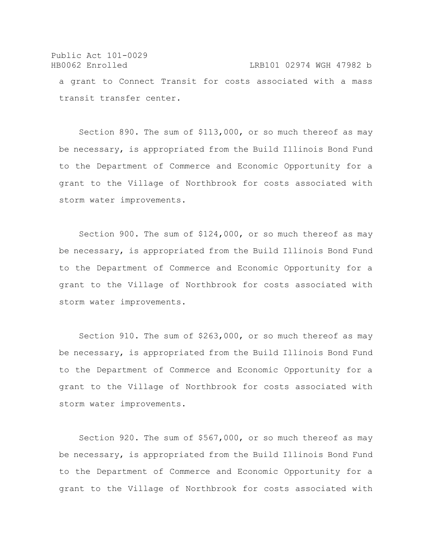Public Act 101-0029 HB0062 Enrolled LRB101 02974 WGH 47982 b a grant to Connect Transit for costs associated with a mass transit transfer center.

Section 890. The sum of \$113,000, or so much thereof as may be necessary, is appropriated from the Build Illinois Bond Fund to the Department of Commerce and Economic Opportunity for a grant to the Village of Northbrook for costs associated with storm water improvements.

Section 900. The sum of \$124,000, or so much thereof as may be necessary, is appropriated from the Build Illinois Bond Fund to the Department of Commerce and Economic Opportunity for a grant to the Village of Northbrook for costs associated with storm water improvements.

Section 910. The sum of \$263,000, or so much thereof as may be necessary, is appropriated from the Build Illinois Bond Fund to the Department of Commerce and Economic Opportunity for a grant to the Village of Northbrook for costs associated with storm water improvements.

Section 920. The sum of \$567,000, or so much thereof as may be necessary, is appropriated from the Build Illinois Bond Fund to the Department of Commerce and Economic Opportunity for a grant to the Village of Northbrook for costs associated with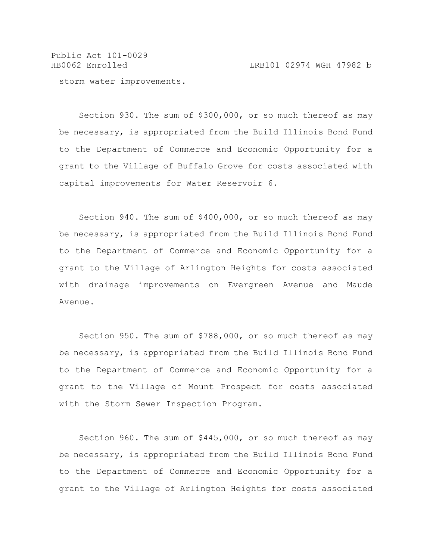Public Act 101-0029 HB0062 Enrolled LRB101 02974 WGH 47982 b

storm water improvements.

Section 930. The sum of \$300,000, or so much thereof as may be necessary, is appropriated from the Build Illinois Bond Fund to the Department of Commerce and Economic Opportunity for a grant to the Village of Buffalo Grove for costs associated with capital improvements for Water Reservoir 6.

Section 940. The sum of \$400,000, or so much thereof as may be necessary, is appropriated from the Build Illinois Bond Fund to the Department of Commerce and Economic Opportunity for a grant to the Village of Arlington Heights for costs associated with drainage improvements on Evergreen Avenue and Maude Avenue.

Section 950. The sum of \$788,000, or so much thereof as may be necessary, is appropriated from the Build Illinois Bond Fund to the Department of Commerce and Economic Opportunity for a grant to the Village of Mount Prospect for costs associated with the Storm Sewer Inspection Program.

Section 960. The sum of \$445,000, or so much thereof as may be necessary, is appropriated from the Build Illinois Bond Fund to the Department of Commerce and Economic Opportunity for a grant to the Village of Arlington Heights for costs associated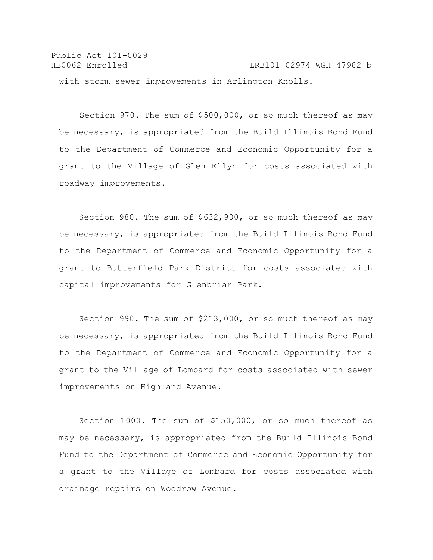Public Act 101-0029 HB0062 Enrolled LRB101 02974 WGH 47982 b with storm sewer improvements in Arlington Knolls.

 Section 970. The sum of \$500,000, or so much thereof as may be necessary, is appropriated from the Build Illinois Bond Fund to the Department of Commerce and Economic Opportunity for a grant to the Village of Glen Ellyn for costs associated with roadway improvements.

Section 980. The sum of \$632,900, or so much thereof as may be necessary, is appropriated from the Build Illinois Bond Fund to the Department of Commerce and Economic Opportunity for a grant to Butterfield Park District for costs associated with capital improvements for Glenbriar Park.

Section 990. The sum of \$213,000, or so much thereof as may be necessary, is appropriated from the Build Illinois Bond Fund to the Department of Commerce and Economic Opportunity for a grant to the Village of Lombard for costs associated with sewer improvements on Highland Avenue.

Section 1000. The sum of \$150,000, or so much thereof as may be necessary, is appropriated from the Build Illinois Bond Fund to the Department of Commerce and Economic Opportunity for a grant to the Village of Lombard for costs associated with drainage repairs on Woodrow Avenue.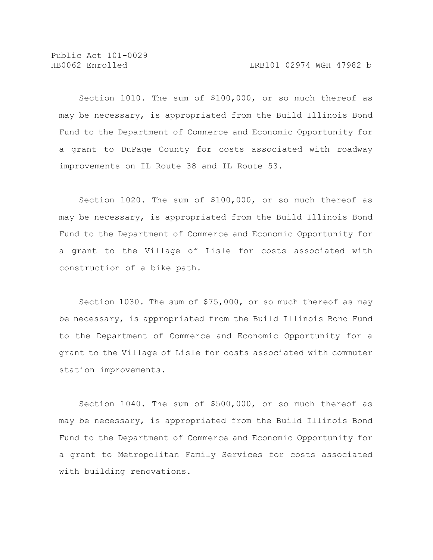Section 1010. The sum of \$100,000, or so much thereof as may be necessary, is appropriated from the Build Illinois Bond Fund to the Department of Commerce and Economic Opportunity for a grant to DuPage County for costs associated with roadway improvements on IL Route 38 and IL Route 53.

Section 1020. The sum of \$100,000, or so much thereof as may be necessary, is appropriated from the Build Illinois Bond Fund to the Department of Commerce and Economic Opportunity for a grant to the Village of Lisle for costs associated with construction of a bike path.

Section 1030. The sum of \$75,000, or so much thereof as may be necessary, is appropriated from the Build Illinois Bond Fund to the Department of Commerce and Economic Opportunity for a grant to the Village of Lisle for costs associated with commuter station improvements.

Section 1040. The sum of \$500,000, or so much thereof as may be necessary, is appropriated from the Build Illinois Bond Fund to the Department of Commerce and Economic Opportunity for a grant to Metropolitan Family Services for costs associated with building renovations.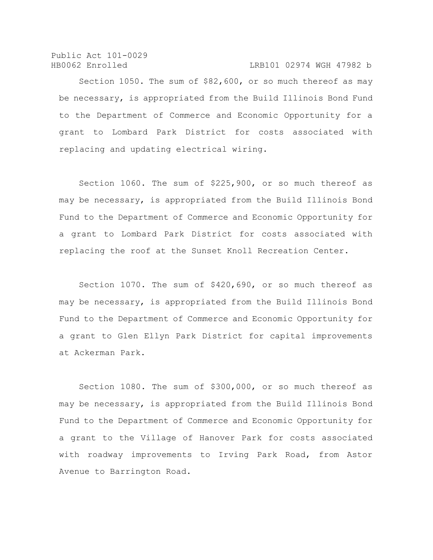HB0062 Enrolled LRB101 02974 WGH 47982 b

Section 1050. The sum of \$82,600, or so much thereof as may be necessary, is appropriated from the Build Illinois Bond Fund to the Department of Commerce and Economic Opportunity for a grant to Lombard Park District for costs associated with replacing and updating electrical wiring.

Section 1060. The sum of \$225,900, or so much thereof as may be necessary, is appropriated from the Build Illinois Bond Fund to the Department of Commerce and Economic Opportunity for a grant to Lombard Park District for costs associated with replacing the roof at the Sunset Knoll Recreation Center.

Section 1070. The sum of \$420,690, or so much thereof as may be necessary, is appropriated from the Build Illinois Bond Fund to the Department of Commerce and Economic Opportunity for a grant to Glen Ellyn Park District for capital improvements at Ackerman Park.

Section 1080. The sum of \$300,000, or so much thereof as may be necessary, is appropriated from the Build Illinois Bond Fund to the Department of Commerce and Economic Opportunity for a grant to the Village of Hanover Park for costs associated with roadway improvements to Irving Park Road, from Astor Avenue to Barrington Road.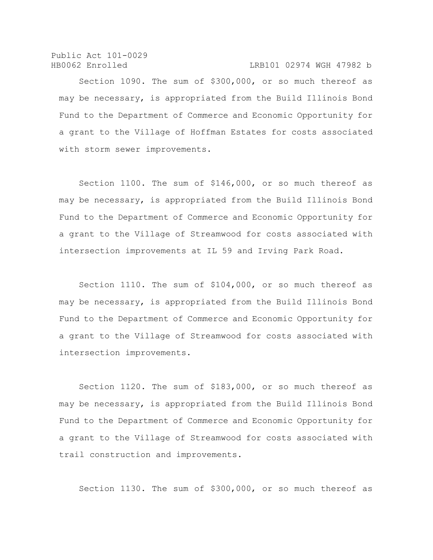## HB0062 Enrolled LRB101 02974 WGH 47982 b

Section 1090. The sum of \$300,000, or so much thereof as may be necessary, is appropriated from the Build Illinois Bond Fund to the Department of Commerce and Economic Opportunity for a grant to the Village of Hoffman Estates for costs associated with storm sewer improvements.

Section 1100. The sum of \$146,000, or so much thereof as may be necessary, is appropriated from the Build Illinois Bond Fund to the Department of Commerce and Economic Opportunity for a grant to the Village of Streamwood for costs associated with intersection improvements at IL 59 and Irving Park Road.

Section 1110. The sum of \$104,000, or so much thereof as may be necessary, is appropriated from the Build Illinois Bond Fund to the Department of Commerce and Economic Opportunity for a grant to the Village of Streamwood for costs associated with intersection improvements.

Section 1120. The sum of \$183,000, or so much thereof as may be necessary, is appropriated from the Build Illinois Bond Fund to the Department of Commerce and Economic Opportunity for a grant to the Village of Streamwood for costs associated with trail construction and improvements.

Section 1130. The sum of \$300,000, or so much thereof as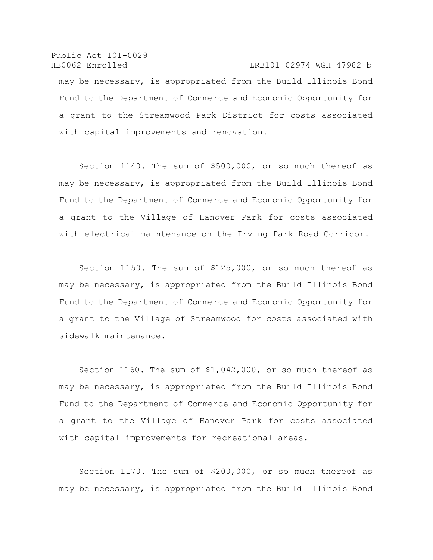Public Act 101-0029 HB0062 Enrolled LRB101 02974 WGH 47982 b may be necessary, is appropriated from the Build Illinois Bond Fund to the Department of Commerce and Economic Opportunity for a grant to the Streamwood Park District for costs associated with capital improvements and renovation.

Section 1140. The sum of \$500,000, or so much thereof as may be necessary, is appropriated from the Build Illinois Bond Fund to the Department of Commerce and Economic Opportunity for a grant to the Village of Hanover Park for costs associated with electrical maintenance on the Irving Park Road Corridor.

Section 1150. The sum of \$125,000, or so much thereof as may be necessary, is appropriated from the Build Illinois Bond Fund to the Department of Commerce and Economic Opportunity for a grant to the Village of Streamwood for costs associated with sidewalk maintenance.

Section 1160. The sum of \$1,042,000, or so much thereof as may be necessary, is appropriated from the Build Illinois Bond Fund to the Department of Commerce and Economic Opportunity for a grant to the Village of Hanover Park for costs associated with capital improvements for recreational areas.

Section 1170. The sum of \$200,000, or so much thereof as may be necessary, is appropriated from the Build Illinois Bond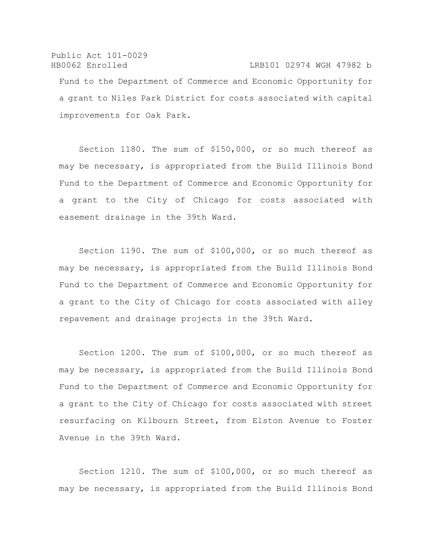Public Act 101-0029 HB0062 Enrolled LRB101 02974 WGH 47982 b Fund to the Department of Commerce and Economic Opportunity for a grant to Niles Park District for costs associated with capital improvements for Oak Park.

Section 1180. The sum of \$150,000, or so much thereof as may be necessary, is appropriated from the Build Illinois Bond Fund to the Department of Commerce and Economic Opportunity for a grant to the City of Chicago for costs associated with easement drainage in the 39th Ward.

Section 1190. The sum of \$100,000, or so much thereof as may be necessary, is appropriated from the Build Illinois Bond Fund to the Department of Commerce and Economic Opportunity for a grant to the City of Chicago for costs associated with alley repavement and drainage projects in the 39th Ward.

Section 1200. The sum of \$100,000, or so much thereof as may be necessary, is appropriated from the Build Illinois Bond Fund to the Department of Commerce and Economic Opportunity for a grant to the City of Chicago for costs associated with street resurfacing on Kilbourn Street, from Elston Avenue to Foster Avenue in the 39th Ward.

Section 1210. The sum of \$100,000, or so much thereof as may be necessary, is appropriated from the Build Illinois Bond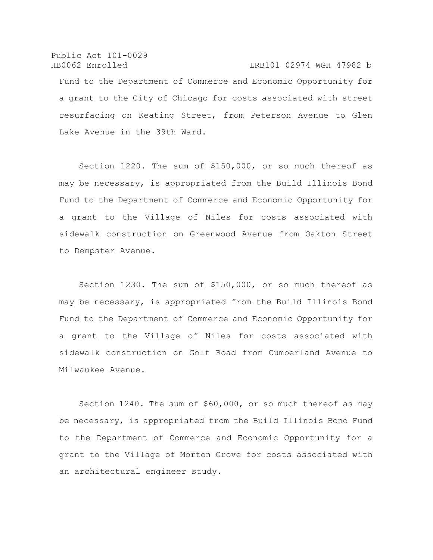Public Act 101-0029 HB0062 Enrolled LRB101 02974 WGH 47982 b Fund to the Department of Commerce and Economic Opportunity for a grant to the City of Chicago for costs associated with street resurfacing on Keating Street, from Peterson Avenue to Glen Lake Avenue in the 39th Ward.

Section 1220. The sum of \$150,000, or so much thereof as may be necessary, is appropriated from the Build Illinois Bond Fund to the Department of Commerce and Economic Opportunity for a grant to the Village of Niles for costs associated with sidewalk construction on Greenwood Avenue from Oakton Street to Dempster Avenue.

Section 1230. The sum of \$150,000, or so much thereof as may be necessary, is appropriated from the Build Illinois Bond Fund to the Department of Commerce and Economic Opportunity for a grant to the Village of Niles for costs associated with sidewalk construction on Golf Road from Cumberland Avenue to Milwaukee Avenue.

Section 1240. The sum of \$60,000, or so much thereof as may be necessary, is appropriated from the Build Illinois Bond Fund to the Department of Commerce and Economic Opportunity for a grant to the Village of Morton Grove for costs associated with an architectural engineer study.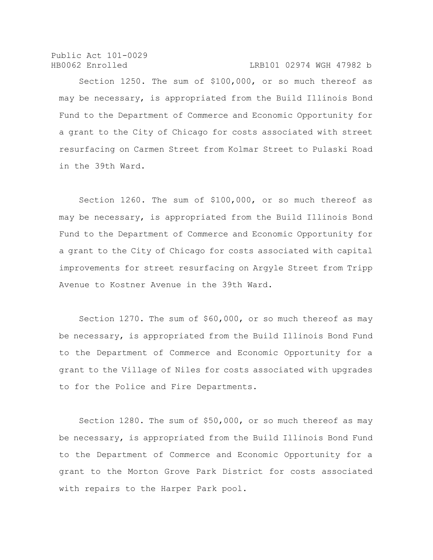Public Act 101-0029 HB0062 Enrolled LRB101 02974 WGH 47982 b

Section 1250. The sum of \$100,000, or so much thereof as may be necessary, is appropriated from the Build Illinois Bond Fund to the Department of Commerce and Economic Opportunity for a grant to the City of Chicago for costs associated with street resurfacing on Carmen Street from Kolmar Street to Pulaski Road in the 39th Ward.

Section 1260. The sum of \$100,000, or so much thereof as may be necessary, is appropriated from the Build Illinois Bond Fund to the Department of Commerce and Economic Opportunity for a grant to the City of Chicago for costs associated with capital improvements for street resurfacing on Argyle Street from Tripp Avenue to Kostner Avenue in the 39th Ward.

Section 1270. The sum of \$60,000, or so much thereof as may be necessary, is appropriated from the Build Illinois Bond Fund to the Department of Commerce and Economic Opportunity for a grant to the Village of Niles for costs associated with upgrades to for the Police and Fire Departments.

Section 1280. The sum of \$50,000, or so much thereof as may be necessary, is appropriated from the Build Illinois Bond Fund to the Department of Commerce and Economic Opportunity for a grant to the Morton Grove Park District for costs associated with repairs to the Harper Park pool.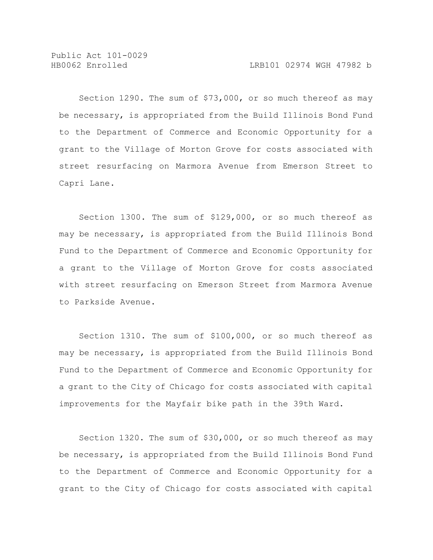Section 1290. The sum of \$73,000, or so much thereof as may be necessary, is appropriated from the Build Illinois Bond Fund to the Department of Commerce and Economic Opportunity for a grant to the Village of Morton Grove for costs associated with street resurfacing on Marmora Avenue from Emerson Street to Capri Lane.

Section 1300. The sum of \$129,000, or so much thereof as may be necessary, is appropriated from the Build Illinois Bond Fund to the Department of Commerce and Economic Opportunity for a grant to the Village of Morton Grove for costs associated with street resurfacing on Emerson Street from Marmora Avenue to Parkside Avenue.

Section 1310. The sum of \$100,000, or so much thereof as may be necessary, is appropriated from the Build Illinois Bond Fund to the Department of Commerce and Economic Opportunity for a grant to the City of Chicago for costs associated with capital improvements for the Mayfair bike path in the 39th Ward.

Section 1320. The sum of \$30,000, or so much thereof as may be necessary, is appropriated from the Build Illinois Bond Fund to the Department of Commerce and Economic Opportunity for a grant to the City of Chicago for costs associated with capital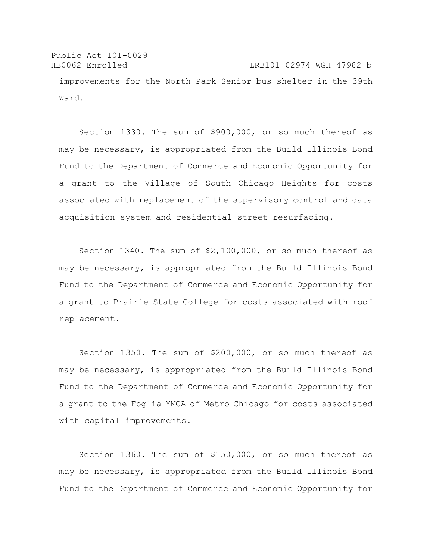Public Act 101-0029 HB0062 Enrolled LRB101 02974 WGH 47982 b improvements for the North Park Senior bus shelter in the 39th Ward.

Section 1330. The sum of \$900,000, or so much thereof as may be necessary, is appropriated from the Build Illinois Bond Fund to the Department of Commerce and Economic Opportunity for a grant to the Village of South Chicago Heights for costs associated with replacement of the supervisory control and data acquisition system and residential street resurfacing.

Section 1340. The sum of \$2,100,000, or so much thereof as may be necessary, is appropriated from the Build Illinois Bond Fund to the Department of Commerce and Economic Opportunity for a grant to Prairie State College for costs associated with roof replacement.

Section 1350. The sum of \$200,000, or so much thereof as may be necessary, is appropriated from the Build Illinois Bond Fund to the Department of Commerce and Economic Opportunity for a grant to the Foglia YMCA of Metro Chicago for costs associated with capital improvements.

Section 1360. The sum of \$150,000, or so much thereof as may be necessary, is appropriated from the Build Illinois Bond Fund to the Department of Commerce and Economic Opportunity for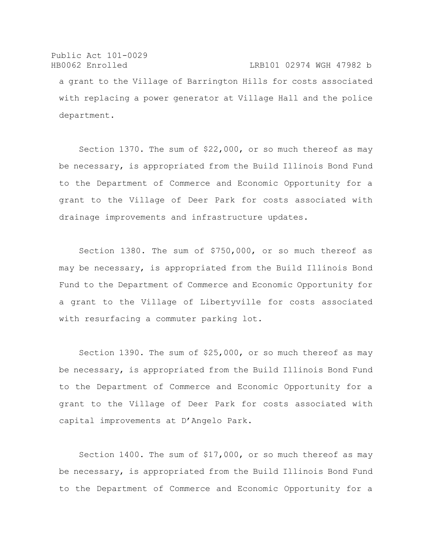Public Act 101-0029 HB0062 Enrolled LRB101 02974 WGH 47982 b a grant to the Village of Barrington Hills for costs associated with replacing a power generator at Village Hall and the police department.

Section 1370. The sum of \$22,000, or so much thereof as may be necessary, is appropriated from the Build Illinois Bond Fund to the Department of Commerce and Economic Opportunity for a grant to the Village of Deer Park for costs associated with drainage improvements and infrastructure updates.

Section 1380. The sum of \$750,000, or so much thereof as may be necessary, is appropriated from the Build Illinois Bond Fund to the Department of Commerce and Economic Opportunity for a grant to the Village of Libertyville for costs associated with resurfacing a commuter parking lot.

Section 1390. The sum of \$25,000, or so much thereof as may be necessary, is appropriated from the Build Illinois Bond Fund to the Department of Commerce and Economic Opportunity for a grant to the Village of Deer Park for costs associated with capital improvements at D'Angelo Park.

Section 1400. The sum of \$17,000, or so much thereof as may be necessary, is appropriated from the Build Illinois Bond Fund to the Department of Commerce and Economic Opportunity for a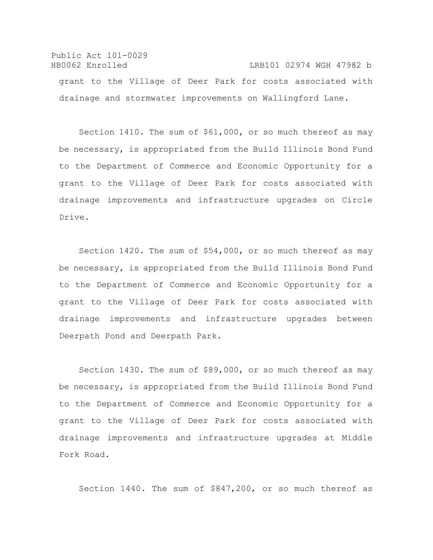Public Act 101-0029 HB0062 Enrolled LRB101 02974 WGH 47982 b grant to the Village of Deer Park for costs associated with drainage and stormwater improvements on Wallingford Lane.

Section 1410. The sum of \$61,000, or so much thereof as may be necessary, is appropriated from the Build Illinois Bond Fund to the Department of Commerce and Economic Opportunity for a grant to the Village of Deer Park for costs associated with drainage improvements and infrastructure upgrades on Circle Drive.

Section 1420. The sum of \$54,000, or so much thereof as may be necessary, is appropriated from the Build Illinois Bond Fund to the Department of Commerce and Economic Opportunity for a grant to the Village of Deer Park for costs associated with drainage improvements and infrastructure upgrades between Deerpath Pond and Deerpath Park.

Section 1430. The sum of \$89,000, or so much thereof as may be necessary, is appropriated from the Build Illinois Bond Fund to the Department of Commerce and Economic Opportunity for a grant to the Village of Deer Park for costs associated with drainage improvements and infrastructure upgrades at Middle Fork Road.

Section 1440. The sum of \$847,200, or so much thereof as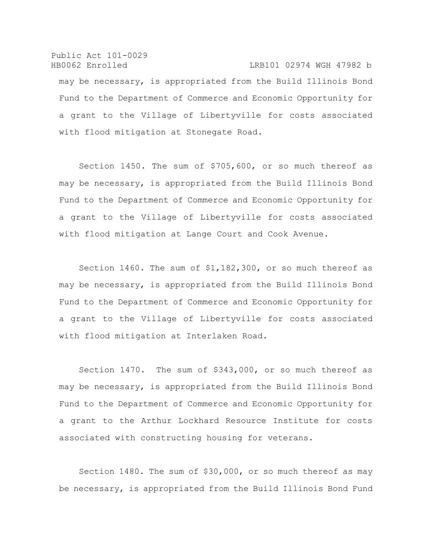Public Act 101-0029 HB0062 Enrolled LRB101 02974 WGH 47982 b may be necessary, is appropriated from the Build Illinois Bond Fund to the Department of Commerce and Economic Opportunity for a grant to the Village of Libertyville for costs associated with flood mitigation at Stonegate Road.

Section 1450. The sum of \$705,600, or so much thereof as may be necessary, is appropriated from the Build Illinois Bond Fund to the Department of Commerce and Economic Opportunity for a grant to the Village of Libertyville for costs associated with flood mitigation at Lange Court and Cook Avenue.

Section 1460. The sum of \$1,182,300, or so much thereof as may be necessary, is appropriated from the Build Illinois Bond Fund to the Department of Commerce and Economic Opportunity for a grant to the Village of Libertyville for costs associated with flood mitigation at Interlaken Road.

Section 1470. The sum of \$343,000, or so much thereof as may be necessary, is appropriated from the Build Illinois Bond Fund to the Department of Commerce and Economic Opportunity for a grant to the Arthur Lockhard Resource Institute for costs associated with constructing housing for veterans.

Section 1480. The sum of \$30,000, or so much thereof as may be necessary, is appropriated from the Build Illinois Bond Fund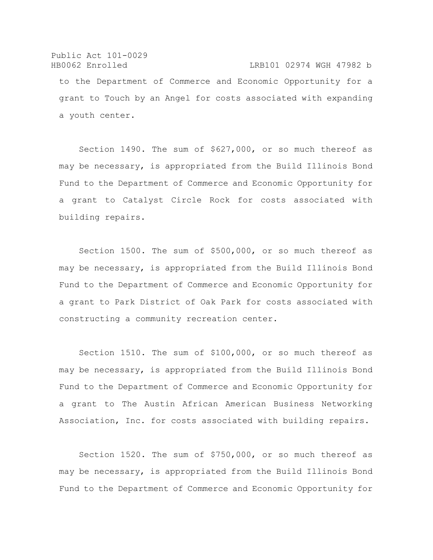Public Act 101-0029 HB0062 Enrolled LRB101 02974 WGH 47982 b to the Department of Commerce and Economic Opportunity for a grant to Touch by an Angel for costs associated with expanding a youth center.

Section 1490. The sum of \$627,000, or so much thereof as may be necessary, is appropriated from the Build Illinois Bond Fund to the Department of Commerce and Economic Opportunity for a grant to Catalyst Circle Rock for costs associated with building repairs.

Section 1500. The sum of \$500,000, or so much thereof as may be necessary, is appropriated from the Build Illinois Bond Fund to the Department of Commerce and Economic Opportunity for a grant to Park District of Oak Park for costs associated with constructing a community recreation center.

Section 1510. The sum of \$100,000, or so much thereof as may be necessary, is appropriated from the Build Illinois Bond Fund to the Department of Commerce and Economic Opportunity for a grant to The Austin African American Business Networking Association, Inc. for costs associated with building repairs.

Section 1520. The sum of \$750,000, or so much thereof as may be necessary, is appropriated from the Build Illinois Bond Fund to the Department of Commerce and Economic Opportunity for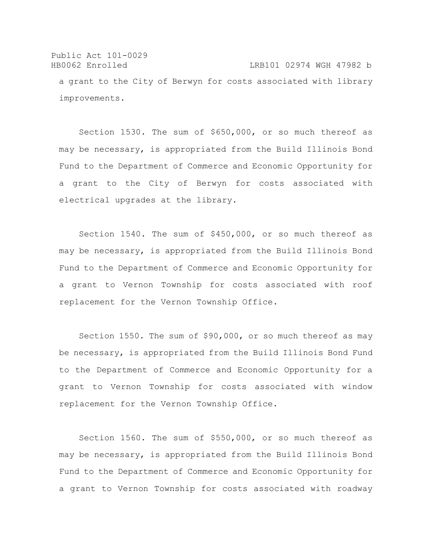Public Act 101-0029 HB0062 Enrolled LRB101 02974 WGH 47982 b a grant to the City of Berwyn for costs associated with library improvements.

Section 1530. The sum of \$650,000, or so much thereof as may be necessary, is appropriated from the Build Illinois Bond Fund to the Department of Commerce and Economic Opportunity for a grant to the City of Berwyn for costs associated with electrical upgrades at the library.

Section 1540. The sum of \$450,000, or so much thereof as may be necessary, is appropriated from the Build Illinois Bond Fund to the Department of Commerce and Economic Opportunity for a grant to Vernon Township for costs associated with roof replacement for the Vernon Township Office.

Section 1550. The sum of \$90,000, or so much thereof as may be necessary, is appropriated from the Build Illinois Bond Fund to the Department of Commerce and Economic Opportunity for a grant to Vernon Township for costs associated with window replacement for the Vernon Township Office.

Section 1560. The sum of \$550,000, or so much thereof as may be necessary, is appropriated from the Build Illinois Bond Fund to the Department of Commerce and Economic Opportunity for a grant to Vernon Township for costs associated with roadway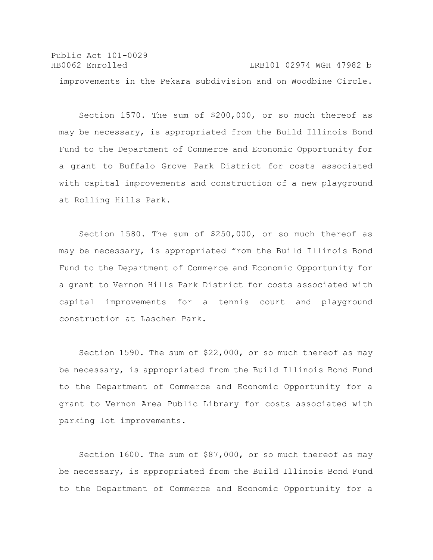Public Act 101-0029 HB0062 Enrolled LRB101 02974 WGH 47982 b improvements in the Pekara subdivision and on Woodbine Circle.

Section 1570. The sum of \$200,000, or so much thereof as may be necessary, is appropriated from the Build Illinois Bond Fund to the Department of Commerce and Economic Opportunity for a grant to Buffalo Grove Park District for costs associated with capital improvements and construction of a new playground at Rolling Hills Park.

Section 1580. The sum of \$250,000, or so much thereof as may be necessary, is appropriated from the Build Illinois Bond Fund to the Department of Commerce and Economic Opportunity for a grant to Vernon Hills Park District for costs associated with capital improvements for a tennis court and playground construction at Laschen Park.

Section 1590. The sum of \$22,000, or so much thereof as may be necessary, is appropriated from the Build Illinois Bond Fund to the Department of Commerce and Economic Opportunity for a grant to Vernon Area Public Library for costs associated with parking lot improvements.

Section 1600. The sum of \$87,000, or so much thereof as may be necessary, is appropriated from the Build Illinois Bond Fund to the Department of Commerce and Economic Opportunity for a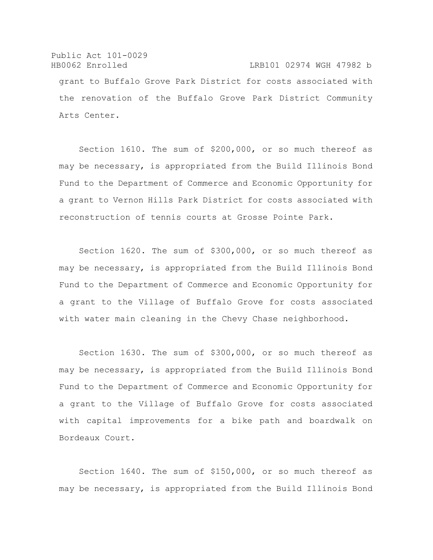Public Act 101-0029 HB0062 Enrolled LRB101 02974 WGH 47982 b grant to Buffalo Grove Park District for costs associated with the renovation of the Buffalo Grove Park District Community Arts Center.

Section 1610. The sum of \$200,000, or so much thereof as may be necessary, is appropriated from the Build Illinois Bond Fund to the Department of Commerce and Economic Opportunity for a grant to Vernon Hills Park District for costs associated with reconstruction of tennis courts at Grosse Pointe Park.

Section 1620. The sum of \$300,000, or so much thereof as may be necessary, is appropriated from the Build Illinois Bond Fund to the Department of Commerce and Economic Opportunity for a grant to the Village of Buffalo Grove for costs associated with water main cleaning in the Chevy Chase neighborhood.

Section 1630. The sum of \$300,000, or so much thereof as may be necessary, is appropriated from the Build Illinois Bond Fund to the Department of Commerce and Economic Opportunity for a grant to the Village of Buffalo Grove for costs associated with capital improvements for a bike path and boardwalk on Bordeaux Court.

Section 1640. The sum of \$150,000, or so much thereof as may be necessary, is appropriated from the Build Illinois Bond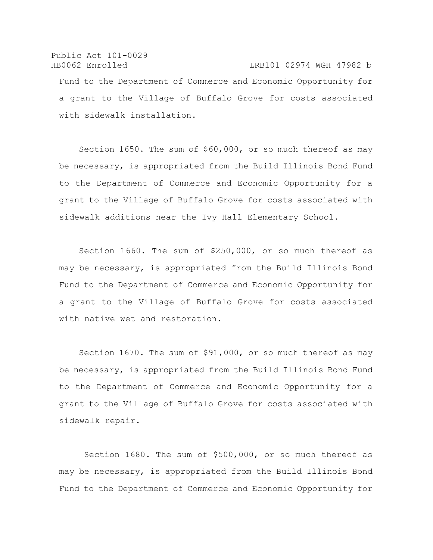Public Act 101-0029 HB0062 Enrolled LRB101 02974 WGH 47982 b Fund to the Department of Commerce and Economic Opportunity for a grant to the Village of Buffalo Grove for costs associated with sidewalk installation.

Section 1650. The sum of \$60,000, or so much thereof as may be necessary, is appropriated from the Build Illinois Bond Fund to the Department of Commerce and Economic Opportunity for a grant to the Village of Buffalo Grove for costs associated with sidewalk additions near the Ivy Hall Elementary School.

Section 1660. The sum of \$250,000, or so much thereof as may be necessary, is appropriated from the Build Illinois Bond Fund to the Department of Commerce and Economic Opportunity for a grant to the Village of Buffalo Grove for costs associated with native wetland restoration.

Section 1670. The sum of \$91,000, or so much thereof as may be necessary, is appropriated from the Build Illinois Bond Fund to the Department of Commerce and Economic Opportunity for a grant to the Village of Buffalo Grove for costs associated with sidewalk repair.

Section 1680. The sum of \$500,000, or so much thereof as may be necessary, is appropriated from the Build Illinois Bond Fund to the Department of Commerce and Economic Opportunity for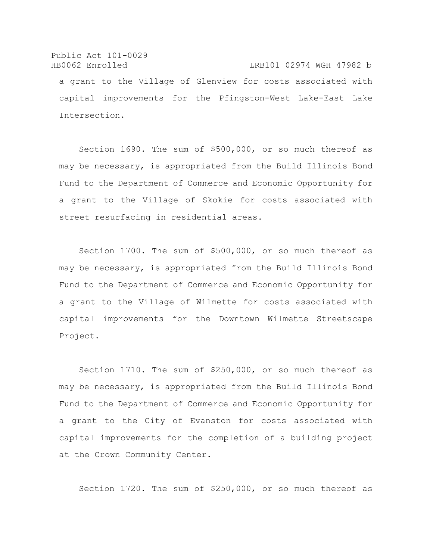Public Act 101-0029 HB0062 Enrolled LRB101 02974 WGH 47982 b a grant to the Village of Glenview for costs associated with capital improvements for the Pfingston-West Lake-East Lake Intersection.

Section 1690. The sum of \$500,000, or so much thereof as may be necessary, is appropriated from the Build Illinois Bond Fund to the Department of Commerce and Economic Opportunity for a grant to the Village of Skokie for costs associated with street resurfacing in residential areas.

Section 1700. The sum of \$500,000, or so much thereof as may be necessary, is appropriated from the Build Illinois Bond Fund to the Department of Commerce and Economic Opportunity for a grant to the Village of Wilmette for costs associated with capital improvements for the Downtown Wilmette Streetscape Project.

Section 1710. The sum of \$250,000, or so much thereof as may be necessary, is appropriated from the Build Illinois Bond Fund to the Department of Commerce and Economic Opportunity for a grant to the City of Evanston for costs associated with capital improvements for the completion of a building project at the Crown Community Center.

Section 1720. The sum of \$250,000, or so much thereof as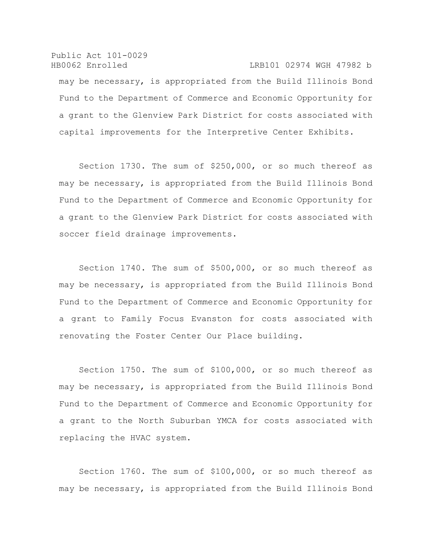Public Act 101-0029 HB0062 Enrolled LRB101 02974 WGH 47982 b may be necessary, is appropriated from the Build Illinois Bond Fund to the Department of Commerce and Economic Opportunity for a grant to the Glenview Park District for costs associated with capital improvements for the Interpretive Center Exhibits.

Section 1730. The sum of \$250,000, or so much thereof as may be necessary, is appropriated from the Build Illinois Bond Fund to the Department of Commerce and Economic Opportunity for a grant to the Glenview Park District for costs associated with soccer field drainage improvements.

Section 1740. The sum of \$500,000, or so much thereof as may be necessary, is appropriated from the Build Illinois Bond Fund to the Department of Commerce and Economic Opportunity for a grant to Family Focus Evanston for costs associated with renovating the Foster Center Our Place building.

Section 1750. The sum of \$100,000, or so much thereof as may be necessary, is appropriated from the Build Illinois Bond Fund to the Department of Commerce and Economic Opportunity for a grant to the North Suburban YMCA for costs associated with replacing the HVAC system.

Section 1760. The sum of \$100,000, or so much thereof as may be necessary, is appropriated from the Build Illinois Bond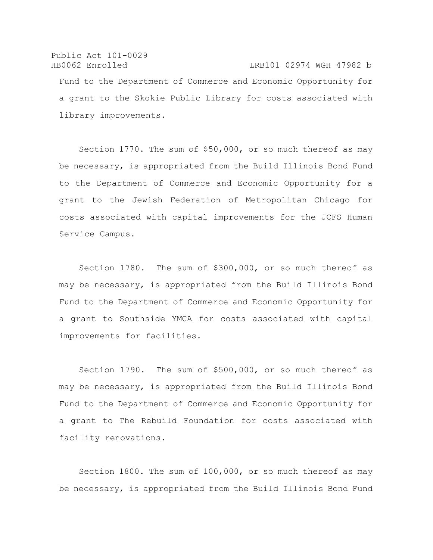Public Act 101-0029 HB0062 Enrolled LRB101 02974 WGH 47982 b Fund to the Department of Commerce and Economic Opportunity for a grant to the Skokie Public Library for costs associated with library improvements.

Section 1770. The sum of \$50,000, or so much thereof as may be necessary, is appropriated from the Build Illinois Bond Fund to the Department of Commerce and Economic Opportunity for a grant to the Jewish Federation of Metropolitan Chicago for costs associated with capital improvements for the JCFS Human Service Campus.

Section 1780. The sum of \$300,000, or so much thereof as may be necessary, is appropriated from the Build Illinois Bond Fund to the Department of Commerce and Economic Opportunity for a grant to Southside YMCA for costs associated with capital improvements for facilities.

Section 1790. The sum of \$500,000, or so much thereof as may be necessary, is appropriated from the Build Illinois Bond Fund to the Department of Commerce and Economic Opportunity for a grant to The Rebuild Foundation for costs associated with facility renovations.

Section 1800. The sum of 100,000, or so much thereof as may be necessary, is appropriated from the Build Illinois Bond Fund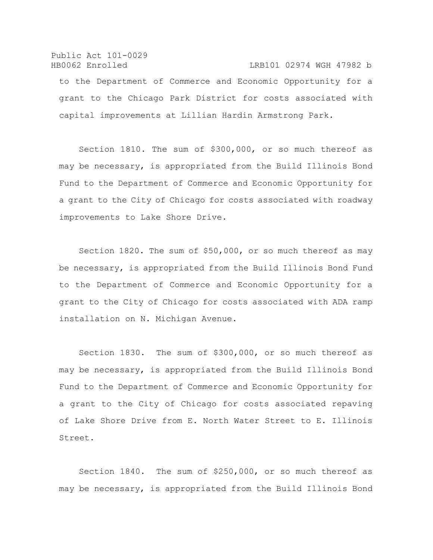Public Act 101-0029 HB0062 Enrolled LRB101 02974 WGH 47982 b to the Department of Commerce and Economic Opportunity for a grant to the Chicago Park District for costs associated with capital improvements at Lillian Hardin Armstrong Park.

Section 1810. The sum of \$300,000, or so much thereof as may be necessary, is appropriated from the Build Illinois Bond Fund to the Department of Commerce and Economic Opportunity for a grant to the City of Chicago for costs associated with roadway improvements to Lake Shore Drive.

Section 1820. The sum of \$50,000, or so much thereof as may be necessary, is appropriated from the Build Illinois Bond Fund to the Department of Commerce and Economic Opportunity for a grant to the City of Chicago for costs associated with ADA ramp installation on N. Michigan Avenue.

Section 1830. The sum of \$300,000, or so much thereof as may be necessary, is appropriated from the Build Illinois Bond Fund to the Department of Commerce and Economic Opportunity for a grant to the City of Chicago for costs associated repaving of Lake Shore Drive from E. North Water Street to E. Illinois Street.

Section 1840. The sum of \$250,000, or so much thereof as may be necessary, is appropriated from the Build Illinois Bond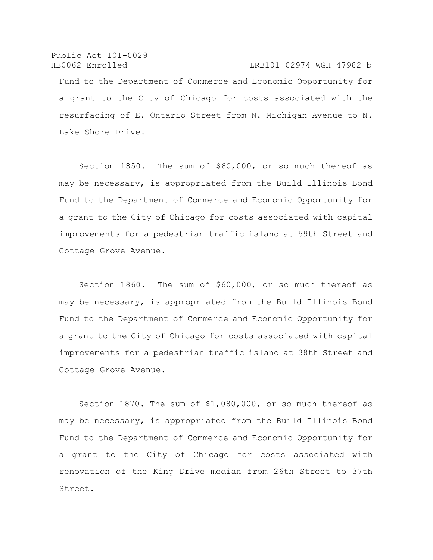Public Act 101-0029 HB0062 Enrolled LRB101 02974 WGH 47982 b Fund to the Department of Commerce and Economic Opportunity for a grant to the City of Chicago for costs associated with the resurfacing of E. Ontario Street from N. Michigan Avenue to N. Lake Shore Drive.

Section 1850. The sum of \$60,000, or so much thereof as may be necessary, is appropriated from the Build Illinois Bond Fund to the Department of Commerce and Economic Opportunity for a grant to the City of Chicago for costs associated with capital improvements for a pedestrian traffic island at 59th Street and Cottage Grove Avenue.

Section 1860. The sum of \$60,000, or so much thereof as may be necessary, is appropriated from the Build Illinois Bond Fund to the Department of Commerce and Economic Opportunity for a grant to the City of Chicago for costs associated with capital improvements for a pedestrian traffic island at 38th Street and Cottage Grove Avenue.

Section 1870. The sum of \$1,080,000, or so much thereof as may be necessary, is appropriated from the Build Illinois Bond Fund to the Department of Commerce and Economic Opportunity for a grant to the City of Chicago for costs associated with renovation of the King Drive median from 26th Street to 37th Street.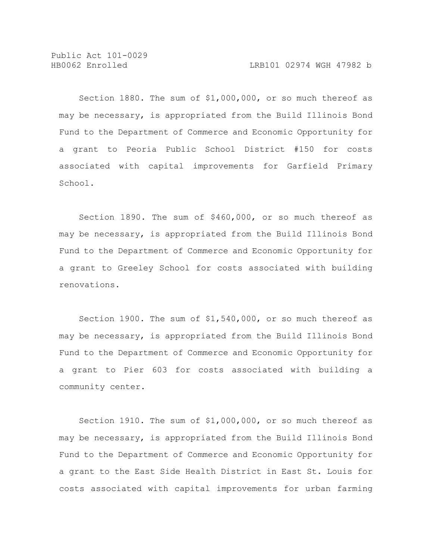Section 1880. The sum of \$1,000,000, or so much thereof as may be necessary, is appropriated from the Build Illinois Bond Fund to the Department of Commerce and Economic Opportunity for a grant to Peoria Public School District #150 for costs associated with capital improvements for Garfield Primary School.

Section 1890. The sum of \$460,000, or so much thereof as may be necessary, is appropriated from the Build Illinois Bond Fund to the Department of Commerce and Economic Opportunity for a grant to Greeley School for costs associated with building renovations.

Section 1900. The sum of \$1,540,000, or so much thereof as may be necessary, is appropriated from the Build Illinois Bond Fund to the Department of Commerce and Economic Opportunity for a grant to Pier 603 for costs associated with building a community center.

Section 1910. The sum of \$1,000,000, or so much thereof as may be necessary, is appropriated from the Build Illinois Bond Fund to the Department of Commerce and Economic Opportunity for a grant to the East Side Health District in East St. Louis for costs associated with capital improvements for urban farming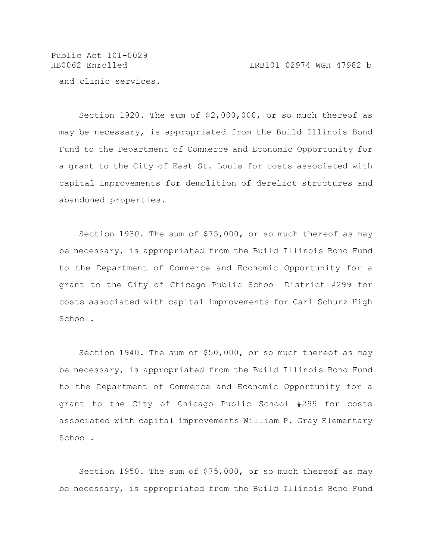and clinic services.

Section 1920. The sum of \$2,000,000, or so much thereof as may be necessary, is appropriated from the Build Illinois Bond Fund to the Department of Commerce and Economic Opportunity for a grant to the City of East St. Louis for costs associated with capital improvements for demolition of derelict structures and abandoned properties.

Section 1930. The sum of \$75,000, or so much thereof as may be necessary, is appropriated from the Build Illinois Bond Fund to the Department of Commerce and Economic Opportunity for a grant to the City of Chicago Public School District #299 for costs associated with capital improvements for Carl Schurz High School.

Section 1940. The sum of \$50,000, or so much thereof as may be necessary, is appropriated from the Build Illinois Bond Fund to the Department of Commerce and Economic Opportunity for a grant to the City of Chicago Public School #299 for costs associated with capital improvements William P. Gray Elementary School.

Section 1950. The sum of \$75,000, or so much thereof as may be necessary, is appropriated from the Build Illinois Bond Fund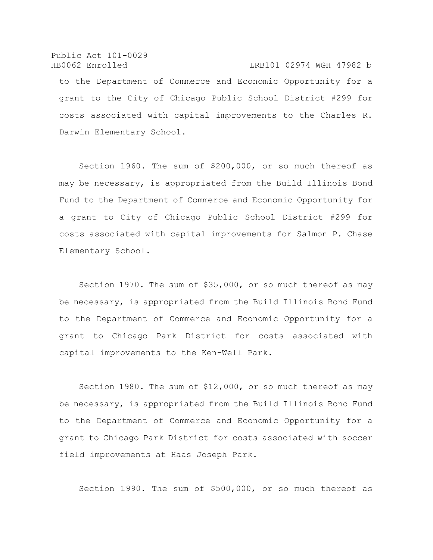Public Act 101-0029 HB0062 Enrolled LRB101 02974 WGH 47982 b to the Department of Commerce and Economic Opportunity for a grant to the City of Chicago Public School District #299 for costs associated with capital improvements to the Charles R. Darwin Elementary School.

Section 1960. The sum of \$200,000, or so much thereof as may be necessary, is appropriated from the Build Illinois Bond Fund to the Department of Commerce and Economic Opportunity for a grant to City of Chicago Public School District #299 for costs associated with capital improvements for Salmon P. Chase Elementary School.

Section 1970. The sum of \$35,000, or so much thereof as may be necessary, is appropriated from the Build Illinois Bond Fund to the Department of Commerce and Economic Opportunity for a grant to Chicago Park District for costs associated with capital improvements to the Ken-Well Park.

Section 1980. The sum of \$12,000, or so much thereof as may be necessary, is appropriated from the Build Illinois Bond Fund to the Department of Commerce and Economic Opportunity for a grant to Chicago Park District for costs associated with soccer field improvements at Haas Joseph Park.

Section 1990. The sum of \$500,000, or so much thereof as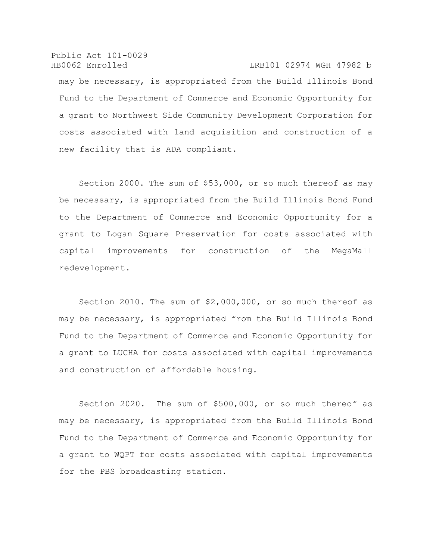Public Act 101-0029 HB0062 Enrolled LRB101 02974 WGH 47982 b may be necessary, is appropriated from the Build Illinois Bond Fund to the Department of Commerce and Economic Opportunity for a grant to Northwest Side Community Development Corporation for costs associated with land acquisition and construction of a new facility that is ADA compliant.

Section 2000. The sum of \$53,000, or so much thereof as may be necessary, is appropriated from the Build Illinois Bond Fund to the Department of Commerce and Economic Opportunity for a grant to Logan Square Preservation for costs associated with capital improvements for construction of the MegaMall redevelopment.

Section 2010. The sum of \$2,000,000, or so much thereof as may be necessary, is appropriated from the Build Illinois Bond Fund to the Department of Commerce and Economic Opportunity for a grant to LUCHA for costs associated with capital improvements and construction of affordable housing.

Section 2020. The sum of \$500,000, or so much thereof as may be necessary, is appropriated from the Build Illinois Bond Fund to the Department of Commerce and Economic Opportunity for a grant to WQPT for costs associated with capital improvements for the PBS broadcasting station.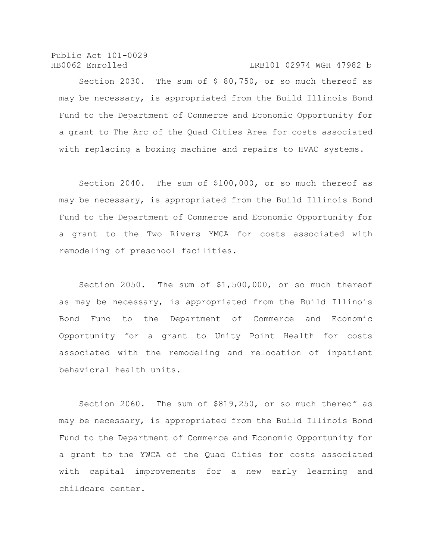Public Act 101-0029 HB0062 Enrolled LRB101 02974 WGH 47982 b

Section 2030. The sum of \$ 80,750, or so much thereof as may be necessary, is appropriated from the Build Illinois Bond Fund to the Department of Commerce and Economic Opportunity for a grant to The Arc of the Quad Cities Area for costs associated with replacing a boxing machine and repairs to HVAC systems.

Section 2040. The sum of \$100,000, or so much thereof as may be necessary, is appropriated from the Build Illinois Bond Fund to the Department of Commerce and Economic Opportunity for a grant to the Two Rivers YMCA for costs associated with remodeling of preschool facilities.

Section 2050. The sum of \$1,500,000, or so much thereof as may be necessary, is appropriated from the Build Illinois Bond Fund to the Department of Commerce and Economic Opportunity for a grant to Unity Point Health for costs associated with the remodeling and relocation of inpatient behavioral health units.

Section 2060. The sum of \$819,250, or so much thereof as may be necessary, is appropriated from the Build Illinois Bond Fund to the Department of Commerce and Economic Opportunity for a grant to the YWCA of the Quad Cities for costs associated with capital improvements for a new early learning and childcare center.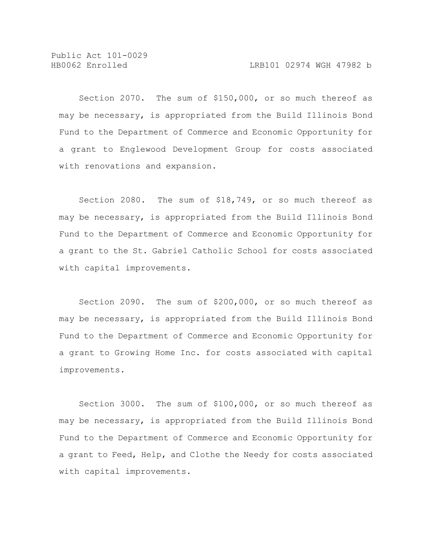Section 2070. The sum of \$150,000, or so much thereof as may be necessary, is appropriated from the Build Illinois Bond Fund to the Department of Commerce and Economic Opportunity for a grant to Englewood Development Group for costs associated with renovations and expansion.

Section 2080. The sum of \$18,749, or so much thereof as may be necessary, is appropriated from the Build Illinois Bond Fund to the Department of Commerce and Economic Opportunity for a grant to the St. Gabriel Catholic School for costs associated with capital improvements.

Section 2090. The sum of \$200,000, or so much thereof as may be necessary, is appropriated from the Build Illinois Bond Fund to the Department of Commerce and Economic Opportunity for a grant to Growing Home Inc. for costs associated with capital improvements.

Section 3000. The sum of \$100,000, or so much thereof as may be necessary, is appropriated from the Build Illinois Bond Fund to the Department of Commerce and Economic Opportunity for a grant to Feed, Help, and Clothe the Needy for costs associated with capital improvements.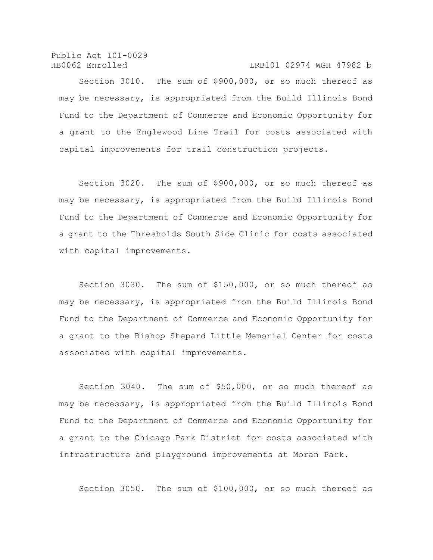Public Act 101-0029 HB0062 Enrolled LRB101 02974 WGH 47982 b

Section 3010. The sum of \$900,000, or so much thereof as may be necessary, is appropriated from the Build Illinois Bond Fund to the Department of Commerce and Economic Opportunity for a grant to the Englewood Line Trail for costs associated with capital improvements for trail construction projects.

Section 3020. The sum of \$900,000, or so much thereof as may be necessary, is appropriated from the Build Illinois Bond Fund to the Department of Commerce and Economic Opportunity for a grant to the Thresholds South Side Clinic for costs associated with capital improvements.

Section 3030. The sum of \$150,000, or so much thereof as may be necessary, is appropriated from the Build Illinois Bond Fund to the Department of Commerce and Economic Opportunity for a grant to the Bishop Shepard Little Memorial Center for costs associated with capital improvements.

Section 3040. The sum of \$50,000, or so much thereof as may be necessary, is appropriated from the Build Illinois Bond Fund to the Department of Commerce and Economic Opportunity for a grant to the Chicago Park District for costs associated with infrastructure and playground improvements at Moran Park.

Section 3050. The sum of \$100,000, or so much thereof as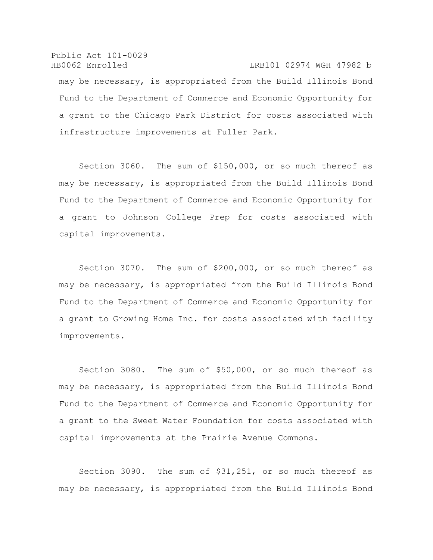Public Act 101-0029 HB0062 Enrolled LRB101 02974 WGH 47982 b may be necessary, is appropriated from the Build Illinois Bond Fund to the Department of Commerce and Economic Opportunity for a grant to the Chicago Park District for costs associated with infrastructure improvements at Fuller Park.

Section 3060. The sum of \$150,000, or so much thereof as may be necessary, is appropriated from the Build Illinois Bond Fund to the Department of Commerce and Economic Opportunity for a grant to Johnson College Prep for costs associated with capital improvements.

Section 3070. The sum of \$200,000, or so much thereof as may be necessary, is appropriated from the Build Illinois Bond Fund to the Department of Commerce and Economic Opportunity for a grant to Growing Home Inc. for costs associated with facility improvements.

Section 3080. The sum of \$50,000, or so much thereof as may be necessary, is appropriated from the Build Illinois Bond Fund to the Department of Commerce and Economic Opportunity for a grant to the Sweet Water Foundation for costs associated with capital improvements at the Prairie Avenue Commons.

Section 3090. The sum of \$31,251, or so much thereof as may be necessary, is appropriated from the Build Illinois Bond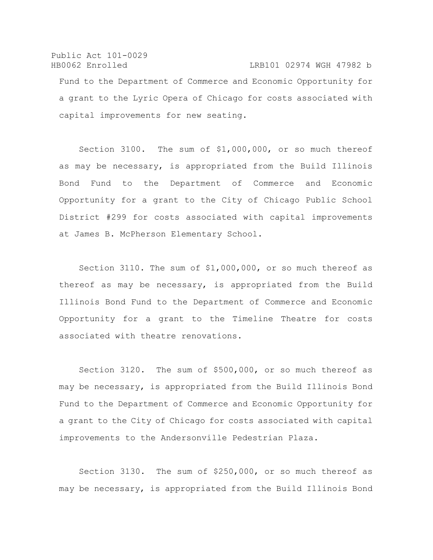Public Act 101-0029 HB0062 Enrolled LRB101 02974 WGH 47982 b Fund to the Department of Commerce and Economic Opportunity for a grant to the Lyric Opera of Chicago for costs associated with capital improvements for new seating.

Section 3100. The sum of \$1,000,000, or so much thereof as may be necessary, is appropriated from the Build Illinois Bond Fund to the Department of Commerce and Economic Opportunity for a grant to the City of Chicago Public School District #299 for costs associated with capital improvements at James B. McPherson Elementary School.

Section 3110. The sum of \$1,000,000, or so much thereof as thereof as may be necessary, is appropriated from the Build Illinois Bond Fund to the Department of Commerce and Economic Opportunity for a grant to the Timeline Theatre for costs associated with theatre renovations.

Section 3120. The sum of \$500,000, or so much thereof as may be necessary, is appropriated from the Build Illinois Bond Fund to the Department of Commerce and Economic Opportunity for a grant to the City of Chicago for costs associated with capital improvements to the Andersonville Pedestrian Plaza.

Section 3130. The sum of \$250,000, or so much thereof as may be necessary, is appropriated from the Build Illinois Bond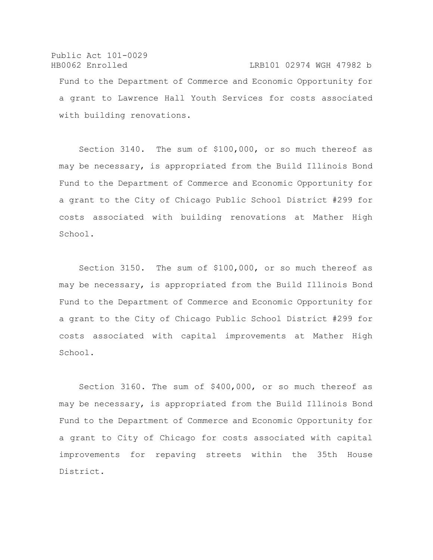Public Act 101-0029 HB0062 Enrolled LRB101 02974 WGH 47982 b Fund to the Department of Commerce and Economic Opportunity for a grant to Lawrence Hall Youth Services for costs associated with building renovations.

Section 3140. The sum of \$100,000, or so much thereof as may be necessary, is appropriated from the Build Illinois Bond Fund to the Department of Commerce and Economic Opportunity for a grant to the City of Chicago Public School District #299 for costs associated with building renovations at Mather High School.

Section 3150. The sum of \$100,000, or so much thereof as may be necessary, is appropriated from the Build Illinois Bond Fund to the Department of Commerce and Economic Opportunity for a grant to the City of Chicago Public School District #299 for costs associated with capital improvements at Mather High School.

Section 3160. The sum of \$400,000, or so much thereof as may be necessary, is appropriated from the Build Illinois Bond Fund to the Department of Commerce and Economic Opportunity for a grant to City of Chicago for costs associated with capital improvements for repaving streets within the 35th House District.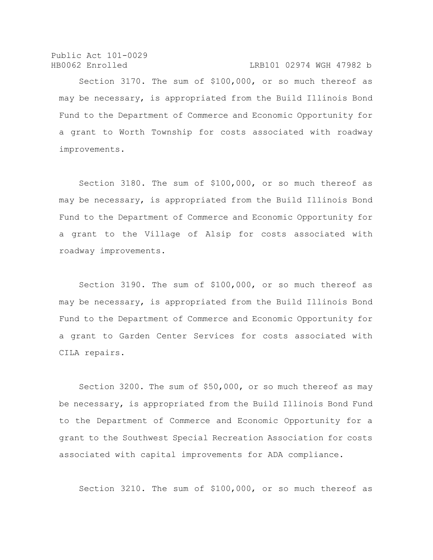Public Act 101-0029 HB0062 Enrolled LRB101 02974 WGH 47982 b

Section 3170. The sum of \$100,000, or so much thereof as may be necessary, is appropriated from the Build Illinois Bond Fund to the Department of Commerce and Economic Opportunity for a grant to Worth Township for costs associated with roadway improvements.

Section 3180. The sum of \$100,000, or so much thereof as may be necessary, is appropriated from the Build Illinois Bond Fund to the Department of Commerce and Economic Opportunity for a grant to the Village of Alsip for costs associated with roadway improvements.

Section 3190. The sum of \$100,000, or so much thereof as may be necessary, is appropriated from the Build Illinois Bond Fund to the Department of Commerce and Economic Opportunity for a grant to Garden Center Services for costs associated with CILA repairs.

Section 3200. The sum of \$50,000, or so much thereof as may be necessary, is appropriated from the Build Illinois Bond Fund to the Department of Commerce and Economic Opportunity for a grant to the Southwest Special Recreation Association for costs associated with capital improvements for ADA compliance.

Section 3210. The sum of \$100,000, or so much thereof as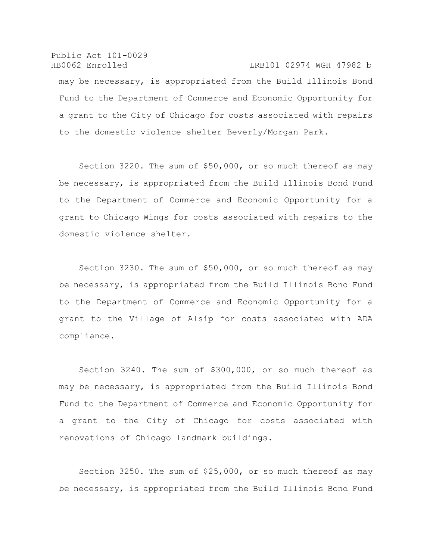Public Act 101-0029 HB0062 Enrolled LRB101 02974 WGH 47982 b may be necessary, is appropriated from the Build Illinois Bond Fund to the Department of Commerce and Economic Opportunity for a grant to the City of Chicago for costs associated with repairs to the domestic violence shelter Beverly/Morgan Park.

Section 3220. The sum of \$50,000, or so much thereof as may be necessary, is appropriated from the Build Illinois Bond Fund to the Department of Commerce and Economic Opportunity for a grant to Chicago Wings for costs associated with repairs to the domestic violence shelter.

Section 3230. The sum of \$50,000, or so much thereof as may be necessary, is appropriated from the Build Illinois Bond Fund to the Department of Commerce and Economic Opportunity for a grant to the Village of Alsip for costs associated with ADA compliance.

Section 3240. The sum of \$300,000, or so much thereof as may be necessary, is appropriated from the Build Illinois Bond Fund to the Department of Commerce and Economic Opportunity for a grant to the City of Chicago for costs associated with renovations of Chicago landmark buildings.

Section 3250. The sum of \$25,000, or so much thereof as may be necessary, is appropriated from the Build Illinois Bond Fund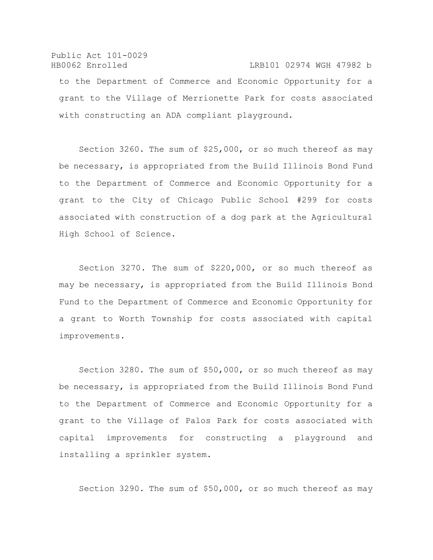## Public Act 101-0029 HB0062 Enrolled LRB101 02974 WGH 47982 b to the Department of Commerce and Economic Opportunity for a grant to the Village of Merrionette Park for costs associated with constructing an ADA compliant playground.

Section 3260. The sum of \$25,000, or so much thereof as may be necessary, is appropriated from the Build Illinois Bond Fund to the Department of Commerce and Economic Opportunity for a grant to the City of Chicago Public School #299 for costs associated with construction of a dog park at the Agricultural High School of Science.

Section 3270. The sum of \$220,000, or so much thereof as may be necessary, is appropriated from the Build Illinois Bond Fund to the Department of Commerce and Economic Opportunity for a grant to Worth Township for costs associated with capital improvements.

Section 3280. The sum of \$50,000, or so much thereof as may be necessary, is appropriated from the Build Illinois Bond Fund to the Department of Commerce and Economic Opportunity for a grant to the Village of Palos Park for costs associated with capital improvements for constructing a playground and installing a sprinkler system.

Section 3290. The sum of \$50,000, or so much thereof as may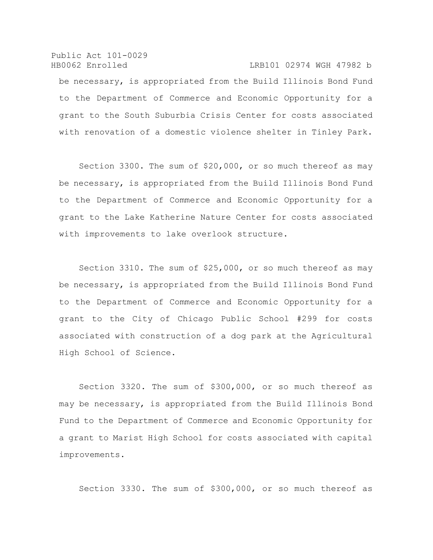Public Act 101-0029 HB0062 Enrolled LRB101 02974 WGH 47982 b be necessary, is appropriated from the Build Illinois Bond Fund to the Department of Commerce and Economic Opportunity for a grant to the South Suburbia Crisis Center for costs associated with renovation of a domestic violence shelter in Tinley Park.

Section 3300. The sum of \$20,000, or so much thereof as may be necessary, is appropriated from the Build Illinois Bond Fund to the Department of Commerce and Economic Opportunity for a grant to the Lake Katherine Nature Center for costs associated with improvements to lake overlook structure.

Section 3310. The sum of \$25,000, or so much thereof as may be necessary, is appropriated from the Build Illinois Bond Fund to the Department of Commerce and Economic Opportunity for a grant to the City of Chicago Public School #299 for costs associated with construction of a dog park at the Agricultural High School of Science.

Section 3320. The sum of \$300,000, or so much thereof as may be necessary, is appropriated from the Build Illinois Bond Fund to the Department of Commerce and Economic Opportunity for a grant to Marist High School for costs associated with capital improvements.

Section 3330. The sum of \$300,000, or so much thereof as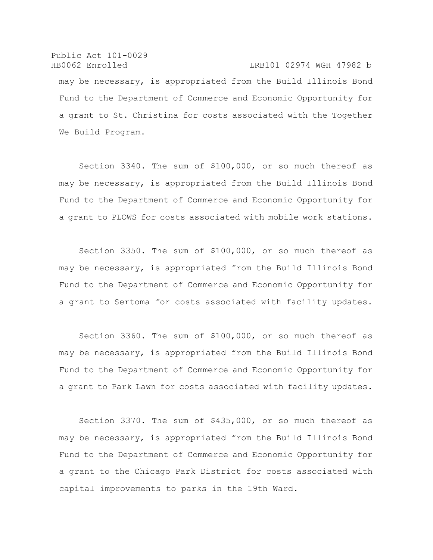Public Act 101-0029 HB0062 Enrolled LRB101 02974 WGH 47982 b may be necessary, is appropriated from the Build Illinois Bond Fund to the Department of Commerce and Economic Opportunity for a grant to St. Christina for costs associated with the Together We Build Program.

Section 3340. The sum of \$100,000, or so much thereof as may be necessary, is appropriated from the Build Illinois Bond Fund to the Department of Commerce and Economic Opportunity for a grant to PLOWS for costs associated with mobile work stations.

Section 3350. The sum of \$100,000, or so much thereof as may be necessary, is appropriated from the Build Illinois Bond Fund to the Department of Commerce and Economic Opportunity for a grant to Sertoma for costs associated with facility updates.

Section 3360. The sum of \$100,000, or so much thereof as may be necessary, is appropriated from the Build Illinois Bond Fund to the Department of Commerce and Economic Opportunity for a grant to Park Lawn for costs associated with facility updates.

Section 3370. The sum of \$435,000, or so much thereof as may be necessary, is appropriated from the Build Illinois Bond Fund to the Department of Commerce and Economic Opportunity for a grant to the Chicago Park District for costs associated with capital improvements to parks in the 19th Ward.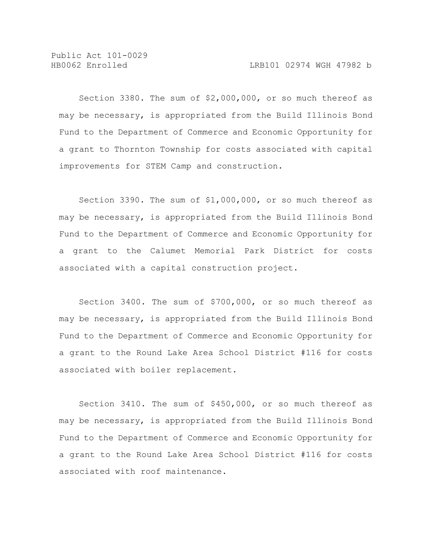Section 3380. The sum of \$2,000,000, or so much thereof as may be necessary, is appropriated from the Build Illinois Bond Fund to the Department of Commerce and Economic Opportunity for a grant to Thornton Township for costs associated with capital improvements for STEM Camp and construction.

Section 3390. The sum of \$1,000,000, or so much thereof as may be necessary, is appropriated from the Build Illinois Bond Fund to the Department of Commerce and Economic Opportunity for a grant to the Calumet Memorial Park District for costs associated with a capital construction project.

Section 3400. The sum of \$700,000, or so much thereof as may be necessary, is appropriated from the Build Illinois Bond Fund to the Department of Commerce and Economic Opportunity for a grant to the Round Lake Area School District #116 for costs associated with boiler replacement.

Section 3410. The sum of \$450,000, or so much thereof as may be necessary, is appropriated from the Build Illinois Bond Fund to the Department of Commerce and Economic Opportunity for a grant to the Round Lake Area School District #116 for costs associated with roof maintenance.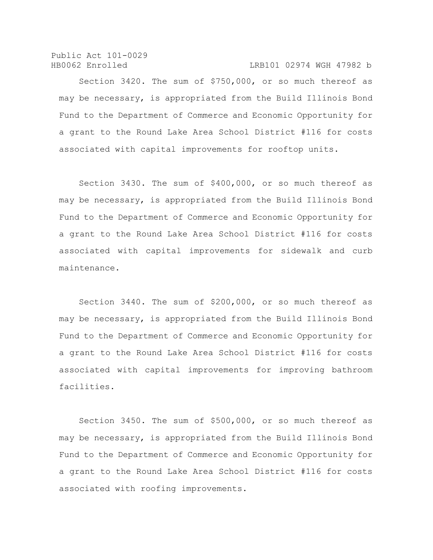Public Act 101-0029 HB0062 Enrolled LRB101 02974 WGH 47982 b

Section 3420. The sum of \$750,000, or so much thereof as may be necessary, is appropriated from the Build Illinois Bond Fund to the Department of Commerce and Economic Opportunity for a grant to the Round Lake Area School District #116 for costs associated with capital improvements for rooftop units.

Section 3430. The sum of \$400,000, or so much thereof as may be necessary, is appropriated from the Build Illinois Bond Fund to the Department of Commerce and Economic Opportunity for a grant to the Round Lake Area School District #116 for costs associated with capital improvements for sidewalk and curb maintenance.

Section 3440. The sum of \$200,000, or so much thereof as may be necessary, is appropriated from the Build Illinois Bond Fund to the Department of Commerce and Economic Opportunity for a grant to the Round Lake Area School District #116 for costs associated with capital improvements for improving bathroom facilities.

Section 3450. The sum of \$500,000, or so much thereof as may be necessary, is appropriated from the Build Illinois Bond Fund to the Department of Commerce and Economic Opportunity for a grant to the Round Lake Area School District #116 for costs associated with roofing improvements.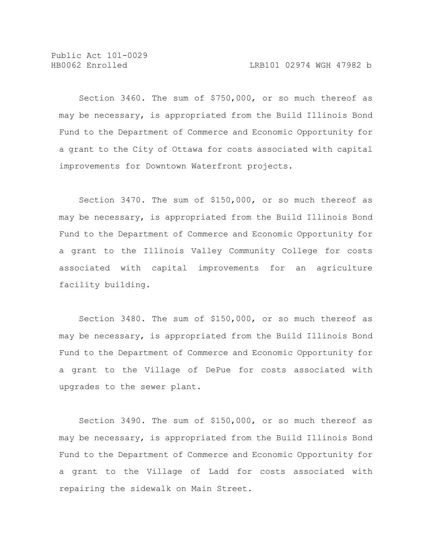Section 3460. The sum of \$750,000, or so much thereof as may be necessary, is appropriated from the Build Illinois Bond Fund to the Department of Commerce and Economic Opportunity for a grant to the City of Ottawa for costs associated with capital improvements for Downtown Waterfront projects.

Section 3470. The sum of \$150,000, or so much thereof as may be necessary, is appropriated from the Build Illinois Bond Fund to the Department of Commerce and Economic Opportunity for a grant to the Illinois Valley Community College for costs associated with capital improvements for an agriculture facility building.

Section 3480. The sum of \$150,000, or so much thereof as may be necessary, is appropriated from the Build Illinois Bond Fund to the Department of Commerce and Economic Opportunity for a grant to the Village of DePue for costs associated with upgrades to the sewer plant.

Section 3490. The sum of \$150,000, or so much thereof as may be necessary, is appropriated from the Build Illinois Bond Fund to the Department of Commerce and Economic Opportunity for a grant to the Village of Ladd for costs associated with repairing the sidewalk on Main Street.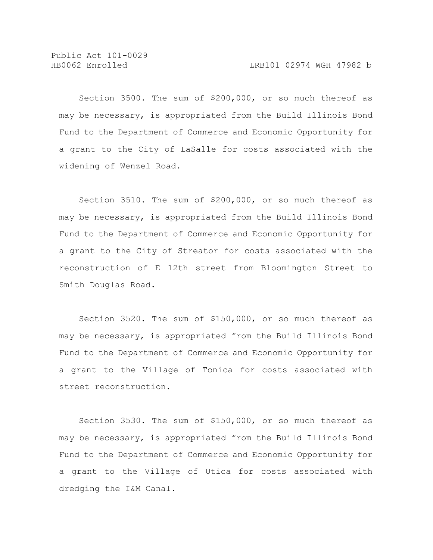Section 3500. The sum of \$200,000, or so much thereof as may be necessary, is appropriated from the Build Illinois Bond Fund to the Department of Commerce and Economic Opportunity for a grant to the City of LaSalle for costs associated with the widening of Wenzel Road.

Section 3510. The sum of \$200,000, or so much thereof as may be necessary, is appropriated from the Build Illinois Bond Fund to the Department of Commerce and Economic Opportunity for a grant to the City of Streator for costs associated with the reconstruction of E 12th street from Bloomington Street to Smith Douglas Road.

Section 3520. The sum of \$150,000, or so much thereof as may be necessary, is appropriated from the Build Illinois Bond Fund to the Department of Commerce and Economic Opportunity for a grant to the Village of Tonica for costs associated with street reconstruction.

Section 3530. The sum of \$150,000, or so much thereof as may be necessary, is appropriated from the Build Illinois Bond Fund to the Department of Commerce and Economic Opportunity for a grant to the Village of Utica for costs associated with dredging the I&M Canal.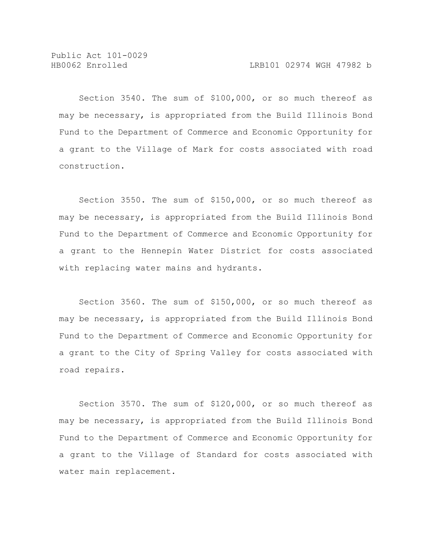Section 3540. The sum of \$100,000, or so much thereof as may be necessary, is appropriated from the Build Illinois Bond Fund to the Department of Commerce and Economic Opportunity for a grant to the Village of Mark for costs associated with road construction.

Section 3550. The sum of \$150,000, or so much thereof as may be necessary, is appropriated from the Build Illinois Bond Fund to the Department of Commerce and Economic Opportunity for a grant to the Hennepin Water District for costs associated with replacing water mains and hydrants.

Section 3560. The sum of \$150,000, or so much thereof as may be necessary, is appropriated from the Build Illinois Bond Fund to the Department of Commerce and Economic Opportunity for a grant to the City of Spring Valley for costs associated with road repairs.

Section 3570. The sum of \$120,000, or so much thereof as may be necessary, is appropriated from the Build Illinois Bond Fund to the Department of Commerce and Economic Opportunity for a grant to the Village of Standard for costs associated with water main replacement.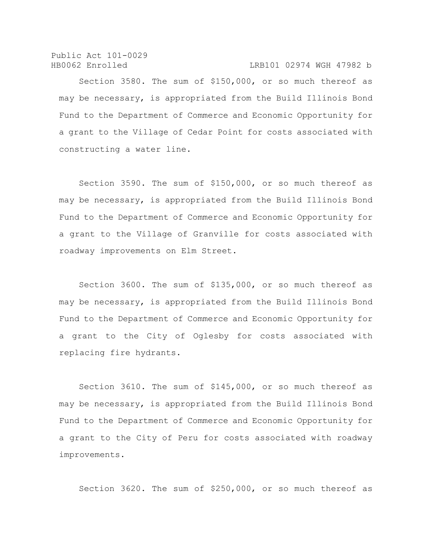Public Act 101-0029 HB0062 Enrolled LRB101 02974 WGH 47982 b

Section 3580. The sum of \$150,000, or so much thereof as may be necessary, is appropriated from the Build Illinois Bond Fund to the Department of Commerce and Economic Opportunity for a grant to the Village of Cedar Point for costs associated with constructing a water line.

Section 3590. The sum of \$150,000, or so much thereof as may be necessary, is appropriated from the Build Illinois Bond Fund to the Department of Commerce and Economic Opportunity for a grant to the Village of Granville for costs associated with roadway improvements on Elm Street.

Section 3600. The sum of \$135,000, or so much thereof as may be necessary, is appropriated from the Build Illinois Bond Fund to the Department of Commerce and Economic Opportunity for a grant to the City of Oglesby for costs associated with replacing fire hydrants.

Section 3610. The sum of \$145,000, or so much thereof as may be necessary, is appropriated from the Build Illinois Bond Fund to the Department of Commerce and Economic Opportunity for a grant to the City of Peru for costs associated with roadway improvements.

Section 3620. The sum of \$250,000, or so much thereof as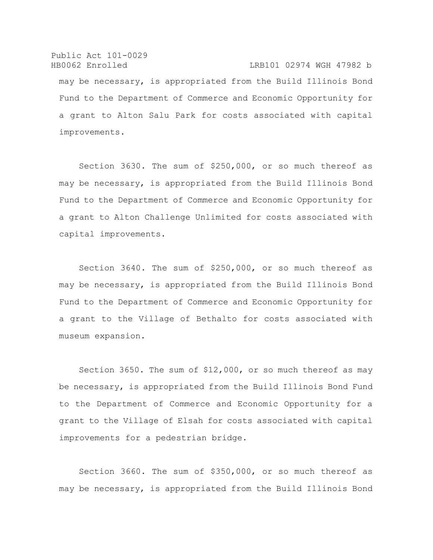Public Act 101-0029 HB0062 Enrolled LRB101 02974 WGH 47982 b may be necessary, is appropriated from the Build Illinois Bond Fund to the Department of Commerce and Economic Opportunity for a grant to Alton Salu Park for costs associated with capital improvements.

Section 3630. The sum of \$250,000, or so much thereof as may be necessary, is appropriated from the Build Illinois Bond Fund to the Department of Commerce and Economic Opportunity for a grant to Alton Challenge Unlimited for costs associated with capital improvements.

Section 3640. The sum of \$250,000, or so much thereof as may be necessary, is appropriated from the Build Illinois Bond Fund to the Department of Commerce and Economic Opportunity for a grant to the Village of Bethalto for costs associated with museum expansion.

Section 3650. The sum of \$12,000, or so much thereof as may be necessary, is appropriated from the Build Illinois Bond Fund to the Department of Commerce and Economic Opportunity for a grant to the Village of Elsah for costs associated with capital improvements for a pedestrian bridge.

Section 3660. The sum of \$350,000, or so much thereof as may be necessary, is appropriated from the Build Illinois Bond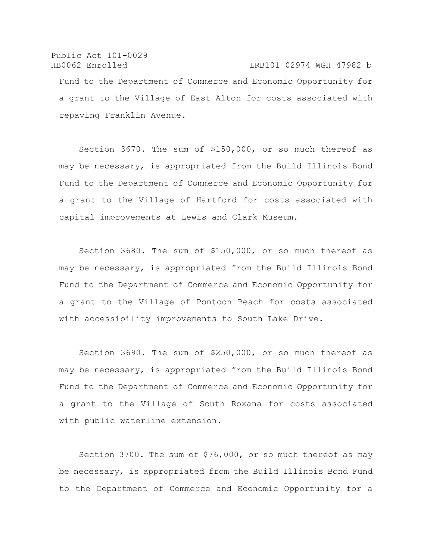Public Act 101-0029 HB0062 Enrolled LRB101 02974 WGH 47982 b Fund to the Department of Commerce and Economic Opportunity for a grant to the Village of East Alton for costs associated with repaving Franklin Avenue.

Section 3670. The sum of \$150,000, or so much thereof as may be necessary, is appropriated from the Build Illinois Bond Fund to the Department of Commerce and Economic Opportunity for a grant to the Village of Hartford for costs associated with capital improvements at Lewis and Clark Museum.

Section 3680. The sum of \$150,000, or so much thereof as may be necessary, is appropriated from the Build Illinois Bond Fund to the Department of Commerce and Economic Opportunity for a grant to the Village of Pontoon Beach for costs associated with accessibility improvements to South Lake Drive.

Section 3690. The sum of \$250,000, or so much thereof as may be necessary, is appropriated from the Build Illinois Bond Fund to the Department of Commerce and Economic Opportunity for a grant to the Village of South Roxana for costs associated with public waterline extension.

Section 3700. The sum of \$76,000, or so much thereof as may be necessary, is appropriated from the Build Illinois Bond Fund to the Department of Commerce and Economic Opportunity for a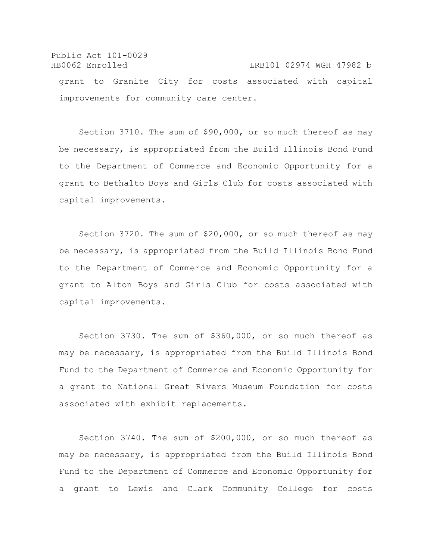## Public Act 101-0029 HB0062 Enrolled LRB101 02974 WGH 47982 b grant to Granite City for costs associated with capital improvements for community care center.

Section 3710. The sum of \$90,000, or so much thereof as may be necessary, is appropriated from the Build Illinois Bond Fund to the Department of Commerce and Economic Opportunity for a grant to Bethalto Boys and Girls Club for costs associated with capital improvements.

Section 3720. The sum of \$20,000, or so much thereof as may be necessary, is appropriated from the Build Illinois Bond Fund to the Department of Commerce and Economic Opportunity for a grant to Alton Boys and Girls Club for costs associated with capital improvements.

Section 3730. The sum of \$360,000, or so much thereof as may be necessary, is appropriated from the Build Illinois Bond Fund to the Department of Commerce and Economic Opportunity for a grant to National Great Rivers Museum Foundation for costs associated with exhibit replacements.

Section 3740. The sum of \$200,000, or so much thereof as may be necessary, is appropriated from the Build Illinois Bond Fund to the Department of Commerce and Economic Opportunity for a grant to Lewis and Clark Community College for costs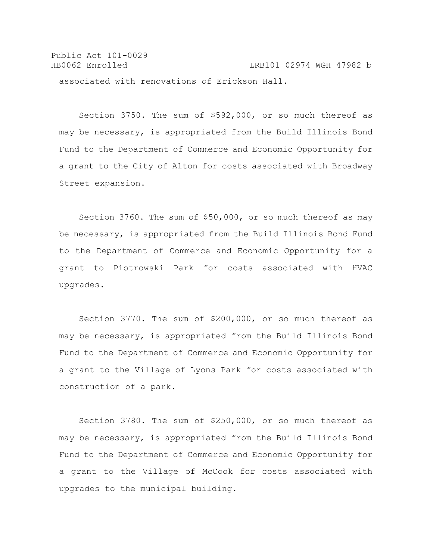Public Act 101-0029 HB0062 Enrolled LRB101 02974 WGH 47982 b associated with renovations of Erickson Hall.

Section 3750. The sum of \$592,000, or so much thereof as may be necessary, is appropriated from the Build Illinois Bond Fund to the Department of Commerce and Economic Opportunity for a grant to the City of Alton for costs associated with Broadway Street expansion.

Section 3760. The sum of \$50,000, or so much thereof as may be necessary, is appropriated from the Build Illinois Bond Fund to the Department of Commerce and Economic Opportunity for a grant to Piotrowski Park for costs associated with HVAC upgrades.

Section 3770. The sum of \$200,000, or so much thereof as may be necessary, is appropriated from the Build Illinois Bond Fund to the Department of Commerce and Economic Opportunity for a grant to the Village of Lyons Park for costs associated with construction of a park.

Section 3780. The sum of \$250,000, or so much thereof as may be necessary, is appropriated from the Build Illinois Bond Fund to the Department of Commerce and Economic Opportunity for a grant to the Village of McCook for costs associated with upgrades to the municipal building.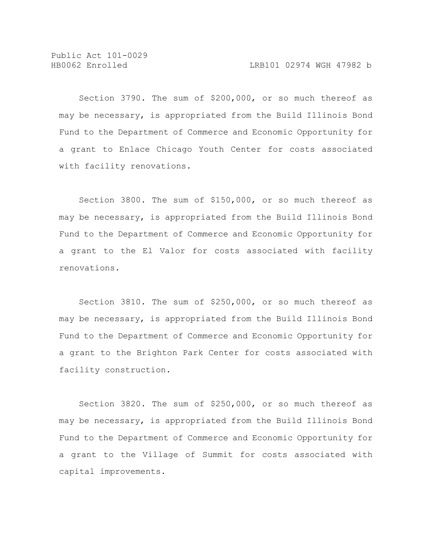Section 3790. The sum of \$200,000, or so much thereof as may be necessary, is appropriated from the Build Illinois Bond Fund to the Department of Commerce and Economic Opportunity for a grant to Enlace Chicago Youth Center for costs associated with facility renovations.

Section 3800. The sum of \$150,000, or so much thereof as may be necessary, is appropriated from the Build Illinois Bond Fund to the Department of Commerce and Economic Opportunity for a grant to the El Valor for costs associated with facility renovations.

Section 3810. The sum of \$250,000, or so much thereof as may be necessary, is appropriated from the Build Illinois Bond Fund to the Department of Commerce and Economic Opportunity for a grant to the Brighton Park Center for costs associated with facility construction.

Section 3820. The sum of \$250,000, or so much thereof as may be necessary, is appropriated from the Build Illinois Bond Fund to the Department of Commerce and Economic Opportunity for a grant to the Village of Summit for costs associated with capital improvements.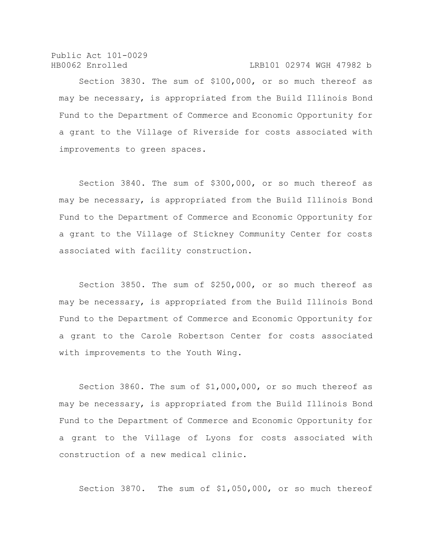Public Act 101-0029 HB0062 Enrolled LRB101 02974 WGH 47982 b

Section 3830. The sum of \$100,000, or so much thereof as may be necessary, is appropriated from the Build Illinois Bond Fund to the Department of Commerce and Economic Opportunity for a grant to the Village of Riverside for costs associated with improvements to green spaces.

Section 3840. The sum of \$300,000, or so much thereof as may be necessary, is appropriated from the Build Illinois Bond Fund to the Department of Commerce and Economic Opportunity for a grant to the Village of Stickney Community Center for costs associated with facility construction.

Section 3850. The sum of \$250,000, or so much thereof as may be necessary, is appropriated from the Build Illinois Bond Fund to the Department of Commerce and Economic Opportunity for a grant to the Carole Robertson Center for costs associated with improvements to the Youth Wing.

Section 3860. The sum of \$1,000,000, or so much thereof as may be necessary, is appropriated from the Build Illinois Bond Fund to the Department of Commerce and Economic Opportunity for a grant to the Village of Lyons for costs associated with construction of a new medical clinic.

Section 3870. The sum of \$1,050,000, or so much thereof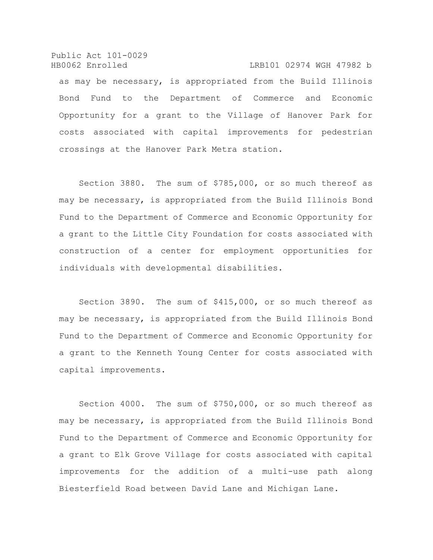Public Act 101-0029 HB0062 Enrolled LRB101 02974 WGH 47982 b as may be necessary, is appropriated from the Build Illinois Bond Fund to the Department of Commerce and Economic Opportunity for a grant to the Village of Hanover Park for costs associated with capital improvements for pedestrian crossings at the Hanover Park Metra station.

Section 3880. The sum of \$785,000, or so much thereof as may be necessary, is appropriated from the Build Illinois Bond Fund to the Department of Commerce and Economic Opportunity for a grant to the Little City Foundation for costs associated with construction of a center for employment opportunities for individuals with developmental disabilities.

Section 3890. The sum of \$415,000, or so much thereof as may be necessary, is appropriated from the Build Illinois Bond Fund to the Department of Commerce and Economic Opportunity for a grant to the Kenneth Young Center for costs associated with capital improvements.

Section 4000. The sum of \$750,000, or so much thereof as may be necessary, is appropriated from the Build Illinois Bond Fund to the Department of Commerce and Economic Opportunity for a grant to Elk Grove Village for costs associated with capital improvements for the addition of a multi-use path along Biesterfield Road between David Lane and Michigan Lane.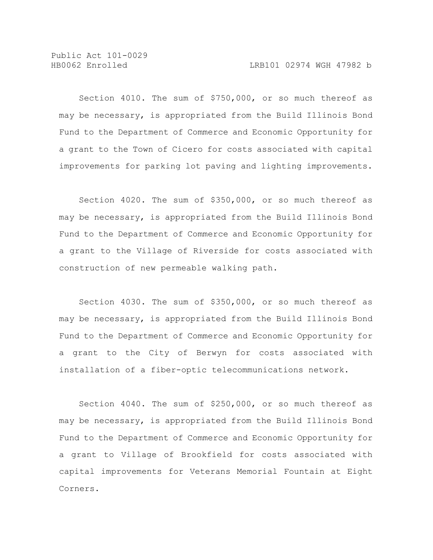Section 4010. The sum of \$750,000, or so much thereof as may be necessary, is appropriated from the Build Illinois Bond Fund to the Department of Commerce and Economic Opportunity for a grant to the Town of Cicero for costs associated with capital improvements for parking lot paving and lighting improvements.

Section 4020. The sum of \$350,000, or so much thereof as may be necessary, is appropriated from the Build Illinois Bond Fund to the Department of Commerce and Economic Opportunity for a grant to the Village of Riverside for costs associated with construction of new permeable walking path.

Section 4030. The sum of \$350,000, or so much thereof as may be necessary, is appropriated from the Build Illinois Bond Fund to the Department of Commerce and Economic Opportunity for a grant to the City of Berwyn for costs associated with installation of a fiber-optic telecommunications network.

Section 4040. The sum of \$250,000, or so much thereof as may be necessary, is appropriated from the Build Illinois Bond Fund to the Department of Commerce and Economic Opportunity for a grant to Village of Brookfield for costs associated with capital improvements for Veterans Memorial Fountain at Eight Corners.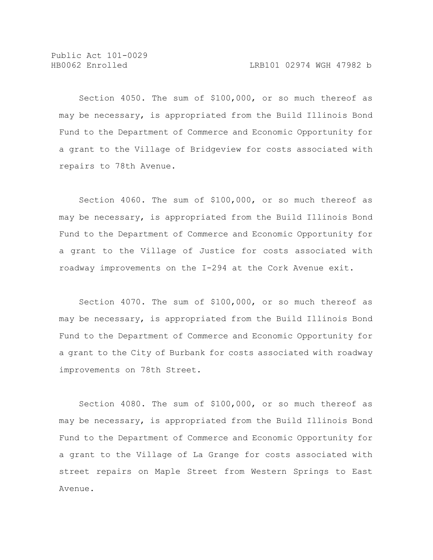Section 4050. The sum of \$100,000, or so much thereof as may be necessary, is appropriated from the Build Illinois Bond Fund to the Department of Commerce and Economic Opportunity for a grant to the Village of Bridgeview for costs associated with repairs to 78th Avenue.

Section 4060. The sum of \$100,000, or so much thereof as may be necessary, is appropriated from the Build Illinois Bond Fund to the Department of Commerce and Economic Opportunity for a grant to the Village of Justice for costs associated with roadway improvements on the I-294 at the Cork Avenue exit.

Section 4070. The sum of \$100,000, or so much thereof as may be necessary, is appropriated from the Build Illinois Bond Fund to the Department of Commerce and Economic Opportunity for a grant to the City of Burbank for costs associated with roadway improvements on 78th Street.

Section 4080. The sum of \$100,000, or so much thereof as may be necessary, is appropriated from the Build Illinois Bond Fund to the Department of Commerce and Economic Opportunity for a grant to the Village of La Grange for costs associated with street repairs on Maple Street from Western Springs to East Avenue.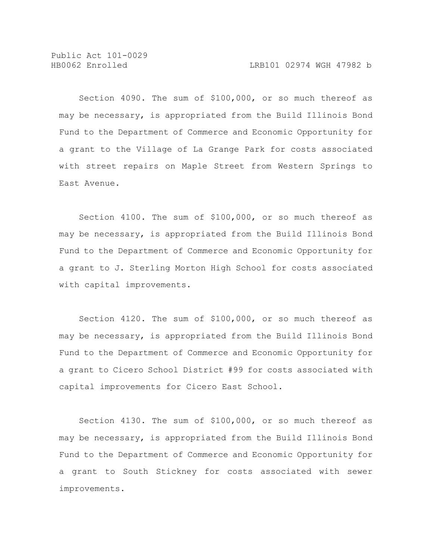Section 4090. The sum of \$100,000, or so much thereof as may be necessary, is appropriated from the Build Illinois Bond Fund to the Department of Commerce and Economic Opportunity for a grant to the Village of La Grange Park for costs associated with street repairs on Maple Street from Western Springs to East Avenue.

Section 4100. The sum of \$100,000, or so much thereof as may be necessary, is appropriated from the Build Illinois Bond Fund to the Department of Commerce and Economic Opportunity for a grant to J. Sterling Morton High School for costs associated with capital improvements.

Section 4120. The sum of \$100,000, or so much thereof as may be necessary, is appropriated from the Build Illinois Bond Fund to the Department of Commerce and Economic Opportunity for a grant to Cicero School District #99 for costs associated with capital improvements for Cicero East School.

Section 4130. The sum of \$100,000, or so much thereof as may be necessary, is appropriated from the Build Illinois Bond Fund to the Department of Commerce and Economic Opportunity for a grant to South Stickney for costs associated with sewer improvements.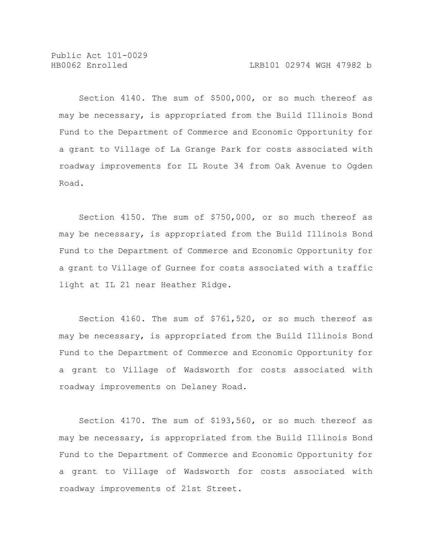Section 4140. The sum of \$500,000, or so much thereof as may be necessary, is appropriated from the Build Illinois Bond Fund to the Department of Commerce and Economic Opportunity for a grant to Village of La Grange Park for costs associated with roadway improvements for IL Route 34 from Oak Avenue to Ogden Road.

Section 4150. The sum of \$750,000, or so much thereof as may be necessary, is appropriated from the Build Illinois Bond Fund to the Department of Commerce and Economic Opportunity for a grant to Village of Gurnee for costs associated with a traffic light at IL 21 near Heather Ridge.

Section 4160. The sum of \$761,520, or so much thereof as may be necessary, is appropriated from the Build Illinois Bond Fund to the Department of Commerce and Economic Opportunity for a grant to Village of Wadsworth for costs associated with roadway improvements on Delaney Road.

Section 4170. The sum of \$193,560, or so much thereof as may be necessary, is appropriated from the Build Illinois Bond Fund to the Department of Commerce and Economic Opportunity for a grant to Village of Wadsworth for costs associated with roadway improvements of 21st Street.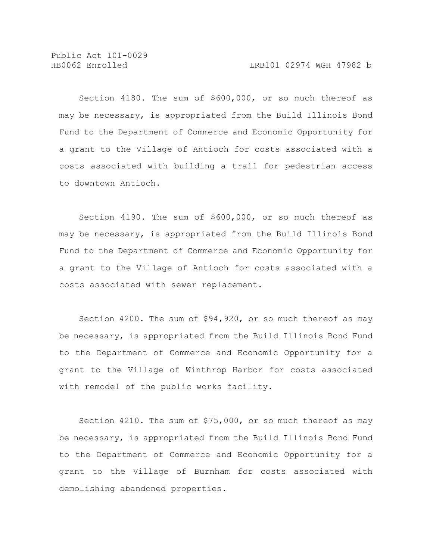Section 4180. The sum of \$600,000, or so much thereof as may be necessary, is appropriated from the Build Illinois Bond Fund to the Department of Commerce and Economic Opportunity for a grant to the Village of Antioch for costs associated with a costs associated with building a trail for pedestrian access to downtown Antioch.

Section 4190. The sum of \$600,000, or so much thereof as may be necessary, is appropriated from the Build Illinois Bond Fund to the Department of Commerce and Economic Opportunity for a grant to the Village of Antioch for costs associated with a costs associated with sewer replacement.

Section 4200. The sum of \$94,920, or so much thereof as may be necessary, is appropriated from the Build Illinois Bond Fund to the Department of Commerce and Economic Opportunity for a grant to the Village of Winthrop Harbor for costs associated with remodel of the public works facility.

Section 4210. The sum of \$75,000, or so much thereof as may be necessary, is appropriated from the Build Illinois Bond Fund to the Department of Commerce and Economic Opportunity for a grant to the Village of Burnham for costs associated with demolishing abandoned properties.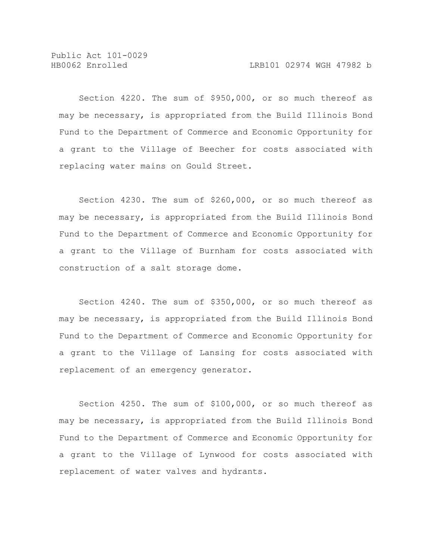Section 4220. The sum of \$950,000, or so much thereof as may be necessary, is appropriated from the Build Illinois Bond Fund to the Department of Commerce and Economic Opportunity for a grant to the Village of Beecher for costs associated with replacing water mains on Gould Street.

Section 4230. The sum of \$260,000, or so much thereof as may be necessary, is appropriated from the Build Illinois Bond Fund to the Department of Commerce and Economic Opportunity for a grant to the Village of Burnham for costs associated with construction of a salt storage dome.

Section 4240. The sum of \$350,000, or so much thereof as may be necessary, is appropriated from the Build Illinois Bond Fund to the Department of Commerce and Economic Opportunity for a grant to the Village of Lansing for costs associated with replacement of an emergency generator.

Section 4250. The sum of \$100,000, or so much thereof as may be necessary, is appropriated from the Build Illinois Bond Fund to the Department of Commerce and Economic Opportunity for a grant to the Village of Lynwood for costs associated with replacement of water valves and hydrants.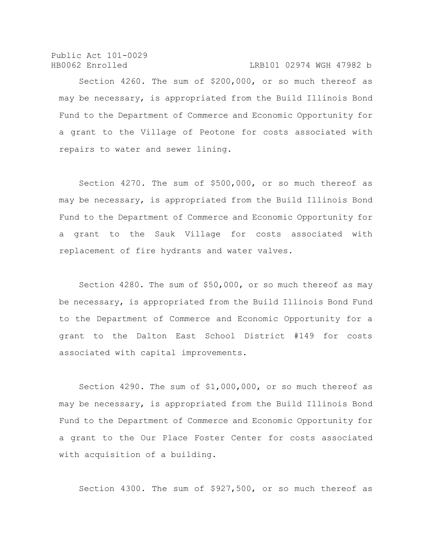Public Act 101-0029 HB0062 Enrolled LRB101 02974 WGH 47982 b

Section 4260. The sum of \$200,000, or so much thereof as may be necessary, is appropriated from the Build Illinois Bond Fund to the Department of Commerce and Economic Opportunity for a grant to the Village of Peotone for costs associated with repairs to water and sewer lining.

Section 4270. The sum of \$500,000, or so much thereof as may be necessary, is appropriated from the Build Illinois Bond Fund to the Department of Commerce and Economic Opportunity for a grant to the Sauk Village for costs associated with replacement of fire hydrants and water valves.

Section 4280. The sum of \$50,000, or so much thereof as may be necessary, is appropriated from the Build Illinois Bond Fund to the Department of Commerce and Economic Opportunity for a grant to the Dalton East School District #149 for costs associated with capital improvements.

Section 4290. The sum of \$1,000,000, or so much thereof as may be necessary, is appropriated from the Build Illinois Bond Fund to the Department of Commerce and Economic Opportunity for a grant to the Our Place Foster Center for costs associated with acquisition of a building.

Section 4300. The sum of \$927,500, or so much thereof as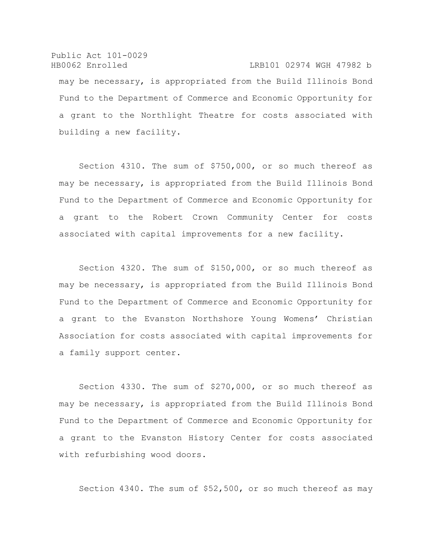Public Act 101-0029 HB0062 Enrolled LRB101 02974 WGH 47982 b may be necessary, is appropriated from the Build Illinois Bond Fund to the Department of Commerce and Economic Opportunity for a grant to the Northlight Theatre for costs associated with building a new facility.

Section 4310. The sum of \$750,000, or so much thereof as may be necessary, is appropriated from the Build Illinois Bond Fund to the Department of Commerce and Economic Opportunity for a grant to the Robert Crown Community Center for costs associated with capital improvements for a new facility.

Section 4320. The sum of \$150,000, or so much thereof as may be necessary, is appropriated from the Build Illinois Bond Fund to the Department of Commerce and Economic Opportunity for a grant to the Evanston Northshore Young Womens' Christian Association for costs associated with capital improvements for a family support center.

Section 4330. The sum of \$270,000, or so much thereof as may be necessary, is appropriated from the Build Illinois Bond Fund to the Department of Commerce and Economic Opportunity for a grant to the Evanston History Center for costs associated with refurbishing wood doors.

Section 4340. The sum of \$52,500, or so much thereof as may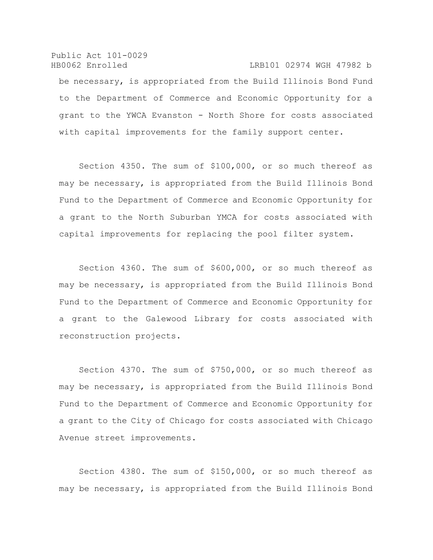Public Act 101-0029 HB0062 Enrolled LRB101 02974 WGH 47982 b be necessary, is appropriated from the Build Illinois Bond Fund to the Department of Commerce and Economic Opportunity for a grant to the YWCA Evanston - North Shore for costs associated with capital improvements for the family support center.

Section 4350. The sum of \$100,000, or so much thereof as may be necessary, is appropriated from the Build Illinois Bond Fund to the Department of Commerce and Economic Opportunity for a grant to the North Suburban YMCA for costs associated with capital improvements for replacing the pool filter system.

Section 4360. The sum of \$600,000, or so much thereof as may be necessary, is appropriated from the Build Illinois Bond Fund to the Department of Commerce and Economic Opportunity for a grant to the Galewood Library for costs associated with reconstruction projects.

Section 4370. The sum of \$750,000, or so much thereof as may be necessary, is appropriated from the Build Illinois Bond Fund to the Department of Commerce and Economic Opportunity for a grant to the City of Chicago for costs associated with Chicago Avenue street improvements.

Section 4380. The sum of \$150,000, or so much thereof as may be necessary, is appropriated from the Build Illinois Bond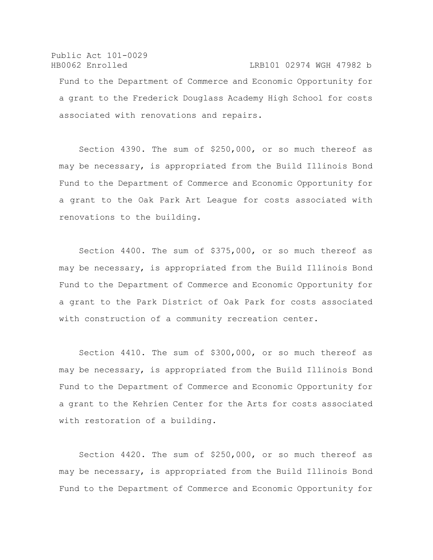## Public Act 101-0029 HB0062 Enrolled LRB101 02974 WGH 47982 b Fund to the Department of Commerce and Economic Opportunity for a grant to the Frederick Douglass Academy High School for costs associated with renovations and repairs.

Section 4390. The sum of \$250,000, or so much thereof as may be necessary, is appropriated from the Build Illinois Bond Fund to the Department of Commerce and Economic Opportunity for a grant to the Oak Park Art League for costs associated with renovations to the building.

Section 4400. The sum of \$375,000, or so much thereof as may be necessary, is appropriated from the Build Illinois Bond Fund to the Department of Commerce and Economic Opportunity for a grant to the Park District of Oak Park for costs associated with construction of a community recreation center.

Section 4410. The sum of \$300,000, or so much thereof as may be necessary, is appropriated from the Build Illinois Bond Fund to the Department of Commerce and Economic Opportunity for a grant to the Kehrien Center for the Arts for costs associated with restoration of a building.

Section 4420. The sum of \$250,000, or so much thereof as may be necessary, is appropriated from the Build Illinois Bond Fund to the Department of Commerce and Economic Opportunity for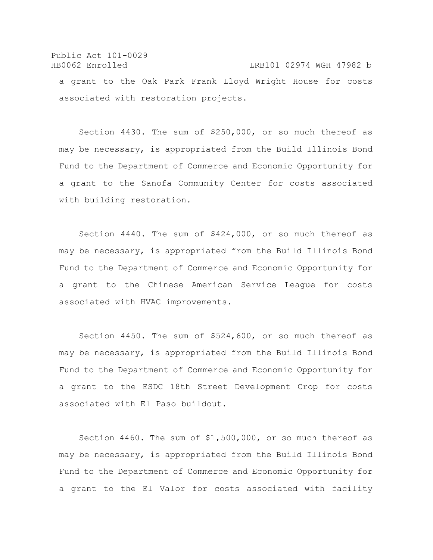## Public Act 101-0029 HB0062 Enrolled LRB101 02974 WGH 47982 b a grant to the Oak Park Frank Lloyd Wright House for costs associated with restoration projects.

Section 4430. The sum of \$250,000, or so much thereof as may be necessary, is appropriated from the Build Illinois Bond Fund to the Department of Commerce and Economic Opportunity for a grant to the Sanofa Community Center for costs associated with building restoration.

Section 4440. The sum of \$424,000, or so much thereof as may be necessary, is appropriated from the Build Illinois Bond Fund to the Department of Commerce and Economic Opportunity for a grant to the Chinese American Service League for costs associated with HVAC improvements.

Section 4450. The sum of \$524,600, or so much thereof as may be necessary, is appropriated from the Build Illinois Bond Fund to the Department of Commerce and Economic Opportunity for a grant to the ESDC 18th Street Development Crop for costs associated with El Paso buildout.

Section 4460. The sum of \$1,500,000, or so much thereof as may be necessary, is appropriated from the Build Illinois Bond Fund to the Department of Commerce and Economic Opportunity for a grant to the El Valor for costs associated with facility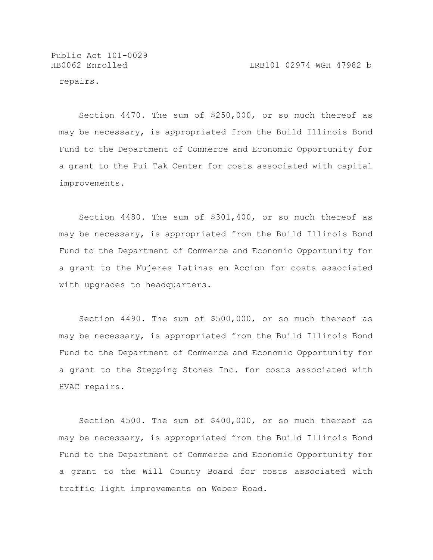repairs.

Section 4470. The sum of \$250,000, or so much thereof as may be necessary, is appropriated from the Build Illinois Bond Fund to the Department of Commerce and Economic Opportunity for a grant to the Pui Tak Center for costs associated with capital improvements.

Section 4480. The sum of \$301,400, or so much thereof as may be necessary, is appropriated from the Build Illinois Bond Fund to the Department of Commerce and Economic Opportunity for a grant to the Mujeres Latinas en Accion for costs associated with upgrades to headquarters.

Section 4490. The sum of \$500,000, or so much thereof as may be necessary, is appropriated from the Build Illinois Bond Fund to the Department of Commerce and Economic Opportunity for a grant to the Stepping Stones Inc. for costs associated with HVAC repairs.

Section 4500. The sum of \$400,000, or so much thereof as may be necessary, is appropriated from the Build Illinois Bond Fund to the Department of Commerce and Economic Opportunity for a grant to the Will County Board for costs associated with traffic light improvements on Weber Road.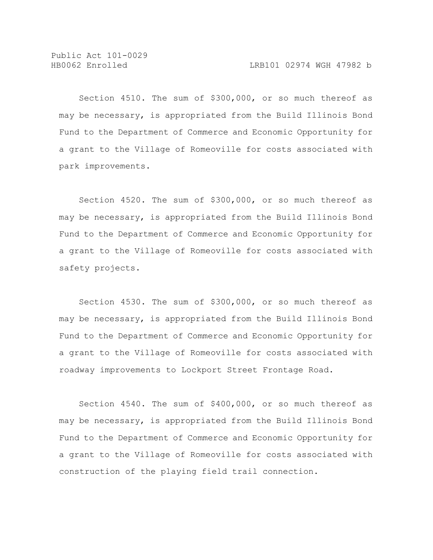Section 4510. The sum of \$300,000, or so much thereof as may be necessary, is appropriated from the Build Illinois Bond Fund to the Department of Commerce and Economic Opportunity for a grant to the Village of Romeoville for costs associated with park improvements.

Section 4520. The sum of \$300,000, or so much thereof as may be necessary, is appropriated from the Build Illinois Bond Fund to the Department of Commerce and Economic Opportunity for a grant to the Village of Romeoville for costs associated with safety projects.

Section 4530. The sum of \$300,000, or so much thereof as may be necessary, is appropriated from the Build Illinois Bond Fund to the Department of Commerce and Economic Opportunity for a grant to the Village of Romeoville for costs associated with roadway improvements to Lockport Street Frontage Road.

Section 4540. The sum of \$400,000, or so much thereof as may be necessary, is appropriated from the Build Illinois Bond Fund to the Department of Commerce and Economic Opportunity for a grant to the Village of Romeoville for costs associated with construction of the playing field trail connection.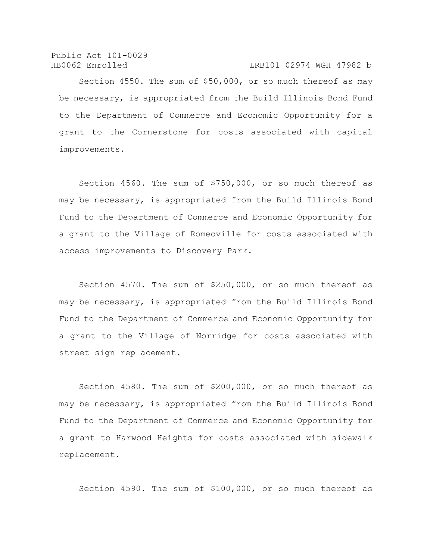HB0062 Enrolled LRB101 02974 WGH 47982 b

Section 4550. The sum of \$50,000, or so much thereof as may be necessary, is appropriated from the Build Illinois Bond Fund to the Department of Commerce and Economic Opportunity for a grant to the Cornerstone for costs associated with capital improvements.

Section 4560. The sum of \$750,000, or so much thereof as may be necessary, is appropriated from the Build Illinois Bond Fund to the Department of Commerce and Economic Opportunity for a grant to the Village of Romeoville for costs associated with access improvements to Discovery Park.

Section 4570. The sum of \$250,000, or so much thereof as may be necessary, is appropriated from the Build Illinois Bond Fund to the Department of Commerce and Economic Opportunity for a grant to the Village of Norridge for costs associated with street sign replacement.

Section 4580. The sum of \$200,000, or so much thereof as may be necessary, is appropriated from the Build Illinois Bond Fund to the Department of Commerce and Economic Opportunity for a grant to Harwood Heights for costs associated with sidewalk replacement.

Section 4590. The sum of \$100,000, or so much thereof as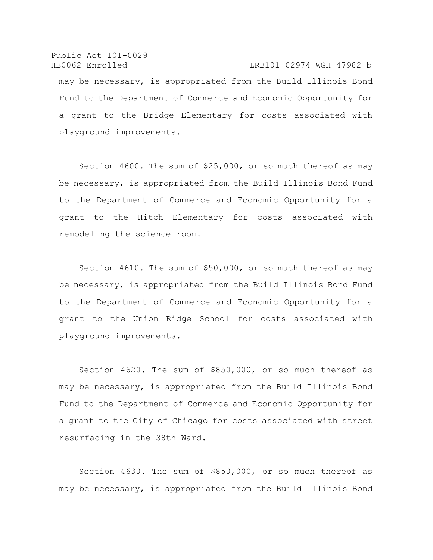Public Act 101-0029 HB0062 Enrolled LRB101 02974 WGH 47982 b may be necessary, is appropriated from the Build Illinois Bond Fund to the Department of Commerce and Economic Opportunity for a grant to the Bridge Elementary for costs associated with playground improvements.

Section 4600. The sum of \$25,000, or so much thereof as may be necessary, is appropriated from the Build Illinois Bond Fund to the Department of Commerce and Economic Opportunity for a grant to the Hitch Elementary for costs associated with remodeling the science room.

Section 4610. The sum of \$50,000, or so much thereof as may be necessary, is appropriated from the Build Illinois Bond Fund to the Department of Commerce and Economic Opportunity for a grant to the Union Ridge School for costs associated with playground improvements.

Section 4620. The sum of \$850,000, or so much thereof as may be necessary, is appropriated from the Build Illinois Bond Fund to the Department of Commerce and Economic Opportunity for a grant to the City of Chicago for costs associated with street resurfacing in the 38th Ward.

Section 4630. The sum of \$850,000, or so much thereof as may be necessary, is appropriated from the Build Illinois Bond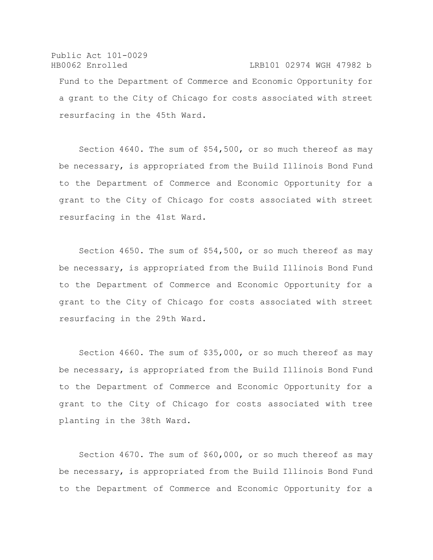Public Act 101-0029 HB0062 Enrolled LRB101 02974 WGH 47982 b Fund to the Department of Commerce and Economic Opportunity for a grant to the City of Chicago for costs associated with street resurfacing in the 45th Ward.

Section 4640. The sum of \$54,500, or so much thereof as may be necessary, is appropriated from the Build Illinois Bond Fund to the Department of Commerce and Economic Opportunity for a grant to the City of Chicago for costs associated with street resurfacing in the 41st Ward.

Section 4650. The sum of \$54,500, or so much thereof as may be necessary, is appropriated from the Build Illinois Bond Fund to the Department of Commerce and Economic Opportunity for a grant to the City of Chicago for costs associated with street resurfacing in the 29th Ward.

Section 4660. The sum of \$35,000, or so much thereof as may be necessary, is appropriated from the Build Illinois Bond Fund to the Department of Commerce and Economic Opportunity for a grant to the City of Chicago for costs associated with tree planting in the 38th Ward.

Section 4670. The sum of \$60,000, or so much thereof as may be necessary, is appropriated from the Build Illinois Bond Fund to the Department of Commerce and Economic Opportunity for a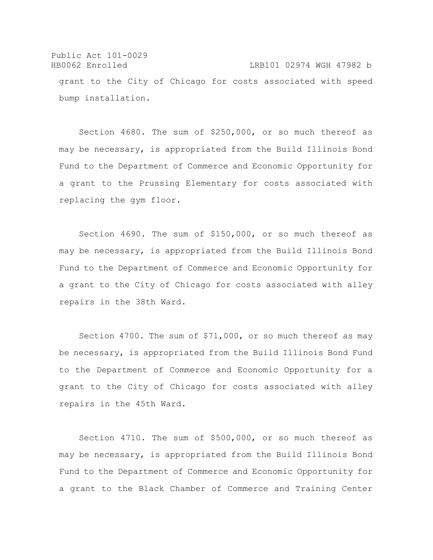Public Act 101-0029 HB0062 Enrolled LRB101 02974 WGH 47982 b grant to the City of Chicago for costs associated with speed bump installation.

Section 4680. The sum of \$250,000, or so much thereof as may be necessary, is appropriated from the Build Illinois Bond Fund to the Department of Commerce and Economic Opportunity for a grant to the Prussing Elementary for costs associated with replacing the gym floor.

Section 4690. The sum of \$150,000, or so much thereof as may be necessary, is appropriated from the Build Illinois Bond Fund to the Department of Commerce and Economic Opportunity for a grant to the City of Chicago for costs associated with alley repairs in the 38th Ward.

Section 4700. The sum of \$71,000, or so much thereof as may be necessary, is appropriated from the Build Illinois Bond Fund to the Department of Commerce and Economic Opportunity for a grant to the City of Chicago for costs associated with alley repairs in the 45th Ward.

Section 4710. The sum of \$500,000, or so much thereof as may be necessary, is appropriated from the Build Illinois Bond Fund to the Department of Commerce and Economic Opportunity for a grant to the Black Chamber of Commerce and Training Center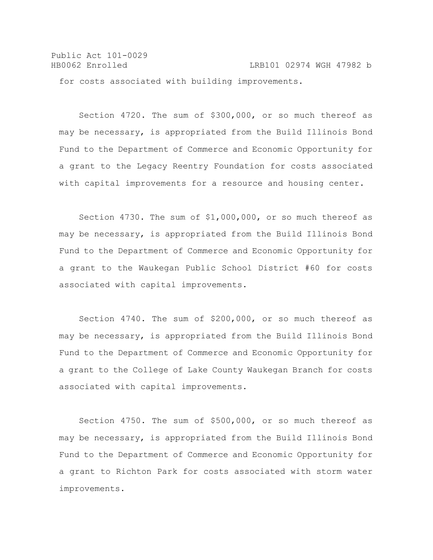Public Act 101-0029 HB0062 Enrolled LRB101 02974 WGH 47982 b for costs associated with building improvements.

Section 4720. The sum of \$300,000, or so much thereof as may be necessary, is appropriated from the Build Illinois Bond Fund to the Department of Commerce and Economic Opportunity for a grant to the Legacy Reentry Foundation for costs associated with capital improvements for a resource and housing center.

Section 4730. The sum of \$1,000,000, or so much thereof as may be necessary, is appropriated from the Build Illinois Bond Fund to the Department of Commerce and Economic Opportunity for a grant to the Waukegan Public School District #60 for costs associated with capital improvements.

Section 4740. The sum of \$200,000, or so much thereof as may be necessary, is appropriated from the Build Illinois Bond Fund to the Department of Commerce and Economic Opportunity for a grant to the College of Lake County Waukegan Branch for costs associated with capital improvements.

Section 4750. The sum of \$500,000, or so much thereof as may be necessary, is appropriated from the Build Illinois Bond Fund to the Department of Commerce and Economic Opportunity for a grant to Richton Park for costs associated with storm water improvements.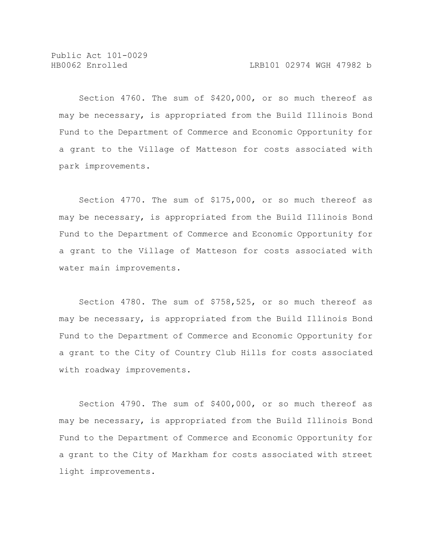Section 4760. The sum of \$420,000, or so much thereof as may be necessary, is appropriated from the Build Illinois Bond Fund to the Department of Commerce and Economic Opportunity for a grant to the Village of Matteson for costs associated with park improvements.

Section 4770. The sum of \$175,000, or so much thereof as may be necessary, is appropriated from the Build Illinois Bond Fund to the Department of Commerce and Economic Opportunity for a grant to the Village of Matteson for costs associated with water main improvements.

Section 4780. The sum of \$758,525, or so much thereof as may be necessary, is appropriated from the Build Illinois Bond Fund to the Department of Commerce and Economic Opportunity for a grant to the City of Country Club Hills for costs associated with roadway improvements.

Section 4790. The sum of \$400,000, or so much thereof as may be necessary, is appropriated from the Build Illinois Bond Fund to the Department of Commerce and Economic Opportunity for a grant to the City of Markham for costs associated with street light improvements.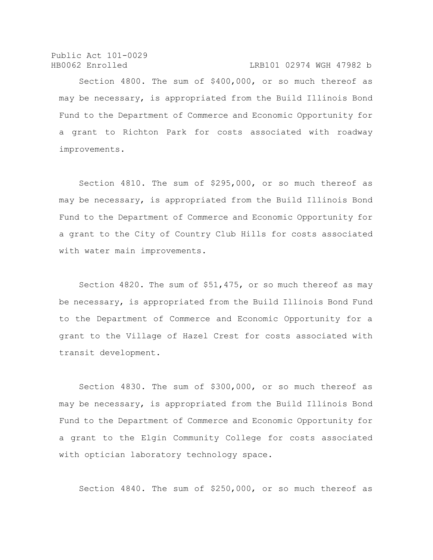Public Act 101-0029 HB0062 Enrolled LRB101 02974 WGH 47982 b

Section 4800. The sum of \$400,000, or so much thereof as may be necessary, is appropriated from the Build Illinois Bond Fund to the Department of Commerce and Economic Opportunity for a grant to Richton Park for costs associated with roadway improvements.

Section 4810. The sum of \$295,000, or so much thereof as may be necessary, is appropriated from the Build Illinois Bond Fund to the Department of Commerce and Economic Opportunity for a grant to the City of Country Club Hills for costs associated with water main improvements.

Section 4820. The sum of \$51,475, or so much thereof as may be necessary, is appropriated from the Build Illinois Bond Fund to the Department of Commerce and Economic Opportunity for a grant to the Village of Hazel Crest for costs associated with transit development.

Section 4830. The sum of \$300,000, or so much thereof as may be necessary, is appropriated from the Build Illinois Bond Fund to the Department of Commerce and Economic Opportunity for a grant to the Elgin Community College for costs associated with optician laboratory technology space.

Section 4840. The sum of \$250,000, or so much thereof as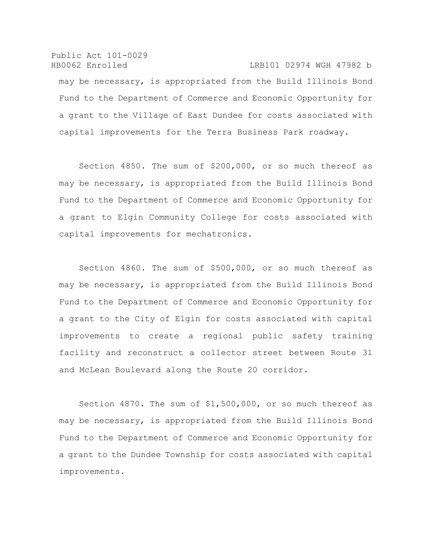Public Act 101-0029 HB0062 Enrolled LRB101 02974 WGH 47982 b may be necessary, is appropriated from the Build Illinois Bond Fund to the Department of Commerce and Economic Opportunity for a grant to the Village of East Dundee for costs associated with capital improvements for the Terra Business Park roadway.

Section 4850. The sum of \$200,000, or so much thereof as may be necessary, is appropriated from the Build Illinois Bond Fund to the Department of Commerce and Economic Opportunity for a grant to Elgin Community College for costs associated with capital improvements for mechatronics.

Section 4860. The sum of \$500,000, or so much thereof as may be necessary, is appropriated from the Build Illinois Bond Fund to the Department of Commerce and Economic Opportunity for a grant to the City of Elgin for costs associated with capital improvements to create a regional public safety training facility and reconstruct a collector street between Route 31 and McLean Boulevard along the Route 20 corridor.

Section 4870. The sum of \$1,500,000, or so much thereof as may be necessary, is appropriated from the Build Illinois Bond Fund to the Department of Commerce and Economic Opportunity for a grant to the Dundee Township for costs associated with capital improvements.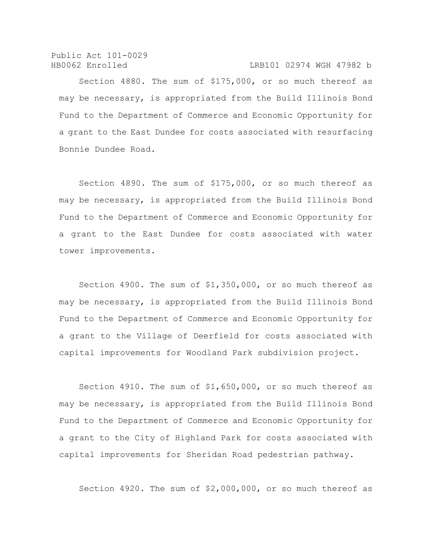Public Act 101-0029 HB0062 Enrolled LRB101 02974 WGH 47982 b

Section 4880. The sum of \$175,000, or so much thereof as may be necessary, is appropriated from the Build Illinois Bond Fund to the Department of Commerce and Economic Opportunity for a grant to the East Dundee for costs associated with resurfacing Bonnie Dundee Road.

Section 4890. The sum of \$175,000, or so much thereof as may be necessary, is appropriated from the Build Illinois Bond Fund to the Department of Commerce and Economic Opportunity for a grant to the East Dundee for costs associated with water tower improvements.

Section 4900. The sum of \$1,350,000, or so much thereof as may be necessary, is appropriated from the Build Illinois Bond Fund to the Department of Commerce and Economic Opportunity for a grant to the Village of Deerfield for costs associated with capital improvements for Woodland Park subdivision project.

Section 4910. The sum of \$1,650,000, or so much thereof as may be necessary, is appropriated from the Build Illinois Bond Fund to the Department of Commerce and Economic Opportunity for a grant to the City of Highland Park for costs associated with capital improvements for Sheridan Road pedestrian pathway.

Section 4920. The sum of \$2,000,000, or so much thereof as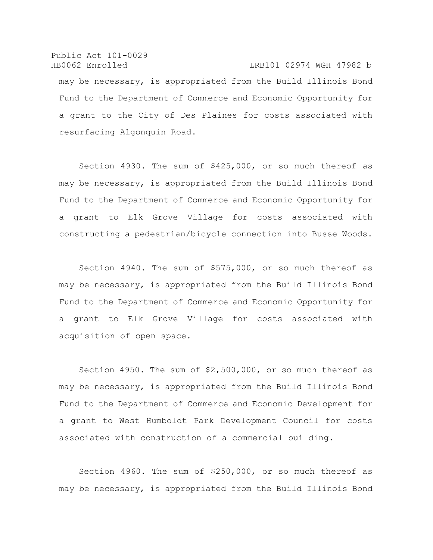Public Act 101-0029 HB0062 Enrolled LRB101 02974 WGH 47982 b may be necessary, is appropriated from the Build Illinois Bond Fund to the Department of Commerce and Economic Opportunity for a grant to the City of Des Plaines for costs associated with resurfacing Algonquin Road.

Section 4930. The sum of \$425,000, or so much thereof as may be necessary, is appropriated from the Build Illinois Bond Fund to the Department of Commerce and Economic Opportunity for a grant to Elk Grove Village for costs associated with constructing a pedestrian/bicycle connection into Busse Woods.

Section 4940. The sum of \$575,000, or so much thereof as may be necessary, is appropriated from the Build Illinois Bond Fund to the Department of Commerce and Economic Opportunity for a grant to Elk Grove Village for costs associated with acquisition of open space.

Section 4950. The sum of \$2,500,000, or so much thereof as may be necessary, is appropriated from the Build Illinois Bond Fund to the Department of Commerce and Economic Development for a grant to West Humboldt Park Development Council for costs associated with construction of a commercial building.

Section 4960. The sum of \$250,000, or so much thereof as may be necessary, is appropriated from the Build Illinois Bond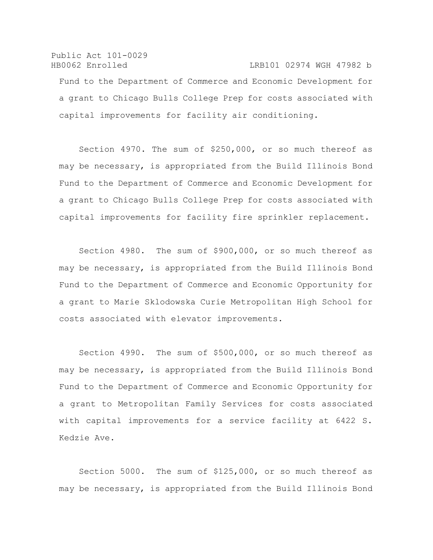Public Act 101-0029 HB0062 Enrolled LRB101 02974 WGH 47982 b Fund to the Department of Commerce and Economic Development for a grant to Chicago Bulls College Prep for costs associated with capital improvements for facility air conditioning.

Section 4970. The sum of \$250,000, or so much thereof as may be necessary, is appropriated from the Build Illinois Bond Fund to the Department of Commerce and Economic Development for a grant to Chicago Bulls College Prep for costs associated with capital improvements for facility fire sprinkler replacement.

Section 4980. The sum of \$900,000, or so much thereof as may be necessary, is appropriated from the Build Illinois Bond Fund to the Department of Commerce and Economic Opportunity for a grant to Marie Sklodowska Curie Metropolitan High School for costs associated with elevator improvements.

Section 4990. The sum of \$500,000, or so much thereof as may be necessary, is appropriated from the Build Illinois Bond Fund to the Department of Commerce and Economic Opportunity for a grant to Metropolitan Family Services for costs associated with capital improvements for a service facility at 6422 S. Kedzie Ave.

Section 5000. The sum of \$125,000, or so much thereof as may be necessary, is appropriated from the Build Illinois Bond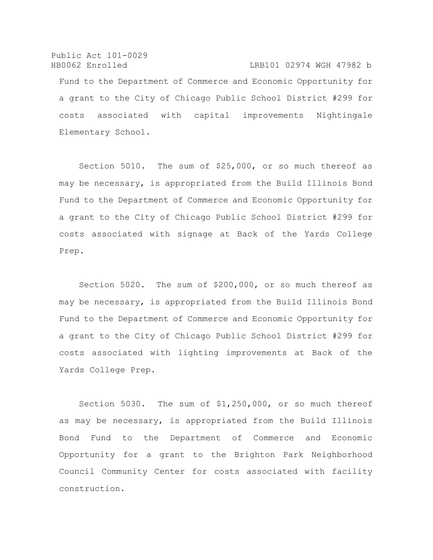Public Act 101-0029 HB0062 Enrolled LRB101 02974 WGH 47982 b Fund to the Department of Commerce and Economic Opportunity for a grant to the City of Chicago Public School District #299 for costs associated with capital improvements Nightingale Elementary School.

Section 5010. The sum of \$25,000, or so much thereof as may be necessary, is appropriated from the Build Illinois Bond Fund to the Department of Commerce and Economic Opportunity for a grant to the City of Chicago Public School District #299 for costs associated with signage at Back of the Yards College Prep.

Section 5020. The sum of \$200,000, or so much thereof as may be necessary, is appropriated from the Build Illinois Bond Fund to the Department of Commerce and Economic Opportunity for a grant to the City of Chicago Public School District #299 for costs associated with lighting improvements at Back of the Yards College Prep.

Section 5030. The sum of \$1,250,000, or so much thereof as may be necessary, is appropriated from the Build Illinois Bond Fund to the Department of Commerce and Economic Opportunity for a grant to the Brighton Park Neighborhood Council Community Center for costs associated with facility construction.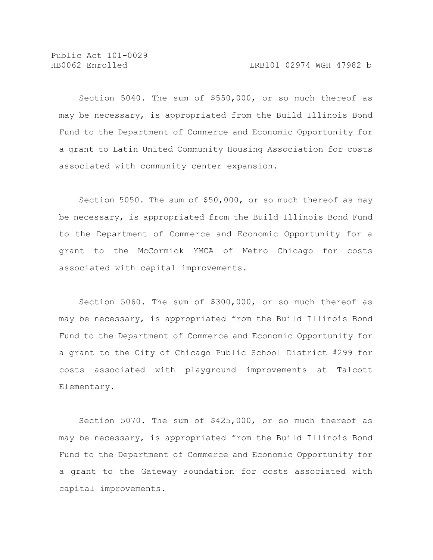Section 5040. The sum of \$550,000, or so much thereof as may be necessary, is appropriated from the Build Illinois Bond Fund to the Department of Commerce and Economic Opportunity for a grant to Latin United Community Housing Association for costs associated with community center expansion.

Section 5050. The sum of \$50,000, or so much thereof as may be necessary, is appropriated from the Build Illinois Bond Fund to the Department of Commerce and Economic Opportunity for a grant to the McCormick YMCA of Metro Chicago for costs associated with capital improvements.

Section 5060. The sum of \$300,000, or so much thereof as may be necessary, is appropriated from the Build Illinois Bond Fund to the Department of Commerce and Economic Opportunity for a grant to the City of Chicago Public School District #299 for costs associated with playground improvements at Talcott Elementary.

Section 5070. The sum of \$425,000, or so much thereof as may be necessary, is appropriated from the Build Illinois Bond Fund to the Department of Commerce and Economic Opportunity for a grant to the Gateway Foundation for costs associated with capital improvements.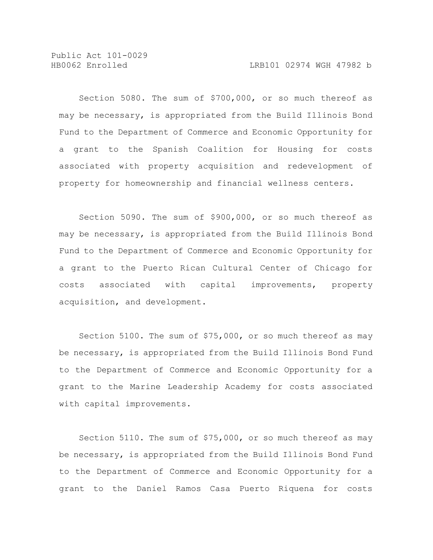Section 5080. The sum of \$700,000, or so much thereof as may be necessary, is appropriated from the Build Illinois Bond Fund to the Department of Commerce and Economic Opportunity for a grant to the Spanish Coalition for Housing for costs associated with property acquisition and redevelopment of property for homeownership and financial wellness centers.

Section 5090. The sum of \$900,000, or so much thereof as may be necessary, is appropriated from the Build Illinois Bond Fund to the Department of Commerce and Economic Opportunity for a grant to the Puerto Rican Cultural Center of Chicago for costs associated with capital improvements, property acquisition, and development.

Section 5100. The sum of \$75,000, or so much thereof as may be necessary, is appropriated from the Build Illinois Bond Fund to the Department of Commerce and Economic Opportunity for a grant to the Marine Leadership Academy for costs associated with capital improvements.

Section 5110. The sum of \$75,000, or so much thereof as may be necessary, is appropriated from the Build Illinois Bond Fund to the Department of Commerce and Economic Opportunity for a grant to the Daniel Ramos Casa Puerto Riquena for costs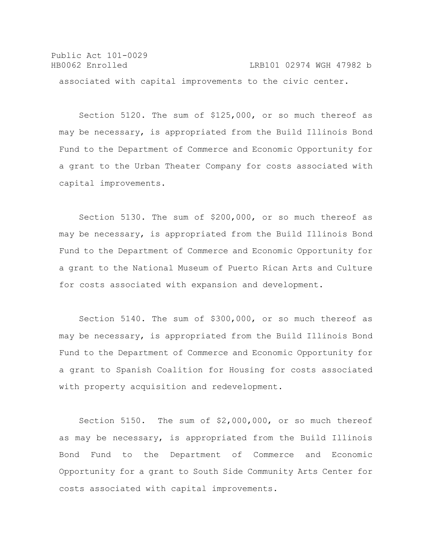Public Act 101-0029 HB0062 Enrolled LRB101 02974 WGH 47982 b associated with capital improvements to the civic center.

Section 5120. The sum of \$125,000, or so much thereof as may be necessary, is appropriated from the Build Illinois Bond Fund to the Department of Commerce and Economic Opportunity for a grant to the Urban Theater Company for costs associated with capital improvements.

Section 5130. The sum of \$200,000, or so much thereof as may be necessary, is appropriated from the Build Illinois Bond Fund to the Department of Commerce and Economic Opportunity for a grant to the National Museum of Puerto Rican Arts and Culture for costs associated with expansion and development.

Section 5140. The sum of \$300,000, or so much thereof as may be necessary, is appropriated from the Build Illinois Bond Fund to the Department of Commerce and Economic Opportunity for a grant to Spanish Coalition for Housing for costs associated with property acquisition and redevelopment.

Section 5150. The sum of \$2,000,000, or so much thereof as may be necessary, is appropriated from the Build Illinois Bond Fund to the Department of Commerce and Economic Opportunity for a grant to South Side Community Arts Center for costs associated with capital improvements.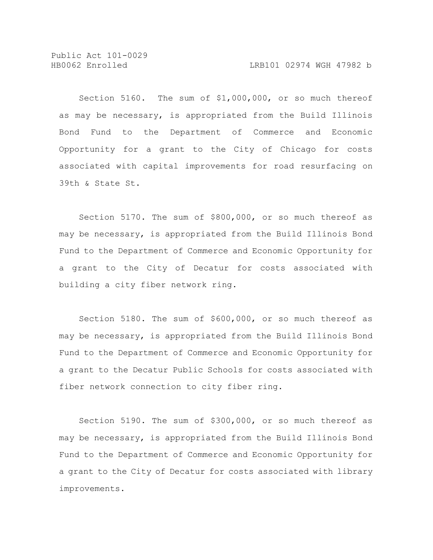Section 5160. The sum of \$1,000,000, or so much thereof as may be necessary, is appropriated from the Build Illinois Bond Fund to the Department of Commerce and Economic Opportunity for a grant to the City of Chicago for costs associated with capital improvements for road resurfacing on 39th & State St.

Section 5170. The sum of \$800,000, or so much thereof as may be necessary, is appropriated from the Build Illinois Bond Fund to the Department of Commerce and Economic Opportunity for a grant to the City of Decatur for costs associated with building a city fiber network ring.

Section 5180. The sum of \$600,000, or so much thereof as may be necessary, is appropriated from the Build Illinois Bond Fund to the Department of Commerce and Economic Opportunity for a grant to the Decatur Public Schools for costs associated with fiber network connection to city fiber ring.

Section 5190. The sum of \$300,000, or so much thereof as may be necessary, is appropriated from the Build Illinois Bond Fund to the Department of Commerce and Economic Opportunity for a grant to the City of Decatur for costs associated with library improvements.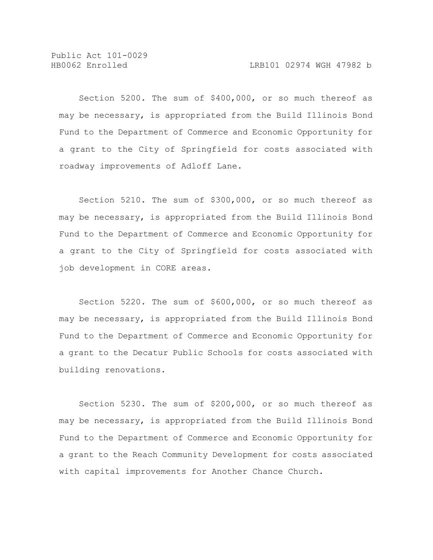Section 5200. The sum of \$400,000, or so much thereof as may be necessary, is appropriated from the Build Illinois Bond Fund to the Department of Commerce and Economic Opportunity for a grant to the City of Springfield for costs associated with roadway improvements of Adloff Lane.

Section 5210. The sum of \$300,000, or so much thereof as may be necessary, is appropriated from the Build Illinois Bond Fund to the Department of Commerce and Economic Opportunity for a grant to the City of Springfield for costs associated with job development in CORE areas.

Section 5220. The sum of \$600,000, or so much thereof as may be necessary, is appropriated from the Build Illinois Bond Fund to the Department of Commerce and Economic Opportunity for a grant to the Decatur Public Schools for costs associated with building renovations.

Section 5230. The sum of \$200,000, or so much thereof as may be necessary, is appropriated from the Build Illinois Bond Fund to the Department of Commerce and Economic Opportunity for a grant to the Reach Community Development for costs associated with capital improvements for Another Chance Church.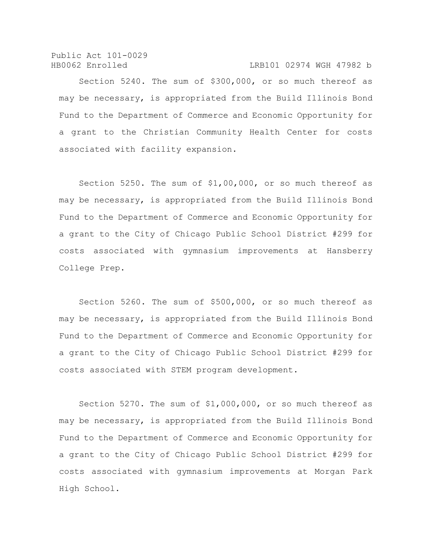Public Act 101-0029 HB0062 Enrolled LRB101 02974 WGH 47982 b

Section 5240. The sum of \$300,000, or so much thereof as may be necessary, is appropriated from the Build Illinois Bond Fund to the Department of Commerce and Economic Opportunity for a grant to the Christian Community Health Center for costs associated with facility expansion.

Section 5250. The sum of \$1,00,000, or so much thereof as may be necessary, is appropriated from the Build Illinois Bond Fund to the Department of Commerce and Economic Opportunity for a grant to the City of Chicago Public School District #299 for costs associated with gymnasium improvements at Hansberry College Prep.

Section 5260. The sum of \$500,000, or so much thereof as may be necessary, is appropriated from the Build Illinois Bond Fund to the Department of Commerce and Economic Opportunity for a grant to the City of Chicago Public School District #299 for costs associated with STEM program development.

Section 5270. The sum of \$1,000,000, or so much thereof as may be necessary, is appropriated from the Build Illinois Bond Fund to the Department of Commerce and Economic Opportunity for a grant to the City of Chicago Public School District #299 for costs associated with gymnasium improvements at Morgan Park High School.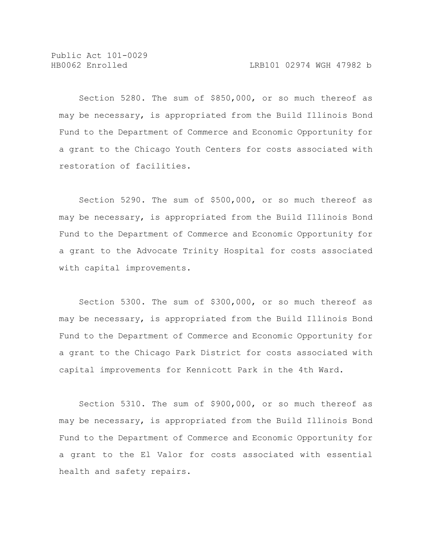Section 5280. The sum of \$850,000, or so much thereof as may be necessary, is appropriated from the Build Illinois Bond Fund to the Department of Commerce and Economic Opportunity for a grant to the Chicago Youth Centers for costs associated with restoration of facilities.

Section 5290. The sum of \$500,000, or so much thereof as may be necessary, is appropriated from the Build Illinois Bond Fund to the Department of Commerce and Economic Opportunity for a grant to the Advocate Trinity Hospital for costs associated with capital improvements.

Section 5300. The sum of \$300,000, or so much thereof as may be necessary, is appropriated from the Build Illinois Bond Fund to the Department of Commerce and Economic Opportunity for a grant to the Chicago Park District for costs associated with capital improvements for Kennicott Park in the 4th Ward.

Section 5310. The sum of \$900,000, or so much thereof as may be necessary, is appropriated from the Build Illinois Bond Fund to the Department of Commerce and Economic Opportunity for a grant to the El Valor for costs associated with essential health and safety repairs.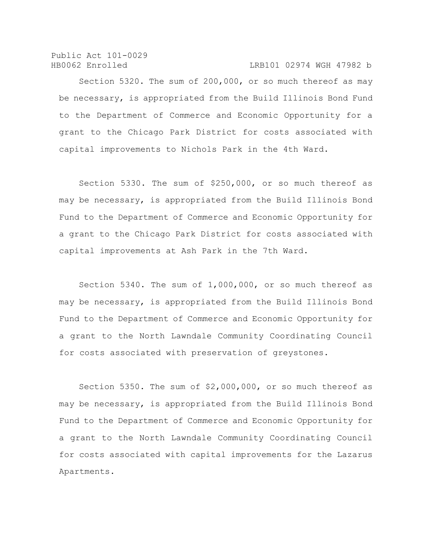## HB0062 Enrolled LRB101 02974 WGH 47982 b

Section 5320. The sum of 200,000, or so much thereof as may be necessary, is appropriated from the Build Illinois Bond Fund to the Department of Commerce and Economic Opportunity for a grant to the Chicago Park District for costs associated with capital improvements to Nichols Park in the 4th Ward.

Section 5330. The sum of \$250,000, or so much thereof as may be necessary, is appropriated from the Build Illinois Bond Fund to the Department of Commerce and Economic Opportunity for a grant to the Chicago Park District for costs associated with capital improvements at Ash Park in the 7th Ward.

Section 5340. The sum of 1,000,000, or so much thereof as may be necessary, is appropriated from the Build Illinois Bond Fund to the Department of Commerce and Economic Opportunity for a grant to the North Lawndale Community Coordinating Council for costs associated with preservation of greystones.

Section 5350. The sum of \$2,000,000, or so much thereof as may be necessary, is appropriated from the Build Illinois Bond Fund to the Department of Commerce and Economic Opportunity for a grant to the North Lawndale Community Coordinating Council for costs associated with capital improvements for the Lazarus Apartments.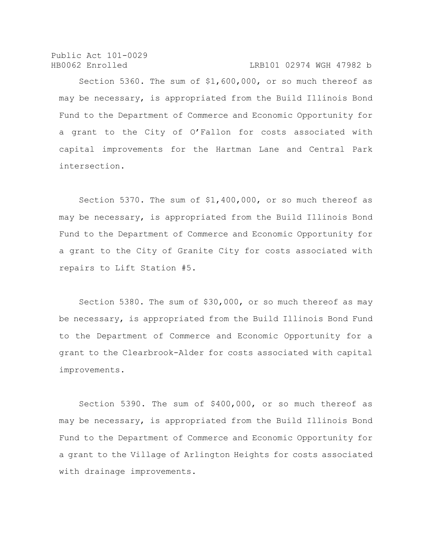Public Act 101-0029 HB0062 Enrolled LRB101 02974 WGH 47982 b

Section 5360. The sum of \$1,600,000, or so much thereof as may be necessary, is appropriated from the Build Illinois Bond Fund to the Department of Commerce and Economic Opportunity for a grant to the City of O'Fallon for costs associated with capital improvements for the Hartman Lane and Central Park intersection.

Section 5370. The sum of \$1,400,000, or so much thereof as may be necessary, is appropriated from the Build Illinois Bond Fund to the Department of Commerce and Economic Opportunity for a grant to the City of Granite City for costs associated with repairs to Lift Station #5.

Section 5380. The sum of \$30,000, or so much thereof as may be necessary, is appropriated from the Build Illinois Bond Fund to the Department of Commerce and Economic Opportunity for a grant to the Clearbrook-Alder for costs associated with capital improvements.

Section 5390. The sum of \$400,000, or so much thereof as may be necessary, is appropriated from the Build Illinois Bond Fund to the Department of Commerce and Economic Opportunity for a grant to the Village of Arlington Heights for costs associated with drainage improvements.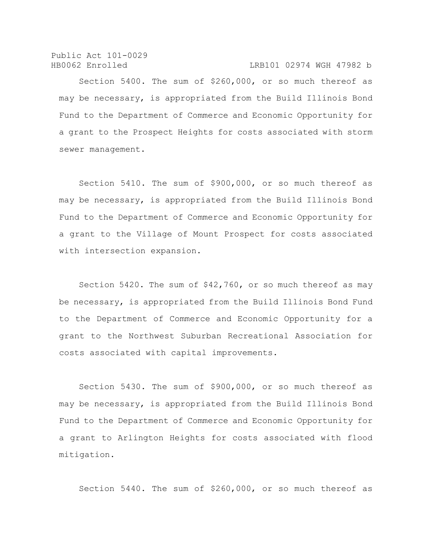Public Act 101-0029 HB0062 Enrolled LRB101 02974 WGH 47982 b

Section 5400. The sum of \$260,000, or so much thereof as may be necessary, is appropriated from the Build Illinois Bond Fund to the Department of Commerce and Economic Opportunity for a grant to the Prospect Heights for costs associated with storm sewer management.

Section 5410. The sum of \$900,000, or so much thereof as may be necessary, is appropriated from the Build Illinois Bond Fund to the Department of Commerce and Economic Opportunity for a grant to the Village of Mount Prospect for costs associated with intersection expansion.

Section 5420. The sum of \$42,760, or so much thereof as may be necessary, is appropriated from the Build Illinois Bond Fund to the Department of Commerce and Economic Opportunity for a grant to the Northwest Suburban Recreational Association for costs associated with capital improvements.

Section 5430. The sum of \$900,000, or so much thereof as may be necessary, is appropriated from the Build Illinois Bond Fund to the Department of Commerce and Economic Opportunity for a grant to Arlington Heights for costs associated with flood mitigation.

Section 5440. The sum of \$260,000, or so much thereof as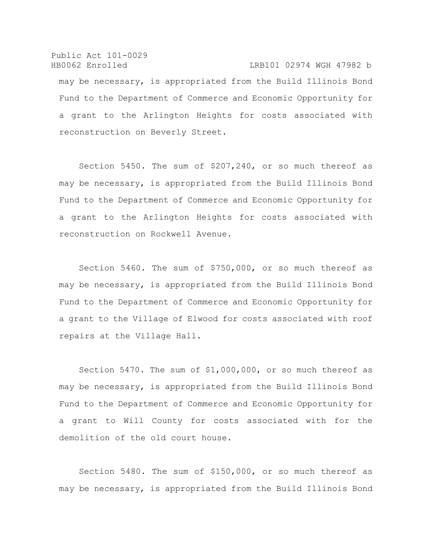Public Act 101-0029 HB0062 Enrolled LRB101 02974 WGH 47982 b may be necessary, is appropriated from the Build Illinois Bond Fund to the Department of Commerce and Economic Opportunity for a grant to the Arlington Heights for costs associated with reconstruction on Beverly Street.

Section 5450. The sum of \$207,240, or so much thereof as may be necessary, is appropriated from the Build Illinois Bond Fund to the Department of Commerce and Economic Opportunity for a grant to the Arlington Heights for costs associated with reconstruction on Rockwell Avenue.

Section 5460. The sum of \$750,000, or so much thereof as may be necessary, is appropriated from the Build Illinois Bond Fund to the Department of Commerce and Economic Opportunity for a grant to the Village of Elwood for costs associated with roof repairs at the Village Hall.

Section 5470. The sum of \$1,000,000, or so much thereof as may be necessary, is appropriated from the Build Illinois Bond Fund to the Department of Commerce and Economic Opportunity for a grant to Will County for costs associated with for the demolition of the old court house.

Section 5480. The sum of \$150,000, or so much thereof as may be necessary, is appropriated from the Build Illinois Bond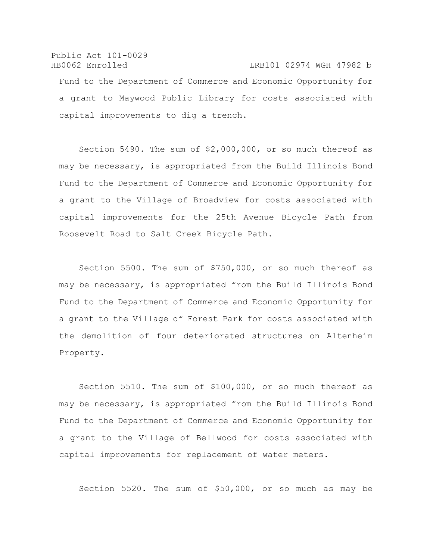Public Act 101-0029 HB0062 Enrolled LRB101 02974 WGH 47982 b Fund to the Department of Commerce and Economic Opportunity for a grant to Maywood Public Library for costs associated with capital improvements to dig a trench.

Section 5490. The sum of \$2,000,000, or so much thereof as may be necessary, is appropriated from the Build Illinois Bond Fund to the Department of Commerce and Economic Opportunity for a grant to the Village of Broadview for costs associated with capital improvements for the 25th Avenue Bicycle Path from Roosevelt Road to Salt Creek Bicycle Path.

Section 5500. The sum of \$750,000, or so much thereof as may be necessary, is appropriated from the Build Illinois Bond Fund to the Department of Commerce and Economic Opportunity for a grant to the Village of Forest Park for costs associated with the demolition of four deteriorated structures on Altenheim Property.

Section 5510. The sum of \$100,000, or so much thereof as may be necessary, is appropriated from the Build Illinois Bond Fund to the Department of Commerce and Economic Opportunity for a grant to the Village of Bellwood for costs associated with capital improvements for replacement of water meters.

Section 5520. The sum of \$50,000, or so much as may be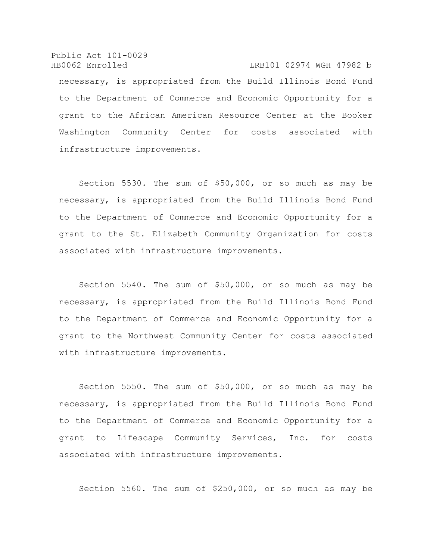Public Act 101-0029 HB0062 Enrolled LRB101 02974 WGH 47982 b necessary, is appropriated from the Build Illinois Bond Fund to the Department of Commerce and Economic Opportunity for a grant to the African American Resource Center at the Booker Washington Community Center for costs associated with infrastructure improvements.

Section 5530. The sum of \$50,000, or so much as may be necessary, is appropriated from the Build Illinois Bond Fund to the Department of Commerce and Economic Opportunity for a grant to the St. Elizabeth Community Organization for costs associated with infrastructure improvements.

Section 5540. The sum of \$50,000, or so much as may be necessary, is appropriated from the Build Illinois Bond Fund to the Department of Commerce and Economic Opportunity for a grant to the Northwest Community Center for costs associated with infrastructure improvements.

Section 5550. The sum of \$50,000, or so much as may be necessary, is appropriated from the Build Illinois Bond Fund to the Department of Commerce and Economic Opportunity for a grant to Lifescape Community Services, Inc. for costs associated with infrastructure improvements.

Section 5560. The sum of \$250,000, or so much as may be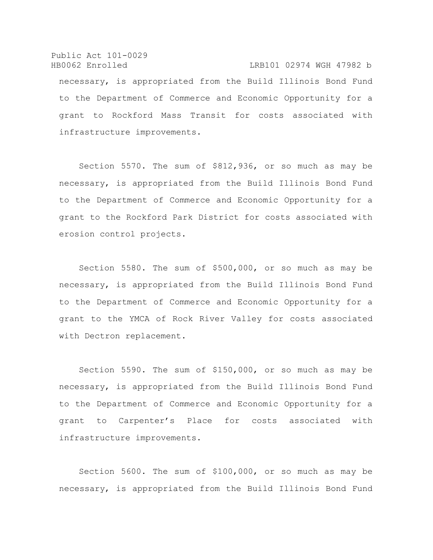Public Act 101-0029 HB0062 Enrolled LRB101 02974 WGH 47982 b necessary, is appropriated from the Build Illinois Bond Fund to the Department of Commerce and Economic Opportunity for a grant to Rockford Mass Transit for costs associated with infrastructure improvements.

Section 5570. The sum of \$812,936, or so much as may be necessary, is appropriated from the Build Illinois Bond Fund to the Department of Commerce and Economic Opportunity for a grant to the Rockford Park District for costs associated with erosion control projects.

Section 5580. The sum of \$500,000, or so much as may be necessary, is appropriated from the Build Illinois Bond Fund to the Department of Commerce and Economic Opportunity for a grant to the YMCA of Rock River Valley for costs associated with Dectron replacement.

Section 5590. The sum of \$150,000, or so much as may be necessary, is appropriated from the Build Illinois Bond Fund to the Department of Commerce and Economic Opportunity for a grant to Carpenter's Place for costs associated with infrastructure improvements.

Section 5600. The sum of \$100,000, or so much as may be necessary, is appropriated from the Build Illinois Bond Fund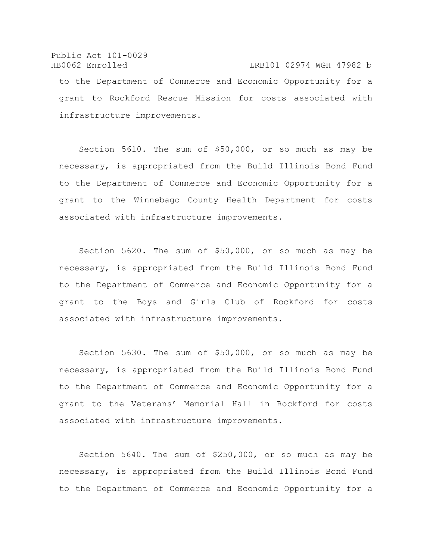## Public Act 101-0029 HB0062 Enrolled LRB101 02974 WGH 47982 b to the Department of Commerce and Economic Opportunity for a grant to Rockford Rescue Mission for costs associated with infrastructure improvements.

Section 5610. The sum of \$50,000, or so much as may be necessary, is appropriated from the Build Illinois Bond Fund to the Department of Commerce and Economic Opportunity for a grant to the Winnebago County Health Department for costs associated with infrastructure improvements.

Section 5620. The sum of \$50,000, or so much as may be necessary, is appropriated from the Build Illinois Bond Fund to the Department of Commerce and Economic Opportunity for a grant to the Boys and Girls Club of Rockford for costs associated with infrastructure improvements.

Section 5630. The sum of \$50,000, or so much as may be necessary, is appropriated from the Build Illinois Bond Fund to the Department of Commerce and Economic Opportunity for a grant to the Veterans' Memorial Hall in Rockford for costs associated with infrastructure improvements.

Section 5640. The sum of \$250,000, or so much as may be necessary, is appropriated from the Build Illinois Bond Fund to the Department of Commerce and Economic Opportunity for a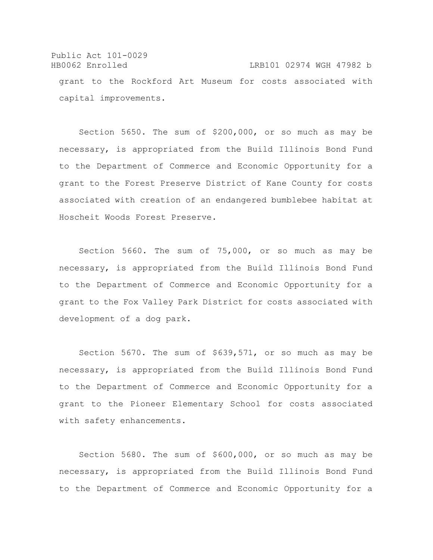Public Act 101-0029 HB0062 Enrolled LRB101 02974 WGH 47982 b grant to the Rockford Art Museum for costs associated with capital improvements.

Section 5650. The sum of \$200,000, or so much as may be necessary, is appropriated from the Build Illinois Bond Fund to the Department of Commerce and Economic Opportunity for a grant to the Forest Preserve District of Kane County for costs associated with creation of an endangered bumblebee habitat at Hoscheit Woods Forest Preserve.

Section 5660. The sum of 75,000, or so much as may be necessary, is appropriated from the Build Illinois Bond Fund to the Department of Commerce and Economic Opportunity for a grant to the Fox Valley Park District for costs associated with development of a dog park.

Section 5670. The sum of \$639,571, or so much as may be necessary, is appropriated from the Build Illinois Bond Fund to the Department of Commerce and Economic Opportunity for a grant to the Pioneer Elementary School for costs associated with safety enhancements.

Section 5680. The sum of \$600,000, or so much as may be necessary, is appropriated from the Build Illinois Bond Fund to the Department of Commerce and Economic Opportunity for a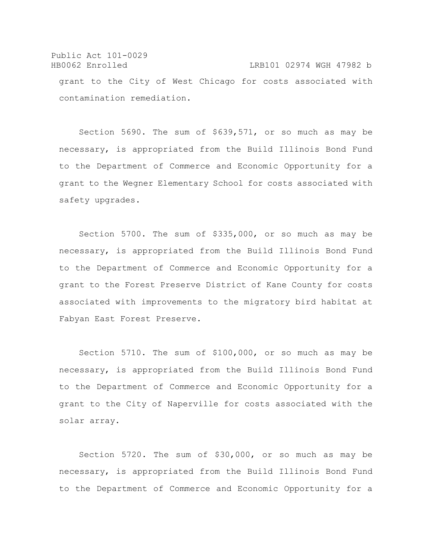Public Act 101-0029 HB0062 Enrolled LRB101 02974 WGH 47982 b grant to the City of West Chicago for costs associated with contamination remediation.

Section 5690. The sum of \$639,571, or so much as may be necessary, is appropriated from the Build Illinois Bond Fund to the Department of Commerce and Economic Opportunity for a grant to the Wegner Elementary School for costs associated with safety upgrades.

Section 5700. The sum of \$335,000, or so much as may be necessary, is appropriated from the Build Illinois Bond Fund to the Department of Commerce and Economic Opportunity for a grant to the Forest Preserve District of Kane County for costs associated with improvements to the migratory bird habitat at Fabyan East Forest Preserve.

Section 5710. The sum of \$100,000, or so much as may be necessary, is appropriated from the Build Illinois Bond Fund to the Department of Commerce and Economic Opportunity for a grant to the City of Naperville for costs associated with the solar array.

Section 5720. The sum of \$30,000, or so much as may be necessary, is appropriated from the Build Illinois Bond Fund to the Department of Commerce and Economic Opportunity for a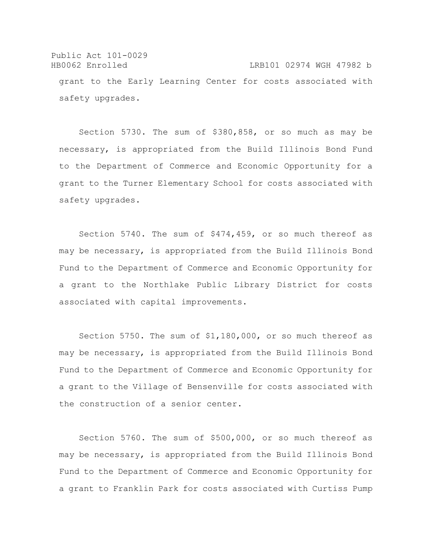Public Act 101-0029 HB0062 Enrolled LRB101 02974 WGH 47982 b grant to the Early Learning Center for costs associated with safety upgrades.

Section 5730. The sum of \$380,858, or so much as may be necessary, is appropriated from the Build Illinois Bond Fund to the Department of Commerce and Economic Opportunity for a grant to the Turner Elementary School for costs associated with safety upgrades.

Section 5740. The sum of \$474,459, or so much thereof as may be necessary, is appropriated from the Build Illinois Bond Fund to the Department of Commerce and Economic Opportunity for a grant to the Northlake Public Library District for costs associated with capital improvements.

Section 5750. The sum of \$1,180,000, or so much thereof as may be necessary, is appropriated from the Build Illinois Bond Fund to the Department of Commerce and Economic Opportunity for a grant to the Village of Bensenville for costs associated with the construction of a senior center.

Section 5760. The sum of \$500,000, or so much thereof as may be necessary, is appropriated from the Build Illinois Bond Fund to the Department of Commerce and Economic Opportunity for a grant to Franklin Park for costs associated with Curtiss Pump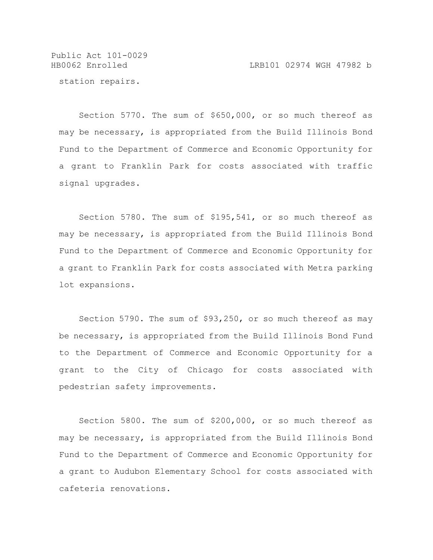HB0062 Enrolled LRB101 02974 WGH 47982 b

station repairs.

Section 5770. The sum of \$650,000, or so much thereof as may be necessary, is appropriated from the Build Illinois Bond Fund to the Department of Commerce and Economic Opportunity for a grant to Franklin Park for costs associated with traffic signal upgrades.

Section 5780. The sum of \$195,541, or so much thereof as may be necessary, is appropriated from the Build Illinois Bond Fund to the Department of Commerce and Economic Opportunity for a grant to Franklin Park for costs associated with Metra parking lot expansions.

Section 5790. The sum of \$93,250, or so much thereof as may be necessary, is appropriated from the Build Illinois Bond Fund to the Department of Commerce and Economic Opportunity for a grant to the City of Chicago for costs associated with pedestrian safety improvements.

Section 5800. The sum of \$200,000, or so much thereof as may be necessary, is appropriated from the Build Illinois Bond Fund to the Department of Commerce and Economic Opportunity for a grant to Audubon Elementary School for costs associated with cafeteria renovations.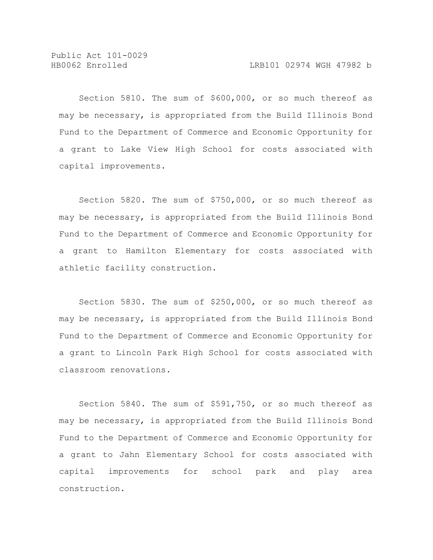Section 5810. The sum of \$600,000, or so much thereof as may be necessary, is appropriated from the Build Illinois Bond Fund to the Department of Commerce and Economic Opportunity for a grant to Lake View High School for costs associated with capital improvements.

Section 5820. The sum of \$750,000, or so much thereof as may be necessary, is appropriated from the Build Illinois Bond Fund to the Department of Commerce and Economic Opportunity for a grant to Hamilton Elementary for costs associated with athletic facility construction.

Section 5830. The sum of \$250,000, or so much thereof as may be necessary, is appropriated from the Build Illinois Bond Fund to the Department of Commerce and Economic Opportunity for a grant to Lincoln Park High School for costs associated with classroom renovations.

Section 5840. The sum of \$591,750, or so much thereof as may be necessary, is appropriated from the Build Illinois Bond Fund to the Department of Commerce and Economic Opportunity for a grant to Jahn Elementary School for costs associated with capital improvements for school park and play area construction.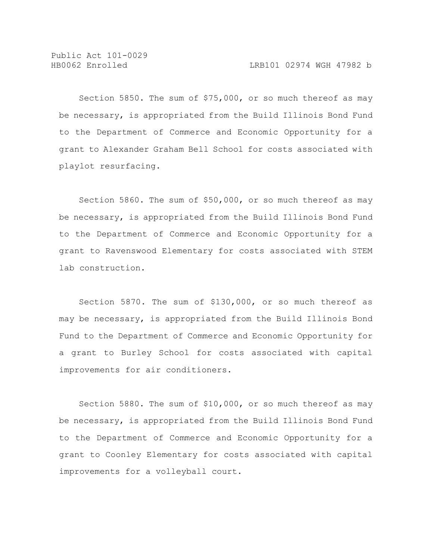Section 5850. The sum of \$75,000, or so much thereof as may be necessary, is appropriated from the Build Illinois Bond Fund to the Department of Commerce and Economic Opportunity for a grant to Alexander Graham Bell School for costs associated with playlot resurfacing.

Section 5860. The sum of \$50,000, or so much thereof as may be necessary, is appropriated from the Build Illinois Bond Fund to the Department of Commerce and Economic Opportunity for a grant to Ravenswood Elementary for costs associated with STEM lab construction.

Section 5870. The sum of \$130,000, or so much thereof as may be necessary, is appropriated from the Build Illinois Bond Fund to the Department of Commerce and Economic Opportunity for a grant to Burley School for costs associated with capital improvements for air conditioners.

Section 5880. The sum of \$10,000, or so much thereof as may be necessary, is appropriated from the Build Illinois Bond Fund to the Department of Commerce and Economic Opportunity for a grant to Coonley Elementary for costs associated with capital improvements for a volleyball court.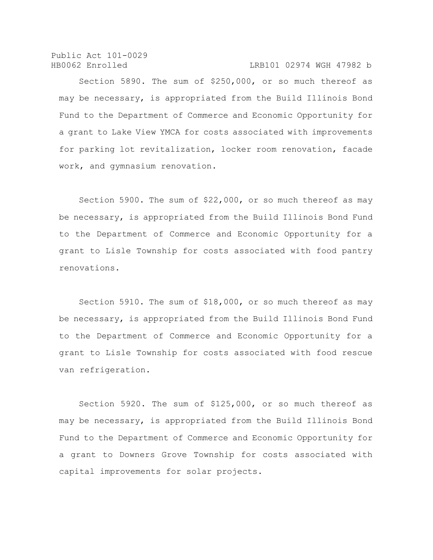Public Act 101-0029 HB0062 Enrolled LRB101 02974 WGH 47982 b

Section 5890. The sum of \$250,000, or so much thereof as may be necessary, is appropriated from the Build Illinois Bond Fund to the Department of Commerce and Economic Opportunity for a grant to Lake View YMCA for costs associated with improvements for parking lot revitalization, locker room renovation, facade work, and gymnasium renovation.

Section 5900. The sum of \$22,000, or so much thereof as may be necessary, is appropriated from the Build Illinois Bond Fund to the Department of Commerce and Economic Opportunity for a grant to Lisle Township for costs associated with food pantry renovations.

Section 5910. The sum of \$18,000, or so much thereof as may be necessary, is appropriated from the Build Illinois Bond Fund to the Department of Commerce and Economic Opportunity for a grant to Lisle Township for costs associated with food rescue van refrigeration.

Section 5920. The sum of \$125,000, or so much thereof as may be necessary, is appropriated from the Build Illinois Bond Fund to the Department of Commerce and Economic Opportunity for a grant to Downers Grove Township for costs associated with capital improvements for solar projects.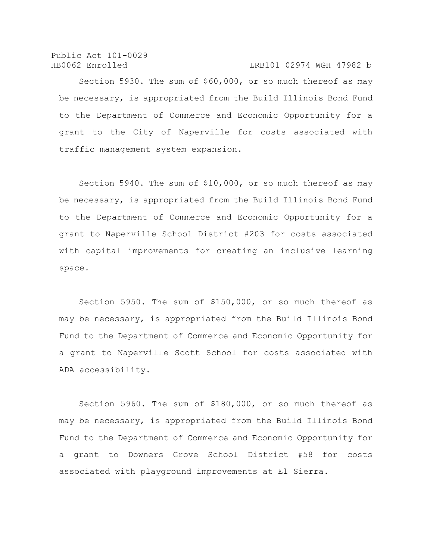## HB0062 Enrolled LRB101 02974 WGH 47982 b

Section 5930. The sum of \$60,000, or so much thereof as may be necessary, is appropriated from the Build Illinois Bond Fund to the Department of Commerce and Economic Opportunity for a grant to the City of Naperville for costs associated with traffic management system expansion.

Section 5940. The sum of \$10,000, or so much thereof as may be necessary, is appropriated from the Build Illinois Bond Fund to the Department of Commerce and Economic Opportunity for a grant to Naperville School District #203 for costs associated with capital improvements for creating an inclusive learning space.

Section 5950. The sum of \$150,000, or so much thereof as may be necessary, is appropriated from the Build Illinois Bond Fund to the Department of Commerce and Economic Opportunity for a grant to Naperville Scott School for costs associated with ADA accessibility.

Section 5960. The sum of \$180,000, or so much thereof as may be necessary, is appropriated from the Build Illinois Bond Fund to the Department of Commerce and Economic Opportunity for a grant to Downers Grove School District #58 for costs associated with playground improvements at El Sierra.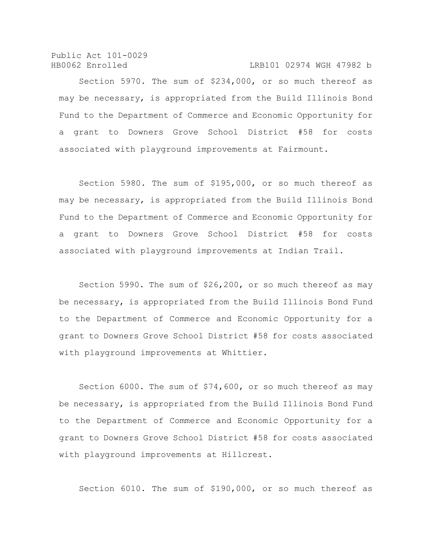Public Act 101-0029 HB0062 Enrolled LRB101 02974 WGH 47982 b

Section 5970. The sum of \$234,000, or so much thereof as may be necessary, is appropriated from the Build Illinois Bond Fund to the Department of Commerce and Economic Opportunity for a grant to Downers Grove School District #58 for costs associated with playground improvements at Fairmount.

Section 5980. The sum of \$195,000, or so much thereof as may be necessary, is appropriated from the Build Illinois Bond Fund to the Department of Commerce and Economic Opportunity for a grant to Downers Grove School District #58 for costs associated with playground improvements at Indian Trail.

Section 5990. The sum of \$26,200, or so much thereof as may be necessary, is appropriated from the Build Illinois Bond Fund to the Department of Commerce and Economic Opportunity for a grant to Downers Grove School District #58 for costs associated with playground improvements at Whittier.

Section 6000. The sum of \$74,600, or so much thereof as may be necessary, is appropriated from the Build Illinois Bond Fund to the Department of Commerce and Economic Opportunity for a grant to Downers Grove School District #58 for costs associated with playground improvements at Hillcrest.

Section 6010. The sum of \$190,000, or so much thereof as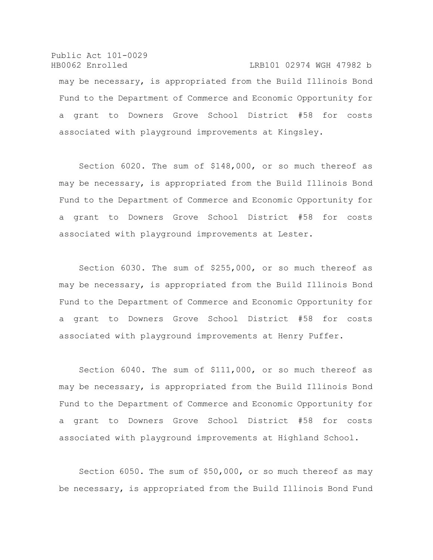Public Act 101-0029 HB0062 Enrolled LRB101 02974 WGH 47982 b may be necessary, is appropriated from the Build Illinois Bond Fund to the Department of Commerce and Economic Opportunity for a grant to Downers Grove School District #58 for costs associated with playground improvements at Kingsley.

Section 6020. The sum of \$148,000, or so much thereof as may be necessary, is appropriated from the Build Illinois Bond Fund to the Department of Commerce and Economic Opportunity for a grant to Downers Grove School District #58 for costs associated with playground improvements at Lester.

Section 6030. The sum of \$255,000, or so much thereof as may be necessary, is appropriated from the Build Illinois Bond Fund to the Department of Commerce and Economic Opportunity for a grant to Downers Grove School District #58 for costs associated with playground improvements at Henry Puffer.

Section 6040. The sum of \$111,000, or so much thereof as may be necessary, is appropriated from the Build Illinois Bond Fund to the Department of Commerce and Economic Opportunity for a grant to Downers Grove School District #58 for costs associated with playground improvements at Highland School.

Section 6050. The sum of \$50,000, or so much thereof as may be necessary, is appropriated from the Build Illinois Bond Fund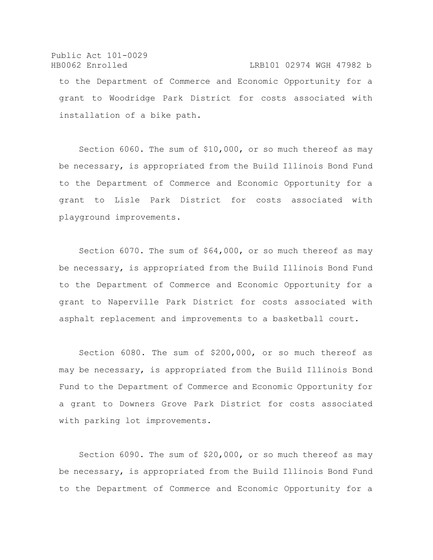## Public Act 101-0029 HB0062 Enrolled LRB101 02974 WGH 47982 b to the Department of Commerce and Economic Opportunity for a grant to Woodridge Park District for costs associated with installation of a bike path.

Section 6060. The sum of \$10,000, or so much thereof as may be necessary, is appropriated from the Build Illinois Bond Fund to the Department of Commerce and Economic Opportunity for a grant to Lisle Park District for costs associated with playground improvements.

Section 6070. The sum of \$64,000, or so much thereof as may be necessary, is appropriated from the Build Illinois Bond Fund to the Department of Commerce and Economic Opportunity for a grant to Naperville Park District for costs associated with asphalt replacement and improvements to a basketball court.

Section 6080. The sum of \$200,000, or so much thereof as may be necessary, is appropriated from the Build Illinois Bond Fund to the Department of Commerce and Economic Opportunity for a grant to Downers Grove Park District for costs associated with parking lot improvements.

Section 6090. The sum of \$20,000, or so much thereof as may be necessary, is appropriated from the Build Illinois Bond Fund to the Department of Commerce and Economic Opportunity for a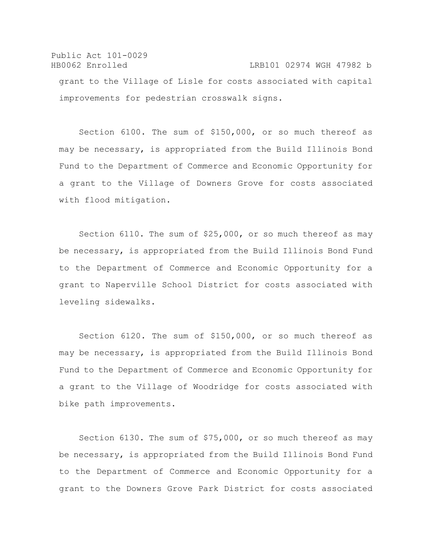Public Act 101-0029 HB0062 Enrolled LRB101 02974 WGH 47982 b grant to the Village of Lisle for costs associated with capital improvements for pedestrian crosswalk signs.

Section 6100. The sum of \$150,000, or so much thereof as may be necessary, is appropriated from the Build Illinois Bond Fund to the Department of Commerce and Economic Opportunity for a grant to the Village of Downers Grove for costs associated with flood mitigation.

Section 6110. The sum of \$25,000, or so much thereof as may be necessary, is appropriated from the Build Illinois Bond Fund to the Department of Commerce and Economic Opportunity for a grant to Naperville School District for costs associated with leveling sidewalks.

Section 6120. The sum of \$150,000, or so much thereof as may be necessary, is appropriated from the Build Illinois Bond Fund to the Department of Commerce and Economic Opportunity for a grant to the Village of Woodridge for costs associated with bike path improvements.

Section 6130. The sum of \$75,000, or so much thereof as may be necessary, is appropriated from the Build Illinois Bond Fund to the Department of Commerce and Economic Opportunity for a grant to the Downers Grove Park District for costs associated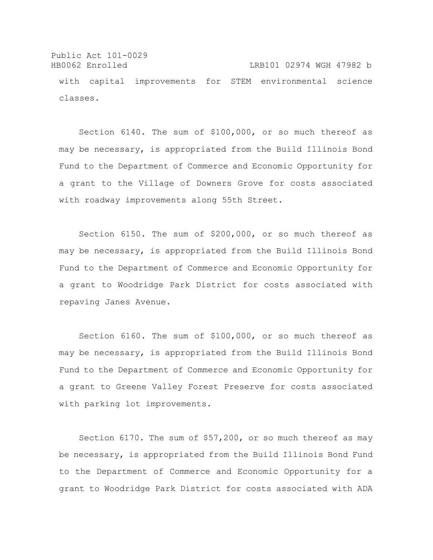Public Act 101-0029 HB0062 Enrolled LRB101 02974 WGH 47982 b with capital improvements for STEM environmental science classes.

Section 6140. The sum of \$100,000, or so much thereof as may be necessary, is appropriated from the Build Illinois Bond Fund to the Department of Commerce and Economic Opportunity for a grant to the Village of Downers Grove for costs associated with roadway improvements along 55th Street.

Section 6150. The sum of \$200,000, or so much thereof as may be necessary, is appropriated from the Build Illinois Bond Fund to the Department of Commerce and Economic Opportunity for a grant to Woodridge Park District for costs associated with repaving Janes Avenue.

Section 6160. The sum of \$100,000, or so much thereof as may be necessary, is appropriated from the Build Illinois Bond Fund to the Department of Commerce and Economic Opportunity for a grant to Greene Valley Forest Preserve for costs associated with parking lot improvements.

Section 6170. The sum of \$57,200, or so much thereof as may be necessary, is appropriated from the Build Illinois Bond Fund to the Department of Commerce and Economic Opportunity for a grant to Woodridge Park District for costs associated with ADA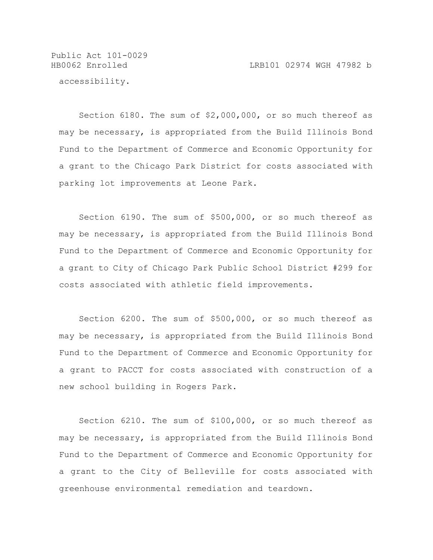Public Act 101-0029 accessibility.

Section 6180. The sum of \$2,000,000, or so much thereof as may be necessary, is appropriated from the Build Illinois Bond Fund to the Department of Commerce and Economic Opportunity for a grant to the Chicago Park District for costs associated with parking lot improvements at Leone Park.

Section 6190. The sum of \$500,000, or so much thereof as may be necessary, is appropriated from the Build Illinois Bond Fund to the Department of Commerce and Economic Opportunity for a grant to City of Chicago Park Public School District #299 for costs associated with athletic field improvements.

Section 6200. The sum of \$500,000, or so much thereof as may be necessary, is appropriated from the Build Illinois Bond Fund to the Department of Commerce and Economic Opportunity for a grant to PACCT for costs associated with construction of a new school building in Rogers Park.

Section 6210. The sum of \$100,000, or so much thereof as may be necessary, is appropriated from the Build Illinois Bond Fund to the Department of Commerce and Economic Opportunity for a grant to the City of Belleville for costs associated with greenhouse environmental remediation and teardown.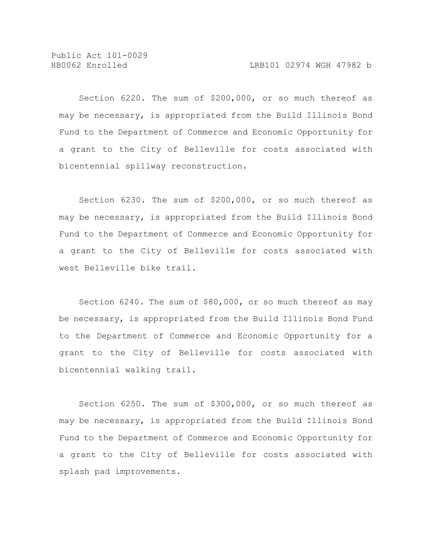Section 6220. The sum of \$200,000, or so much thereof as may be necessary, is appropriated from the Build Illinois Bond Fund to the Department of Commerce and Economic Opportunity for a grant to the City of Belleville for costs associated with bicentennial spillway reconstruction.

Section 6230. The sum of \$200,000, or so much thereof as may be necessary, is appropriated from the Build Illinois Bond Fund to the Department of Commerce and Economic Opportunity for a grant to the City of Belleville for costs associated with west Belleville bike trail.

Section 6240. The sum of \$80,000, or so much thereof as may be necessary, is appropriated from the Build Illinois Bond Fund to the Department of Commerce and Economic Opportunity for a grant to the City of Belleville for costs associated with bicentennial walking trail.

Section 6250. The sum of \$300,000, or so much thereof as may be necessary, is appropriated from the Build Illinois Bond Fund to the Department of Commerce and Economic Opportunity for a grant to the City of Belleville for costs associated with splash pad improvements.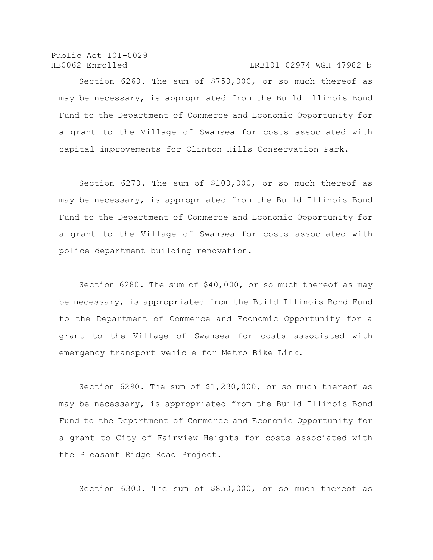Public Act 101-0029 HB0062 Enrolled LRB101 02974 WGH 47982 b

Section 6260. The sum of \$750,000, or so much thereof as may be necessary, is appropriated from the Build Illinois Bond Fund to the Department of Commerce and Economic Opportunity for a grant to the Village of Swansea for costs associated with capital improvements for Clinton Hills Conservation Park.

Section 6270. The sum of \$100,000, or so much thereof as may be necessary, is appropriated from the Build Illinois Bond Fund to the Department of Commerce and Economic Opportunity for a grant to the Village of Swansea for costs associated with police department building renovation.

Section 6280. The sum of \$40,000, or so much thereof as may be necessary, is appropriated from the Build Illinois Bond Fund to the Department of Commerce and Economic Opportunity for a grant to the Village of Swansea for costs associated with emergency transport vehicle for Metro Bike Link.

Section 6290. The sum of \$1,230,000, or so much thereof as may be necessary, is appropriated from the Build Illinois Bond Fund to the Department of Commerce and Economic Opportunity for a grant to City of Fairview Heights for costs associated with the Pleasant Ridge Road Project.

Section 6300. The sum of \$850,000, or so much thereof as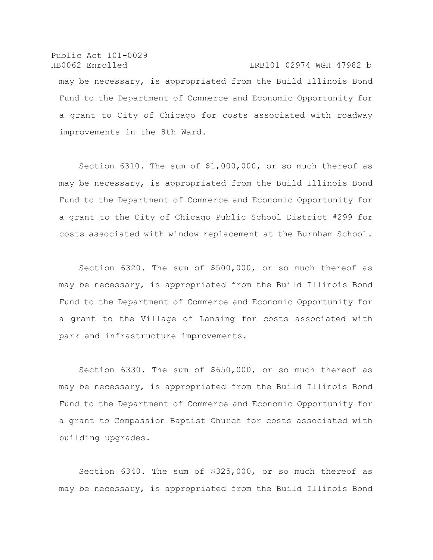Public Act 101-0029 HB0062 Enrolled LRB101 02974 WGH 47982 b may be necessary, is appropriated from the Build Illinois Bond Fund to the Department of Commerce and Economic Opportunity for a grant to City of Chicago for costs associated with roadway improvements in the 8th Ward.

Section 6310. The sum of \$1,000,000, or so much thereof as may be necessary, is appropriated from the Build Illinois Bond Fund to the Department of Commerce and Economic Opportunity for a grant to the City of Chicago Public School District #299 for costs associated with window replacement at the Burnham School.

Section 6320. The sum of \$500,000, or so much thereof as may be necessary, is appropriated from the Build Illinois Bond Fund to the Department of Commerce and Economic Opportunity for a grant to the Village of Lansing for costs associated with park and infrastructure improvements.

Section 6330. The sum of \$650,000, or so much thereof as may be necessary, is appropriated from the Build Illinois Bond Fund to the Department of Commerce and Economic Opportunity for a grant to Compassion Baptist Church for costs associated with building upgrades.

Section 6340. The sum of \$325,000, or so much thereof as may be necessary, is appropriated from the Build Illinois Bond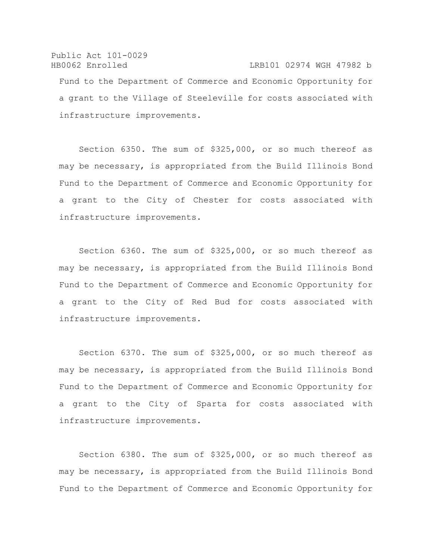Public Act 101-0029 HB0062 Enrolled LRB101 02974 WGH 47982 b Fund to the Department of Commerce and Economic Opportunity for a grant to the Village of Steeleville for costs associated with infrastructure improvements.

Section 6350. The sum of \$325,000, or so much thereof as may be necessary, is appropriated from the Build Illinois Bond Fund to the Department of Commerce and Economic Opportunity for a grant to the City of Chester for costs associated with infrastructure improvements.

Section 6360. The sum of \$325,000, or so much thereof as may be necessary, is appropriated from the Build Illinois Bond Fund to the Department of Commerce and Economic Opportunity for a grant to the City of Red Bud for costs associated with infrastructure improvements.

Section 6370. The sum of \$325,000, or so much thereof as may be necessary, is appropriated from the Build Illinois Bond Fund to the Department of Commerce and Economic Opportunity for a grant to the City of Sparta for costs associated with infrastructure improvements.

Section 6380. The sum of \$325,000, or so much thereof as may be necessary, is appropriated from the Build Illinois Bond Fund to the Department of Commerce and Economic Opportunity for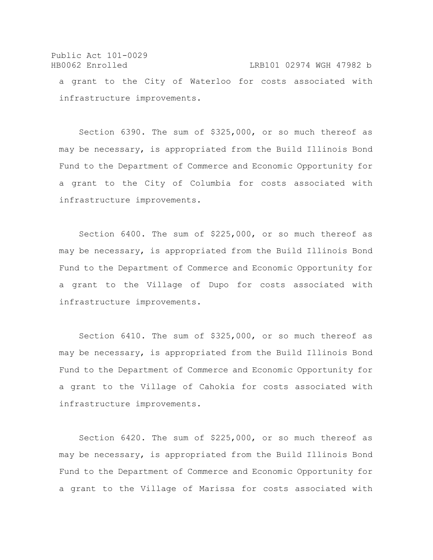## Public Act 101-0029 HB0062 Enrolled LRB101 02974 WGH 47982 b a grant to the City of Waterloo for costs associated with infrastructure improvements.

Section 6390. The sum of \$325,000, or so much thereof as may be necessary, is appropriated from the Build Illinois Bond Fund to the Department of Commerce and Economic Opportunity for a grant to the City of Columbia for costs associated with infrastructure improvements.

Section 6400. The sum of \$225,000, or so much thereof as may be necessary, is appropriated from the Build Illinois Bond Fund to the Department of Commerce and Economic Opportunity for a grant to the Village of Dupo for costs associated with infrastructure improvements.

Section 6410. The sum of \$325,000, or so much thereof as may be necessary, is appropriated from the Build Illinois Bond Fund to the Department of Commerce and Economic Opportunity for a grant to the Village of Cahokia for costs associated with infrastructure improvements.

Section 6420. The sum of \$225,000, or so much thereof as may be necessary, is appropriated from the Build Illinois Bond Fund to the Department of Commerce and Economic Opportunity for a grant to the Village of Marissa for costs associated with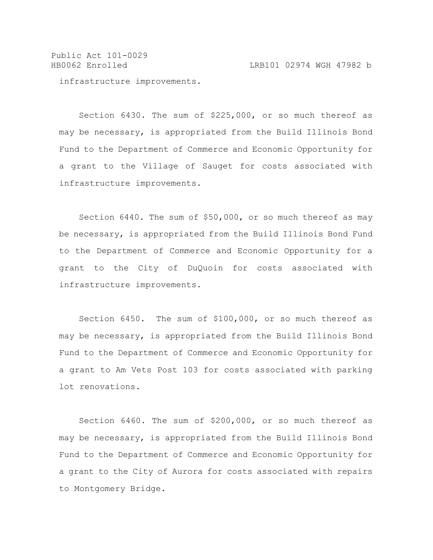Public Act 101-0029 HB0062 Enrolled LRB101 02974 WGH 47982 b

infrastructure improvements.

Section 6430. The sum of \$225,000, or so much thereof as may be necessary, is appropriated from the Build Illinois Bond Fund to the Department of Commerce and Economic Opportunity for a grant to the Village of Sauget for costs associated with infrastructure improvements.

Section 6440. The sum of \$50,000, or so much thereof as may be necessary, is appropriated from the Build Illinois Bond Fund to the Department of Commerce and Economic Opportunity for a grant to the City of DuQuoin for costs associated with infrastructure improvements.

Section 6450. The sum of \$100,000, or so much thereof as may be necessary, is appropriated from the Build Illinois Bond Fund to the Department of Commerce and Economic Opportunity for a grant to Am Vets Post 103 for costs associated with parking lot renovations.

Section 6460. The sum of \$200,000, or so much thereof as may be necessary, is appropriated from the Build Illinois Bond Fund to the Department of Commerce and Economic Opportunity for a grant to the City of Aurora for costs associated with repairs to Montgomery Bridge.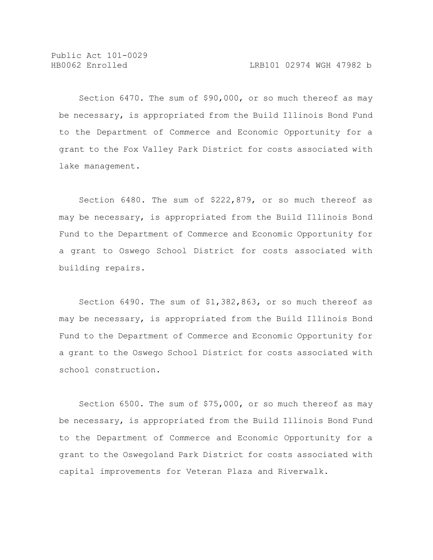Section 6470. The sum of \$90,000, or so much thereof as may be necessary, is appropriated from the Build Illinois Bond Fund to the Department of Commerce and Economic Opportunity for a grant to the Fox Valley Park District for costs associated with lake management.

Section 6480. The sum of \$222,879, or so much thereof as may be necessary, is appropriated from the Build Illinois Bond Fund to the Department of Commerce and Economic Opportunity for a grant to Oswego School District for costs associated with building repairs.

Section 6490. The sum of \$1,382,863, or so much thereof as may be necessary, is appropriated from the Build Illinois Bond Fund to the Department of Commerce and Economic Opportunity for a grant to the Oswego School District for costs associated with school construction.

Section 6500. The sum of \$75,000, or so much thereof as may be necessary, is appropriated from the Build Illinois Bond Fund to the Department of Commerce and Economic Opportunity for a grant to the Oswegoland Park District for costs associated with capital improvements for Veteran Plaza and Riverwalk.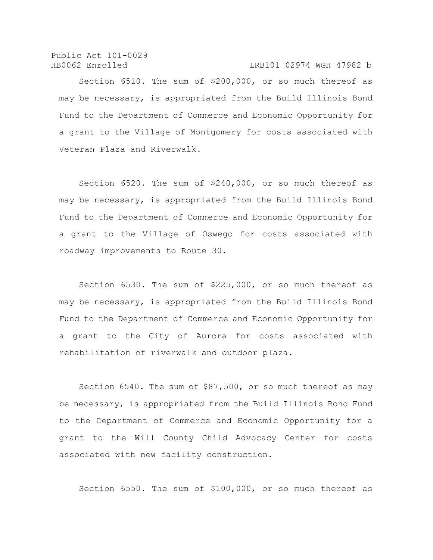Public Act 101-0029 HB0062 Enrolled LRB101 02974 WGH 47982 b

Section 6510. The sum of \$200,000, or so much thereof as may be necessary, is appropriated from the Build Illinois Bond Fund to the Department of Commerce and Economic Opportunity for a grant to the Village of Montgomery for costs associated with Veteran Plaza and Riverwalk.

Section 6520. The sum of \$240,000, or so much thereof as may be necessary, is appropriated from the Build Illinois Bond Fund to the Department of Commerce and Economic Opportunity for a grant to the Village of Oswego for costs associated with roadway improvements to Route 30.

Section 6530. The sum of \$225,000, or so much thereof as may be necessary, is appropriated from the Build Illinois Bond Fund to the Department of Commerce and Economic Opportunity for a grant to the City of Aurora for costs associated with rehabilitation of riverwalk and outdoor plaza.

Section 6540. The sum of \$87,500, or so much thereof as may be necessary, is appropriated from the Build Illinois Bond Fund to the Department of Commerce and Economic Opportunity for a grant to the Will County Child Advocacy Center for costs associated with new facility construction.

Section 6550. The sum of \$100,000, or so much thereof as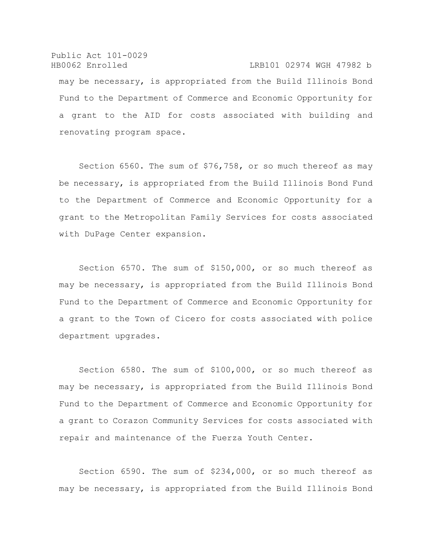Public Act 101-0029 HB0062 Enrolled LRB101 02974 WGH 47982 b may be necessary, is appropriated from the Build Illinois Bond Fund to the Department of Commerce and Economic Opportunity for a grant to the AID for costs associated with building and renovating program space.

Section 6560. The sum of \$76,758, or so much thereof as may be necessary, is appropriated from the Build Illinois Bond Fund to the Department of Commerce and Economic Opportunity for a grant to the Metropolitan Family Services for costs associated with DuPage Center expansion.

Section 6570. The sum of \$150,000, or so much thereof as may be necessary, is appropriated from the Build Illinois Bond Fund to the Department of Commerce and Economic Opportunity for a grant to the Town of Cicero for costs associated with police department upgrades.

Section 6580. The sum of \$100,000, or so much thereof as may be necessary, is appropriated from the Build Illinois Bond Fund to the Department of Commerce and Economic Opportunity for a grant to Corazon Community Services for costs associated with repair and maintenance of the Fuerza Youth Center.

Section 6590. The sum of \$234,000, or so much thereof as may be necessary, is appropriated from the Build Illinois Bond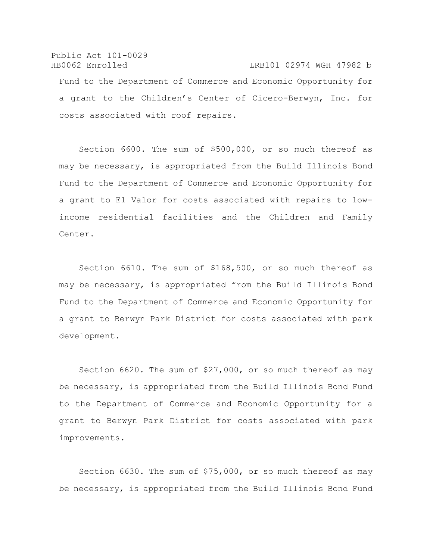Public Act 101-0029 HB0062 Enrolled LRB101 02974 WGH 47982 b Fund to the Department of Commerce and Economic Opportunity for a grant to the Children's Center of Cicero-Berwyn, Inc. for costs associated with roof repairs.

Section 6600. The sum of \$500,000, or so much thereof as may be necessary, is appropriated from the Build Illinois Bond Fund to the Department of Commerce and Economic Opportunity for a grant to El Valor for costs associated with repairs to lowincome residential facilities and the Children and Family Center.

Section 6610. The sum of \$168,500, or so much thereof as may be necessary, is appropriated from the Build Illinois Bond Fund to the Department of Commerce and Economic Opportunity for a grant to Berwyn Park District for costs associated with park development.

Section 6620. The sum of \$27,000, or so much thereof as may be necessary, is appropriated from the Build Illinois Bond Fund to the Department of Commerce and Economic Opportunity for a grant to Berwyn Park District for costs associated with park improvements.

Section 6630. The sum of \$75,000, or so much thereof as may be necessary, is appropriated from the Build Illinois Bond Fund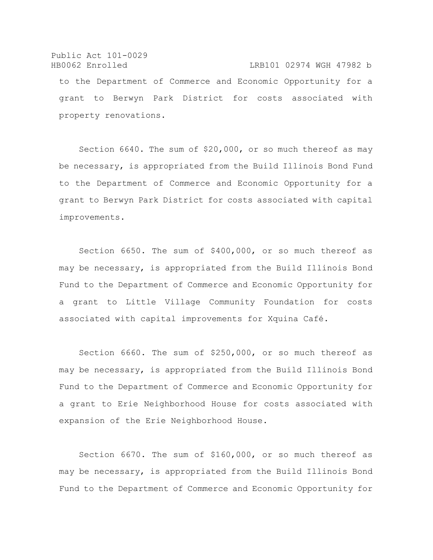Public Act 101-0029 HB0062 Enrolled LRB101 02974 WGH 47982 b to the Department of Commerce and Economic Opportunity for a grant to Berwyn Park District for costs associated with property renovations.

Section 6640. The sum of \$20,000, or so much thereof as may be necessary, is appropriated from the Build Illinois Bond Fund to the Department of Commerce and Economic Opportunity for a grant to Berwyn Park District for costs associated with capital improvements.

Section 6650. The sum of \$400,000, or so much thereof as may be necessary, is appropriated from the Build Illinois Bond Fund to the Department of Commerce and Economic Opportunity for a grant to Little Village Community Foundation for costs associated with capital improvements for Xquina Café.

Section 6660. The sum of \$250,000, or so much thereof as may be necessary, is appropriated from the Build Illinois Bond Fund to the Department of Commerce and Economic Opportunity for a grant to Erie Neighborhood House for costs associated with expansion of the Erie Neighborhood House.

Section 6670. The sum of \$160,000, or so much thereof as may be necessary, is appropriated from the Build Illinois Bond Fund to the Department of Commerce and Economic Opportunity for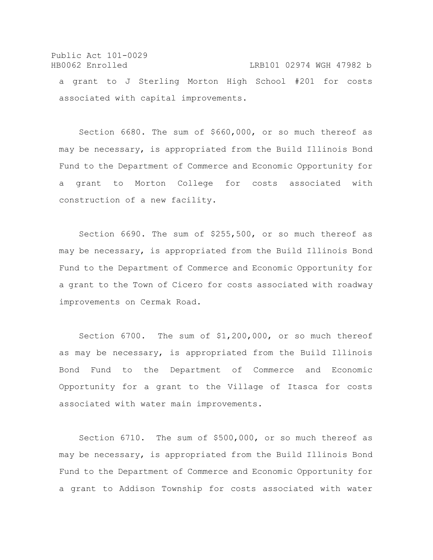Public Act 101-0029 HB0062 Enrolled LRB101 02974 WGH 47982 b a grant to J Sterling Morton High School #201 for costs associated with capital improvements.

Section 6680. The sum of \$660,000, or so much thereof as may be necessary, is appropriated from the Build Illinois Bond Fund to the Department of Commerce and Economic Opportunity for a grant to Morton College for costs associated with construction of a new facility.

Section 6690. The sum of \$255,500, or so much thereof as may be necessary, is appropriated from the Build Illinois Bond Fund to the Department of Commerce and Economic Opportunity for a grant to the Town of Cicero for costs associated with roadway improvements on Cermak Road.

Section 6700. The sum of \$1,200,000, or so much thereof as may be necessary, is appropriated from the Build Illinois Bond Fund to the Department of Commerce and Economic Opportunity for a grant to the Village of Itasca for costs associated with water main improvements.

Section 6710. The sum of \$500,000, or so much thereof as may be necessary, is appropriated from the Build Illinois Bond Fund to the Department of Commerce and Economic Opportunity for a grant to Addison Township for costs associated with water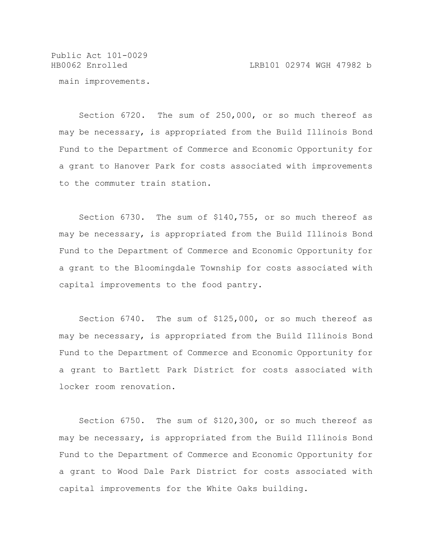HB0062 Enrolled LRB101 02974 WGH 47982 b

main improvements.

Section 6720. The sum of 250,000, or so much thereof as may be necessary, is appropriated from the Build Illinois Bond Fund to the Department of Commerce and Economic Opportunity for a grant to Hanover Park for costs associated with improvements to the commuter train station.

Section 6730. The sum of \$140,755, or so much thereof as may be necessary, is appropriated from the Build Illinois Bond Fund to the Department of Commerce and Economic Opportunity for a grant to the Bloomingdale Township for costs associated with capital improvements to the food pantry.

Section 6740. The sum of \$125,000, or so much thereof as may be necessary, is appropriated from the Build Illinois Bond Fund to the Department of Commerce and Economic Opportunity for a grant to Bartlett Park District for costs associated with locker room renovation.

Section 6750. The sum of \$120,300, or so much thereof as may be necessary, is appropriated from the Build Illinois Bond Fund to the Department of Commerce and Economic Opportunity for a grant to Wood Dale Park District for costs associated with capital improvements for the White Oaks building.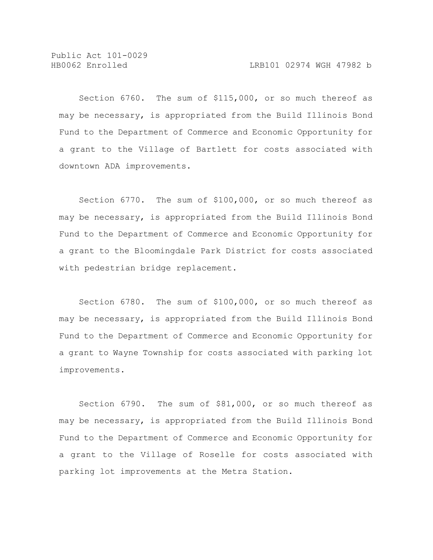Section 6760. The sum of \$115,000, or so much thereof as may be necessary, is appropriated from the Build Illinois Bond Fund to the Department of Commerce and Economic Opportunity for a grant to the Village of Bartlett for costs associated with downtown ADA improvements.

Section 6770. The sum of \$100,000, or so much thereof as may be necessary, is appropriated from the Build Illinois Bond Fund to the Department of Commerce and Economic Opportunity for a grant to the Bloomingdale Park District for costs associated with pedestrian bridge replacement.

Section 6780. The sum of \$100,000, or so much thereof as may be necessary, is appropriated from the Build Illinois Bond Fund to the Department of Commerce and Economic Opportunity for a grant to Wayne Township for costs associated with parking lot improvements.

Section 6790. The sum of \$81,000, or so much thereof as may be necessary, is appropriated from the Build Illinois Bond Fund to the Department of Commerce and Economic Opportunity for a grant to the Village of Roselle for costs associated with parking lot improvements at the Metra Station.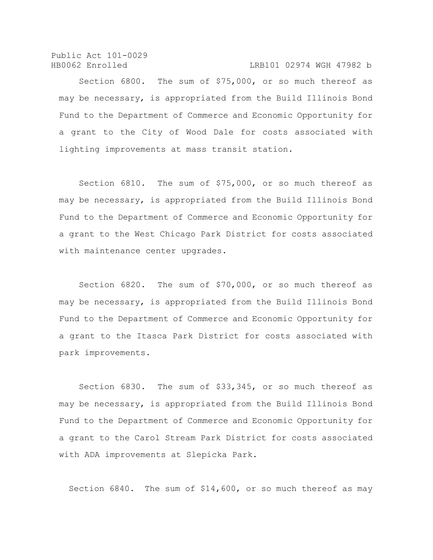Public Act 101-0029 HB0062 Enrolled LRB101 02974 WGH 47982 b

Section 6800. The sum of \$75,000, or so much thereof as may be necessary, is appropriated from the Build Illinois Bond Fund to the Department of Commerce and Economic Opportunity for a grant to the City of Wood Dale for costs associated with lighting improvements at mass transit station.

Section 6810. The sum of \$75,000, or so much thereof as may be necessary, is appropriated from the Build Illinois Bond Fund to the Department of Commerce and Economic Opportunity for a grant to the West Chicago Park District for costs associated with maintenance center upgrades.

Section 6820. The sum of \$70,000, or so much thereof as may be necessary, is appropriated from the Build Illinois Bond Fund to the Department of Commerce and Economic Opportunity for a grant to the Itasca Park District for costs associated with park improvements.

Section 6830. The sum of \$33,345, or so much thereof as may be necessary, is appropriated from the Build Illinois Bond Fund to the Department of Commerce and Economic Opportunity for a grant to the Carol Stream Park District for costs associated with ADA improvements at Slepicka Park.

Section 6840. The sum of \$14,600, or so much thereof as may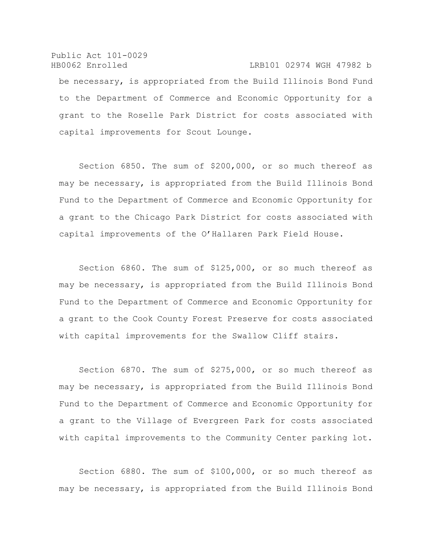Public Act 101-0029 HB0062 Enrolled LRB101 02974 WGH 47982 b be necessary, is appropriated from the Build Illinois Bond Fund to the Department of Commerce and Economic Opportunity for a grant to the Roselle Park District for costs associated with capital improvements for Scout Lounge.

Section 6850. The sum of \$200,000, or so much thereof as may be necessary, is appropriated from the Build Illinois Bond Fund to the Department of Commerce and Economic Opportunity for a grant to the Chicago Park District for costs associated with capital improvements of the O'Hallaren Park Field House.

Section 6860. The sum of \$125,000, or so much thereof as may be necessary, is appropriated from the Build Illinois Bond Fund to the Department of Commerce and Economic Opportunity for a grant to the Cook County Forest Preserve for costs associated with capital improvements for the Swallow Cliff stairs.

Section 6870. The sum of \$275,000, or so much thereof as may be necessary, is appropriated from the Build Illinois Bond Fund to the Department of Commerce and Economic Opportunity for a grant to the Village of Evergreen Park for costs associated with capital improvements to the Community Center parking lot.

Section 6880. The sum of \$100,000, or so much thereof as may be necessary, is appropriated from the Build Illinois Bond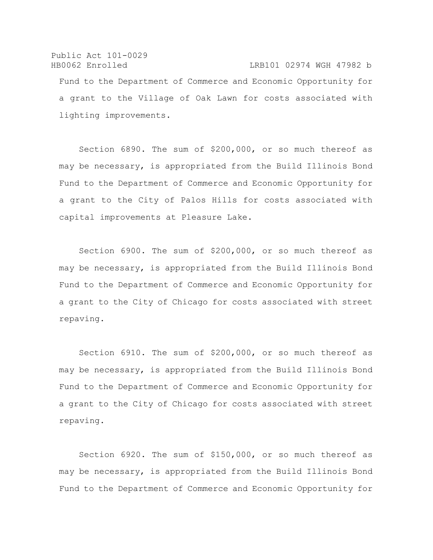Public Act 101-0029 HB0062 Enrolled LRB101 02974 WGH 47982 b Fund to the Department of Commerce and Economic Opportunity for a grant to the Village of Oak Lawn for costs associated with lighting improvements.

Section 6890. The sum of \$200,000, or so much thereof as may be necessary, is appropriated from the Build Illinois Bond Fund to the Department of Commerce and Economic Opportunity for a grant to the City of Palos Hills for costs associated with capital improvements at Pleasure Lake.

Section 6900. The sum of \$200,000, or so much thereof as may be necessary, is appropriated from the Build Illinois Bond Fund to the Department of Commerce and Economic Opportunity for a grant to the City of Chicago for costs associated with street repaving.

Section 6910. The sum of \$200,000, or so much thereof as may be necessary, is appropriated from the Build Illinois Bond Fund to the Department of Commerce and Economic Opportunity for a grant to the City of Chicago for costs associated with street repaving.

Section 6920. The sum of \$150,000, or so much thereof as may be necessary, is appropriated from the Build Illinois Bond Fund to the Department of Commerce and Economic Opportunity for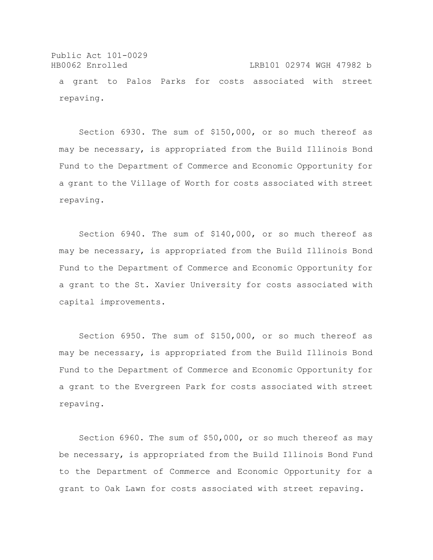Public Act 101-0029 HB0062 Enrolled LRB101 02974 WGH 47982 b a grant to Palos Parks for costs associated with street repaving.

Section 6930. The sum of \$150,000, or so much thereof as may be necessary, is appropriated from the Build Illinois Bond Fund to the Department of Commerce and Economic Opportunity for a grant to the Village of Worth for costs associated with street repaving.

Section 6940. The sum of \$140,000, or so much thereof as may be necessary, is appropriated from the Build Illinois Bond Fund to the Department of Commerce and Economic Opportunity for a grant to the St. Xavier University for costs associated with capital improvements.

Section 6950. The sum of \$150,000, or so much thereof as may be necessary, is appropriated from the Build Illinois Bond Fund to the Department of Commerce and Economic Opportunity for a grant to the Evergreen Park for costs associated with street repaving.

Section 6960. The sum of \$50,000, or so much thereof as may be necessary, is appropriated from the Build Illinois Bond Fund to the Department of Commerce and Economic Opportunity for a grant to Oak Lawn for costs associated with street repaving.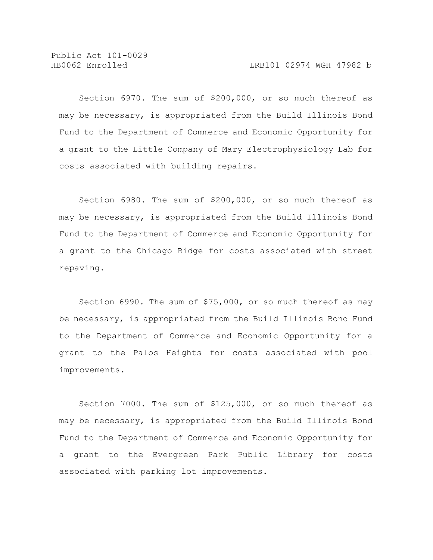Section 6970. The sum of \$200,000, or so much thereof as may be necessary, is appropriated from the Build Illinois Bond Fund to the Department of Commerce and Economic Opportunity for a grant to the Little Company of Mary Electrophysiology Lab for costs associated with building repairs.

Section 6980. The sum of \$200,000, or so much thereof as may be necessary, is appropriated from the Build Illinois Bond Fund to the Department of Commerce and Economic Opportunity for a grant to the Chicago Ridge for costs associated with street repaving.

Section 6990. The sum of \$75,000, or so much thereof as may be necessary, is appropriated from the Build Illinois Bond Fund to the Department of Commerce and Economic Opportunity for a grant to the Palos Heights for costs associated with pool improvements.

Section 7000. The sum of \$125,000, or so much thereof as may be necessary, is appropriated from the Build Illinois Bond Fund to the Department of Commerce and Economic Opportunity for a grant to the Evergreen Park Public Library for costs associated with parking lot improvements.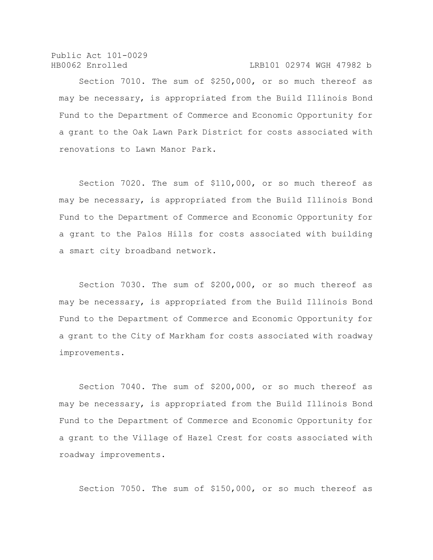Public Act 101-0029 HB0062 Enrolled LRB101 02974 WGH 47982 b

Section 7010. The sum of \$250,000, or so much thereof as may be necessary, is appropriated from the Build Illinois Bond Fund to the Department of Commerce and Economic Opportunity for a grant to the Oak Lawn Park District for costs associated with renovations to Lawn Manor Park.

Section 7020. The sum of \$110,000, or so much thereof as may be necessary, is appropriated from the Build Illinois Bond Fund to the Department of Commerce and Economic Opportunity for a grant to the Palos Hills for costs associated with building a smart city broadband network.

Section 7030. The sum of \$200,000, or so much thereof as may be necessary, is appropriated from the Build Illinois Bond Fund to the Department of Commerce and Economic Opportunity for a grant to the City of Markham for costs associated with roadway improvements.

Section 7040. The sum of \$200,000, or so much thereof as may be necessary, is appropriated from the Build Illinois Bond Fund to the Department of Commerce and Economic Opportunity for a grant to the Village of Hazel Crest for costs associated with roadway improvements.

Section 7050. The sum of \$150,000, or so much thereof as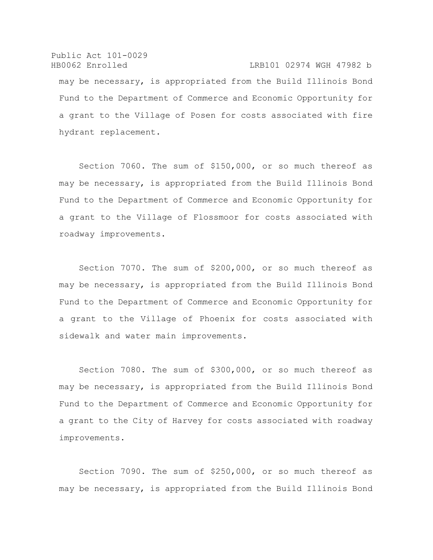Public Act 101-0029 HB0062 Enrolled LRB101 02974 WGH 47982 b may be necessary, is appropriated from the Build Illinois Bond Fund to the Department of Commerce and Economic Opportunity for a grant to the Village of Posen for costs associated with fire hydrant replacement.

Section 7060. The sum of \$150,000, or so much thereof as may be necessary, is appropriated from the Build Illinois Bond Fund to the Department of Commerce and Economic Opportunity for a grant to the Village of Flossmoor for costs associated with roadway improvements.

Section 7070. The sum of \$200,000, or so much thereof as may be necessary, is appropriated from the Build Illinois Bond Fund to the Department of Commerce and Economic Opportunity for a grant to the Village of Phoenix for costs associated with sidewalk and water main improvements.

Section 7080. The sum of \$300,000, or so much thereof as may be necessary, is appropriated from the Build Illinois Bond Fund to the Department of Commerce and Economic Opportunity for a grant to the City of Harvey for costs associated with roadway improvements.

Section 7090. The sum of \$250,000, or so much thereof as may be necessary, is appropriated from the Build Illinois Bond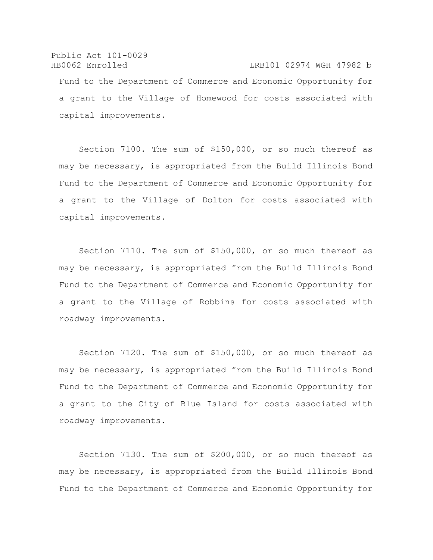Public Act 101-0029 HB0062 Enrolled LRB101 02974 WGH 47982 b Fund to the Department of Commerce and Economic Opportunity for a grant to the Village of Homewood for costs associated with capital improvements.

Section 7100. The sum of \$150,000, or so much thereof as may be necessary, is appropriated from the Build Illinois Bond Fund to the Department of Commerce and Economic Opportunity for a grant to the Village of Dolton for costs associated with capital improvements.

Section 7110. The sum of \$150,000, or so much thereof as may be necessary, is appropriated from the Build Illinois Bond Fund to the Department of Commerce and Economic Opportunity for a grant to the Village of Robbins for costs associated with roadway improvements.

Section 7120. The sum of \$150,000, or so much thereof as may be necessary, is appropriated from the Build Illinois Bond Fund to the Department of Commerce and Economic Opportunity for a grant to the City of Blue Island for costs associated with roadway improvements.

Section 7130. The sum of \$200,000, or so much thereof as may be necessary, is appropriated from the Build Illinois Bond Fund to the Department of Commerce and Economic Opportunity for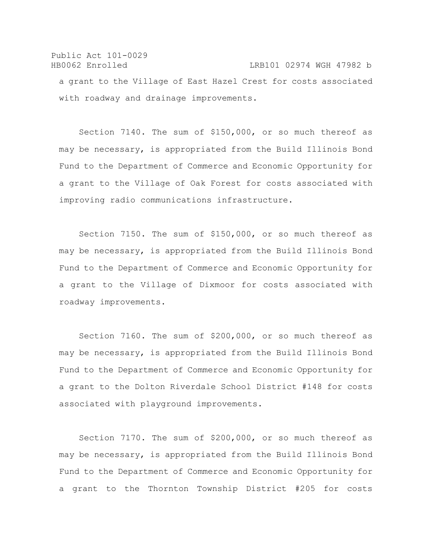## Public Act 101-0029 HB0062 Enrolled LRB101 02974 WGH 47982 b a grant to the Village of East Hazel Crest for costs associated with roadway and drainage improvements.

Section 7140. The sum of \$150,000, or so much thereof as may be necessary, is appropriated from the Build Illinois Bond Fund to the Department of Commerce and Economic Opportunity for a grant to the Village of Oak Forest for costs associated with improving radio communications infrastructure.

Section 7150. The sum of \$150,000, or so much thereof as may be necessary, is appropriated from the Build Illinois Bond Fund to the Department of Commerce and Economic Opportunity for a grant to the Village of Dixmoor for costs associated with roadway improvements.

Section 7160. The sum of \$200,000, or so much thereof as may be necessary, is appropriated from the Build Illinois Bond Fund to the Department of Commerce and Economic Opportunity for a grant to the Dolton Riverdale School District #148 for costs associated with playground improvements.

Section 7170. The sum of \$200,000, or so much thereof as may be necessary, is appropriated from the Build Illinois Bond Fund to the Department of Commerce and Economic Opportunity for a grant to the Thornton Township District #205 for costs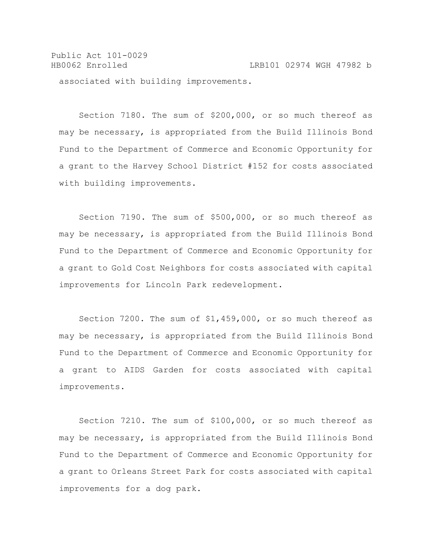Public Act 101-0029 HB0062 Enrolled LRB101 02974 WGH 47982 b associated with building improvements.

Section 7180. The sum of \$200,000, or so much thereof as may be necessary, is appropriated from the Build Illinois Bond Fund to the Department of Commerce and Economic Opportunity for a grant to the Harvey School District #152 for costs associated with building improvements.

Section 7190. The sum of \$500,000, or so much thereof as may be necessary, is appropriated from the Build Illinois Bond Fund to the Department of Commerce and Economic Opportunity for a grant to Gold Cost Neighbors for costs associated with capital improvements for Lincoln Park redevelopment.

Section 7200. The sum of \$1,459,000, or so much thereof as may be necessary, is appropriated from the Build Illinois Bond Fund to the Department of Commerce and Economic Opportunity for a grant to AIDS Garden for costs associated with capital improvements.

Section 7210. The sum of \$100,000, or so much thereof as may be necessary, is appropriated from the Build Illinois Bond Fund to the Department of Commerce and Economic Opportunity for a grant to Orleans Street Park for costs associated with capital improvements for a dog park.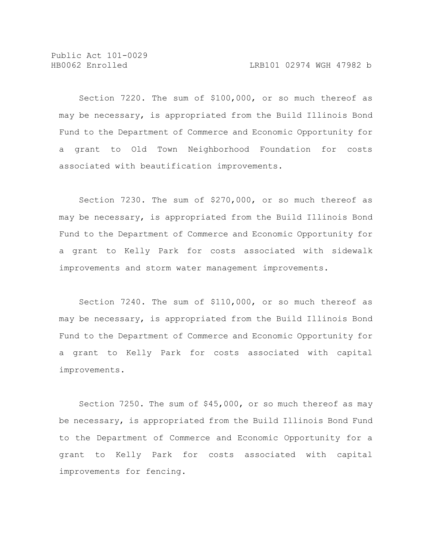Section 7220. The sum of \$100,000, or so much thereof as may be necessary, is appropriated from the Build Illinois Bond Fund to the Department of Commerce and Economic Opportunity for a grant to Old Town Neighborhood Foundation for costs associated with beautification improvements.

Section 7230. The sum of \$270,000, or so much thereof as may be necessary, is appropriated from the Build Illinois Bond Fund to the Department of Commerce and Economic Opportunity for a grant to Kelly Park for costs associated with sidewalk improvements and storm water management improvements.

Section 7240. The sum of \$110,000, or so much thereof as may be necessary, is appropriated from the Build Illinois Bond Fund to the Department of Commerce and Economic Opportunity for a grant to Kelly Park for costs associated with capital improvements.

Section 7250. The sum of \$45,000, or so much thereof as may be necessary, is appropriated from the Build Illinois Bond Fund to the Department of Commerce and Economic Opportunity for a grant to Kelly Park for costs associated with capital improvements for fencing.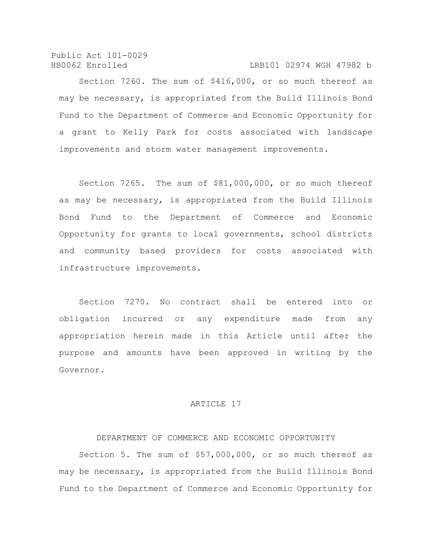Public Act 101-0029 HB0062 Enrolled LRB101 02974 WGH 47982 b

Section 7260. The sum of \$416,000, or so much thereof as may be necessary, is appropriated from the Build Illinois Bond Fund to the Department of Commerce and Economic Opportunity for a grant to Kelly Park for costs associated with landscape improvements and storm water management improvements.

Section 7265. The sum of \$81,000,000, or so much thereof as may be necessary, is appropriated from the Build Illinois Bond Fund to the Department of Commerce and Economic Opportunity for grants to local governments, school districts and community based providers for costs associated with infrastructure improvements.

Section 7270. No contract shall be entered into or obligation incurred or any expenditure made from any appropriation herein made in this Article until after the purpose and amounts have been approved in writing by the Governor.

## ARTICLE 17

## DEPARTMENT OF COMMERCE AND ECONOMIC OPPORTUNITY

Section 5. The sum of \$57,000,000, or so much thereof as may be necessary, is appropriated from the Build Illinois Bond Fund to the Department of Commerce and Economic Opportunity for